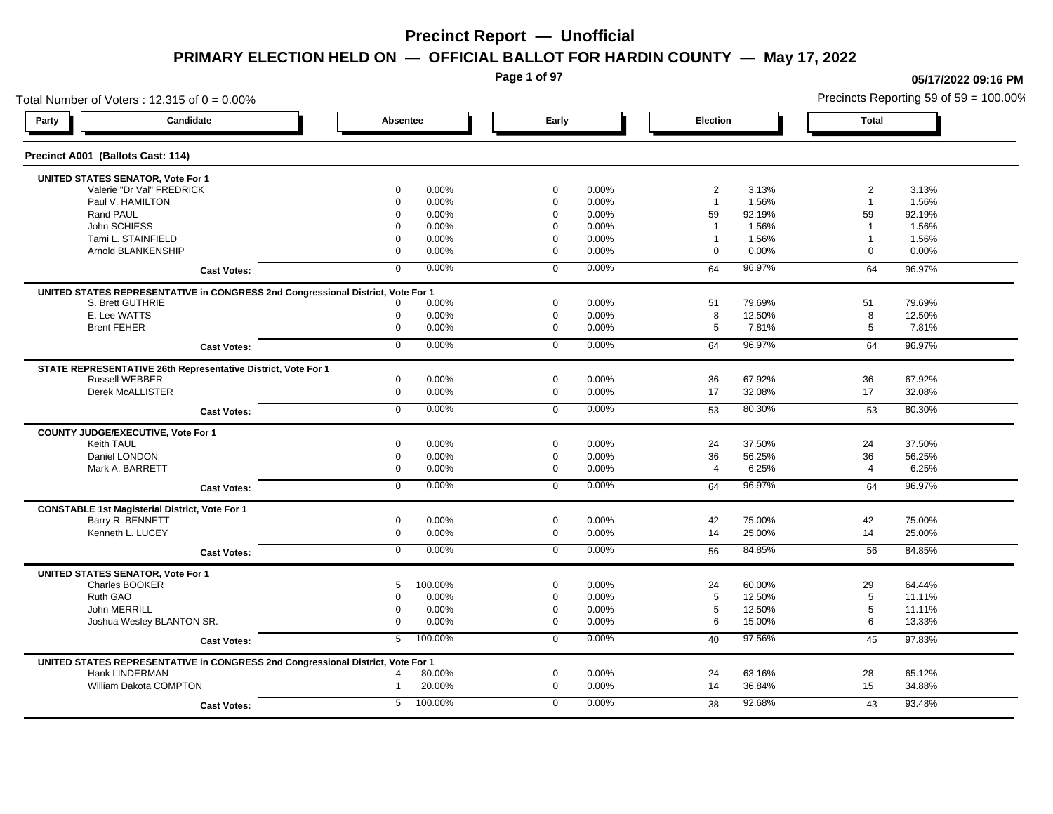**Page 1 of 97**

**05/17/2022 09:16 PM**

## Total Number of Voters : 12,315 of  $0 = 0.00\%$ Precincts Reporting 59 of 59 = 100.00% **Party Candidate Absentee Early Election Total Precinct A001 (Ballots Cast: 114) UNITED STATES SENATOR, Vote For 1** Valerie "Dr Val" FREDRICK 0 0.00% 0 0.00% 2 3.13% 2 3.13% Paul V. HAMILTON 0 0.00% 0 0.00% 1 1.56% 1 1.56% Rand PAUL 0 0.00% 0 0.00% 59 92.19% 59 92.19% John SCHIESS 0 0.00% 0 0.00% 1 1.56% 1 1.56% Tami L. STAINFIELD 0 0.00% 0 0.00% 1 1.56% 1 1.56% 1 Arnold BLANKENSHIP 0 0.00% 0 0.00% 0 0.00% 0 0.00% **Cast Votes:** 0 0.00% 0 0.00% 64 96.97% 64 96.97% **UNITED STATES REPRESENTATIVE in CONGRESS 2nd Congressional District, Vote For 1** S. Brett GUTHRIE 0 0.00% 0 0.00% 51 79.69% 51 79.69% E. Lee WATTS 0 0.00% 0 0.00% 8 12.50% 8 12.50% Brent FEHER 0 0.00% 0 0.00% 5 7.81% 5 7.81% **Cast Votes:** 0 0.00% 0 0.00% 64 96.97% 64 96.97% **STATE REPRESENTATIVE 26th Representative District, Vote For 1** Russell WEBBER 0 0.00% 0 0.00% 36 67.92% 36 67.92% Derek McALLISTER 0 0.00% 0 0.00% 17 32.08% 17 32.08% **Cast Votes:** 0 0.00% 0 0.00% 53 80.30% 53 80.30% **COUNTY JUDGE/EXECUTIVE, Vote For 1** Keith TAUL 0 0.00% 0 0.00% 24 37.50% 24 37.50% Daniel LONDON 0 0.00% 0 0.00% 36 56.25% 36 56.25% Mark A. BARRETT 0 0.00% 0 0.00% 4 6.25% 4 6.25% **Cast Votes:** 0 0.00% 0 0.00% 64 96.97% 64 96.97% **CONSTABLE 1st Magisterial District, Vote For 1** Barry R. BENNETT 0 0.00% 0 0.00% 42 75.00% 42 75.00% Kenneth L. LUCEY 0 0.00% 0 0.00% 14 25.00% 14 25.00% **Cast Votes:** 0 0.00% 0 0.00% 56 84.85% 56 84.85% **UNITED STATES SENATOR, Vote For 1** Charles BOOKER 5 100.00% 0 0.00% 24 60.00% 29 64.44% Ruth GAO 0 0.00% 0 0.00% 5 12.50% 5 11.11% John MERRILL 0 0.00% 0 0.00% 5 12.50% 5 11.11% Joshua Wesley BLANTON SR. 0 0.00% 0 0.00% 6 15.00% 6 13.33% **Cast Votes:** 5 100.00% 0 0.00% 40 97.56% 45 97.83% **UNITED STATES REPRESENTATIVE in CONGRESS 2nd Congressional District, Vote For 1** Hank LINDERMAN 4 80.00% 0 0.00% 24 63.16% 28 65.12% William Dakota COMPTON 1 20.00% 0 0.00% 14 36.84% 15 34.88% **Cast Votes:** 5 100.00% 0 0.00% 38 92.68% 43 93.48%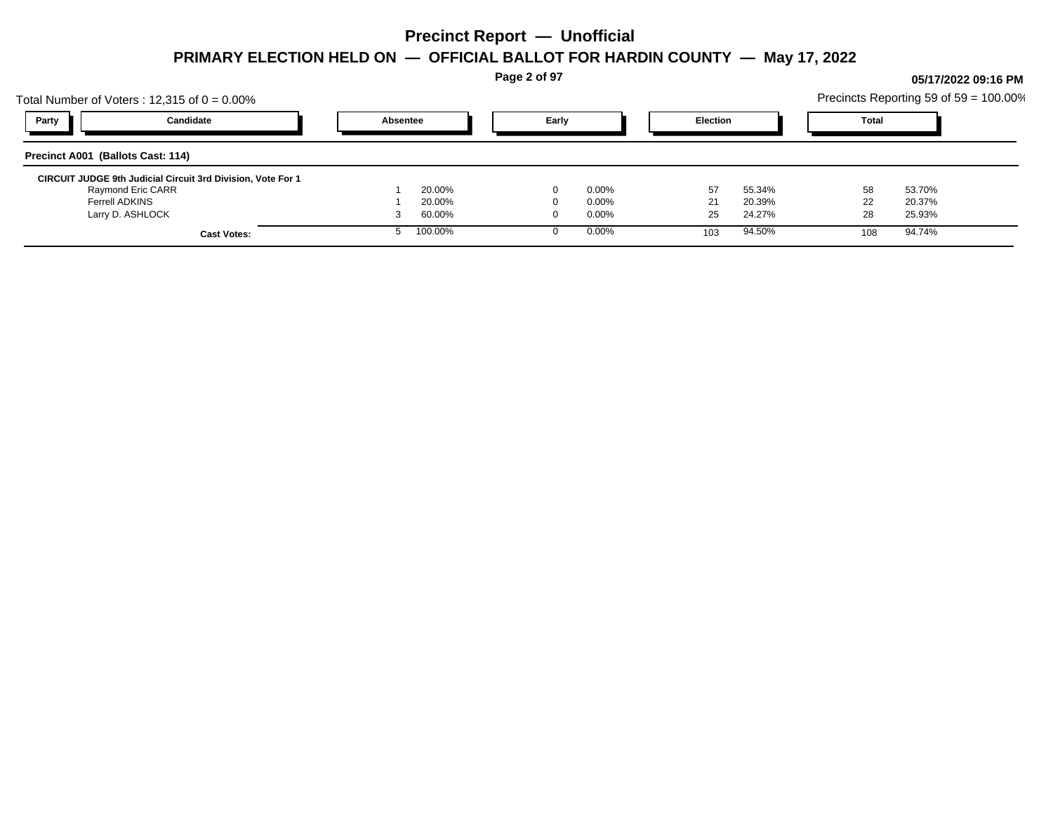**Page 2 of 97**

## Total Number of Voters : 12,315 of  $0 = 0.00\%$ Precincts Reporting 59 of 59 = 100.00% **Party Candidate Absentee Early Election Total Precinct A001 (Ballots Cast: 114) CIRCUIT JUDGE 9th Judicial Circuit 3rd Division, Vote For 1** Raymond Eric CARR 1 20.00% 0 0.00% 57 55.34% 58 53.70% Ferrell ADKINS 1 20.00% 0 0.00% 21 20.39% 22 20.37% Larry D. ASHLOCK 3 60.00% 0 0.00% 25 24.27% 28 25.93% **Cast Votes:** 5 100.00% 0 0.00% 103 94.50% 108 94.74%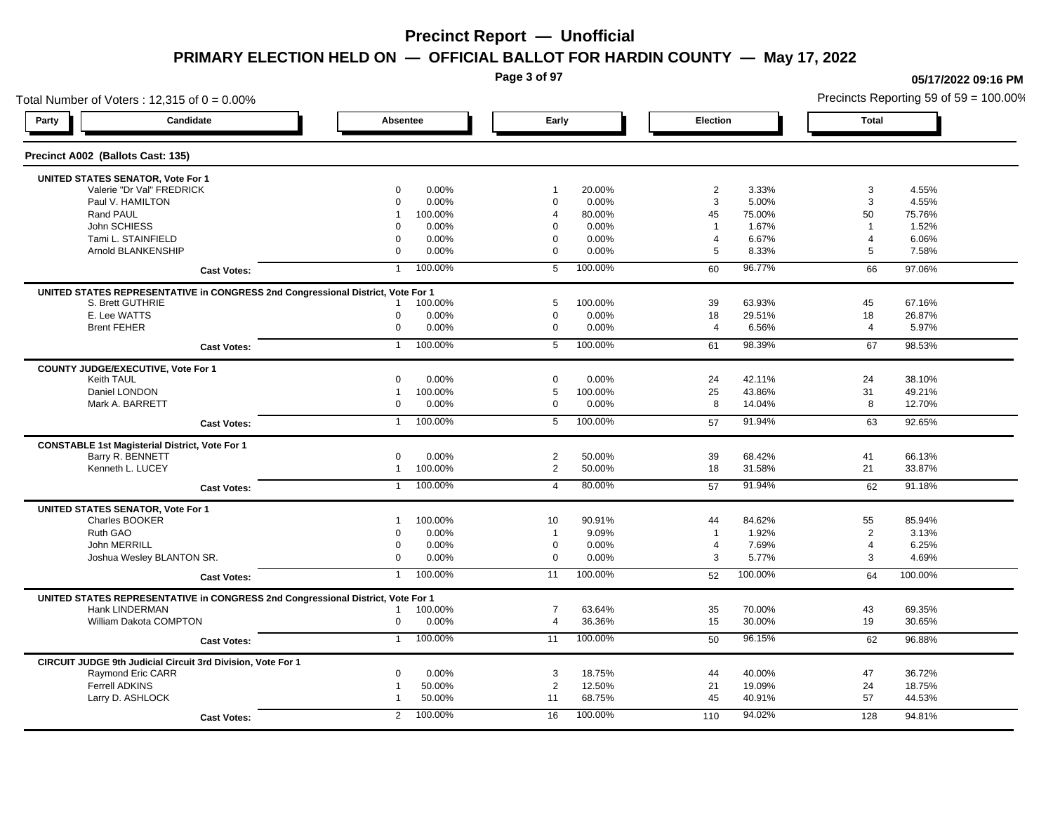**Page 3 of 97**

**05/17/2022 09:16 PM**

## Total Number of Voters : 12,315 of  $0 = 0.00\%$ Precincts Reporting 59 of 59 = 100.00% **Party Candidate Absentee Early Election Total Precinct A002 (Ballots Cast: 135) UNITED STATES SENATOR, Vote For 1** Valerie "Dr Val" FREDRICK 0 0.00% 1 20.00% 2 3.33% 3 4.55% Paul V. HAMILTON 0 0.00% 0 0.00% 3 5.00% 3 4.55% Rand PAUL 1 100.00% 4 80.00% 45 75.00% 50 75.76% John SCHIESS 0 0.00% 0 0.00% 1 1.67% 1 1.52% Tami L. STAINFIELD 0 0.00% 0 0.00% 4 6.67% 4 6.06% Arnold BLANKENSHIP 0 0.00% 0 0.00% 5 8.33% 5 7.58% **Cast Votes:** 1 100.00% 5 100.00% 60 96.77% 66 97.06% **UNITED STATES REPRESENTATIVE in CONGRESS 2nd Congressional District, Vote For 1** S. Brett GUTHRIE 1 100.00% 5 100.00% 39 63.93% 45 67.16% E. Lee WATTS 0 0.00% 0 0.00% 18 29.51% 18 26.87% Brent FEHER 0 0.00% 0 0.00% 4 6.56% 4 5.97% **Cast Votes:** 1 100.00% 5 100.00% 61 98.39% 67 98.53% **COUNTY JUDGE/EXECUTIVE, Vote For 1** Keith TAUL 0 0.00% 0 0.00% 24 42.11% 24 38.10% Daniel LONDON 1 100.00% 5 100.00% 25 43.86% 31 49.21% Mark A. BARRETT 0 0.00% 0 0.00% 8 14.04% 8 12.70% **Cast Votes:** 1 100.00% 5 100.00% 57 91.94% 63 92.65% **CONSTABLE 1st Magisterial District, Vote For 1** Barry R. BENNETT 0 0.00% 2 50.00% 39 68.42% 41 66.13% Kenneth L. LUCEY 1 100.00% 2 50.00% 18 31.58% 21 33.87% **Cast Votes:** 1 100.00% 4 80.00% 57 91.94% 62 91.18% **UNITED STATES SENATOR, Vote For 1** Charles BOOKER 1 100.00% 10 90.91% 44 84.62% 55 85.94% Ruth GAO 0 0.00% 1 9.09% 1 1.92% 2 3.13% John MERRILL 0 0.00% 0 0.00% 4 7.69% 4 6.25% Joshua Wesley BLANTON SR. 0 0.00% 0 0.00% 3 5.77% 3 4.69% **Cast Votes:** 1 100.00% 11 100.00% 52 100.00% 64 100.00% **UNITED STATES REPRESENTATIVE in CONGRESS 2nd Congressional District, Vote For 1** Hank LINDERMAN 1 100.00% 7 63.64% 35 70.00% 43 69.35% William Dakota COMPTON 0 0.00% 4 36.36% 15 30.00% 30.65% **Cast Votes:** 1 100.00% 11 100.00% 50 96.15% 62 96.88% **CIRCUIT JUDGE 9th Judicial Circuit 3rd Division, Vote For 1** Raymond Eric CARR 0 0.00% 3 18.75% 44 40.00% 36.72% Ferrell ADKINS 1 50.00% 2 12.50% 21 19.09% 24 18.75% Larry D. ASHLOCK 1 50.00% 11 68.75% 45 40.91% 57 44.53% **Cast Votes:** 2 100.00% 16 100.00% 110 94.02% 128 94.81%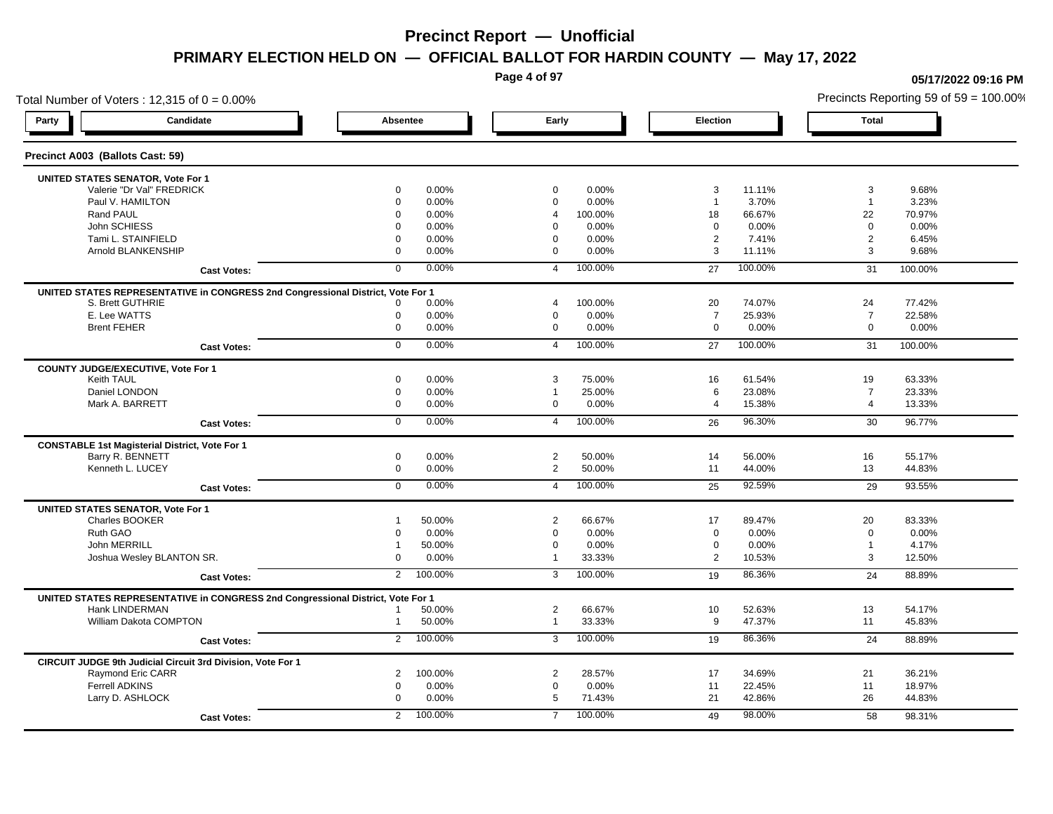**Page 4 of 97**

## Total Number of Voters : 12,315 of  $0 = 0.00\%$ **Party Candidate Absentee Early Election Total Precinct A003 (Ballots Cast: 59) UNITED STATES SENATOR, Vote For 1** Valerie "Dr Val" FREDRICK 0 0.00% 0 0.00% 3 11.11% 3 9.68% Paul V. HAMILTON 0 0.00% 0 0.00% 1 3.70% 1 3.23% Rand PAUL 0 0.00% 4 100.00% 18 66.67% 70.97% John SCHIESS 0 0.00% 0 0.00% 0 0.00% 0 0.00% Tami L. STAINFIELD 0 0.00% 0 0.00% 2 7.41% 2 6.45% Arnold BLANKENSHIP 0 0.00% 0 0.00% 3 11.11% 3 9.68% **Cast Votes:** 0 0.00% 4 100.00% 27 100.00% 31 100.00% **UNITED STATES REPRESENTATIVE in CONGRESS 2nd Congressional District, Vote For 1** S. Brett GUTHRIE 0 0.00% 4 100.00% 20 74.07% 24 77.42% E. Lee WATTS 0 0.00% 0 0.00% 7 25.93% 7 22.58% Brent FEHER 0 0.00% 0 0.00% 0 0.00% 0 0.00% **Cast Votes:** 0 0.00% 4 100.00% 27 100.00% 31 100.00% **COUNTY JUDGE/EXECUTIVE, Vote For 1** Keith TAUL 0 0.00% 3 75.00% 16 61.54% 19 63.33% Daniel LONDON 0 0.00% 1 25.00% 6 23.08% 7 23.33% Mark A. BARRETT 0 0.00% 0 0.00% 4 15.38% 4 13.33% **Cast Votes:** 0 0.00% 4 100.00% 26 96.30% 30 96.77% **CONSTABLE 1st Magisterial District, Vote For 1** Barry R. BENNETT 0 0.00% 2 50.00% 14 56.00% 16 55.17% Kenneth L. LUCEY 0 0.00% 2 50.00% 11 44.00% 13 44.83% **Cast Votes:** 0 0.00% 4 100.00% 25 92.59% 29 93.55% **UNITED STATES SENATOR, Vote For 1** Charles BOOKER 1 50.00% 2 66.67% 17 89.47% 20 83.33% Ruth GAO 0 0.00% 0 0.00% 0 0.00% 0 0.00% John MERRILL 1 50.00% 0 0.00% 0 0.00% 1 4.17% Joshua Wesley BLANTON SR. 0 0.00% 1 33.33% 2 10.53% 3 12.50% **Cast Votes:** 2 100.00% 3 100.00% 19 86.36% 24 88.89% **UNITED STATES REPRESENTATIVE in CONGRESS 2nd Congressional District, Vote For 1** Hank LINDERMAN 1 50.00% 2 66.67% 10 52.63% 13 54.17% William Dakota COMPTON 1 50.00% 1 33.33% 9 47.37% 11 45.83% **Cast Votes:** 2 100.00% 3 100.00% 19 86.36% 24 88.89% **CIRCUIT JUDGE 9th Judicial Circuit 3rd Division, Vote For 1** Raymond Eric CARR 2 100.00% 2 28.57% 17 34.69% 21 36.21% Ferrell ADKINS 0 0.00% 0 0.00% 11 22.45% 11 18.97% Larry D. ASHLOCK 0 0.00% 5 71.43% 21 42.86% 26 44.83% **Cast Votes:** 2 100.00% 7 100.00% 49 98.00% 58 98.31%

**05/17/2022 09:16 PM**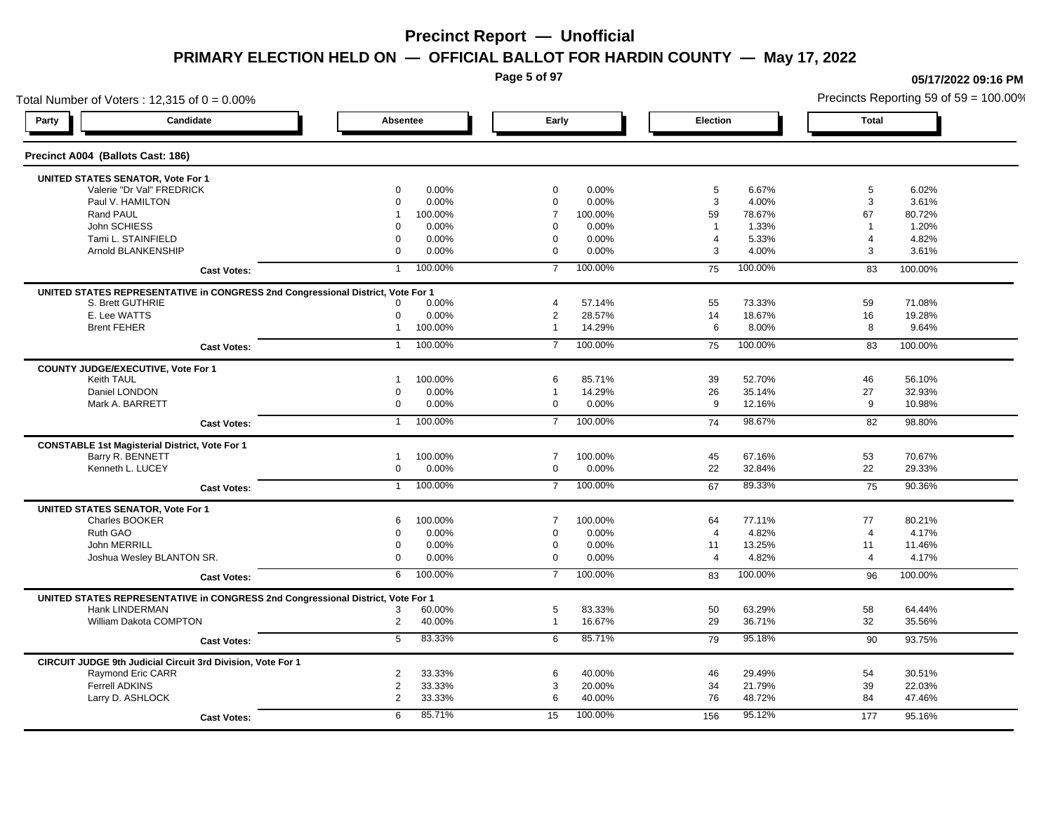**Page 5 of 97**

**05/17/2022 09:16 PM**

## Total Number of Voters : 12,315 of  $0 = 0.00\%$ Precincts Reporting 59 of 59 = 100.00% **Party Candidate Absentee Early Election Total Precinct A004 (Ballots Cast: 186) UNITED STATES SENATOR, Vote For 1** Valerie "Dr Val" FREDRICK 0 0.00% 0 0.00% 5 6.67% 5 6.02% Paul V. HAMILTON 0 0.00% 0 0.00% 3 4.00% 3 3.61% Rand PAUL 1 100.00% 7 100.00% 59 78.67% 67 80.72% John SCHIESS 0 0.00% 0 0.00% 1 1.33% 1 1.20% Tami L. STAINFIELD 0 0.00% 0 0.00% 4 5.33% 4 4.82% Arnold BLANKENSHIP 0 0.00% 0 0.00% 3 4.00% 3 3.61% **Cast Votes:** 1 100.00% 7 100.00% 75 100.00% 83 100.00% **UNITED STATES REPRESENTATIVE in CONGRESS 2nd Congressional District, Vote For 1** S. Brett GUTHRIE 0 0.00% 4 57.14% 55 73.33% 59 71.08% E. Lee WATTS 0 0.00% 2 28.57% 14 18.67% 16 19.28% Brent FEHER 1 100.00% 1 14.29% 6 8.00% 8 9.64% **Cast Votes:** 1 100.00% 7 100.00% 75 100.00% 83 100.00% **COUNTY JUDGE/EXECUTIVE, Vote For 1** Keith TAUL 1 100.00% 6 85.71% 39 52.70% 46 56.10% Daniel LONDON 0 0.00% 1 14.29% 26 35.14% 27 32.93% Mark A. BARRETT 0 0.00% 0 0.00% 9 12.16% 9 10.98% **Cast Votes:** 1 100.00% 7 100.00% 74 98.67% 82 98.80% **CONSTABLE 1st Magisterial District, Vote For 1** Barry R. BENNETT 1 100.00% 7 100.00% 45 67.16% 53 70.67% Kenneth L. LUCEY 0 0.00% 0 0.00% 22 32.84% 22 29.33% **Cast Votes:** 1 100.00% 7 100.00% 67 89.33% 75 90.36% **UNITED STATES SENATOR, Vote For 1** Charles BOOKER 6 100.00% 7 100.00% 64 77.11% 77 80.21% Ruth GAO 0 0.00% 0 0.00% 4 4.82% 4 4.17% John MERRILL 0 0.00% 0 0.00% 11 13.25% 11 11.46% Joshua Wesley BLANTON SR. 0 0.00% 0 0.00% 4 4.82% 4 4.17% **Cast Votes:** 6 100.00% 7 100.00% 83 100.00% 96 100.00% **UNITED STATES REPRESENTATIVE in CONGRESS 2nd Congressional District, Vote For 1** Hank LINDERMAN 3 60.00% 5 83.33% 50 63.29% 58 64.44% William Dakota COMPTON 2 40.00% 1 16.67% 29 36.71% 32 35.56% **Cast Votes:** 5 83.33% 6 85.71% 79 95.18% 90 93.75% **CIRCUIT JUDGE 9th Judicial Circuit 3rd Division, Vote For 1** Raymond Eric CARR 2 33.33% 6 40.00% 46 29.49% 54 30.51% Ferrell ADKINS 2 33.33% 3 20.00% 34 21.79% 39 22.03% Larry D. ASHLOCK 2 33.33% 6 40.00% 76 48.72% 84 47.46% **Cast Votes:** 6 85.71% 15 100.00% 156 95.12% 177 95.16%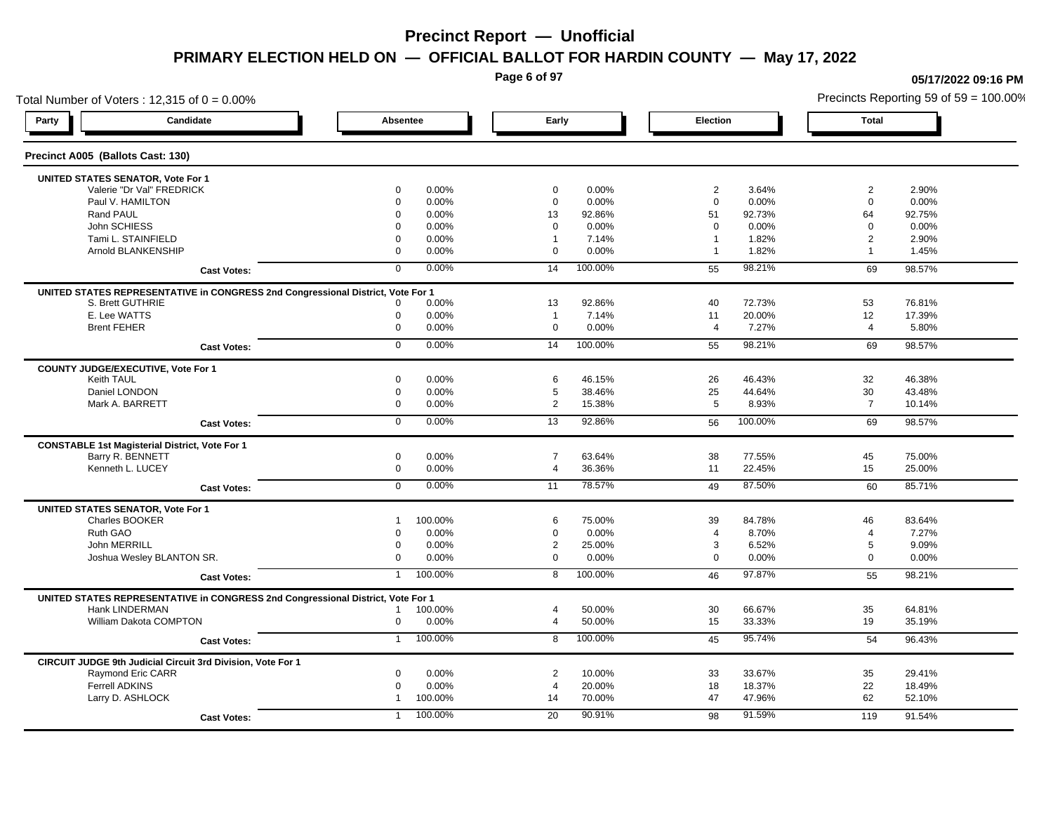**Page 6 of 97**

**05/17/2022 09:16 PM**

Total Number of Voters : 12,315 of  $0 = 0.00\%$ Precincts Reporting 59 of 59 = 100.00% **Party Candidate Absentee Early Election Total Precinct A005 (Ballots Cast: 130) UNITED STATES SENATOR, Vote For 1** Valerie "Dr Val" FREDRICK 0 0.00% 0 0.00% 2 3.64% 2 2.90% Paul V. HAMILTON 0 0.00% 0 0.00% 0 0.00% 0 0.00% Rand PAUL 0 0.00% 13 92.86% 51 92.73% 64 92.75% John SCHIESS 0 0.00% 0 0.00% 0 0.00% 0 0.00% Tami L. STAINFIELD 0 0.00% 1 7.14% 1 1.82% 2 2.90% 1 Arnold BLANKENSHIP 0 0.00% 0 0.00% 1 1.82% 1 1.45% **Cast Votes:** 0 0.00% 14 100.00% 55 98.21% 69 98.57% **UNITED STATES REPRESENTATIVE in CONGRESS 2nd Congressional District, Vote For 1** S. Brett GUTHRIE 0 0.00% 13 92.86% 40 72.73% 53 76.81% E. Lee WATTS 0 0.00% 1 7.14% 11 20.00% 12 17.39% Brent FEHER 0 0.00% 0 0.00% 4 7.27% 4 5.80% **Cast Votes:** 0 0.00% 14 100.00% 55 98.21% 69 98.57% **COUNTY JUDGE/EXECUTIVE, Vote For 1** Keith TAUL 0 0.00% 6 46.15% 26 46.43% 32 46.38% Daniel LONDON 0 0.00% 5 38.46% 25 44.64% 30 43.48% Mark A. BARRETT 0 0.00% 2 15.38% 5 8.93% 7 10.14% **Cast Votes:** 0 0.00% 13 92.86% 56 100.00% 69 98.57% **CONSTABLE 1st Magisterial District, Vote For 1** Barry R. BENNETT 0 0.00% 7 63.64% 38 77.55% 45 75.00% Kenneth L. LUCEY 0 0.00% 4 36.36% 11 22.45% 15 25.00% **Cast Votes:** 0 0.00% 11 78.57% 49 87.50% 60 85.71% **UNITED STATES SENATOR, Vote For 1** Charles BOOKER 1 100.00% 6 75.00% 39 84.78% 46 83.64% Ruth GAO 0 0.00% 0 0.00% 4 8.70% 4 7.27% John MERRILL 0 0.00% 2 25.00% 3 6.52% 5 9.09% Joshua Wesley BLANTON SR. 0 0.00% 0 0.00% 0 0.00% 0 0.00% **Cast Votes:** 1 100.00% 8 100.00% 46 97.87% 55 98.21% **UNITED STATES REPRESENTATIVE in CONGRESS 2nd Congressional District, Vote For 1** Hank LINDERMAN 1 100.00% 4 50.00% 30 66.67% 35 64.81% William Dakota COMPTON 0 0.00% 4 50.00% 15 33.33% 19 35.19% **Cast Votes:** 1 100.00% 8 100.00% 45 95.74% 54 96.43% **CIRCUIT JUDGE 9th Judicial Circuit 3rd Division, Vote For 1** Raymond Eric CARR 0 0.00% 2 10.00% 33 33.67% 35 29.41% Ferrell ADKINS 0 0.00% 4 20.00% 18 18.37% 22 18.49% Larry D. ASHLOCK 1 100.00% 14 70.00% 47 47.96% 62 52.10% **Cast Votes:** 1 100.00% 20 90.91% 98 91.59% 119 91.54%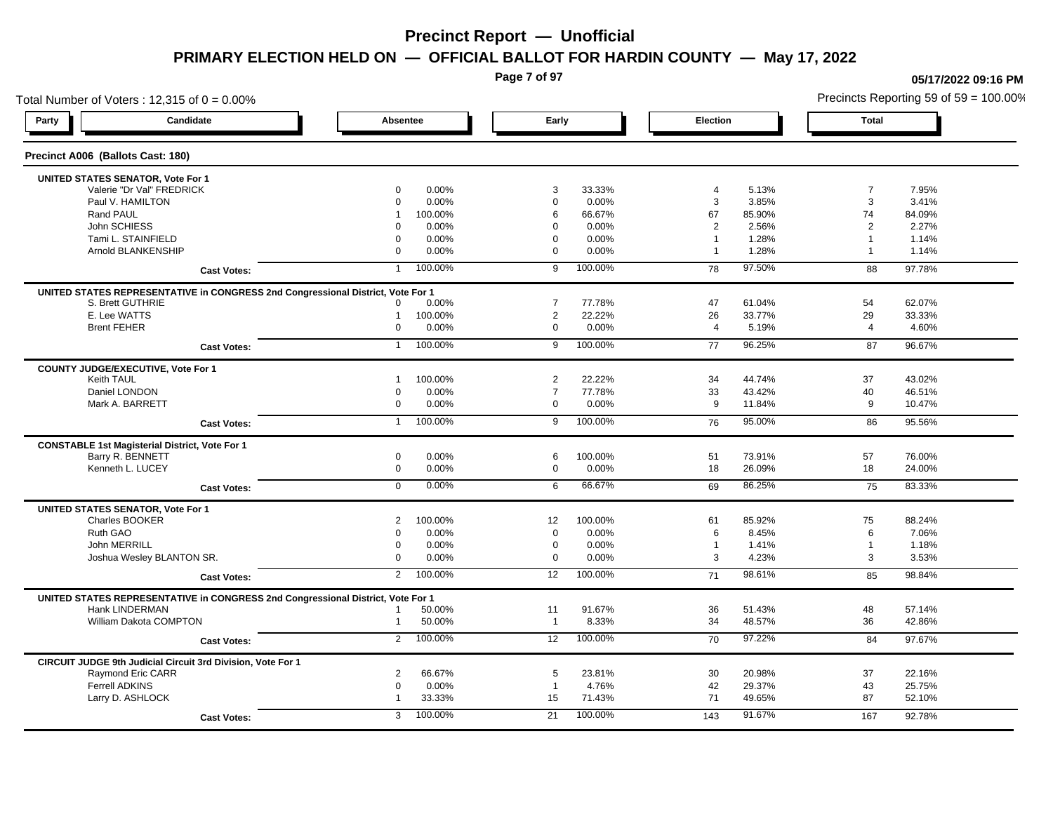**Page 7 of 97**

**05/17/2022 09:16 PM**

Total Number of Voters : 12,315 of  $0 = 0.00\%$ Precincts Reporting 59 of 59 = 100.00% **Party Candidate Absentee Early Election Total Precinct A006 (Ballots Cast: 180) UNITED STATES SENATOR, Vote For 1** Valerie "Dr Val" FREDRICK 0 0.00% 3 33.33% 4 5.13% 7 7.95% Paul V. HAMILTON 0 0.00% 0 0.00% 3 3.85% 3 3.41% Rand PAUL 1 100.00% 6 66.67% 67 85.90% 74 84.09% John SCHIESS 0 0.00% 0 0.00% 2 2.56% 2 2.27% Tami L. STAINFIELD 0 0.00% 0 0.00% 1 1.28% 1 1.14% 1 Arnold BLANKENSHIP 0 0.00% 0 0.00% 1 1.28% 1 1.14% **Cast Votes:** 1 100.00% 9 100.00% 78 97.50% 88 97.78% **UNITED STATES REPRESENTATIVE in CONGRESS 2nd Congressional District, Vote For 1** S. Brett GUTHRIE 0 0.00% 7 77.78% 47 61.04% 54 62.07% E. Lee WATTS 1 100.00% 2 22.22% 26 33.77% 29 33.33% Brent FEHER 0 0.00% 0 0.00% 4 5.19% 4 4.60% **Cast Votes:** 1 100.00% 9 100.00% 77 96.25% 87 96.67% **COUNTY JUDGE/EXECUTIVE, Vote For 1** Keith TAUL 1 100.00% 2 22.22% 34 44.74% 37 43.02% Daniel LONDON 0 0.00% 7 77.78% 33 43.42% 40 46.51% Mark A. BARRETT 0 0.00% 0 0.00% 9 11.84% 9 10.47% **Cast Votes:** 1 100.00% 9 100.00% 76 95.00% 86 95.56% **CONSTABLE 1st Magisterial District, Vote For 1** Barry R. BENNETT 0 0.00% 6 100.00% 51 73.91% 57 76.00% Kenneth L. LUCEY 0 0.00% 0 0.00% 18 26.09% 18 24.00% **Cast Votes:** 0 0.00% 6 66.67% 69 86.25% 75 83.33% **UNITED STATES SENATOR, Vote For 1** Charles BOOKER 2 100.00% 12 100.00% 61 85.92% 75 88.24% Ruth GAO 0 0.00% 0 0.00% 6 8.45% 6 7.06% John MERRILL 0 0.00% 0 0.00% 1 1.41% 1 1.18% Joshua Wesley BLANTON SR. 0 0.00% 0 0.00% 3 4.23% 3 3.53% **Cast Votes:** 2 100.00% 12 100.00% 71 98.61% 85 98.84% **UNITED STATES REPRESENTATIVE in CONGRESS 2nd Congressional District, Vote For 1** Hank LINDERMAN 1 50.00% 11 91.67% 36 51.43% 48 57.14% William Dakota COMPTON 1 50.00% 1 8.33% 34 48.57% 36 42.86% **Cast Votes:** 2 100.00% 12 100.00% 70 97.22% 84 97.67% **CIRCUIT JUDGE 9th Judicial Circuit 3rd Division, Vote For 1** Raymond Eric CARR 2 66.67% 5 23.81% 30 20.98% 37 22.16% Ferrell ADKINS 0 0.00% 1 4.76% 42 29.37% 43 25.75% Larry D. ASHLOCK 1 33.33% 15 71.43% 71 49.65% 87 52.10% **Cast Votes:** 3 100.00% 21 100.00% 143 91.67% 167 92.78%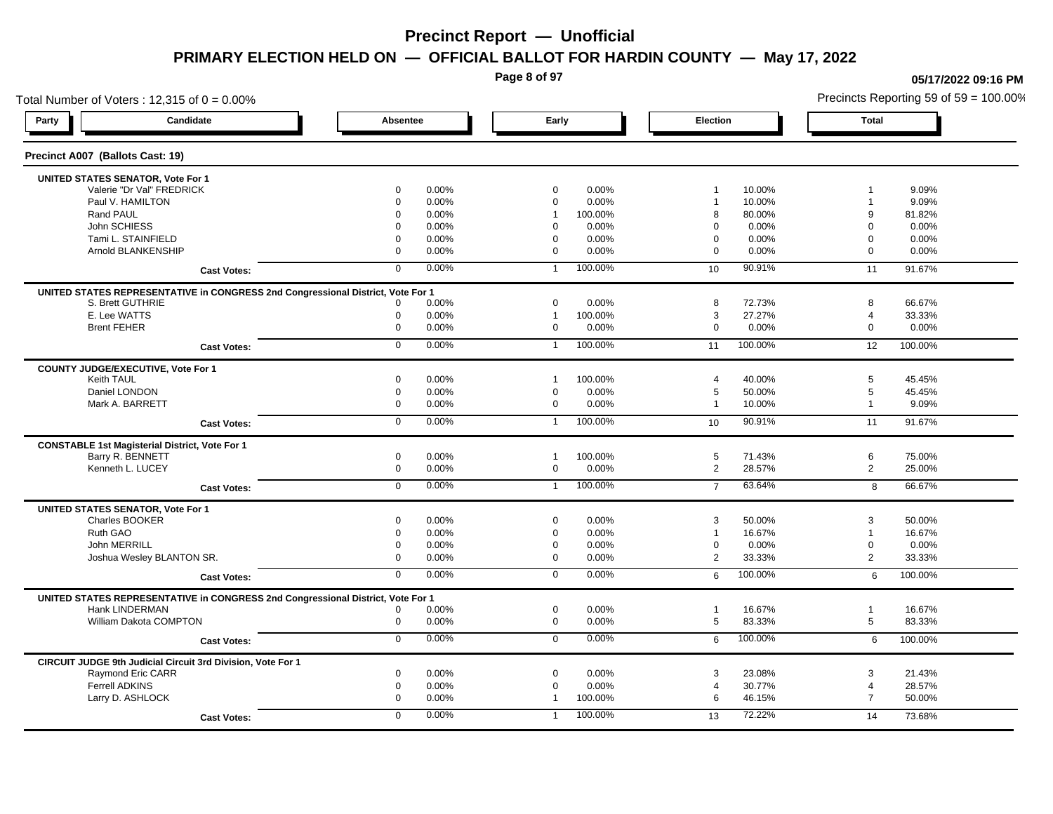**Page 8 of 97**

**05/17/2022 09:16 PM**

## Total Number of Voters : 12,315 of  $0 = 0.00\%$ Precincts Reporting 59 of 59 = 100.00% **Party Candidate Absentee Early Election Total Precinct A007 (Ballots Cast: 19) UNITED STATES SENATOR, Vote For 1** Valerie "Dr Val" FREDRICK 0 0.00% 0 0.00% 1 10.00% 1 9.09% Paul V. HAMILTON 0 0.00% 0 0.00% 1 10.00% 1 9.09% Rand PAUL 0 0.00% 1 100.00% 8 80.00% 9 81.82% John SCHIESS 0 0.00% 0 0.00% 0 0.00% 0 0.00% Tami L. STAINFIELD 0 0.00% 0 0.00% 0 0.00% 0 0.00% Arnold BLANKENSHIP 0 0.00% 0 0.00% 0 0.00% 0 0.00% **Cast Votes:** 0 0.00% 1 100.00% 10 90.91% 11 91.67% **UNITED STATES REPRESENTATIVE in CONGRESS 2nd Congressional District, Vote For 1** S. Brett GUTHRIE 0 0.00% 0 0.00% 8 72.73% 8 66.67% E. Lee WATTS 0 0.00% 1 100.00% 3 27.27% 4 33.33% Brent FEHER 0 0.00% 0 0.00% 0 0.00% 0 0.00% **Cast Votes:** 0 0.00% 1 100.00% 11 100.00% 12 100.00% **COUNTY JUDGE/EXECUTIVE, Vote For 1** Keith TAUL 0 0.00% 1 100.00% 4 40.00% 5 45.45% Daniel LONDON 0 0.00% 0 0.00% 5 50.00% 5 45.45% Mark A. BARRETT 0 0.00% 0 0.00% 1 10.00% 1 9.09% **Cast Votes:** 0 0.00% 1 100.00% 10 90.91% 11 91.67% **CONSTABLE 1st Magisterial District, Vote For 1** Barry R. BENNETT 0 0.00% 1 100.00% 5 71.43% 6 75.00% Kenneth L. LUCEY 0 0.00% 0 0.00% 2 28.57% 2 25.00% **Cast Votes:** 0 0.00% 1 100.00% 7 63.64% 8 66.67% **UNITED STATES SENATOR, Vote For 1** Charles BOOKER 0 0.00% 0 0.00% 3 50.00% 3 50.00% Ruth GAO 0 0.00% 0 0.00% 1 16.67% 1 16.67% John MERRILL 0 0.00% 0 0.00% 0 0.00% 0 0.00% Joshua Wesley BLANTON SR. 0 0.00% 0 0.00% 2 33.33% 2 33.33% **Cast Votes:** 0 0.00% 0 0.00% 6 100.00% 6 100.00% **UNITED STATES REPRESENTATIVE in CONGRESS 2nd Congressional District, Vote For 1** Hank LINDERMAN 0 0.00% 0 0.00% 1 16.67% 1 16.67% William Dakota COMPTON 0 0.00% 0 0.00% 5 83.33% 5 83.33% **Cast Votes:** 0 0.00% 0 0.00% 6 100.00% 6 100.00% **CIRCUIT JUDGE 9th Judicial Circuit 3rd Division, Vote For 1** Raymond Eric CARR 0 0.00% 0 0.00% 3 23.08% 3 21.43% Ferrell ADKINS 0 0.00% 0 0.00% 4 30.77% 4 28.57% Larry D. ASHLOCK 0 0.00% 1 100.00% 6 46.15% 7 50.00% **Cast Votes:** 0 0.00% 1 100.00% 13 72.22% 14 73.68%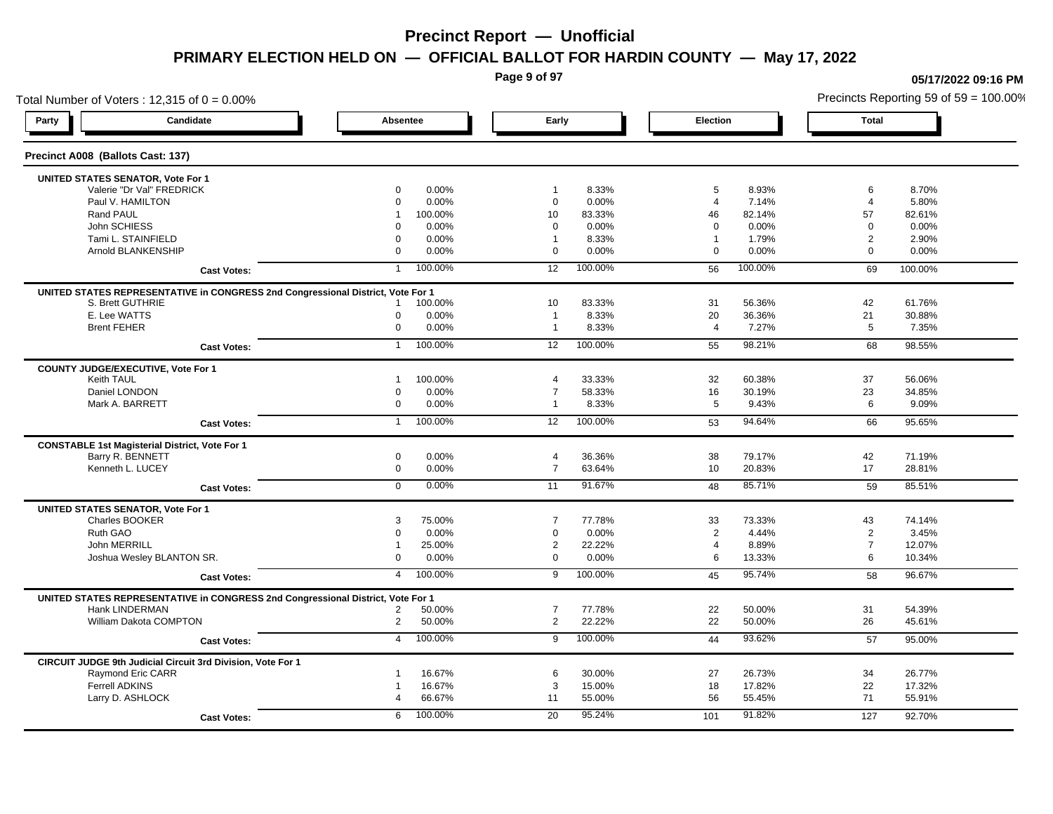**Page 9 of 97**

**05/17/2022 09:16 PM**

Total Number of Voters : 12,315 of  $0 = 0.00\%$ Precincts Reporting 59 of 59 = 100.00% **Party Candidate Absentee Early Election Total Precinct A008 (Ballots Cast: 137) UNITED STATES SENATOR, Vote For 1** Valerie "Dr Val" FREDRICK 0 0.00% 1 8.33% 5 8.93% 6 8.70% Paul V. HAMILTON 0 0.00% 0 0.00% 4 7.14% 4 5.80% Rand PAUL 1 100.00% 10 83.33% 46 82.14% 57 82.61% John SCHIESS 0 0.00% 0 0.00% 0 0.00% 0 0.00% Tami L. STAINFIELD 0 0.00% 1 8.33% 1 1.79% 2 2.90% Arnold BLANKENSHIP 0 0.00% 0 0.00% 0 0.00% 0 0.00% **Cast Votes:** 1 100.00% 12 100.00% 56 100.00% 69 100.00% **UNITED STATES REPRESENTATIVE in CONGRESS 2nd Congressional District, Vote For 1** S. Brett GUTHRIE 1 100.00% 10 83.33% 31 56.36% 61.76% E. Lee WATTS 0 0.00% 1 8.33% 20 36.36% 21 30.88% Brent FEHER 0 0.00% 1 8.33% 4 7.27% 5 7.35% **Cast Votes:** 1 100.00% 12 100.00% 55 98.21% 68 98.55% **COUNTY JUDGE/EXECUTIVE, Vote For 1** Keith TAUL 1 100.00% 4 33.33% 32 60.38% 37 56.06% Daniel LONDON 0 0.00% 7 58.33% 16 30.19% 23 34.85% Mark A. BARRETT 0 0.00% 1 8.33% 5 9.43% 6 9.09% **Cast Votes:** 1 100.00% 12 100.00% 53 94.64% 66 95.65% **CONSTABLE 1st Magisterial District, Vote For 1** Barry R. BENNETT 0 0.00% 4 36.36% 38 79.17% 42 71.19% Kenneth L. LUCEY 0 0.00% 7 63.64% 10 20.83% 17 28.81% **Cast Votes:** 0 0.00% 11 91.67% 48 85.71% 59 85.51% **UNITED STATES SENATOR, Vote For 1** Charles BOOKER 3 75.00% 7 77.78% 33 73.33% 43 74.14% Ruth GAO 0 0.00% 0 0.00% 2 4.44% 2 3.45% John MERRILL 1 25.00% 2 22.22% 4 8.89% 7 12.07% Joshua Wesley BLANTON SR. 0 0.00% 0 0.00% 6 13.33% 6 10.34% **Cast Votes:** 4 100.00% 9 100.00% 45 95.74% 58 96.67% **UNITED STATES REPRESENTATIVE in CONGRESS 2nd Congressional District, Vote For 1** Hank LINDERMAN 2 50.00% 7 77.78% 22 50.00% 31 54.39% William Dakota COMPTON 2 50.00% 2 22.22% 22 50.00% 26 45.61% **Cast Votes:** 4 100.00% 9 100.00% 44 93.62% 57 95.00% **CIRCUIT JUDGE 9th Judicial Circuit 3rd Division, Vote For 1** Raymond Eric CARR 1 16.67% 6 30.00% 27 26.73% 34 26.77% Ferrell ADKINS 1 16.67% 3 15.00% 18 17.82% 22 17.32% Larry D. ASHLOCK 4 66.67% 11 55.00% 56 55.45% 71 55.91% **Cast Votes:** 6 100.00% 20 95.24% 101 91.82% 127 92.70%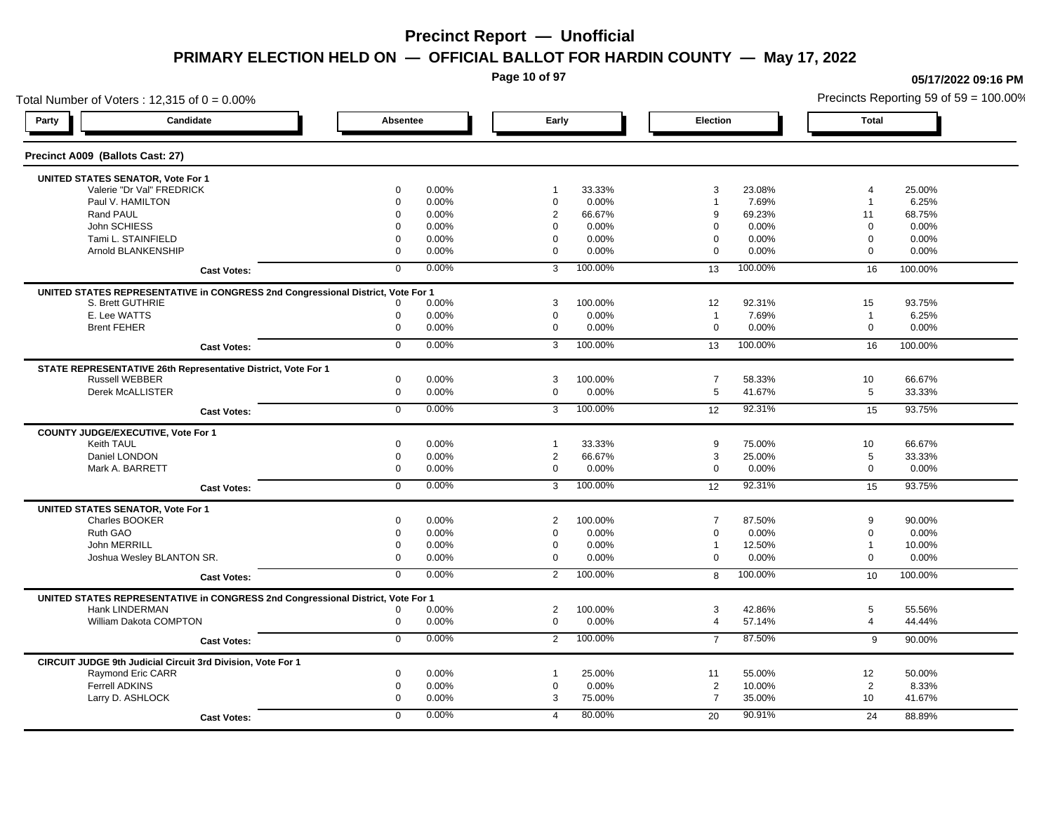**Page 10 of 97**

## Total Number of Voters : 12,315 of  $0 = 0.00\%$ **Party Candidate Absentee Early Election Total Precinct A009 (Ballots Cast: 27) UNITED STATES SENATOR, Vote For 1** Valerie "Dr Val" FREDRICK 0 0.00% 1 33.33% 3 23.08% 4 25.00% Paul V. HAMILTON 0 0.00% 0 0.00% 1 7.69% 1 6.25% Rand PAUL 0 0.00% 2 66.67% 9 69.23% 11 68.75% John SCHIESS 0 0.00% 0 0.00% 0 0.00% 0 0.00% Tami L. STAINFIELD 0 0.00% 0 0.00% 0 0.00% 0 0.00% Arnold BLANKENSHIP 0 0.00% 0 0.00% 0 0.00% 0 0.00% **Cast Votes:** 0 0.00% 3 100.00% 13 100.00% 16 100.00% **UNITED STATES REPRESENTATIVE in CONGRESS 2nd Congressional District, Vote For 1** S. Brett GUTHRIE 0 0.00% 3 100.00% 12 92.31% 15 93.75% E. Lee WATTS 0 0.00% 0 0.00% 1 7.69% 1 6.25% Brent FEHER 0 0.00% 0 0.00% 0 0.00% 0 0.00% **Cast Votes:** 0 0.00% 3 100.00% 13 100.00% 16 100.00% **STATE REPRESENTATIVE 26th Representative District, Vote For 1** Russell WEBBER 0 0.00% 3 100.00% 7 58.33% 10 66.67% Derek McALLISTER 0 0.00% 0 0.00% 5 41.67% 5 33.33% **Cast Votes:** 0 0.00% 3 100.00% 12 92.31% 15 93.75% **COUNTY JUDGE/EXECUTIVE, Vote For 1** Keith TAUL 0 0.00% 1 33.33% 9 75.00% 10 66.67% Daniel LONDON 0 0.00% 2 66.67% 3 25.00% 5 33.33% Mark A. BARRETT 0 0.00% 0 0.00% 0 0.00% 0 0.00% **Cast Votes:** 0 0.00% 3 100.00% 12 92.31% 15 93.75% **UNITED STATES SENATOR, Vote For 1** Charles BOOKER 0 0.00% 2 100.00% 7 87.50% 9 90.00% Ruth GAO 0 0.00% 0 0.00% 0 0.00% 0 0.00% John MERRILL 0 0.00% 0 0.00% 1 12.50% 1 10.00% Joshua Wesley BLANTON SR. 0 0.00% 0 0.00% 0 0.00% 0 0.00% **Cast Votes:** 0 0.00% 2 100.00% 8 100.00% 10 100.00% **UNITED STATES REPRESENTATIVE in CONGRESS 2nd Congressional District, Vote For 1** Hank LINDERMAN 0 0.00% 2 100.00% 3 42.86% 5 55.56% William Dakota COMPTON 0 0.00% 0 0.00% 4 57.14% 4 44.44% **Cast Votes:** 0 0.00% 2 100.00% 7 87.50% 9 90.00% **CIRCUIT JUDGE 9th Judicial Circuit 3rd Division, Vote For 1** Raymond Eric CARR 0 0.00% 1 25.00% 11 55.00% 12 50.00% Ferrell ADKINS 0 0.00% 0 0.00% 2 10.00% 2 8.33% Larry D. ASHLOCK 0 0.00% 3 75.00% 7 35.00% 10 41.67% **Cast Votes:** 0 0.00% 4 80.00% 20 90.91% 24 88.89%

### **05/17/2022 09:16 PM**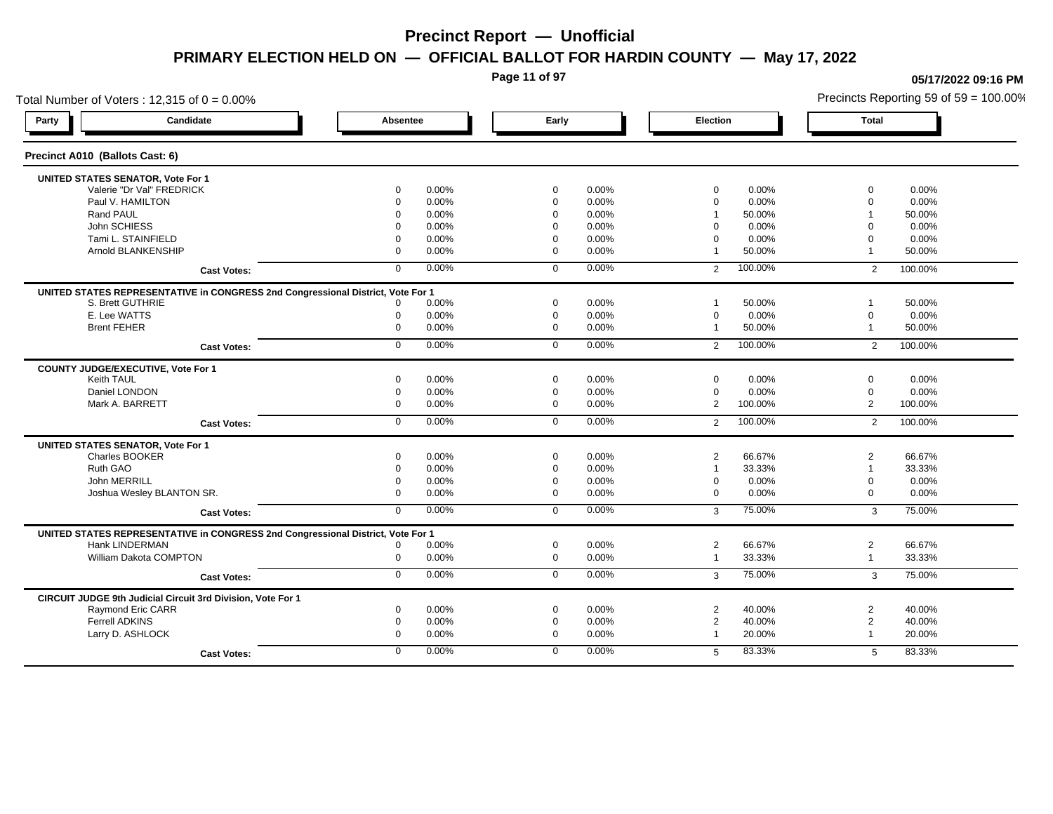**Page 11 of 97**

## Total Number of Voters : 12,315 of  $0 = 0.00\%$ **Party Candidate Absentee Early Election Total Precinct A010 (Ballots Cast: 6) UNITED STATES SENATOR, Vote For 1** Valerie "Dr Val" FREDRICK 0 0.00% 0 0.00% 0 0.00% 0 0.00% Paul V. HAMILTON 0 0.00% 0 0.00% 0 0.00% 0 0.00% Rand PAUL 0 0.00% 0 0.00% 1 50.00% 1 50.00% 1 John SCHIESS 0 0.00% 0 0.00% 0 0.00% 0 0.00% Tami L. STAINFIELD 0 0.00% 0 0.00% 0 0.00% 0 0.00% Arnold BLANKENSHIP 0 0.00% 0 0.00% 1 50.00% 1 50.00% **Cast Votes:** 0 0.00% 0 0.00% 2 100.00% 2 100.00% **UNITED STATES REPRESENTATIVE in CONGRESS 2nd Congressional District, Vote For 1** S. Brett GUTHRIE 0 0.00% 0 0.00% 1 50.00% 1 50.00% E. Lee WATTS 0 0.00% 0 0.00% 0 0.00% 0 0.00% Brent FEHER 0 0.00% 0 0.00% 1 50.00% 1 50.00% **Cast Votes:** 0 0.00% 0 0.00% 2 100.00% 2 100.00% **COUNTY JUDGE/EXECUTIVE, Vote For 1** Keith TAUL 0 0.00% 0 0.00% 0 0.00% 0 0.00% Daniel LONDON 0 0.00% 0 0.00% 0 0.00% 0 0.00% Mark A. BARRETT 0 0.00% 0 0.00% 2 100.00% 2 100.00% **Cast Votes:** 0 0.00% 0 0.00% 2 100.00% 2 100.00% **UNITED STATES SENATOR, Vote For 1** Charles BOOKER 0 0.00% 0 0.00% 2 66.67% 2 66.67% Ruth GAO 0 0.00% 0 0.00% 1 33.33% 1 33.33% John MERRILL 0 0.00% 0 0.00% 0 0.00% 0 0.00% Joshua Wesley BLANTON SR. 0 0.00% 0 0.00% 0 0.00% 0 0.00% **Cast Votes:** 0 0.00% 0 0.00% 3 75.00% 3 75.00% **UNITED STATES REPRESENTATIVE in CONGRESS 2nd Congressional District, Vote For 1** Hank LINDERMAN 0 0.00% 0 0.00% 2 66.67% 2 66.67% William Dakota COMPTON 0 0.00% 0 0.00% 1 33.33% 1 33.33% **Cast Votes:** 0 0.00% 0 0.00% 3 75.00% 3 75.00% **CIRCUIT JUDGE 9th Judicial Circuit 3rd Division, Vote For 1** Raymond Eric CARR 0 0.00% 0 0.00% 2 40.00% 2 40.00% Ferrell ADKINS 0 0.00% 0 0.00% 2 40.00% 2 40.00% Larry D. ASHLOCK 0 0.00% 0 0.00% 1 20.00% 1 20.00% **Cast Votes:** 0 0.00% 0 0.00% 5 83.33% 5 83.33%

Precincts Reporting 59 of 59 = 100.00%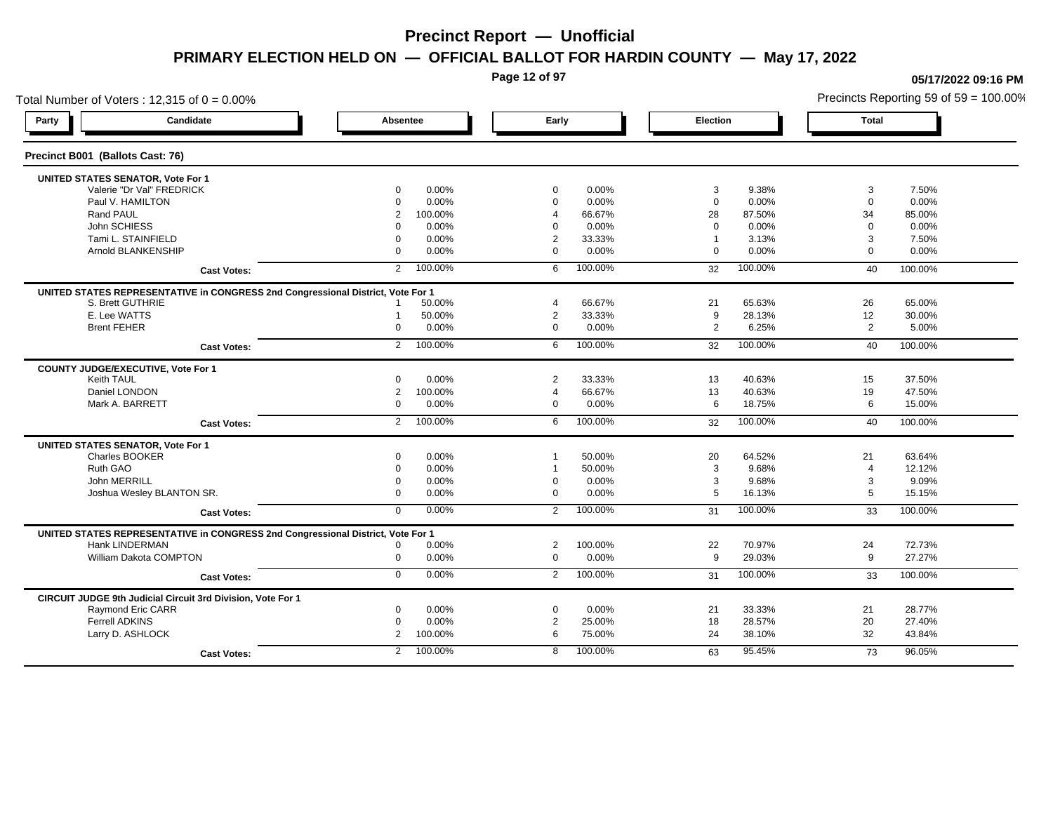**Page 12 of 97**

## Total Number of Voters : 12,315 of  $0 = 0.00\%$ **Party Candidate Absentee Early Election Total Precinct B001 (Ballots Cast: 76) UNITED STATES SENATOR, Vote For 1** Valerie "Dr Val" FREDRICK 0 0.00% 0 0.00% 3 9.38% 3 7.50% Paul V. HAMILTON 0 0.00% 0 0.00% 0 0.00% 0 0.00% Rand PAUL 2 100.00% 4 66.67% 28 87.50% 34 85.00% John SCHIESS 0 0.00% 0 0.00% 0 0.00% 0 0.00% Tami L. STAINFIELD 0 0.00% 2 33.33% 1 3.13% 3 7.50% Arnold BLANKENSHIP 0 0.00% 0 0.00% 0 0.00% 0 0.00% **Cast Votes:** 2 100.00% 6 100.00% 32 100.00% 40 100.00% **UNITED STATES REPRESENTATIVE in CONGRESS 2nd Congressional District, Vote For 1** S. Brett GUTHRIE 1 50.00% 4 66.67% 21 65.63% 26 65.00% E. Lee WATTS 1 50.00% 2 33.33% 9 28.13% 12 30.00% Brent FEHER 0 0.00% 0 0.00% 2 6.25% 2 5.00% **Cast Votes:** 2 100.00% 6 100.00% 32 100.00% 40 100.00% **COUNTY JUDGE/EXECUTIVE, Vote For 1** Keith TAUL 0 0.00% 2 33.33% 13 40.63% 15 37.50% Daniel LONDON 2 100.00% 4 66.67% 13 40.63% 19 47.50% Mark A. BARRETT 0 0.00% 0 0.00% 6 18.75% 6 15.00% **Cast Votes:** 2 100.00% 6 100.00% 32 100.00% 40 100.00% **UNITED STATES SENATOR, Vote For 1** Charles BOOKER 0 0.00% 1 50.00% 20 64.52% 21 63.64% Ruth GAO 0 0.00% 1 50.00% 3 9.68% 4 12.12% John MERRILL 0 0.00% 0 0.00% 3 9.68% 3 9.09% Joshua Wesley BLANTON SR. 0 0.00% 0 0.00% 5 16.13% 5 15.15% **Cast Votes:** 0 0.00% 2 100.00% 31 100.00% 33 100.00% **UNITED STATES REPRESENTATIVE in CONGRESS 2nd Congressional District, Vote For 1** Hank LINDERMAN 0 0.00% 2 100.00% 22 70.97% 24 72.73% William Dakota COMPTON 0 0.00% 0 0.00% 9 29.03% 9 27.27% **Cast Votes:** 0 0.00% 2 100.00% 31 100.00% 33 100.00% **CIRCUIT JUDGE 9th Judicial Circuit 3rd Division, Vote For 1** Raymond Eric CARR 0 0.00% 0 0.00% 21 33.33% 21 28.77% Ferrell ADKINS 0 0.00% 2 25.00% 18 28.57% 20 27.40% Larry D. ASHLOCK 2 100.00% 6 75.00% 24 38.10% 32 43.84% **Cast Votes:** 2 100.00% 8 100.00% 63 95.45% 73 96.05%

Precincts Reporting 59 of 59 = 100.00%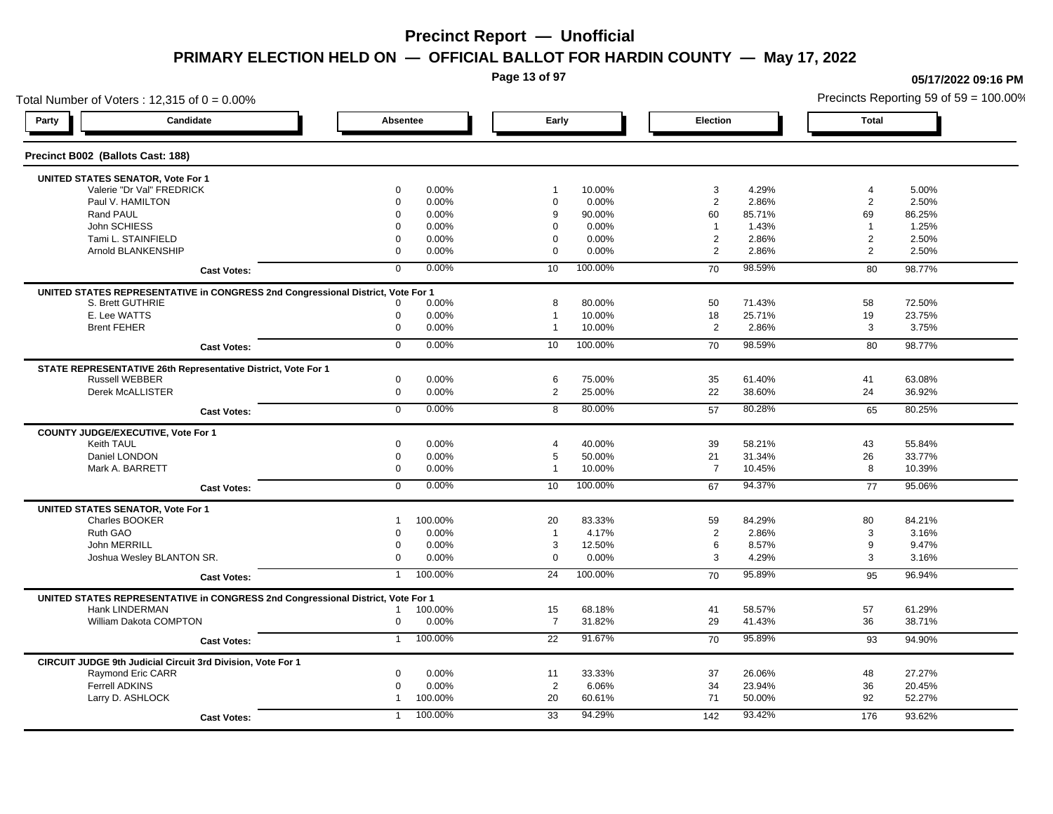**Page 13 of 97**

## Total Number of Voters : 12,315 of  $0 = 0.00\%$ **Party Candidate Absentee Early Election Total Precinct B002 (Ballots Cast: 188) UNITED STATES SENATOR, Vote For 1** Valerie "Dr Val" FREDRICK 0 0.00% 1 10.00% 3 4.29% 4 5.00% Paul V. HAMILTON 0 0.00% 0 0.00% 2 2.86% 2 2.50% Rand PAUL 0 0.00% 9 90.00% 60 85.71% 69 86.25% John SCHIESS 0 0.00% 0 0.00% 1 1.43% 1 1.25% Tami L. STAINFIELD 0 0.00% 0 0.00% 2 2.86% 2 2.50% Arnold BLANKENSHIP 0 0.00% 0 0.00% 2 2.86% 2 2.50% **Cast Votes:** 0 0.00% 10 100.00% 70 98.59% 80 98.77% **UNITED STATES REPRESENTATIVE in CONGRESS 2nd Congressional District, Vote For 1** S. Brett GUTHRIE 0 0.00% 8 80.00% 50 71.43% 58 72.50% E. Lee WATTS 0 0.00% 1 10.00% 18 25.71% 19 23.75% Brent FEHER 0 0.00% 1 10.00% 2 2.86% 3 3.75% **Cast Votes:** 0 0.00% 10 100.00% 70 98.59% 80 98.77% **STATE REPRESENTATIVE 26th Representative District, Vote For 1** Russell WEBBER 0 0.00% 6 75.00% 35 61.40% 41 63.08% Derek McALLISTER 0 0.00% 2 25.00% 22 38.60% 24 36.92% **Cast Votes:** 0 0.00% 8 80.00% 57 80.28% 65 80.25% **COUNTY JUDGE/EXECUTIVE, Vote For 1** Keith TAUL 0 0.00% 4 40.00% 39 58.21% 43 55.84% Daniel LONDON 0 0.00% 5 50.00% 21 31.34% 26 33.77% Mark A. BARRETT 0 0.00% 1 10.00% 7 10.45% 8 10.39% **Cast Votes:** 0 0.00% 10 100.00% 67 94.37% 77 95.06% **UNITED STATES SENATOR, Vote For 1** Charles BOOKER 1 100.00% 20 83.33% 59 84.29% 80 84.21% Ruth GAO 0 0.00% 1 4.17% 2 2.86% 3 3.16% John MERRILL 0 0.00% 3 12.50% 6 8.57% 9 9.47% Joshua Wesley BLANTON SR. 0 0.00% 0 0.00% 3 4.29% 3 3.16% **Cast Votes:** 1 100.00% 24 100.00% 70 95.89% 95 96.94% **UNITED STATES REPRESENTATIVE in CONGRESS 2nd Congressional District, Vote For 1** Hank LINDERMAN 1 100.00% 15 68.18% 41 58.57% 57 61.29% William Dakota COMPTON 0 0.00% 7 31.82% 29 41.43% 36 38.71% **Cast Votes:** 1 100.00% 22 91.67% 70 95.89% 93 94.90% **CIRCUIT JUDGE 9th Judicial Circuit 3rd Division, Vote For 1** Raymond Eric CARR 0 0.00% 11 33.33% 37 26.06% 48 27.27% Ferrell ADKINS 0 0.00% 2 6.06% 34 23.94% 36 20.45% Larry D. ASHLOCK 1 100.00% 20 60.61% 71 50.00% 92 52.27% **Cast Votes:** 1 100.00% 33 94.29% 142 93.42% 176 93.62%

### **05/17/2022 09:16 PM**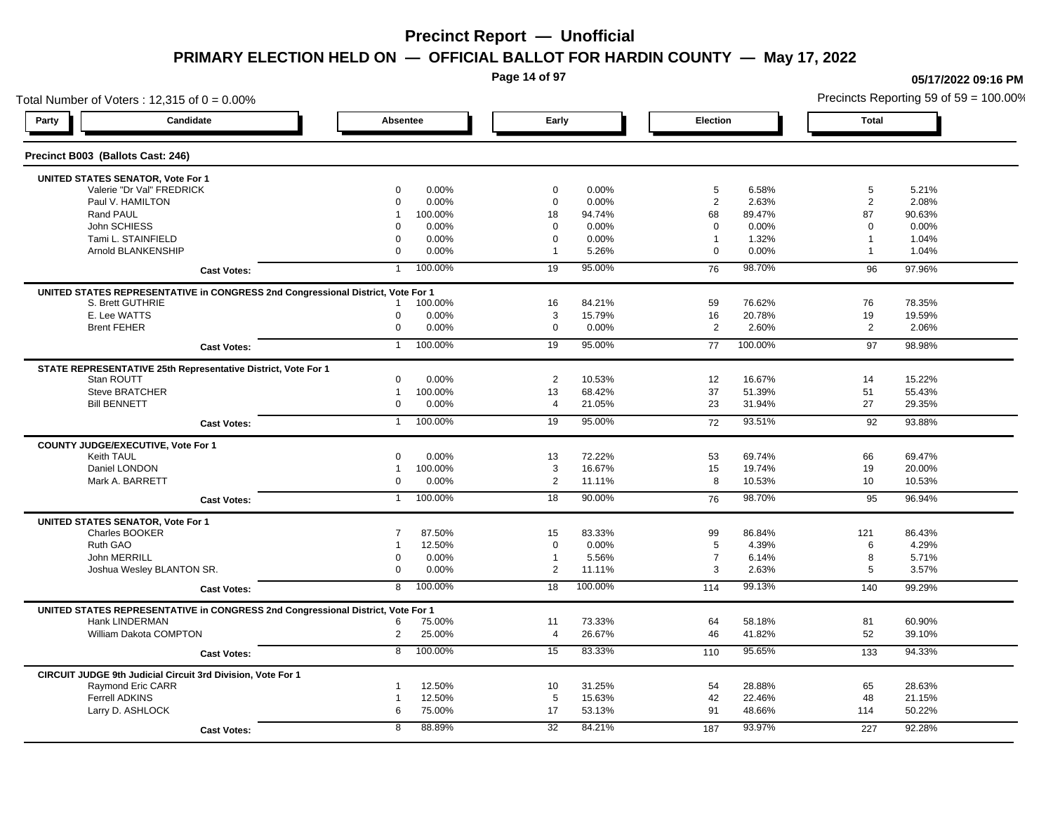**Page 14 of 97**

## Total Number of Voters : 12,315 of  $0 = 0.00\%$ **Party Candidate Absentee Early Election Total Precinct B003 (Ballots Cast: 246) UNITED STATES SENATOR, Vote For 1** Valerie "Dr Val" FREDRICK 0 0.00% 0 0.00% 5 6.58% 5 5.21% Paul V. HAMILTON 0 0.00% 0 0.00% 2 2.63% 2 2.08% Rand PAUL 1 100.00% 18 94.74% 68 89.47% 87 90.63% John SCHIESS 0 0.00% 0 0.00% 0 0.00% 0 0.00% Tami L. STAINFIELD 0 0.00% 0 0.00% 1 1.32% 1 1.04% 1 Arnold BLANKENSHIP 0 0.00% 1 5.26% 0 0.00% 1 1.04% **Cast Votes:** 1 100.00% 19 95.00% 76 98.70% 96 97.96% **UNITED STATES REPRESENTATIVE in CONGRESS 2nd Congressional District, Vote For 1** S. Brett GUTHRIE 1 100.00% 16 84.21% 59 76.62% 76 78.35% E. Lee WATTS 0 0.00% 3 15.79% 16 20.78% 19 19.59% Brent FEHER 0 0.00% 0 0.00% 2 2.60% 2 2.06% **Cast Votes:** 1 100.00% 19 95.00% 77 100.00% 97 98.98% **STATE REPRESENTATIVE 25th Representative District, Vote For 1** Stan ROUTT 0 0.00% 2 10.53% 12 16.67% 14 15.22% Steve BRATCHER 1 100.00% 13 68.42% 37 51.39% 51 55.43% Bill BENNETT 0 0.00% 4 21.05% 23 31.94% 27 29.35% **Cast Votes:** 1 100.00% 19 95.00% 72 93.51% 92 93.88% **COUNTY JUDGE/EXECUTIVE, Vote For 1** Keith TAUL 0 0.00% 13 72.22% 53 69.74% 66 69.47% Daniel LONDON 1 100.00% 3 16.67% 15 19.74% 19 20.00% Mark A. BARRETT 0 0.00% 2 11.11% 8 10.53% 10 10.53% **Cast Votes:** 1 100.00% 18 90.00% 76 98.70% 95 96.94% **UNITED STATES SENATOR, Vote For 1** Charles BOOKER 7 87.50% 15 83.33% 99 86.84% 121 86.43% Ruth GAO 1 12.50% 0 0.00% 5 4.39% 6 4.29% John MERRILL 0 0.00% 1 5.56% 7 6.14% 8 5.71% Joshua Wesley BLANTON SR. 0 0.00% 2 11.11% 3 2.63% 5 3.57% **Cast Votes:** 8 100.00% 18 100.00% 114 99.13% 140 99.29% **UNITED STATES REPRESENTATIVE in CONGRESS 2nd Congressional District, Vote For 1** Hank LINDERMAN 6 75.00% 11 73.33% 64 58.18% 81 60.90% William Dakota COMPTON 2 25.00% 4 26.67% 46 41.82% 52 39.10% **Cast Votes:** 8 100.00% 15 83.33% 110 95.65% 133 94.33% **CIRCUIT JUDGE 9th Judicial Circuit 3rd Division, Vote For 1** Raymond Eric CARR 1 12.50% 10 31.25% 54 28.88% 65 28.63% Ferrell ADKINS 1 12.50% 5 15.63% 42 22.46% 48 21.15% Larry D. ASHLOCK 6 75.00% 17 53.13% 91 48.66% 114 50.22% **Cast Votes:** 8 88.89% 32 84.21% 187 93.97% 227 92.28%

#### **05/17/2022 09:16 PM**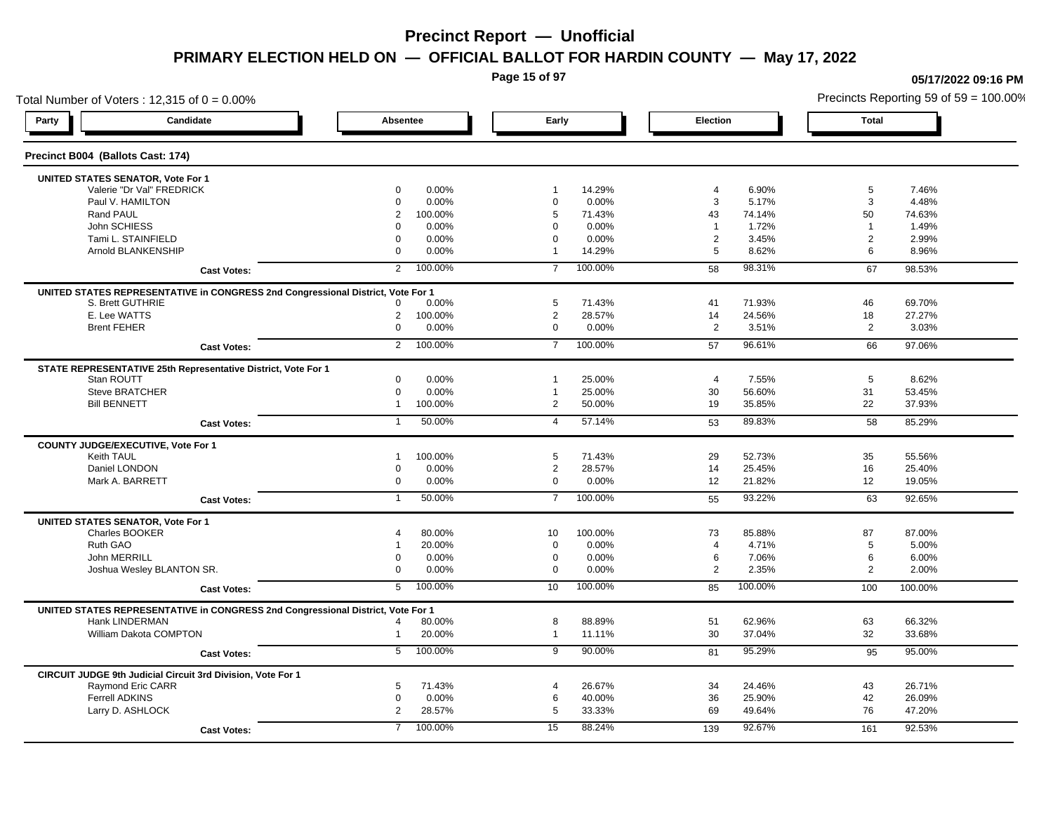**Page 15 of 97**

**05/17/2022 09:16 PM**

## Total Number of Voters : 12,315 of  $0 = 0.00\%$ Precincts Reporting 59 of 59 = 100.00% **Party Candidate Absentee Early Election Total Precinct B004 (Ballots Cast: 174) UNITED STATES SENATOR, Vote For 1** Valerie "Dr Val" FREDRICK 0 0.00% 1 14.29% 4 6.90% 5 7.46% Paul V. HAMILTON 0 0.00% 0 0.00% 3 5.17% 3 4.48% Rand PAUL 2 100.00% 5 71.43% 43 74.14% 50 74.63% John SCHIESS 0 0.00% 0 0.00% 1 1.72% 1 1.49% Tami L. STAINFIELD 0 0.00% 0 0.00% 2 3.45% 2 2.99% Arnold BLANKENSHIP 0 0.00% 1 14.29% 5 8.62% 6 8.96% **Cast Votes:** 2 100.00% 7 100.00% 58 98.31% 67 98.53% **UNITED STATES REPRESENTATIVE in CONGRESS 2nd Congressional District, Vote For 1** S. Brett GUTHRIE 0 0.00% 5 71.43% 41 71.93% 46 69.70% E. Lee WATTS 2 100.00% 2 28.57% 14 24.56% 18 27.27% Brent FEHER 0 0.00% 0 0.00% 2 3.51% 2 3.03% **Cast Votes:** 2 100.00% 7 100.00% 57 96.61% 66 97.06% **STATE REPRESENTATIVE 25th Representative District, Vote For 1** Stan ROUTT 0 0.00% 1 25.00% 4 7.55% 5 8.62% Steve BRATCHER 0 0.00% 1 25.00% 30 56.60% 31 53.45% Bill BENNETT 1 100.00% 2 50.00% 19 35.85% 22 37.93% **Cast Votes:** 1 50.00% 4 57.14% 53 89.83% 58 85.29% **COUNTY JUDGE/EXECUTIVE, Vote For 1** Keith TAUL 1 100.00% 5 71.43% 29 52.73% 35 55.56% Daniel LONDON 0 0.00% 2 28.57% 14 25.45% 16 25.40% Mark A. BARRETT 0 0.00% 0 0.00% 12 21.82% 12 19.05% **Cast Votes:** 1 50.00% 7 100.00% 55 93.22% 63 92.65% **UNITED STATES SENATOR, Vote For 1** Charles BOOKER 4 80.00% 10 100.00% 73 85.88% 87 87.00% Ruth GAO 1 20.00% 0 0.00% 4 4.71% 5 5.00% John MERRILL 0 0.00% 0 0.00% 6 7.06% 6 6.00% Joshua Wesley BLANTON SR. 0 0.00% 0 0.00% 2 2.35% 2 2.00% **Cast Votes:** 5 100.00% 10 100.00% 85 100.00% 100 100.00% **UNITED STATES REPRESENTATIVE in CONGRESS 2nd Congressional District, Vote For 1** Hank LINDERMAN 4 80.00% 8 88.89% 51 62.96% 63 66.32% William Dakota COMPTON 1 20.00% 1 11.11% 30 37.04% 32 33.68% **Cast Votes:** 5 100.00% 9 90.00% 81 95.29% 95 95.00% **CIRCUIT JUDGE 9th Judicial Circuit 3rd Division, Vote For 1** Raymond Eric CARR 5 71.43% 4 26.67% 34 24.46% 43 26.71% Ferrell ADKINS 0 0.00% 6 40.00% 36 25.90% 42 26.09% Larry D. ASHLOCK 2 28.57% 5 33.33% 69 49.64% 76 47.20% **Cast Votes:** 7 100.00% 15 88.24% 139 92.67% 161 92.53%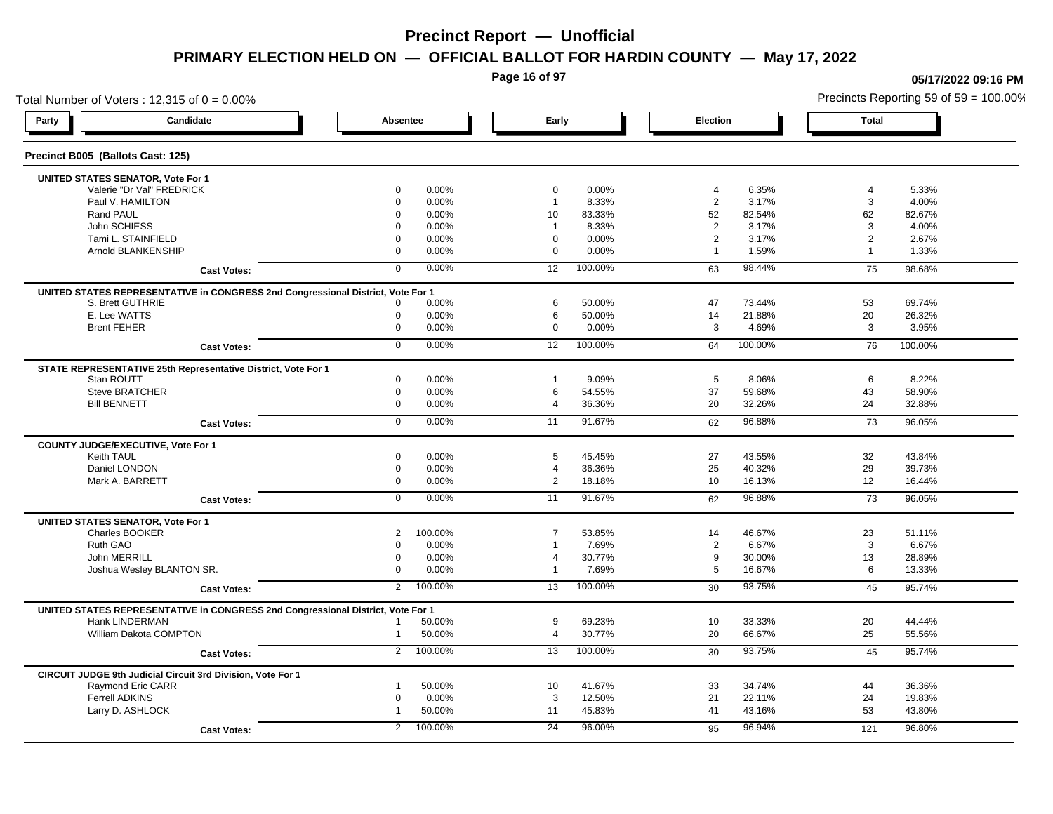**Page 16 of 97**

**05/17/2022 09:16 PM**

## Total Number of Voters : 12,315 of  $0 = 0.00\%$ Precincts Reporting 59 of 59 = 100.00% **Party Candidate Absentee Early Election Total Precinct B005 (Ballots Cast: 125) UNITED STATES SENATOR, Vote For 1** Valerie "Dr Val" FREDRICK 0 0.00% 0 0.00% 4 6.35% 4 5.33% Paul V. HAMILTON 0 0.00% 1 8.33% 2 3.17% 3 4.00% Rand PAUL 0 0.00% 10 83.33% 52 82.54% 62 82.67% John SCHIESS 0 0.00% 1 8.33% 2 3.17% 3 4.00% Tami L. STAINFIELD 0 0.00% 0 0.00% 2 3.17% 2 2.67% Arnold BLANKENSHIP 0 0.00% 0 0.00% 1 1.59% 1 1.33% **Cast Votes:** 0 0.00% 12 100.00% 63 98.44% 75 98.68% **UNITED STATES REPRESENTATIVE in CONGRESS 2nd Congressional District, Vote For 1** S. Brett GUTHRIE 0 0.00% 6 50.00% 47 73.44% 53 69.74% E. Lee WATTS 0 0.00% 6 50.00% 14 21.88% 20 26.32% Brent FEHER 0 0.00% 0 0.00% 3 4.69% 3 3.95% **Cast Votes:** 0 0.00% 12 100.00% 64 100.00% 76 100.00% **STATE REPRESENTATIVE 25th Representative District, Vote For 1** Stan ROUTT 0 0.00% 1 9.09% 5 8.06% 6 8.22% Steve BRATCHER 0 0.00% 6 54.55% 37 59.68% 43 58.90% Bill BENNETT 0 0.00% 4 36.36% 20 32.26% 24 32.88% **Cast Votes:** 0 0.00% 11 91.67% 62 96.88% 73 96.05% **COUNTY JUDGE/EXECUTIVE, Vote For 1** Keith TAUL 0 0.00% 5 45.45% 27 43.55% 32 43.84% Daniel LONDON 0 0.00% 4 36.36% 25 40.32% 29 39.73% Mark A. BARRETT 0 0.00% 2 18.18% 10 16.13% 12 16.44% **Cast Votes:** 0 0.00% 11 91.67% 62 96.88% 73 96.05% **UNITED STATES SENATOR, Vote For 1** Charles BOOKER 2 100.00% 7 53.85% 14 46.67% 23 51.11% Ruth GAO 0 0.00% 1 7.69% 2 6.67% 3 6.67% John MERRILL 0 0.00% 4 30.77% 9 30.00% 13 28.89% Joshua Wesley BLANTON SR. 0 0.00% 1 7.69% 5 16.67% 6 13.33% **Cast Votes:** 2 100.00% 13 100.00% 30 93.75% 45 95.74% **UNITED STATES REPRESENTATIVE in CONGRESS 2nd Congressional District, Vote For 1** Hank LINDERMAN 1 50.00% 9 69.23% 10 33.33% 20 44.44% William Dakota COMPTON 1 50.00% 4 30.77% 20 66.67% 25 55.56% **Cast Votes:** 2 100.00% 13 100.00% 30 93.75% 45 95.74% **CIRCUIT JUDGE 9th Judicial Circuit 3rd Division, Vote For 1** Raymond Eric CARR 1 50.00% 10 41.67% 33 34.74% 44 36.36% Ferrell ADKINS 0 0.00% 3 12.50% 21 22.11% 24 19.83% Larry D. ASHLOCK 1 50.00% 11 45.83% 41 43.16% 53 43.80% **Cast Votes:** 2 100.00% 24 96.00% 95 96.94% 121 96.80%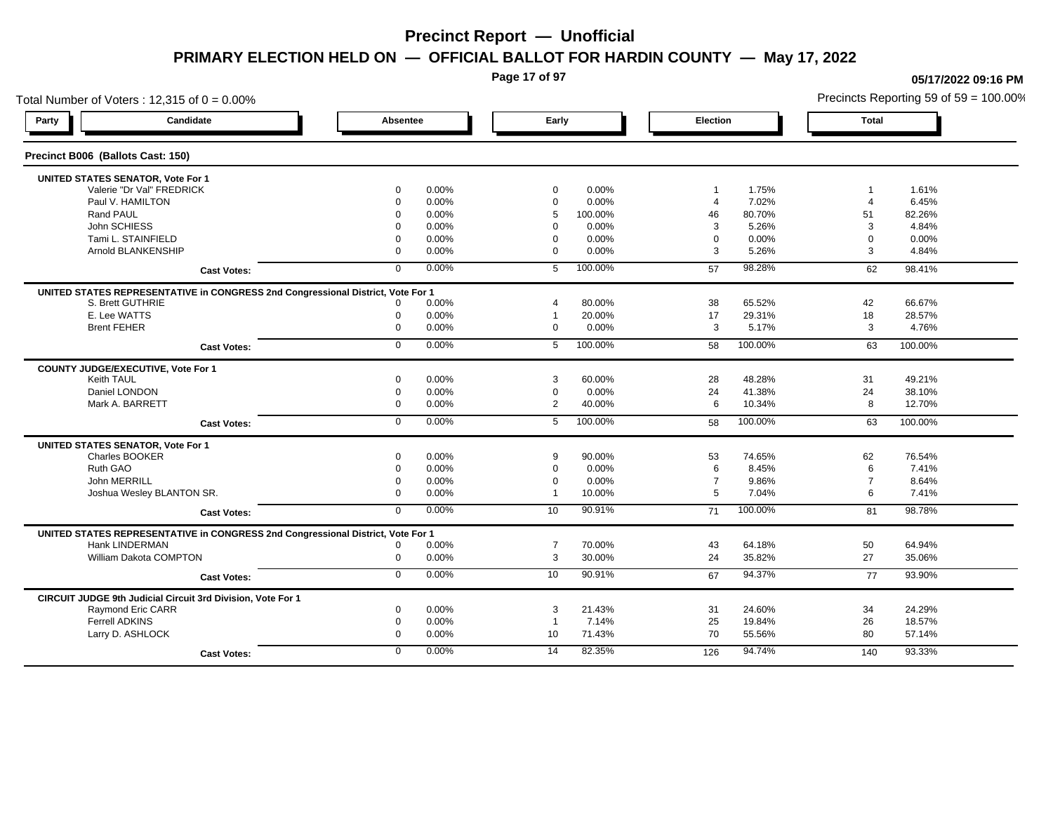**Page 17 of 97**

## Total Number of Voters : 12,315 of  $0 = 0.00\%$ Precincts Reporting 59 of 59 = 100.00% **Party Candidate Absentee Early Election Total Precinct B006 (Ballots Cast: 150) UNITED STATES SENATOR, Vote For 1** Valerie "Dr Val" FREDRICK 0 0.00% 0 0.00% 1 1.75% 1 1.61% Paul V. HAMILTON 0 0.00% 0 0.00% 4 7.02% 4 6.45% Rand PAUL 0 0.00% 5 100.00% 46 80.70% 51 82.26% John SCHIESS 0 0.00% 0 0.00% 3 5.26% 3 4.84% Tami L. STAINFIELD 0 0.00% 0 0.00% 0 0.00% 0 0.00% Arnold BLANKENSHIP 0 0.00% 0 0.00% 3 5.26% 3 4.84% **Cast Votes:** 0 0.00% 5 100.00% 57 98.28% 62 98.41% **UNITED STATES REPRESENTATIVE in CONGRESS 2nd Congressional District, Vote For 1** S. Brett GUTHRIE 0 0.00% 4 80.00% 38 65.52% 42 66.67% E. Lee WATTS 0 0.00% 1 20.00% 17 29.31% 18 28.57% Brent FEHER 0 0.00% 0 0.00% 3 5.17% 3 4.76% **Cast Votes:** 0 0.00% 5 100.00% 58 100.00% 63 100.00% **COUNTY JUDGE/EXECUTIVE, Vote For 1** Keith TAUL 0 0.00% 3 60.00% 28 48.28% 31 49.21% Daniel LONDON 0 0.00% 0 0.00% 24 41.38% 24 38.10% Mark A. BARRETT 0 0.00% 2 40.00% 6 10.34% 8 12.70% **Cast Votes:** 0 0.00% 5 100.00% 58 100.00% 63 100.00% **UNITED STATES SENATOR, Vote For 1** Charles BOOKER 0 0.00% 9 90.00% 53 74.65% 62 76.54% Ruth GAO 0 0.00% 0 0.00% 6 8.45% 6 7.41% John MERRILL 0 0.00% 0 0.00% 7 9.86% 7 8.64% Joshua Wesley BLANTON SR. 0 0.00% 1 10.00% 5 7.04% 6 7.41% **Cast Votes:** 0 0.00% 10 90.91% 71 100.00% 81 98.78% **UNITED STATES REPRESENTATIVE in CONGRESS 2nd Congressional District, Vote For 1** Hank LINDERMAN 0 0.00% 7 70.00% 43 64.18% 50 64.94% William Dakota COMPTON 0 0.00% 3 30.00% 24 35.82% 27 35.06% **Cast Votes:** 0 0.00% 10 90.91% 67 94.37% 77 93.90% **CIRCUIT JUDGE 9th Judicial Circuit 3rd Division, Vote For 1** Raymond Eric CARR 0 0.00% 3 21.43% 31 24.60% 34 24.29% Ferrell ADKINS 0 0.00% 1 7.14% 25 19.84% 26 18.57% Larry D. ASHLOCK 0 0.00% 10 71.43% 70 55.56% 80 57.14% **Cast Votes:** 0 0.00% 14 82.35% 126 94.74% 140 93.33%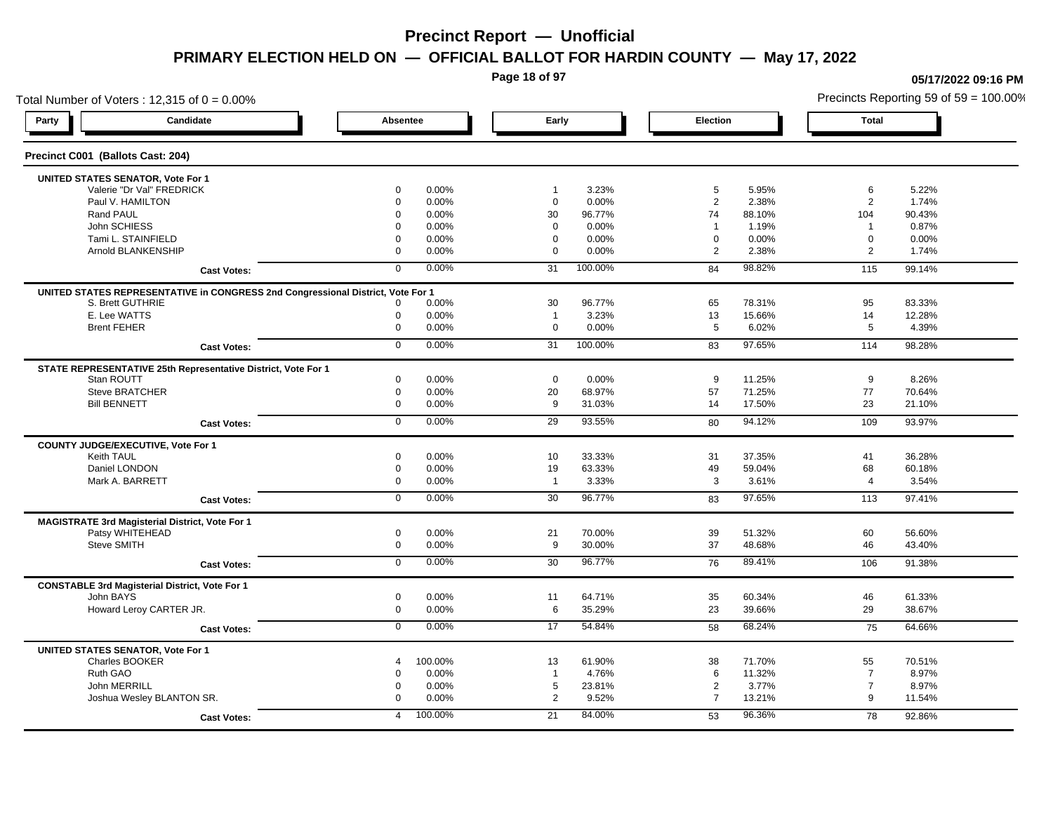**Page 18 of 97**

## Total Number of Voters : 12,315 of  $0 = 0.00\%$ **Party Candidate Absentee Early Election Total Precinct C001 (Ballots Cast: 204) UNITED STATES SENATOR, Vote For 1** Valerie "Dr Val" FREDRICK 0 0.00% 1 3.23% 5 5.95% 6 5.22% Paul V. HAMILTON 0 0.00% 0 0.00% 2 2.38% 2 1.74% Rand PAUL 0 0.00% 30 96.77% 74 88.10% 104 90.43% John SCHIESS 0 0.00% 0 0.00% 1 1.19% 1 0.87% Tami L. STAINFIELD 0 0.00% 0 0.00% 0 0.00% 0 0.00% Arnold BLANKENSHIP 0 0.00% 0 0.00% 2 2.38% 2 1.74% **Cast Votes:** 0 0.00% 31 100.00% 84 98.82% 115 99.14% **UNITED STATES REPRESENTATIVE in CONGRESS 2nd Congressional District, Vote For 1** S. Brett GUTHRIE 0 0.00% 30 96.77% 65 78.31% 95 83.33% E. Lee WATTS 0 0.00% 1 3.23% 13 15.66% 14 12.28% Brent FEHER 0 0.00% 0 0.00% 5 6.02% 5 4.39% **Cast Votes:** 0 0.00% 31 100.00% 83 97.65% 114 98.28% **STATE REPRESENTATIVE 25th Representative District, Vote For 1** Stan ROUTT 0 0.00% 0 0.00% 9 11.25% 9 8.26% Steve BRATCHER 0 0.00% 20 68.97% 57 71.25% 77 70.64% Bill BENNETT 0 0.00% 9 31.03% 14 17.50% 23 21.10% **Cast Votes:** 0 0.00% 29 93.55% 80 94.12% 109 93.97% **COUNTY JUDGE/EXECUTIVE, Vote For 1** Keith TAUL 0 0.00% 10 33.33% 31 37.35% 41 36.28% Daniel LONDON 0 0.00% 19 63.33% 49 59.04% 68 60.18% Mark A. BARRETT 0 0.00% 1 3.33% 3 3.61% 4 3.54% **Cast Votes:** 0 0.00% 30 96.77% 83 97.65% 113 97.41% **MAGISTRATE 3rd Magisterial District, Vote For 1** Patsy WHITEHEAD 0 0.00% 21 70.00% 39 51.32% 60 56.60% Steve SMITH 0 0.00% 9 30.00% 37 48.68% 46 43.40% **Cast Votes:** 0 0.00% 30 96.77% 76 89.41% 106 91.38% **CONSTABLE 3rd Magisterial District, Vote For 1** John BAYS 0 0.00% 11 64.71% 35 60.34% 46 61.33% Howard Leroy CARTER JR. 0 0.00% 6 35.29% 23 39.66% 29 38.67% **Cast Votes:** 0 0.00% 17 54.84% 58 68.24% 75 64.66% **UNITED STATES SENATOR, Vote For 1** Charles BOOKER 4 100.00% 13 61.90% 38 71.70% 55 70.51% Ruth GAO 0 0.00% 1 4.76% 6 11.32% 7 8.97% John MERRILL 0 0.00% 5 23.81% 2 3.77% 7 8.97% Joshua Wesley BLANTON SR. 0 0.00% 2 9.52% 7 13.21% 9 11.54% **Cast Votes:** 4 100.00% 21 84.00% 53 96.36% 78 92.86%

### **05/17/2022 09:16 PM**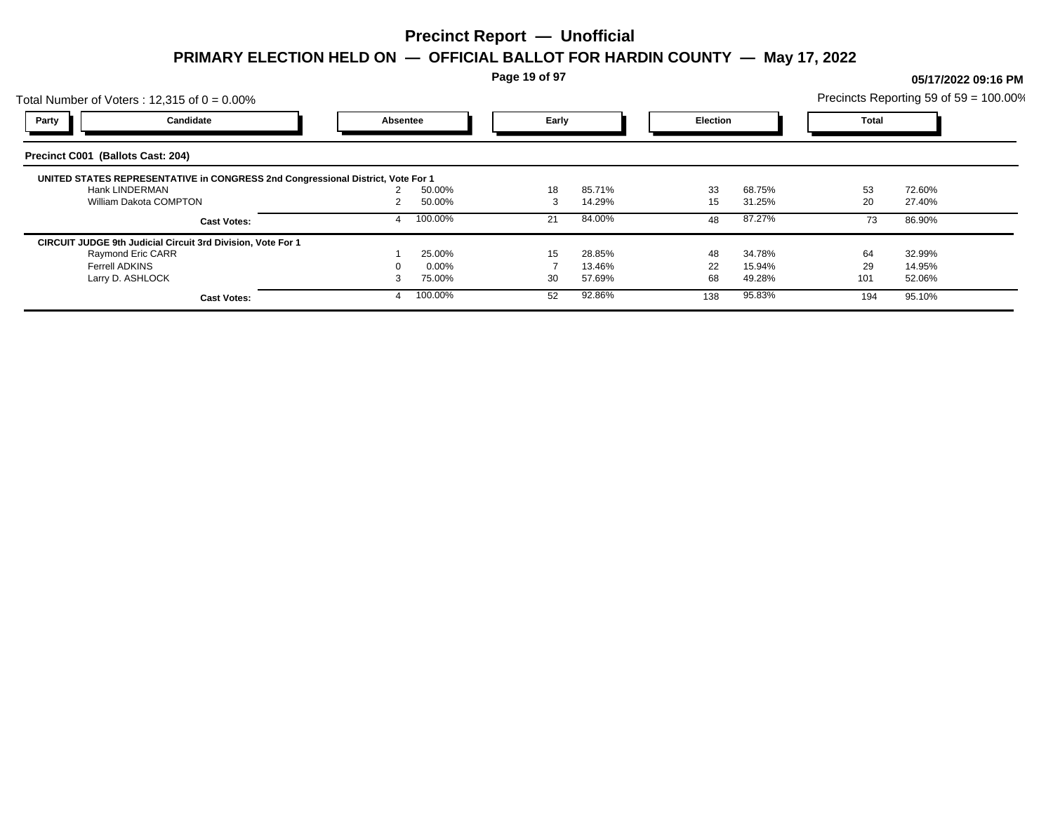**Page 19 of 97**

## Total Number of Voters : 12,315 of  $0 = 0.00\%$ Precincts Reporting 59 of 59 = 100.00% **Party Candidate Absentee Early Election Total Precinct C001 (Ballots Cast: 204) UNITED STATES REPRESENTATIVE in CONGRESS 2nd Congressional District, Vote For 1** Hank LINDERMAN 2 50.00% 18 85.71% 33 68.75% 53 72.60% William Dakota COMPTON **2 150.00%** 2 14.29% 15 31.25% 20 27.40% **Cast Votes:** 4 100.00% 21 84.00% 48 87.27% 73 86.90% **CIRCUIT JUDGE 9th Judicial Circuit 3rd Division, Vote For 1** Raymond Eric CARR 1 25.00% 15 28.85% 48 34.78% 64 32.99% Ferrell ADKINS 0 0.00% 7 13.46% 22 15.94% 29 14.95% Larry D. ASHLOCK 3 75.00% 30 57.69% 68 49.28% 101 52.06% **Cast Votes:** 4 100.00% 52 92.86% 138 95.83% 194 95.10%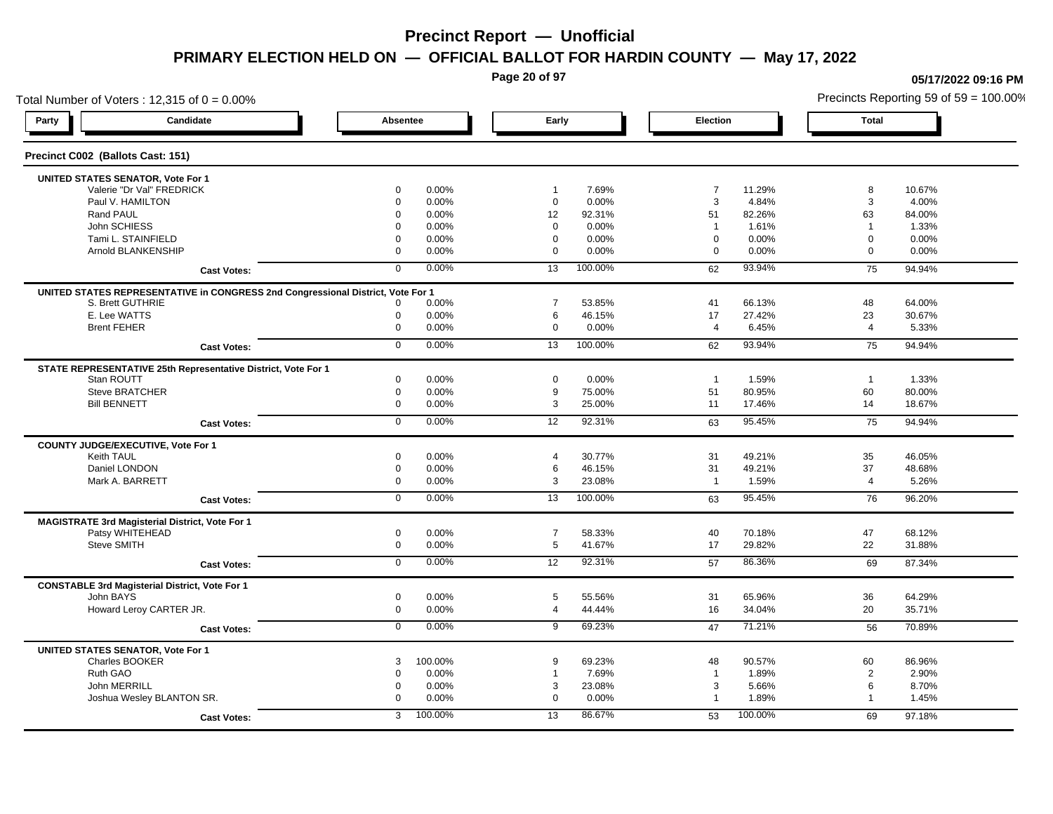**Page 20 of 97**

## Total Number of Voters : 12,315 of  $0 = 0.00\%$ **Party Candidate Absentee Early Election Total Precinct C002 (Ballots Cast: 151) UNITED STATES SENATOR, Vote For 1** Valerie "Dr Val" FREDRICK 0 0.00% 1 7.69% 7 11.29% 8 10.67% Paul V. HAMILTON 0 0.00% 0 0.00% 3 4.84% 3 4.00% Rand PAUL 0 0.00% 12 92.31% 51 82.26% 63 84.00% John SCHIESS 0 0.00% 0 0.00% 1 1.61% 1 1.33% Tami L. STAINFIELD 0 0.00% 0 0.00% 0 0.00% 0 0.00% Arnold BLANKENSHIP 0 0.00% 0 0.00% 0 0.00% 0 0.00% **Cast Votes:** 0 0.00% 13 100.00% 62 93.94% 75 94.94% **UNITED STATES REPRESENTATIVE in CONGRESS 2nd Congressional District, Vote For 1** S. Brett GUTHRIE 0 0.00% 7 53.85% 41 66.13% 48 64.00% E. Lee WATTS 0 0.00% 6 46.15% 17 27.42% 23 30.67% Brent FEHER 0 0.00% 0 0.00% 4 6.45% 4 5.33% **Cast Votes:** 0 0.00% 13 100.00% 62 93.94% 75 94.94% **STATE REPRESENTATIVE 25th Representative District, Vote For 1** Stan ROUTT 0 0.00% 0 0.00% 1 1.59% 1 1.33% Steve BRATCHER 0 0.00% 9 75.00% 51 80.95% 60 80.00% Bill BENNETT 0 0.00% 3 25.00% 11 17.46% 14 18.67% **Cast Votes:** 0 0.00% 12 92.31% 63 95.45% 75 94.94% **COUNTY JUDGE/EXECUTIVE, Vote For 1** Keith TAUL 0 0.00% 4 30.77% 31 49.21% 35 46.05% Daniel LONDON 0 0.00% 6 46.15% 31 49.21% 37 48.68% Mark A. BARRETT 0 0.00% 3 23.08% 1 1.59% 4 5.26% **Cast Votes:** 0 0.00% 13 100.00% 63 95.45% 76 96.20% **MAGISTRATE 3rd Magisterial District, Vote For 1** Patsy WHITEHEAD 0 0.00% 7 58.33% 40 70.18% 47 68.12% Steve SMITH 0 0.00% 5 41.67% 17 29.82% 22 31.88% **Cast Votes:** 0 0.00% 12 92.31% 57 86.36% 69 87.34% **CONSTABLE 3rd Magisterial District, Vote For 1** John BAYS 0 0.00% 5 55.56% 31 65.96% 36 64.29% Howard Leroy CARTER JR. 0 0.00% 4 44.44% 16 34.04% 20 35.71% **Cast Votes:** 0 0.00% 9 69.23% 47 71.21% 56 70.89% **UNITED STATES SENATOR, Vote For 1** Charles BOOKER 3 100.00% 9 69.23% 48 90.57% 60 86.96% Ruth GAO 0 0.00% 1 7.69% 1 1.89% 2 2.90% John MERRILL 0 0.00% 3 23.08% 3 5.66% 6 8.70% Joshua Wesley BLANTON SR. 0 0.00% 0 0.00% 1 1.89% 1 1.45% **Cast Votes:** 3 100.00% 13 86.67% 53 100.00% 69 97.18%

**05/17/2022 09:16 PM**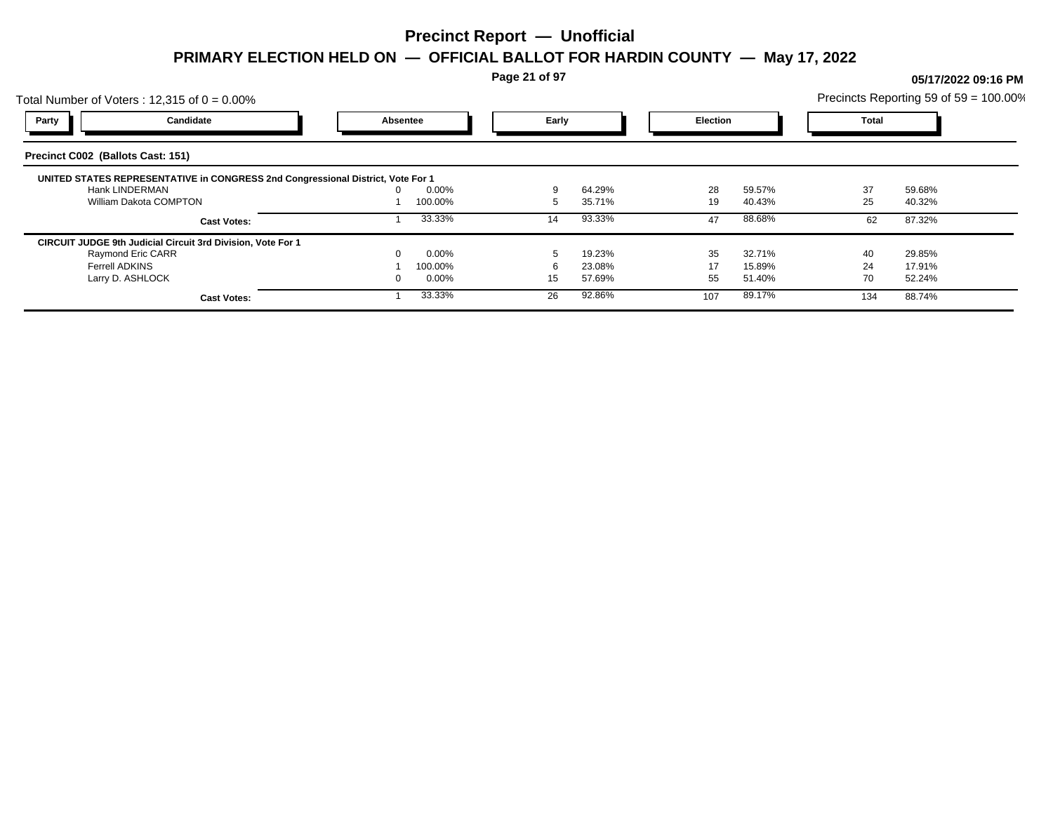**Page 21 of 97**

## Total Number of Voters : 12,315 of  $0 = 0.00\%$ Precincts Reporting 59 of 59 = 100.00% **Party Candidate Absentee Early Election Total Precinct C002 (Ballots Cast: 151) UNITED STATES REPRESENTATIVE in CONGRESS 2nd Congressional District, Vote For 1** Hank LINDERMAN 0 0.00% 9 64.29% 28 59.57% 37 59.68% William Dakota COMPTON 1 100.00% 1 100.00% 1 100.00% 5 35.71% 19 40.43% 25 40.32% **Cast Votes:** 1 33.33% 14 93.33% 47 88.68% 62 87.32% **CIRCUIT JUDGE 9th Judicial Circuit 3rd Division, Vote For 1** Raymond Eric CARR 0 0.00% 5 19.23% 35 32.71% 40 29.85% Ferrell ADKINS 1 100.00% 6 23.08% 17 15.89% 24 17.91% Larry D. ASHLOCK 0 0.00% 15 57.69% 55 51.40% 70 52.24% **Cast Votes:** 1 33.33% 26 92.86% 107 89.17% 134 88.74%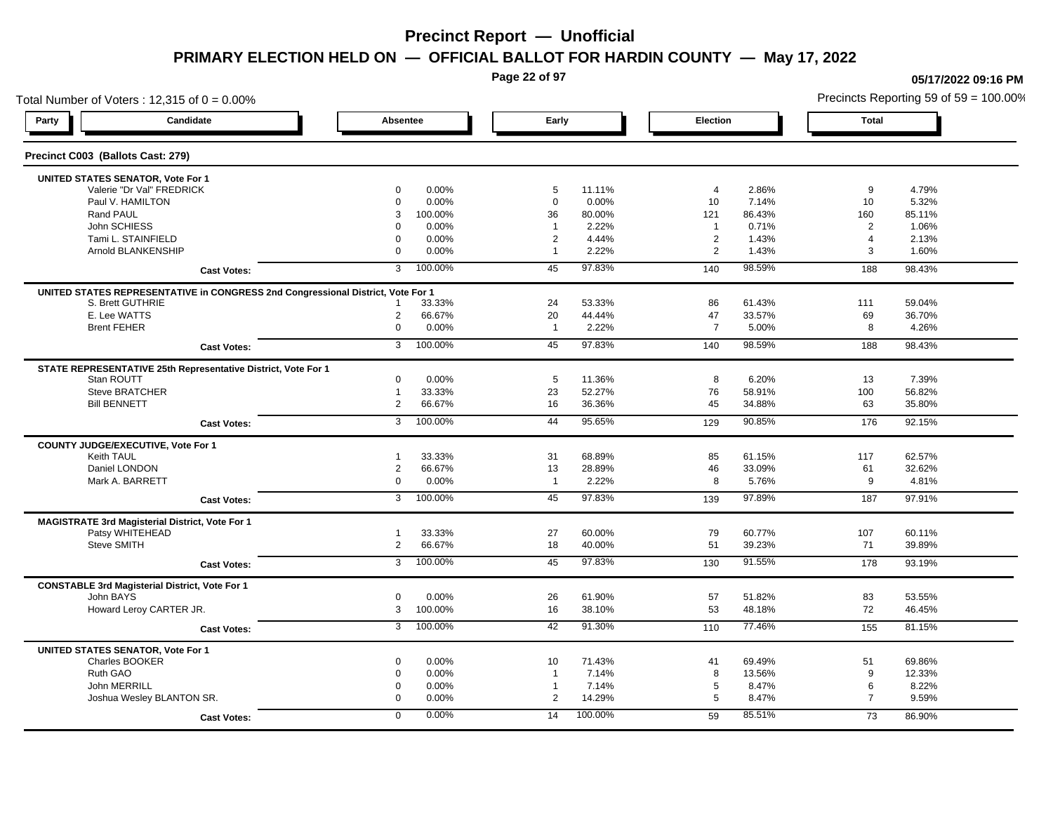**Page 22 of 97**

## Total Number of Voters : 12,315 of  $0 = 0.00\%$ **Party Candidate Absentee Early Election Total Precinct C003 (Ballots Cast: 279) UNITED STATES SENATOR, Vote For 1** Valerie "Dr Val" FREDRICK 0 0.00% 5 11.11% 4 2.86% 9 4.79% Paul V. HAMILTON 0 0.00% 0 0.00% 10 7.14% 10 5.32% Rand PAUL 3 100.00% 36 80.00% 121 86.43% 160 85.11% John SCHIESS 0 0.00% 1 2.22% 1 0.71% 2 1.06% Tami L. STAINFIELD 0 0.00% 2 4.44% 2 1.43% 4 2.13% Arnold BLANKENSHIP 0 0.00% 1 2.22% 2 1.43% 3 1.60% **Cast Votes:** 3 100.00% 45 97.83% 140 98.59% 188 98.43% **UNITED STATES REPRESENTATIVE in CONGRESS 2nd Congressional District, Vote For 1** S. Brett GUTHRIE 1 33.33% 24 53.33% 86 61.43% 111 59.04% E. Lee WATTS 2 66.67% 20 44.44% 47 33.57% 69 36.70% Brent FEHER 0 0.00% 1 2.22% 7 5.00% 8 4.26% **Cast Votes:** 3 100.00% 45 97.83% 140 98.59% 188 98.43% **STATE REPRESENTATIVE 25th Representative District, Vote For 1** Stan ROUTT 0 0.00% 5 11.36% 8 6.20% 13 7.39% Steve BRATCHER 1 33.33% 23 52.27% 76 58.91% 100 56.82% Bill BENNETT 2 66.67% 16 36.36% 45 34.88% 63 35.80% **Cast Votes:** 3 100.00% 44 95.65% 129 90.85% 176 92.15% **COUNTY JUDGE/EXECUTIVE, Vote For 1** Keith TAUL 1 33.33% 31 68.89% 85 61.15% 117 62.57% Daniel LONDON 2 66.67% 13 28.89% 46 33.09% 61 32.62% Mark A. BARRETT 0 0.00% 1 2.22% 8 5.76% 9 4.81% **Cast Votes:** 3 100.00% 45 97.83% 139 97.89% 187 97.91% **MAGISTRATE 3rd Magisterial District, Vote For 1** Patsy WHITEHEAD 1 33.33% 27 60.00% 79 60.77% 107 60.11% Steve SMITH 2 66.67% 18 40.00% 51 39.23% 71 39.89% **Cast Votes:** 3 100.00% 45 97.83% 130 91.55% 178 93.19% **CONSTABLE 3rd Magisterial District, Vote For 1** John BAYS 0 0.00% 26 61.90% 57 51.82% 83 53.55% Howard Leroy CARTER JR. 3 100.00% 16 38.10% 53 48.18% 72 46.45% **Cast Votes:** 3 100.00% 42 91.30% 110 77.46% 155 81.15% **UNITED STATES SENATOR, Vote For 1** Charles BOOKER 0 0.00% 10 71.43% 41 69.49% 51 69.86% Ruth GAO 0 0.00% 1 7.14% 8 13.56% 9 12.33% John MERRILL 0 0.00% 1 7.14% 5 8.47% 6 8.22% Joshua Wesley BLANTON SR. 0 0.00% 2 14.29% 5 8.47% 7 9.59% **Cast Votes:** 0 0.00% 14 100.00% 59 85.51% 73 86.90%

#### **05/17/2022 09:16 PM**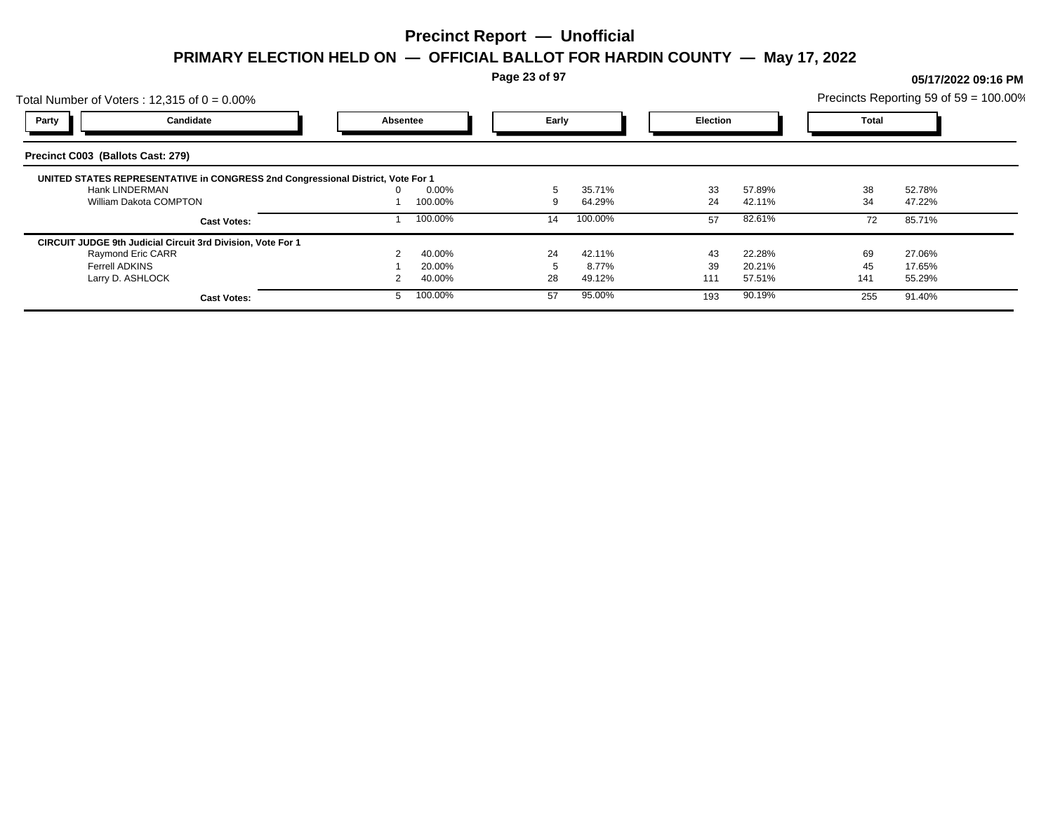**Page 23 of 97**

## Total Number of Voters : 12,315 of  $0 = 0.00\%$ Precincts Reporting 59 of 59 = 100.00% **Party Candidate Absentee Early Election Total Precinct C003 (Ballots Cast: 279) UNITED STATES REPRESENTATIVE in CONGRESS 2nd Congressional District, Vote For 1** Hank LINDERMAN 0 0.00% 5 35.71% 33 57.89% 38 52.78% William Dakota COMPTON 1 100.00% 1 100.00% 9 64.29% 24 42.11% 34 47.22% **Cast Votes:** 1 100.00% 14 100.00% 57 82.61% 72 85.71% **CIRCUIT JUDGE 9th Judicial Circuit 3rd Division, Vote For 1** Raymond Eric CARR 2 40.00% 24 42.11% 43 22.28% 69 27.06% Ferrell ADKINS 1 20.00% 5 8.77% 39 20.21% 45 17.65% Larry D. ASHLOCK 2 40.00% 28 49.12% 111 57.51% 141 55.29% **Cast Votes:** 5 100.00% 57 95.00% 193 90.19% 255 91.40%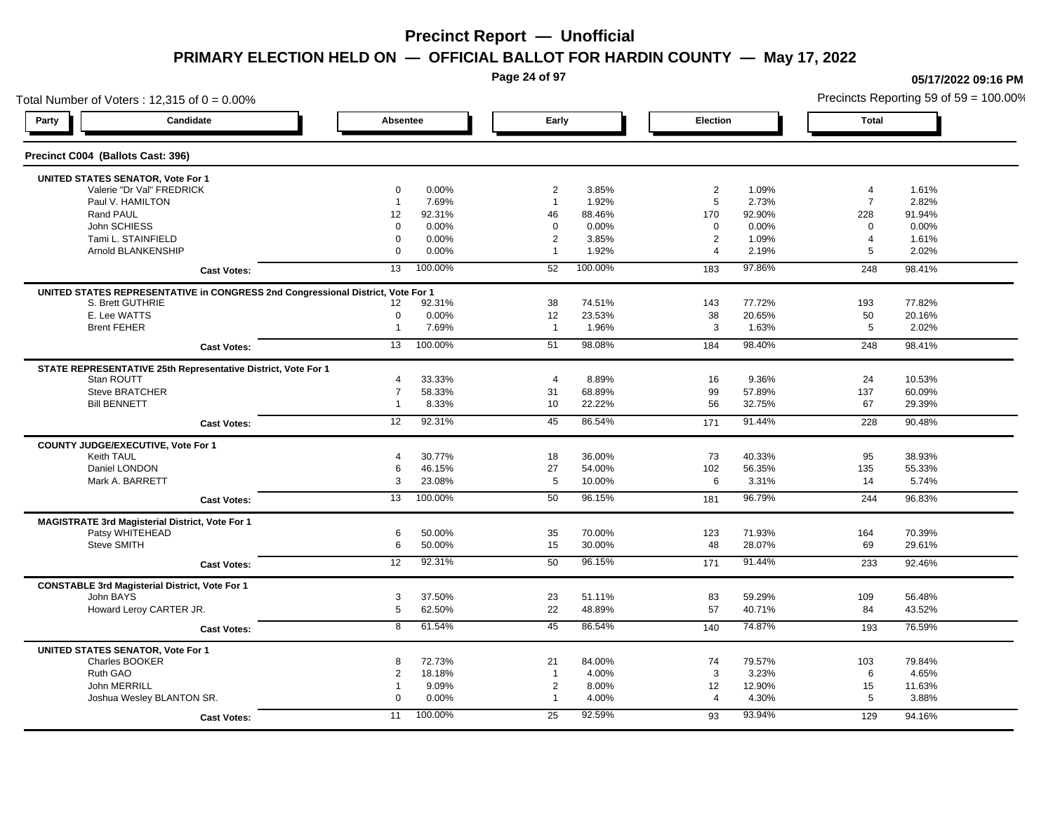**Page 24 of 97**

**05/17/2022 09:16 PM**

## Total Number of Voters : 12,315 of  $0 = 0.00\%$ Precincts Reporting 59 of 59 = 100.00% **Party Candidate Absentee Early Election Total Precinct C004 (Ballots Cast: 396) UNITED STATES SENATOR, Vote For 1** Valerie "Dr Val" FREDRICK 0 0.00% 2 3.85% 2 1.09% 4 1.61% Paul V. HAMILTON 1 7.69% 1 1.92% 5 2.73% 7 2.82% Rand PAUL 12 92.31% 46 88.46% 170 92.90% 228 91.94% John SCHIESS 0 0.00% 0 0.00% 0 0.00% 0 0.00% Tami L. STAINFIELD 0 0.00% 2 3.85% 2 1.09% 4 1.61% Arnold BLANKENSHIP 0 0.00% 1 1.92% 4 2.19% 5 2.02% **Cast Votes:** 13 100.00% 52 100.00% 183 97.86% 248 98.41% **UNITED STATES REPRESENTATIVE in CONGRESS 2nd Congressional District, Vote For 1** S. Brett GUTHRIE 12 92.31% 38 74.51% 143 77.72% 193 77.82% E. Lee WATTS 0 0.00% 12 23.53% 38 20.65% 50 20.16% Brent FEHER 1 7.69% 1 1.96% 3 1.63% 5 2.02% **Cast Votes:** 13 100.00% 51 98.08% 184 98.40% 248 98.41% **STATE REPRESENTATIVE 25th Representative District, Vote For 1** Stan ROUTT 4 33.33% 4 8.89% 16 9.36% 24 10.53% Steve BRATCHER 7 58.33% 31 68.89% 99 57.89% 137 60.09% Bill BENNETT 1 8.33% 10 22.22% 56 32.75% 67 29.39% **Cast Votes:** 12 92.31% 45 86.54% 171 91.44% 228 90.48% **COUNTY JUDGE/EXECUTIVE, Vote For 1** Keith TAUL 4 30.77% 18 36.00% 73 40.33% 95 38.93% Daniel LONDON 6 46.15% 27 54.00% 102 56.35% 135 55.33% Mark A. BARRETT 3 23.08% 5 10.00% 6 3.31% 14 5.74% **Cast Votes:** 13 100.00% 50 96.15% 181 96.79% 244 96.83% **MAGISTRATE 3rd Magisterial District, Vote For 1** Patsy WHITEHEAD 6 50.00% 35 70.00% 123 71.93% 164 70.39% Steve SMITH 6 50.00% 15 30.00% 48 28.07% 69 29.61% **Cast Votes:** 12 92.31% 50 96.15% 171 91.44% 233 92.46% **CONSTABLE 3rd Magisterial District, Vote For 1** John BAYS 3 37.50% 23 51.11% 83 59.29% 109 56.48% Howard Leroy CARTER JR. 5 62.50% 22 48.89% 57 40.71% 84 43.52% **Cast Votes:** 8 61.54% 45 86.54% 140 74.87% 193 76.59% **UNITED STATES SENATOR, Vote For 1** Charles BOOKER 8 72.73% 21 84.00% 74 79.57% 103 79.84% Ruth GAO 2 18.18% 1 4.00% 3 3.23% 6 4.65% John MERRILL 1 9.09% 2 8.00% 12 12.90% 15 11.63% Joshua Wesley BLANTON SR. 0 0.00% 1 4.00% 4 4.30% 5 3.88% **Cast Votes:** 11 100.00% 25 92.59% 93 93.94% 129 94.16%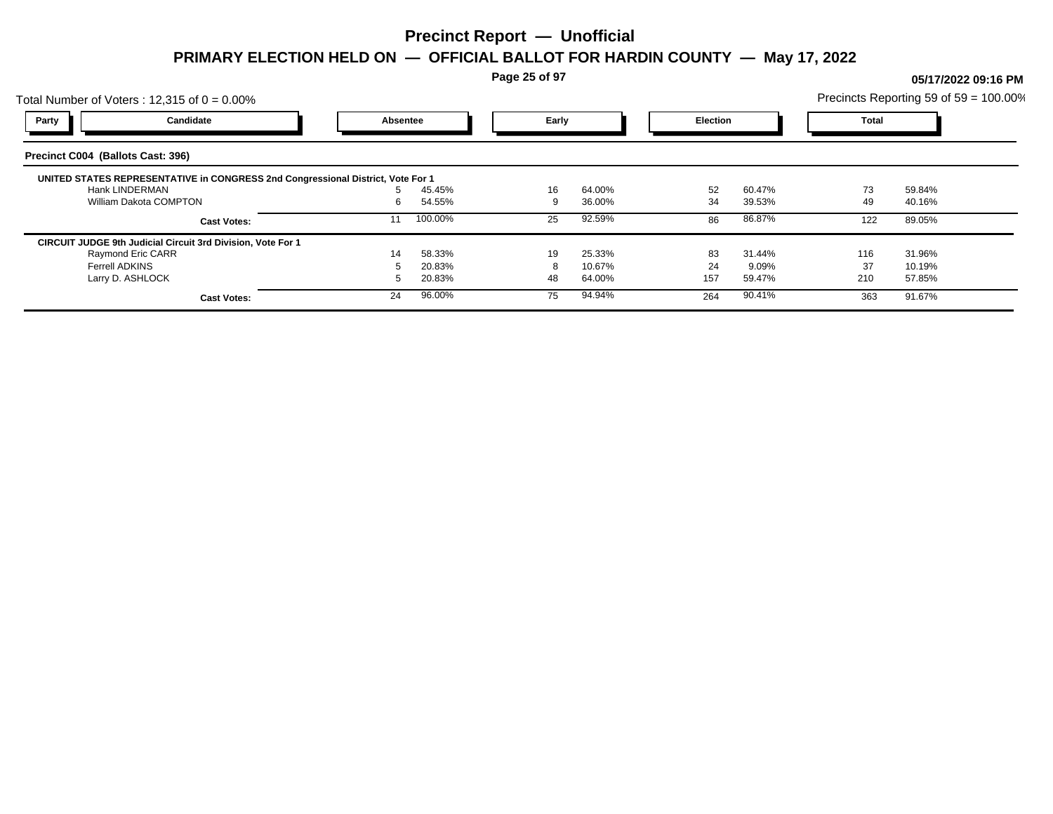**Page 25 of 97**

## Total Number of Voters : 12,315 of  $0 = 0.00\%$ Precincts Reporting 59 of 59 = 100.00% **Party Candidate Absentee Early Election Total Precinct C004 (Ballots Cast: 396) UNITED STATES REPRESENTATIVE in CONGRESS 2nd Congressional District, Vote For 1** Hank LINDERMAN 5 45.45% 16 64.00% 52 60.47% 73 59.84% William Dakota COMPTON 6 34.55% 6 36.00% 36.00% 34 39.53% 49 40.16% **Cast Votes:** 11 100.00% 25 92.59% 86 86.87% 122 89.05% **CIRCUIT JUDGE 9th Judicial Circuit 3rd Division, Vote For 1** Raymond Eric CARR 14 58.33% 19 25.33% 83 31.44% 116 31.96% Ferrell ADKINS 5 20.83% 8 10.67% 24 9.09% 37 10.19% Larry D. ASHLOCK 5 20.83% 48 64.00% 157 59.47% 210 57.85% **Cast Votes:** 24 96.00% 75 94.94% 264 90.41% 363 91.67%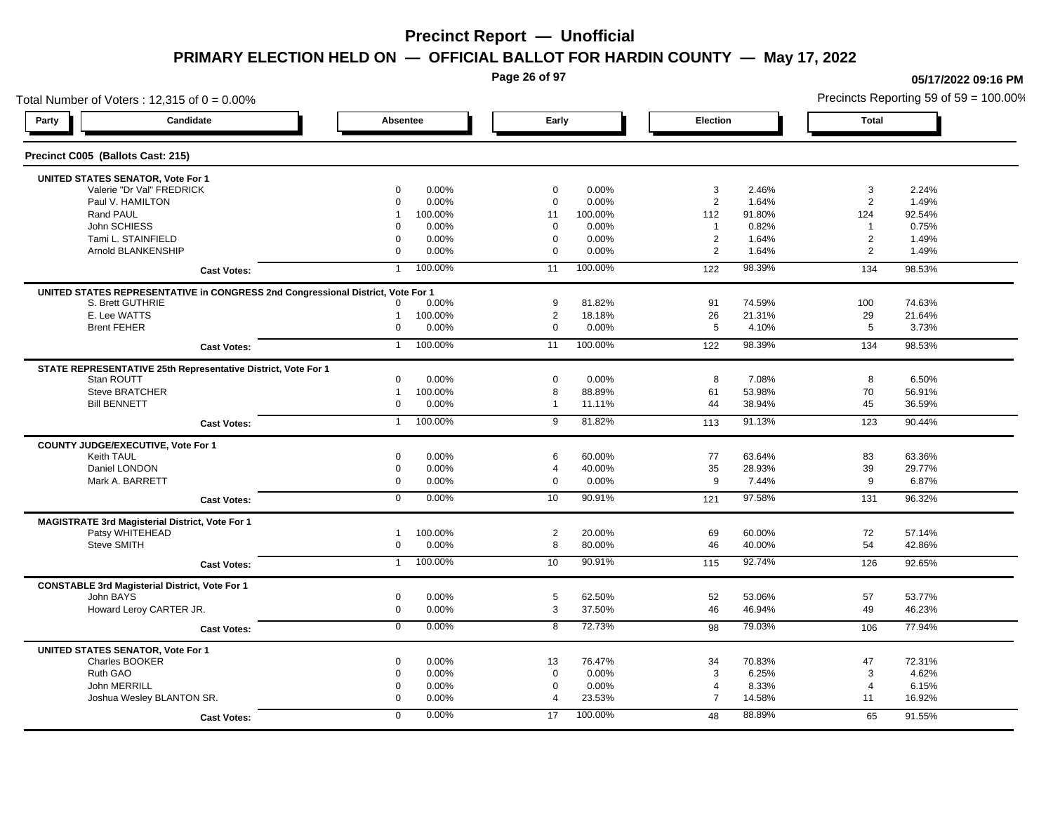**Page 26 of 97**

## Total Number of Voters : 12,315 of  $0 = 0.00\%$ **Party Candidate Absentee Early Election Total Precinct C005 (Ballots Cast: 215) UNITED STATES SENATOR, Vote For 1** Valerie "Dr Val" FREDRICK 0 0.00% 0 0.00% 3 2.46% 3 2.24% Paul V. HAMILTON 0 0.00% 0 0.00% 2 1.64% 2 1.49% Rand PAUL 1 100.00% 11 100.00% 112 91.80% 124 92.54% John SCHIESS 0 0.00% 0 0.00% 1 0.82% 1 0.75% Tami L. STAINFIELD 0 0.00% 0 0.00% 2 1.64% 2 1.49% Arnold BLANKENSHIP 0 0.00% 0 0.00% 2 1.64% 2 1.49% **Cast Votes:** 1 100.00% 11 100.00% 122 98.39% 134 98.53% **UNITED STATES REPRESENTATIVE in CONGRESS 2nd Congressional District, Vote For 1** S. Brett GUTHRIE 0 0.00% 9 81.82% 91 74.59% 100 74.63% E. Lee WATTS 1 100.00% 2 18.18% 26 21.31% 29 21.64% Brent FEHER 0 0.00% 0 0.00% 5 4.10% 5 3.73% **Cast Votes:** 1 100.00% 11 100.00% 122 98.39% 134 98.53% **STATE REPRESENTATIVE 25th Representative District, Vote For 1** Stan ROUTT 0 0.00% 0 0.00% 8 7.08% 8 6.50% Steve BRATCHER 1 100.00% 8 88.89% 61 53.98% 70 56.91% Bill BENNETT 0 0.00% 1 11.11% 44 38.94% 45 36.59% **Cast Votes:** 1 100.00% 9 81.82% 113 91.13% 123 90.44% **COUNTY JUDGE/EXECUTIVE, Vote For 1** Keith TAUL 0 0.00% 6 60.00% 77 63.64% 83 63.36% Daniel LONDON 0 0.00% 4 40.00% 35 28.93% 39 29.77% Mark A. BARRETT 0 0.00% 0 0.00% 9 7.44% 9 6.87% **Cast Votes:** 0 0.00% 10 90.91% 121 97.58% 131 96.32% **MAGISTRATE 3rd Magisterial District, Vote For 1** Patsy WHITEHEAD 1 100.00% 2 20.00% 69 60.00% 72 57.14% Steve SMITH 0 0.00% 8 80.00% 46 40.00% 54 42.86% **Cast Votes:** 1 100.00% 10 90.91% 115 92.74% 126 92.65% **CONSTABLE 3rd Magisterial District, Vote For 1** John BAYS 0 0.00% 5 62.50% 52 53.06% 57 53.77% Howard Leroy CARTER JR. 0 0.00% 3 37.50% 46 46.94% 49 46.23% **Cast Votes:** 0 0.00% 8 72.73% 98 79.03% 106 77.94% **UNITED STATES SENATOR, Vote For 1** Charles BOOKER 0 0.00% 13 76.47% 34 70.83% 47 72.31% Ruth GAO 0 0.00% 0 0.00% 3 6.25% 3 4.62% John MERRILL 0 0.00% 0 0.00% 4 8.33% 4 6.15% Joshua Wesley BLANTON SR. 0 0.00% 4 23.53% 7 14.58% 11 16.92% **Cast Votes:** 0 0.00% 17 100.00% 48 88.89% 65 91.55%

#### **05/17/2022 09:16 PM**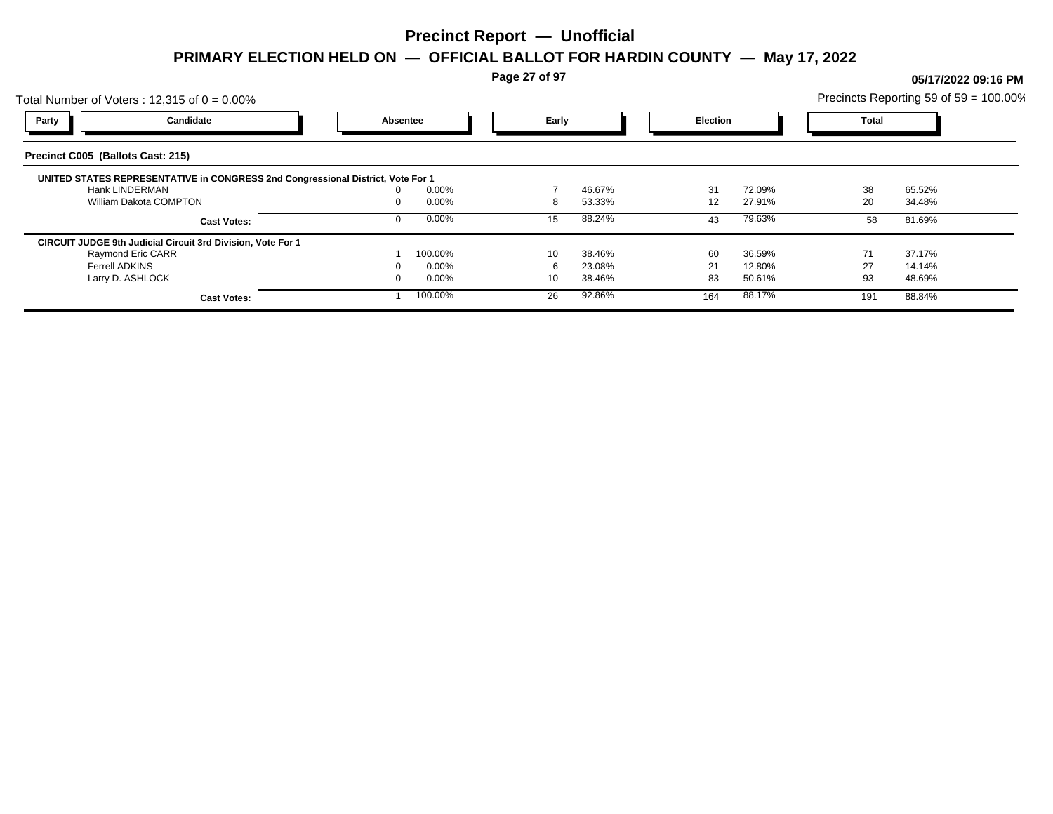**Page 27 of 97**

## Total Number of Voters : 12,315 of  $0 = 0.00\%$ Precincts Reporting 59 of 59 = 100.00% **Party Candidate Absentee Early Election Total Precinct C005 (Ballots Cast: 215) UNITED STATES REPRESENTATIVE in CONGRESS 2nd Congressional District, Vote For 1** Hank LINDERMAN 0 0.00% 7 46.67% 31 72.09% 38 65.52% William Dakota COMPTON **8 53.33%** 12 27.91% 20 34.48% 20 34.48% **Cast Votes:** 0 0.00% 15 88.24% 43 79.63% 58 81.69% **CIRCUIT JUDGE 9th Judicial Circuit 3rd Division, Vote For 1** Raymond Eric CARR 1 100.00% 10 38.46% 60 36.59% 71 37.17% Ferrell ADKINS 0 0.00% 6 23.08% 21 12.80% 27 14.14% Larry D. ASHLOCK 0 0.00% 10 38.46% 83 50.61% 93 48.69% **Cast Votes:** 1 100.00% 26 92.86% 164 88.17% 164 88.17% 191 88.84%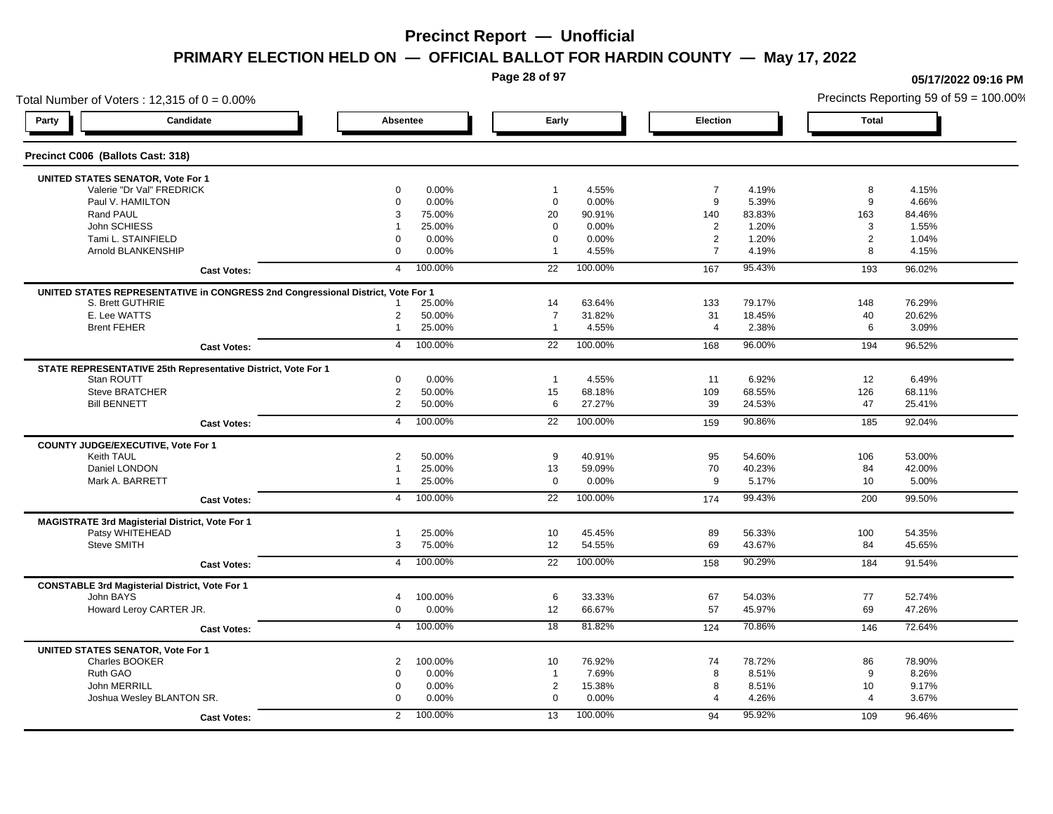**Page 28 of 97**

## Total Number of Voters : 12,315 of  $0 = 0.00\%$ **Party Candidate Absentee Early Election Total Precinct C006 (Ballots Cast: 318) UNITED STATES SENATOR, Vote For 1** Valerie "Dr Val" FREDRICK 0 0.00% 1 4.55% 7 4.19% 8 4.15% Paul V. HAMILTON 0 0.00% 0 0.00% 9 5.39% 9 4.66% Rand PAUL 3 75.00% 20 90.91% 140 83.83% 163 84.46% John SCHIESS 1 25.00% 0 0.00% 2 1.20% 3 1.55% Tami L. STAINFIELD 0 0.00% 0 0.00% 2 1.20% 2 1.04% Arnold BLANKENSHIP 0 0.00% 1 4.55% 7 4.19% 8 4.15% **Cast Votes:** 4 100.00% 22 100.00% 167 95.43% 193 96.02% **UNITED STATES REPRESENTATIVE in CONGRESS 2nd Congressional District, Vote For 1** S. Brett GUTHRIE 1 25.00% 14 63.64% 133 79.17% 148 76.29% E. Lee WATTS 2 50.00% 7 31.82% 31 18.45% 40 20.62% Brent FEHER 1 25.00% 1 4.55% 4 2.38% 6 3.09% 1 **Cast Votes:** 4 100.00% 22 100.00% 168 96.00% 194 96.52% **STATE REPRESENTATIVE 25th Representative District, Vote For 1** Stan ROUTT 0 0.00% 1 4.55% 11 6.92% 12 6.49% Steve BRATCHER 2 50.00% 15 68.18% 109 68.55% 126 68.11% Bill BENNETT 2 50.00% 6 27.27% 39 24.53% 47 25.41% **Cast Votes:** 4 100.00% 22 100.00% 159 90.86% 185 92.04% **COUNTY JUDGE/EXECUTIVE, Vote For 1** Keith TAUL 2 50.00% 9 40.91% 95 54.60% 106 53.00% Daniel LONDON 1 25.00% 13 59.09% 70 40.23% 84 42.00% Mark A. BARRETT 1 25.00% 0 0.00% 9 5.17% 10 5.00% **Cast Votes:** 4 100.00% 22 100.00% 174 99.43% 200 99.50% **MAGISTRATE 3rd Magisterial District, Vote For 1** Patsy WHITEHEAD 1 25.00% 10 45.45% 89 56.33% 100 54.35% Steve SMITH 3 75.00% 12 54.55% 69 43.67% 84 45.65% **Cast Votes:** 4 100.00% 22 100.00% 158 90.29% 184 91.54% **CONSTABLE 3rd Magisterial District, Vote For 1** John BAYS 4 100.00% 6 33.33% 67 54.03% 77 52.74% Howard Leroy CARTER JR. 0 0.00% 12 66.67% 57 45.97% 69 47.26% **Cast Votes:** 4 100.00% 18 81.82% 124 70.86% 146 72.64% **UNITED STATES SENATOR, Vote For 1** Charles BOOKER 2 100.00% 10 76.92% 74 78.72% 86 78.90% Ruth GAO 0 0.00% 1 7.69% 8 8.51% 9 8.26% John MERRILL 0 0.00% 2 15.38% 8 8.51% 10 9.17% Joshua Wesley BLANTON SR. 0 0.00% 0 0.00% 4 4.26% 4 3.67% **Cast Votes:** 2 100.00% 13 100.00% 94 95.92% 109 96.46%

**05/17/2022 09:16 PM**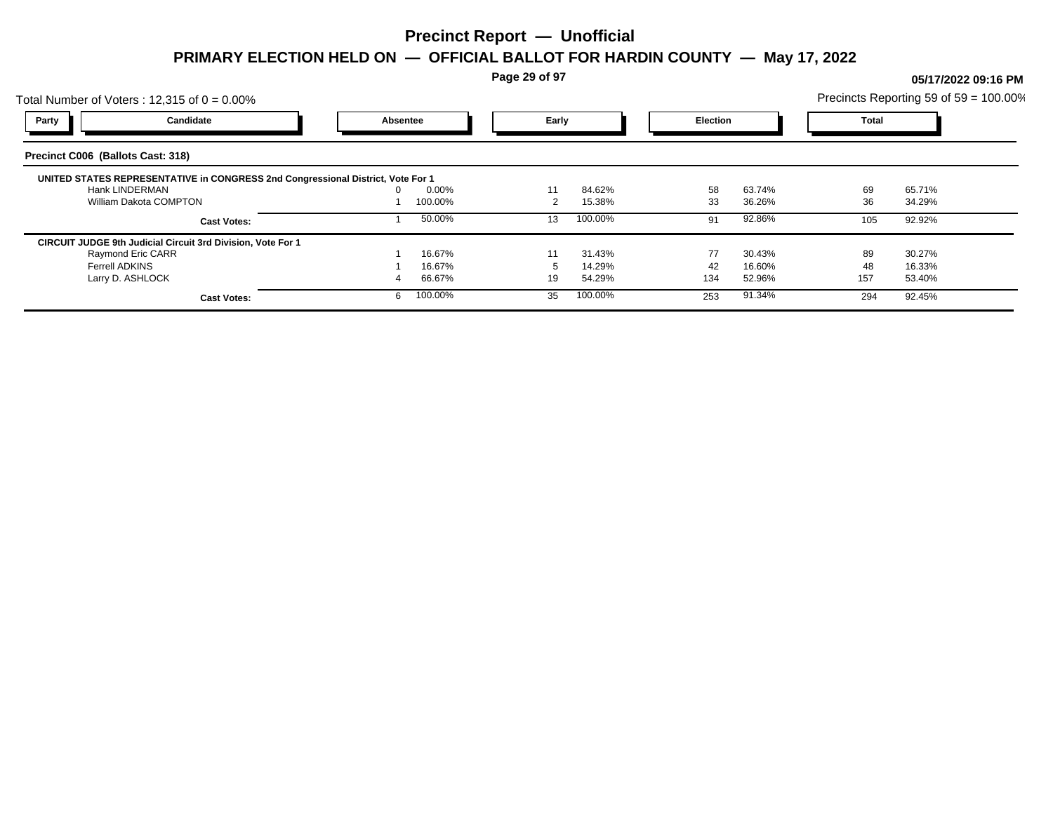**Page 29 of 97**

## Total Number of Voters : 12,315 of  $0 = 0.00\%$ Precincts Reporting 59 of 59 = 100.00% **Party Candidate Absentee Early Election Total Precinct C006 (Ballots Cast: 318) UNITED STATES REPRESENTATIVE in CONGRESS 2nd Congressional District, Vote For 1** Hank LINDERMAN 0 0.00% 11 84.62% 58 63.74% 69 65.71% William Dakota COMPTON 1 100.00% 1 100.00% 2 15.38% 33 36.26% 36 34.29% **Cast Votes:** 1 50.00% 13 100.00% 91 92.86% 105 92.92% **CIRCUIT JUDGE 9th Judicial Circuit 3rd Division, Vote For 1** Raymond Eric CARR 1 16.67% 11 31.43% 77 30.43% 89 30.27% Ferrell ADKINS 1 16.67% 5 14.29% 42 16.60% 48 16.33% Larry D. ASHLOCK 4 66.67% 19 54.29% 134 52.96% 157 53.40% **Cast Votes:** 6 100.00% 35 100.00% 253 91.34% 294 92.45%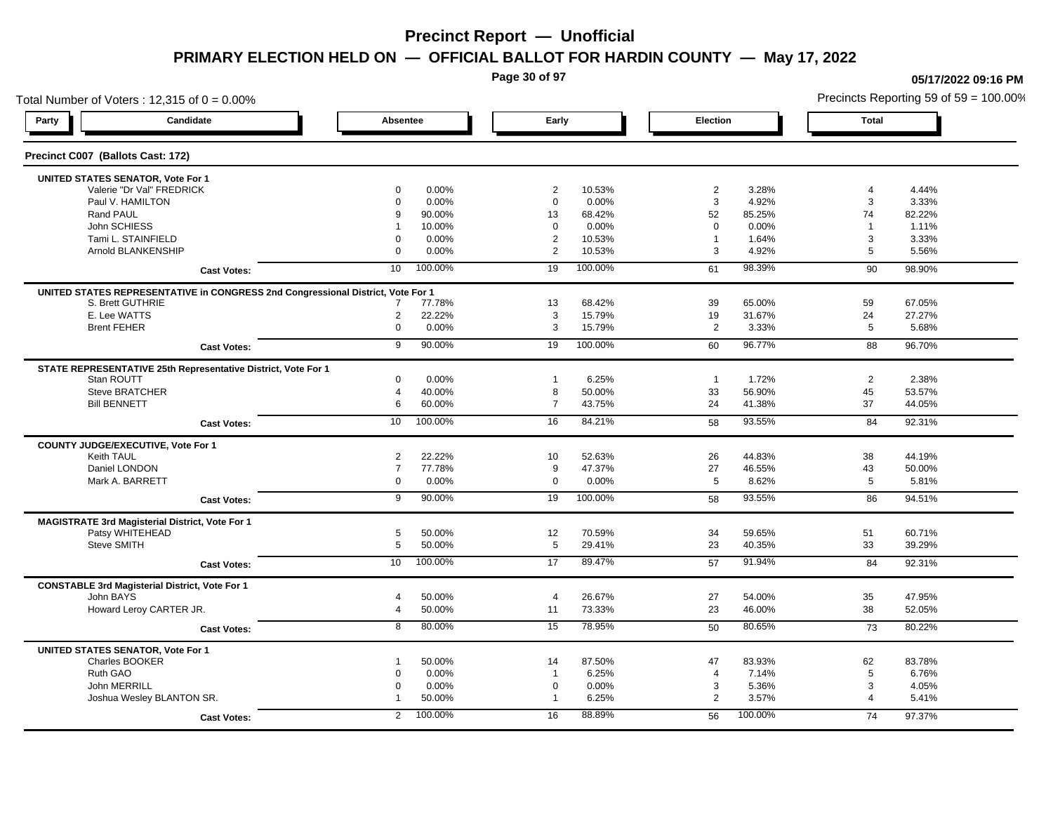**Page 30 of 97**

## Total Number of Voters : 12,315 of  $0 = 0.00\%$ Precincts Reporting 59 of 59 = 100.00% **Party Candidate Absentee Early Election Total Precinct C007 (Ballots Cast: 172) UNITED STATES SENATOR, Vote For 1** Valerie "Dr Val" FREDRICK 0 0.00% 2 10.53% 2 3.28% 4 4.44% Paul V. HAMILTON 0 0.00% 0 0.00% 3 4.92% 3 3.33% Rand PAUL 9 90.00% 13 68.42% 52 85.25% 74 82.22% John SCHIESS 1 10.00% 0 0.00% 0 0.00% 1 1.11% Tami L. STAINFIELD 0 0.00% 2 10.53% 1 1.64% 3 3.33% Arnold BLANKENSHIP 0 0.00% 2 10.53% 3 4.92% 5 5.56% **Cast Votes:** 10 100.00% 19 100.00% 61 98.39% 90 98.90% **UNITED STATES REPRESENTATIVE in CONGRESS 2nd Congressional District, Vote For 1** S. Brett GUTHRIE 7 77.78% 13 68.42% 39 65.00% 59 67.05% E. Lee WATTS 2 22.22% 3 15.79% 19 31.67% 24 27.27% Brent FEHER 0 0.00% 3 15.79% 2 3.33% 5 5.68% **Cast Votes:** 9 90.00% 19 100.00% 60 96.77% 88 96.70% **STATE REPRESENTATIVE 25th Representative District, Vote For 1** Stan ROUTT 0 0.00% 1 6.25% 1 1.72% 2 2.38% Steve BRATCHER 4 40.00% 8 50.00% 33 56.90% 53.57% Bill BENNETT 6 60.00% 7 43.75% 24 41.38% 37 44.05% **Cast Votes:** 10 100.00% 16 84.21% 58 93.55% 84 92.31% 84 92.31% **COUNTY JUDGE/EXECUTIVE, Vote For 1** Keith TAUL 2 22.22% 10 52.63% 26 44.83% 38 44.19% Daniel LONDON 7 77.78% 9 47.37% 27 46.55% 43 50.00% Mark A. BARRETT 0 0.00% 0 0.00% 5 8.62% 5 5.81% **Cast Votes:** 9 90.00% 19 100.00% 58 93.55% 86 94.51% **MAGISTRATE 3rd Magisterial District, Vote For 1** Patsy WHITEHEAD 5 50.00% 12 70.59% 34 59.65% 51 60.71% Steve SMITH 5 50.00% 5 29.41% 23 40.35% 33 39.29% **Cast Votes:** 10 100.00% 17 89.47% 57 91.94% 84 92.31% 84 92.31% **CONSTABLE 3rd Magisterial District, Vote For 1** John BAYS 4 50.00% 4 26.67% 27 54.00% 35 47.95% Howard Leroy CARTER JR. 4 50.00% 11 73.33% 23 46.00% 38 52.05% **Cast Votes:** 8 80.00% 15 78.95% 50 80.65% 73 80.22% **UNITED STATES SENATOR, Vote For 1** Charles BOOKER 1 50.00% 14 87.50% 47 83.93% 62 83.78% Ruth GAO 0 0.00% 1 6.25% 4 7.14% 5 6.76% John MERRILL 0 0.00% 0 0.00% 3 5.36% 3 4.05% Joshua Wesley BLANTON SR. 1 50.00% 1 6.25% 2 3.57% 4 5.41% **Cast Votes:** 2 100.00% 16 88.89% 56 100.00% 74 97.37%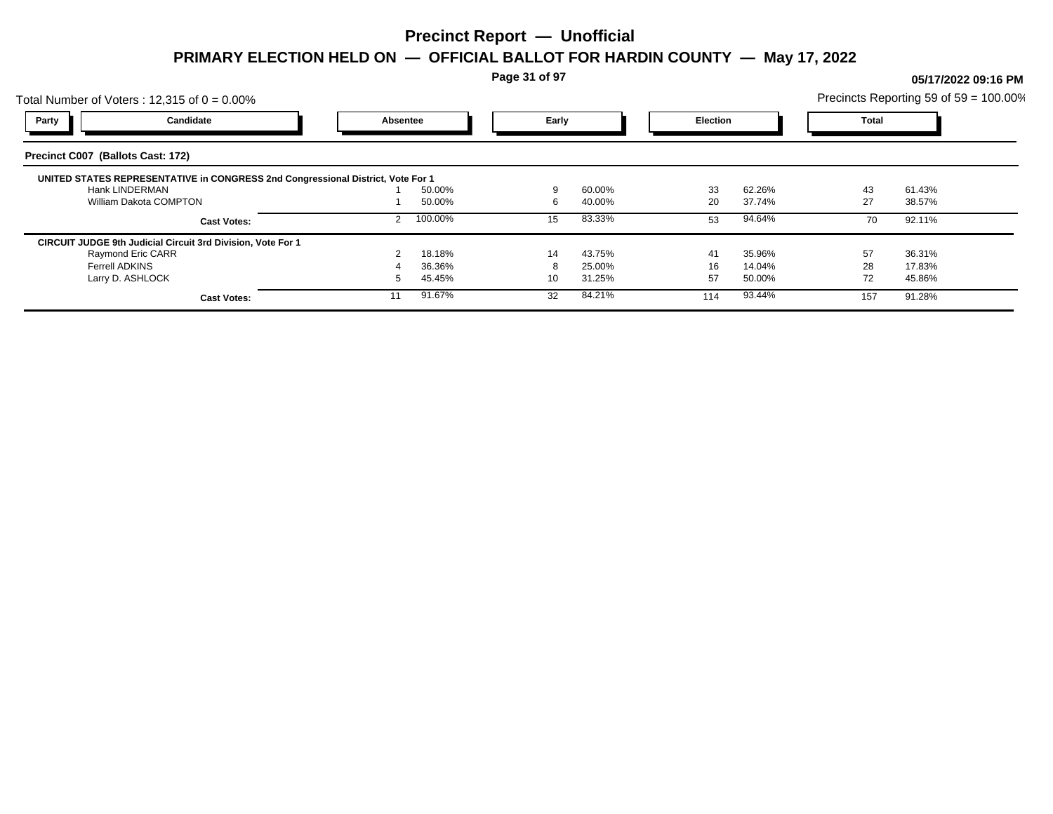**Page 31 of 97**

## Total Number of Voters : 12,315 of  $0 = 0.00\%$ Precincts Reporting 59 of 59 = 100.00% **Party Candidate Absentee Early Election Total Precinct C007 (Ballots Cast: 172) UNITED STATES REPRESENTATIVE in CONGRESS 2nd Congressional District, Vote For 1** Hank LINDERMAN 1 50.00% 9 60.00% 33 62.26% 43 61.43% William Dakota COMPTON **27** 238.57% 1 50.00% 6 40.00% 20 37.74% 27 38.57% **Cast Votes:** 2 100.00% 15 83.33% 53 94.64% 70 92.11% **CIRCUIT JUDGE 9th Judicial Circuit 3rd Division, Vote For 1** Raymond Eric CARR 2 18.18% 14 43.75% 41 35.96% 57 36.31% Ferrell ADKINS 4 36.36% 8 25.00% 16 14.04% 28 17.83% Larry D. ASHLOCK 5 45.45% 10 31.25% 57 50.00% 72 45.86% **Cast Votes:** 11 91.67% 32 84.21% 114 93.44% 157 91.28%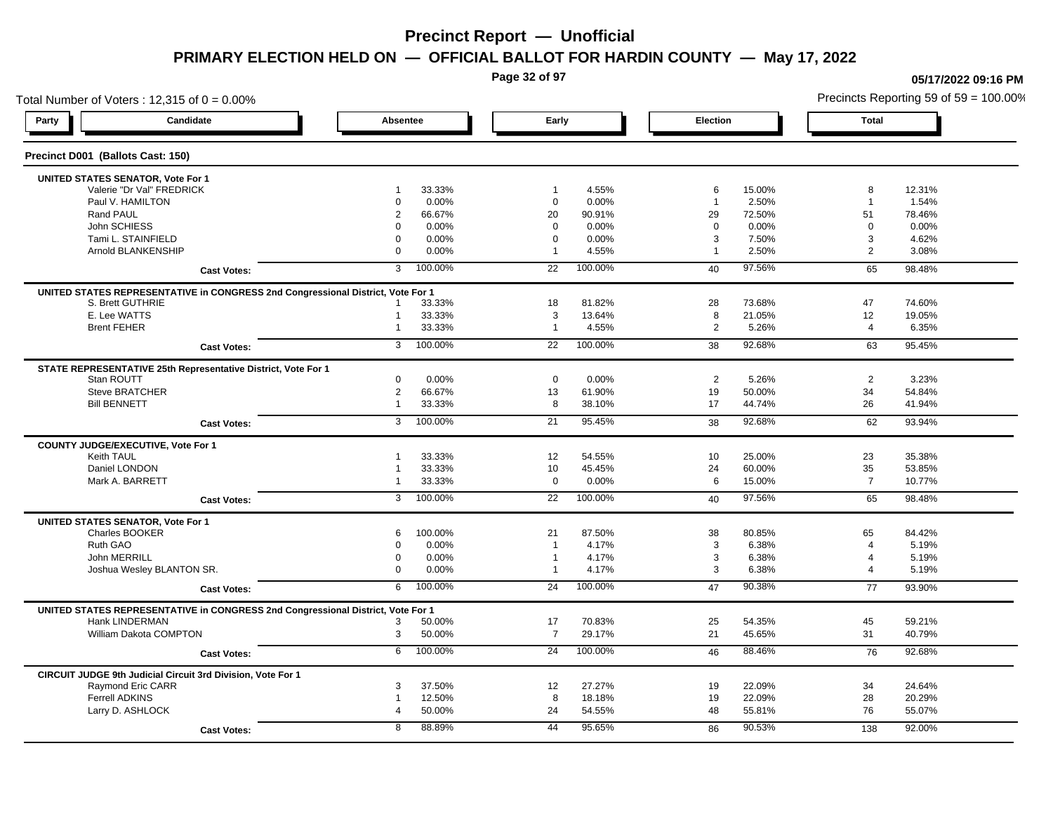**Page 32 of 97**

**05/17/2022 09:16 PM**

## Total Number of Voters : 12,315 of  $0 = 0.00\%$ Precincts Reporting 59 of 59 = 100.00% **Party Candidate Absentee Early Election Total Precinct D001 (Ballots Cast: 150) UNITED STATES SENATOR, Vote For 1** Valerie "Dr Val" FREDRICK 1 33.33% 1 4.55% 6 15.00% 8 12.31% Paul V. HAMILTON 0 0.00% 0 0.00% 1 2.50% 1 1.54% Rand PAUL 2 66.67% 20 90.91% 29 72.50% 51 78.46% John SCHIESS 0 0.00% 0 0.00% 0 0.00% 0 0.00% Tami L. STAINFIELD 0 0.00% 0 0.00% 3 7.50% 3 4.62% Arnold BLANKENSHIP 0 0.00% 1 4.55% 1 2.50% 2 3.08% **Cast Votes:** 3 100.00% 22 100.00% 40 97.56% 65 98.48% **UNITED STATES REPRESENTATIVE in CONGRESS 2nd Congressional District, Vote For 1** S. Brett GUTHRIE 1 33.33% 18 81.82% 28 73.68% 74.60% E. Lee WATTS 1 33.33% 3 13.64% 8 21.05% 12 19.05% Brent FEHER 1 33.33% 1 4.55% 2 5.26% 6.35% **Cast Votes:** 3 100.00% 22 100.00% 38 92.68% 63 95.45% **STATE REPRESENTATIVE 25th Representative District, Vote For 1** Stan ROUTT 0 0.00% 0 0.00% 2 5.26% 2 3.23% Steve BRATCHER 2 66.67% 13 61.90% 19 50.00% 34 54.84% Bill BENNETT 1 33.33% 8 38.10% 17 44.74% 26 41.94% **Cast Votes:** 3 100.00% 21 95.45% 38 92.68% 62 93.94% **COUNTY JUDGE/EXECUTIVE, Vote For 1** Keith TAUL 1 33.33% 12 54.55% 10 25.00% 23 35.38% Daniel LONDON 1 33.33% 10 45.45% 24 60.00% 35 53.85% Mark A. BARRETT 1 33.33% 0 0.00% 6 15.00% 7 10.77% **Cast Votes:** 3 100.00% 22 100.00% 40 97.56% 65 98.48% **UNITED STATES SENATOR, Vote For 1** Charles BOOKER 6 100.00% 21 87.50% 38 80.85% 65 84.42% Ruth GAO 0 0.00% 1 4.17% 3 6.38% 4 5.19% John MERRILL 0 0.00% 1 4.17% 3 6.38% 4 5.19% Joshua Wesley BLANTON SR. 0 0.00% 1 4.17% 3 6.38% 4 5.19% **Cast Votes:** 6 100.00% 24 100.00% 47 90.38% 77 93.90% **UNITED STATES REPRESENTATIVE in CONGRESS 2nd Congressional District, Vote For 1** Hank LINDERMAN 3 50.00% 17 70.83% 25 54.35% 45 59.21% William Dakota COMPTON 3 50.00% 7 29.17% 21 45.65% 31 40.79% **Cast Votes:** 6 100.00% 24 100.00% 46 88.46% 76 92.68% **CIRCUIT JUDGE 9th Judicial Circuit 3rd Division, Vote For 1** Raymond Eric CARR 3 37.50% 12 27.27% 19 22.09% 34 24.64% Ferrell ADKINS 1 12.50% 8 18.18% 19 22.09% 28 20.29% Larry D. ASHLOCK 4 50.00% 24 54.55% 48 55.81% 76 55.07% **Cast Votes:** 8 88.89% 44 95.65% 86 90.53% 138 92.00%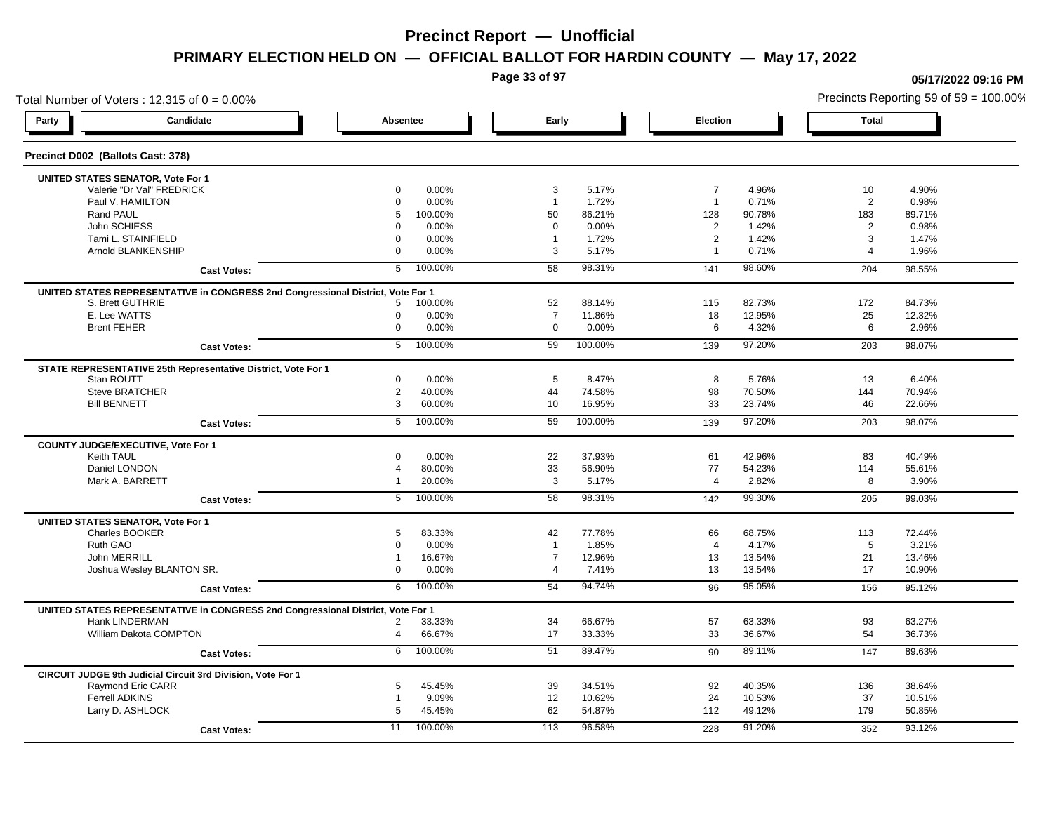**Page 33 of 97**

**05/17/2022 09:16 PM**

## Total Number of Voters : 12,315 of  $0 = 0.00\%$ Precincts Reporting 59 of 59 = 100.00% **Party Candidate Absentee Early Election Total Precinct D002 (Ballots Cast: 378) UNITED STATES SENATOR, Vote For 1** Valerie "Dr Val" FREDRICK 0 0.00% 3 5.17% 7 4.96% 10 4.90% Paul V. HAMILTON 0 0.00% 1 1.72% 1 0.71% 2 0.98% Rand PAUL 5 100.00% 50 86.21% 128 90.78% 183 89.71% John SCHIESS 0 0.00% 0 0.00% 2 1.42% 2 0.98% Tami L. STAINFIELD 0 0.00% 1 1.72% 2 1.42% 3 1.47% Arnold BLANKENSHIP 0 0.00% 3 5.17% 1 0.71% 4 1.96% **Cast Votes:** 5 100.00% 58 98.31% 141 98.60% 204 98.55% **UNITED STATES REPRESENTATIVE in CONGRESS 2nd Congressional District, Vote For 1** S. Brett GUTHRIE 5 100.00% 52 88.14% 115 82.73% 172 84.73% E. Lee WATTS 0 0.00% 7 11.86% 18 12.95% 25 12.32% Brent FEHER 0 0.00% 0 0.00% 6 4.32% 6 2.96% **Cast Votes:** 5 100.00% 59 100.00% 139 97.20% 203 98.07% **STATE REPRESENTATIVE 25th Representative District, Vote For 1** Stan ROUTT 0 0.00% 5 8.47% 8 5.76% 13 6.40% Steve BRATCHER 2 40.00% 44 74.58% 98 70.50% 144 70.94% Bill BENNETT 3 60.00% 10 16.95% 33 23.74% 46 22.66% **Cast Votes:** 5 100.00% 59 100.00% 139 97.20% 203 98.07% **COUNTY JUDGE/EXECUTIVE, Vote For 1** Keith TAUL 0 0.00% 22 37.93% 61 42.96% 83 40.49% Daniel LONDON 4 80.00% 33 56.90% 77 54.23% 114 55.61% Mark A. BARRETT 1 20.00% 3 5.17% 4 2.82% 8 3.90% **Cast Votes:** 5 100.00% 58 98.31% 142 99.30% 205 99.03% **UNITED STATES SENATOR, Vote For 1** Charles BOOKER 5 83.33% 42 77.78% 66 68.75% 113 72.44% Ruth GAO 0 0.00% 1 1.85% 4 4.17% 5 3.21% John MERRILL 1 16.67% 7 12.96% 13 13.54% 21 13.46% Joshua Wesley BLANTON SR. 0 0.00% 4 7.41% 13 13.54% 17 10.90% **Cast Votes:** 6 100.00% 54 94.74% 96 95.05% 156 95.12% **UNITED STATES REPRESENTATIVE in CONGRESS 2nd Congressional District, Vote For 1** Hank LINDERMAN 2 33.33% 34 66.67% 57 63.33% 93 63.27% William Dakota COMPTON 4 66.67% 17 33.33% 33 36.67% 36.73% **Cast Votes:** 6 100.00% 51 89.47% 90 89.11% 147 89.63% **CIRCUIT JUDGE 9th Judicial Circuit 3rd Division, Vote For 1** Raymond Eric CARR 5 45.45% 39 34.51% 92 40.35% 136 38.64% Ferrell ADKINS 1 9.09% 12 10.62% 24 10.53% 37 10.51% Larry D. ASHLOCK 5 45.45% 62 54.87% 112 49.12% 179 50.85% **Cast Votes:** 11 100.00% 113 96.58% 228 91.20% 352 93.12%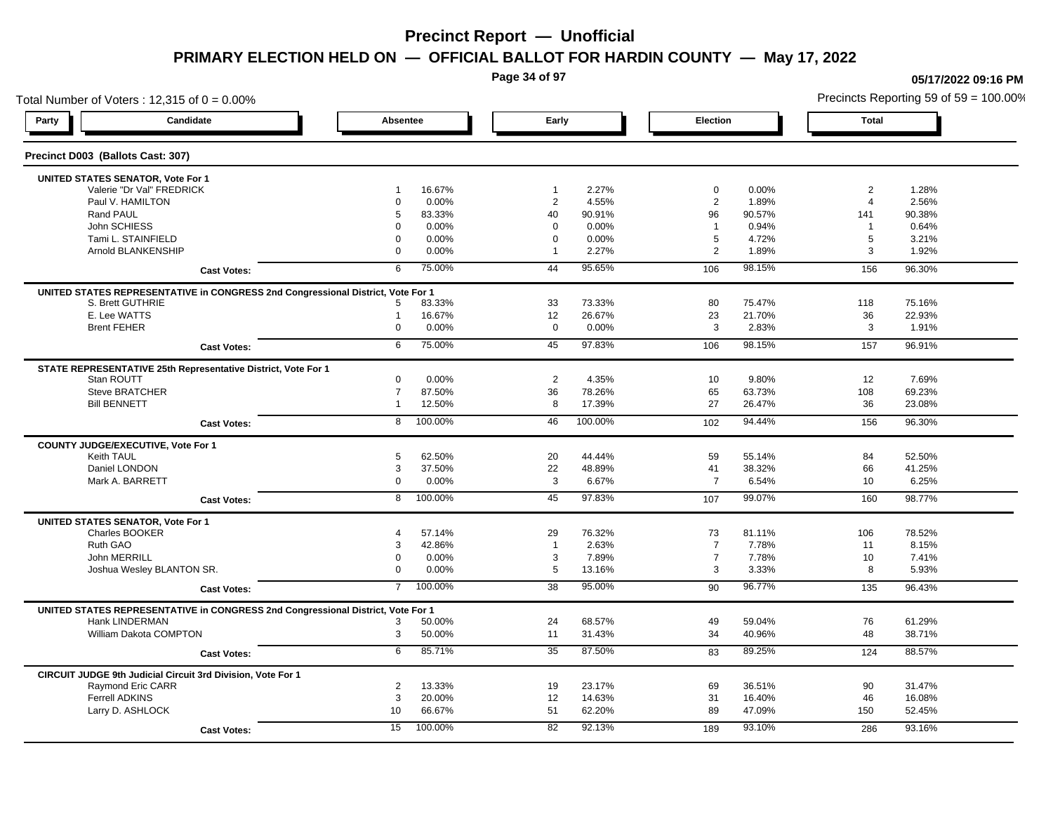**Page 34 of 97**

## Total Number of Voters : 12,315 of  $0 = 0.00\%$ **Party Candidate Absentee Early Election Total Precinct D003 (Ballots Cast: 307) UNITED STATES SENATOR, Vote For 1** Valerie "Dr Val" FREDRICK 1 16.67% 1 2.27% 0 0.00% 2 1.28% Paul V. HAMILTON 0 0.00% 2 4.55% 2 1.89% 4 2.56% Rand PAUL 5 83.33% 40 90.91% 96 90.57% 141 90.38% John SCHIESS 0 0.00% 0 0.00% 1 0.94% 1 0.64% Tami L. STAINFIELD 0 0.00% 0 0.00% 5 4.72% 5 3.21% Arnold BLANKENSHIP 0 0.00% 1 2.27% 2 1.89% 3 1.92% **Cast Votes:** 6 75.00% 44 95.65% 106 98.15% 156 96.30% **UNITED STATES REPRESENTATIVE in CONGRESS 2nd Congressional District, Vote For 1** S. Brett GUTHRIE 5 83.33% 33 73.33% 80 75.47% 118 75.16% E. Lee WATTS 1 16.67% 12 26.67% 23 21.70% 36 22.93% Brent FEHER 0 0.00% 0 0.00% 3 2.83% 3 1.91% **Cast Votes:** 6 75.00% 45 97.83% 106 98.15% 157 96.91% **STATE REPRESENTATIVE 25th Representative District, Vote For 1** Stan ROUTT 0 0.00% 2 4.35% 10 9.80% 12 7.69% Steve BRATCHER 7 87.50% 36 78.26% 65 63.73% 108 69.23% Bill BENNETT 1 12.50% 8 17.39% 27 26.47% 36 23.08% **Cast Votes:** 8 100.00% 46 100.00% 102 94.44% 156 96.30% **COUNTY JUDGE/EXECUTIVE, Vote For 1** Keith TAUL 5 62.50% 20 44.44% 59 55.14% 84 52.50% Daniel LONDON 3 37.50% 22 48.89% 41 38.32% 66 41.25% Mark A. BARRETT 0 0.00% 3 6.67% 7 6.54% 10 6.25% **Cast Votes:** 8 100.00% 45 97.83% 107 99.07% 160 98.77% **UNITED STATES SENATOR, Vote For 1** Charles BOOKER 4 57.14% 29 76.32% 73 81.11% 106 78.52% Ruth GAO 3 42.86% 1 2.63% 7 7.78% 11 8.15% John MERRILL 0 0.00% 3 7.89% 7 7.78% 10 7.41% Joshua Wesley BLANTON SR. 0 0.00% 5 13.16% 3 3.33% 8 5.93% **Cast Votes:** 7 100.00% 38 95.00% 90 96.77% 135 96.43% **UNITED STATES REPRESENTATIVE in CONGRESS 2nd Congressional District, Vote For 1** Hank LINDERMAN 3 50.00% 24 68.57% 49 59.04% 76 61.29% William Dakota COMPTON 3 50.00% 11 31.43% 34 40.96% 48 38.71% **Cast Votes:** 6 85.71% 35 87.50% 83 89.25% 124 88.57% **CIRCUIT JUDGE 9th Judicial Circuit 3rd Division, Vote For 1** Raymond Eric CARR 2 13.33% 19 23.17% 69 36.51% 90 31.47% Ferrell ADKINS 3 20.00% 12 14.63% 31 16.40% 46 16.08% Larry D. ASHLOCK 10 66.67% 51 62.20% 89 47.09% 150 52.45% **Cast Votes:** 15 100.00% 82 92.13% 189 93.10% 286 93.16%

### **05/17/2022 09:16 PM**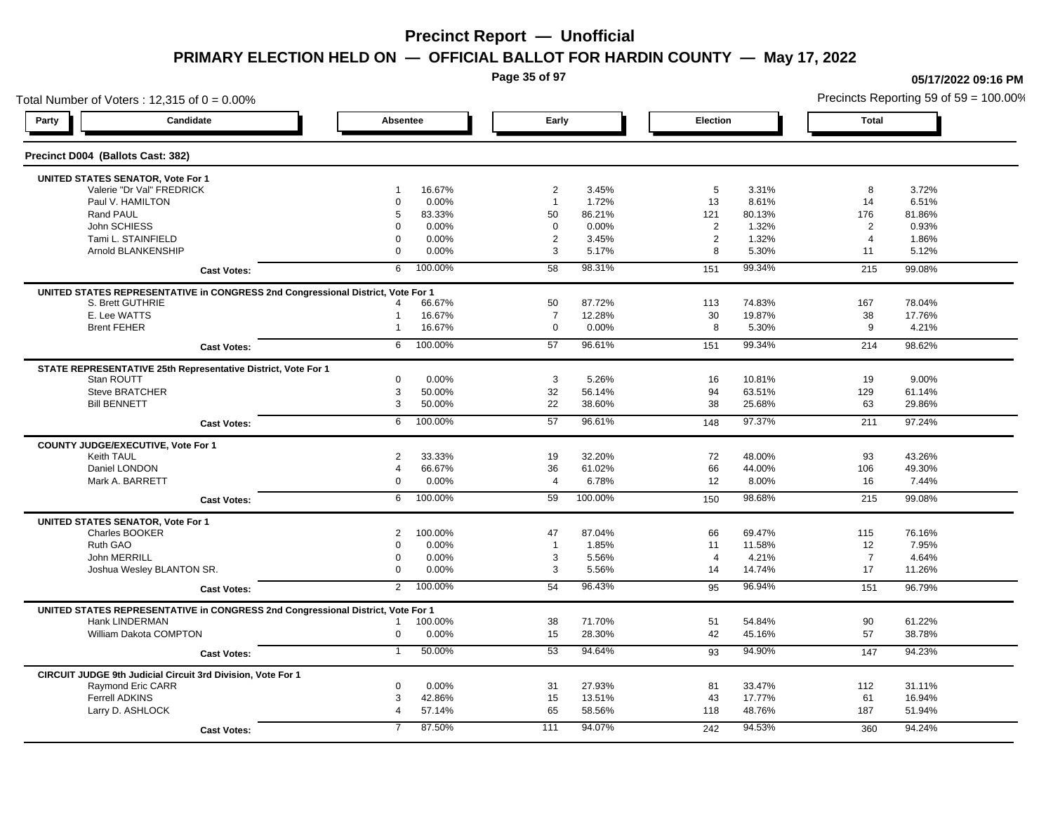**Page 35 of 97**

## Total Number of Voters : 12,315 of  $0 = 0.00\%$ **Party Candidate Absentee Early Election Total Precinct D004 (Ballots Cast: 382) UNITED STATES SENATOR, Vote For 1** Valerie "Dr Val" FREDRICK 1 16.67% 2 3.45% 5 3.31% 8 3.72% Paul V. HAMILTON 0 0.00% 1 1.72% 13 8.61% 14 6.51% Rand PAUL 5 83.33% 50 86.21% 121 80.13% 176 81.86% John SCHIESS 0 0.00% 0 0.00% 2 1.32% 2 0.93% Tami L. STAINFIELD 0 0.00% 2 3.45% 2 1.32% 4 1.86% Arnold BLANKENSHIP 0 0.00% 3 5.17% 8 5.30% 11 5.12% **Cast Votes:** 6 100.00% 58 98.31% 151 99.34% 215 99.08% **UNITED STATES REPRESENTATIVE in CONGRESS 2nd Congressional District, Vote For 1** S. Brett GUTHRIE 4 66.67% 50 87.72% 113 74.83% 167 78.04% E. Lee WATTS 1 16.67% 7 12.28% 30 19.87% 38 17.76% Brent FEHER 1 16.67% 0 0.00% 8 5.30% 9 4.21% **Cast Votes:** 6 100.00% 57 96.61% 151 99.34% 214 98.62% **STATE REPRESENTATIVE 25th Representative District, Vote For 1** Stan ROUTT 0 0.00% 3 5.26% 16 10.81% 19 9.00% Steve BRATCHER 3 50.00% 32 56.14% 94 63.51% 129 61.14% Bill BENNETT 3 50.00% 22 38.60% 38 25.68% 63 29.86% **Cast Votes:** 6 100.00% 57 96.61% 148 97.37% 211 97.24% **COUNTY JUDGE/EXECUTIVE, Vote For 1** Keith TAUL 2 33.33% 19 32.20% 72 48.00% 93 43.26% Daniel LONDON 4 66.67% 36 61.02% 66 44.00% 106 49.30% Mark A. BARRETT 0 0.00% 4 6.78% 12 8.00% 16 7.44% **Cast Votes:** 6 100.00% 59 100.00% 150 98.68% 215 99.08% **UNITED STATES SENATOR, Vote For 1** Charles BOOKER 2 100.00% 47 87.04% 66 69.47% 115 76.16% Ruth GAO 0 0.00% 1 1.85% 11 11.58% 12 7.95% John MERRILL 0 0.00% 3 5.56% 4 4.21% 7 4.64% Joshua Wesley BLANTON SR. 0 0.00% 3 5.56% 14 14.74% 17 11.26% **Cast Votes:** 2 100.00% 54 96.43% 95 96.94% 151 96.79% **UNITED STATES REPRESENTATIVE in CONGRESS 2nd Congressional District, Vote For 1** Hank LINDERMAN 1 100.00% 38 71.70% 51 54.84% 90 61.22% William Dakota COMPTON 0 0.00% 15 28.30% 42 45.16% 57 38.78% **Cast Votes:** 1 50.00% 53 94.64% 93 94.90% 147 94.23% **CIRCUIT JUDGE 9th Judicial Circuit 3rd Division, Vote For 1** Raymond Eric CARR 0 0.00% 31 27.93% 81 33.47% 112 31.11% Ferrell ADKINS 3 42.86% 15 13.51% 43 17.77% 61 16.94% Larry D. ASHLOCK 4 57.14% 65 58.56% 118 48.76% 187 51.94% **Cast Votes:** 7 87.50% 111 94.07% 242 94.53% 360 94.24%

**05/17/2022 09:16 PM**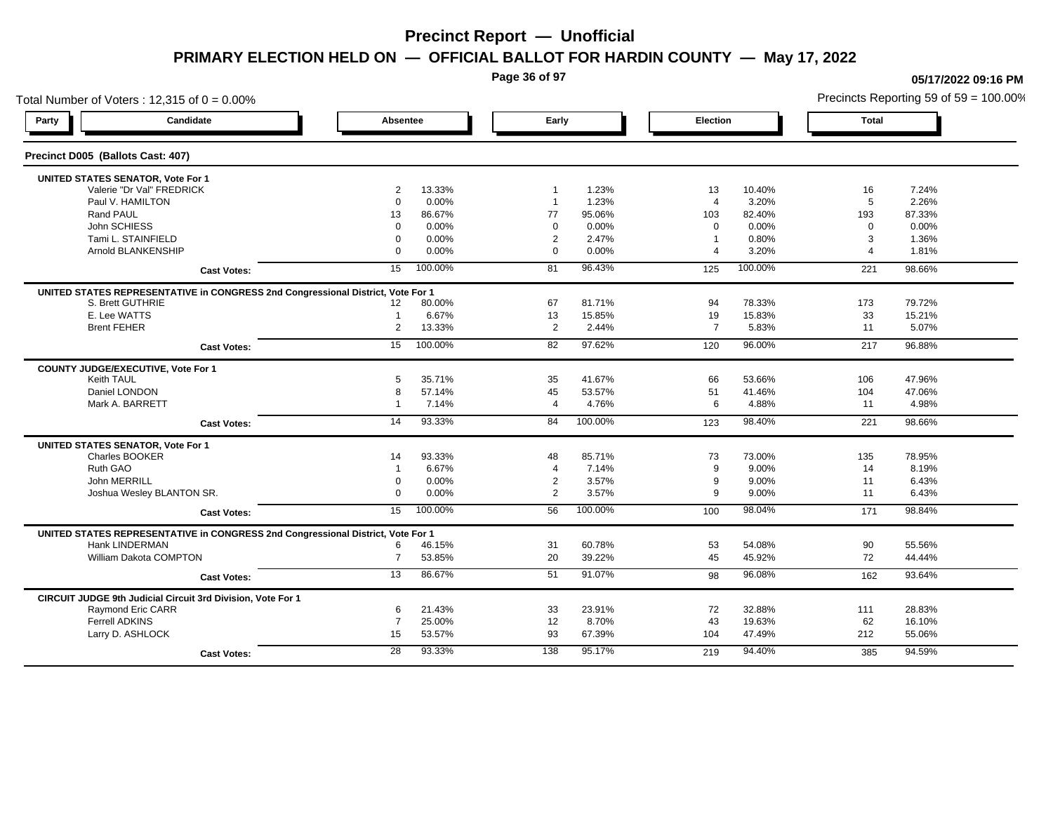**Page 36 of 97**

## Total Number of Voters : 12,315 of  $0 = 0.00\%$ Precincts Reporting 59 of 59 = 100.00% **Party Candidate Absentee Early Election Total Precinct D005 (Ballots Cast: 407) UNITED STATES SENATOR, Vote For 1** Valerie "Dr Val" FREDRICK 2 13.33% 1 1.23% 13 10.40% 16 7.24% Paul V. HAMILTON 0 0.00% 1 1.23% 4 3.20% 5 2.26% Rand PAUL 13 86.67% 77 95.06% 103 82.40% 193 87.33% John SCHIESS 0 0.00% 0 0.00% 0 0.00% 0 0.00% Tami L. STAINFIELD 0 0.00% 2 2.47% 1 0.80% 3 1.36% Arnold BLANKENSHIP 0 0.00% 0 0.00% 4 3.20% 4 1.81% **Cast Votes:** 15 100.00% 81 96.43% 125 100.00% 221 98.66% **UNITED STATES REPRESENTATIVE in CONGRESS 2nd Congressional District, Vote For 1** S. Brett GUTHRIE 12 80.00% 67 81.71% 94 78.33% 173 79.72% E. Lee WATTS 1 6.67% 13 15.85% 19 15.83% 33 15.21% Brent FEHER 2 13.33% 2 2.44% 7 5.83% 11 5.07% **Cast Votes:** 15 100.00% 82 97.62% 120 96.00% 217 96.88% **COUNTY JUDGE/EXECUTIVE, Vote For 1** Keith TAUL 5 35.71% 35 41.67% 66 53.66% 106 47.96% Daniel LONDON 8 57.14% 45 53.57% 51 41.46% 104 47.06% Mark A. BARRETT 1 7.14% 4 4.76% 6 4.88% 11 4.98% **Cast Votes:** 14 93.33% 84 100.00% 123 98.40% 221 98.66% **UNITED STATES SENATOR, Vote For 1** Charles BOOKER 14 93.33% 48 85.71% 73 73.00% 135 78.95% Ruth GAO 1 6.67% 4 7.14% 9 9.00% 14 8.19% John MERRILL 0 0.00% 2 3.57% 9 9.00% 11 6.43% Joshua Wesley BLANTON SR. 0 0.00% 2 3.57% 9 9.00% 11 6.43% **Cast Votes:** 15 100.00% 56 100.00% 100 98.04% 171 98.84% **UNITED STATES REPRESENTATIVE in CONGRESS 2nd Congressional District, Vote For 1** Hank LINDERMAN 6 46.15% 31 60.78% 53 54.08% 90 55.56% William Dakota COMPTON 7 53.85% 20 39.22% 45 45.92% 44.44% **Cast Votes:** 13 86.67% 51 91.07% 98 96.08% 162 93.64% **CIRCUIT JUDGE 9th Judicial Circuit 3rd Division, Vote For 1** Raymond Eric CARR 6 21.43% 33 23.91% 72 32.88% 111 28.83% Ferrell ADKINS 7 25.00% 12 8.70% 43 19.63% 62 16.10% Larry D. ASHLOCK 15 53.57% 93 67.39% 104 47.49% 212 55.06% **Cast Votes:** 28 93.33% 138 95.17% 219 94.40% 385 94.59%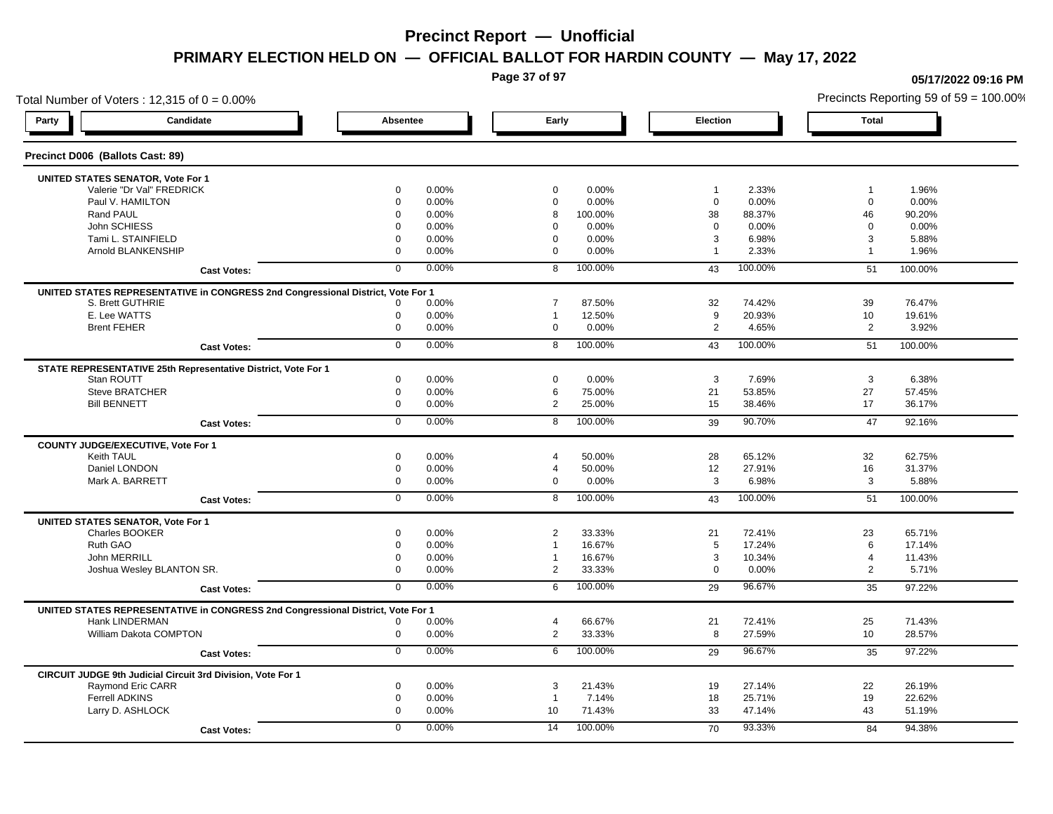**Page 37 of 97**

**05/17/2022 09:16 PM**

### Total Number of Voters : 12,315 of  $0 = 0.00\%$ Precincts Reporting 59 of 59 = 100.00% **Party Candidate Absentee Early Election Total Precinct D006 (Ballots Cast: 89) UNITED STATES SENATOR, Vote For 1** Valerie "Dr Val" FREDRICK 0 0.00% 0 0.00% 1 2.33% 1 1.96% Paul V. HAMILTON 0 0.00% 0 0.00% 0 0.00% 0 0.00% Rand PAUL 0 0.00% 8 100.00% 38 88.37% 46 90.20% John SCHIESS 0 0.00% 0 0.00% 0 0.00% 0 0.00% Tami L. STAINFIELD 0 0.00% 0 0.00% 3 6.98% 3 5.88% Arnold BLANKENSHIP 0 0.00% 0 0.00% 1 2.33% 1 1.96% **Cast Votes:** 0 0.00% 8 100.00% 43 100.00% 51 100.00% **UNITED STATES REPRESENTATIVE in CONGRESS 2nd Congressional District, Vote For 1** S. Brett GUTHRIE 0 0.00% 7 87.50% 32 74.42% 39 76.47% E. Lee WATTS 0 0.00% 1 12.50% 9 20.93% 10 19.61% Brent FEHER 0 0.00% 0 0.00% 2 4.65% 2 3.92% **Cast Votes:** 0 0.00% 8 100.00% 43 100.00% 51 100.00% **STATE REPRESENTATIVE 25th Representative District, Vote For 1** Stan ROUTT 0 0.00% 0 0.00% 3 7.69% 3 6.38% Steve BRATCHER 0 0.00% 6 75.00% 21 53.85% 27 57.45% Bill BENNETT 0 0.00% 2 25.00% 15 38.46% 17 36.17% **Cast Votes:** 0 0.00% 8 100.00% 39 90.70% 47 92.16% **COUNTY JUDGE/EXECUTIVE, Vote For 1** Keith TAUL 0 0.00% 4 50.00% 28 65.12% 32 62.75% Daniel LONDON 0 0.00% 4 50.00% 12 27.91% 16 31.37% Mark A. BARRETT 0 0.00% 0 0.00% 3 6.98% 3 5.88% **Cast Votes:** 0 0.00% 8 100.00% 43 100.00% 51 100.00% **UNITED STATES SENATOR, Vote For 1** Charles BOOKER 0 0.00% 2 33.33% 21 72.41% 23 65.71% Ruth GAO 0 0.00% 1 16.67% 5 17.24% 6 17.14% John MERRILL 0 0.00% 1 16.67% 3 10.34% 4 11.43% Joshua Wesley BLANTON SR. 0 0.00% 2 33.33% 0 0.00% 2 5.71% **Cast Votes:** 0 0.00% 6 100.00% 29 96.67% 35 97.22% **UNITED STATES REPRESENTATIVE in CONGRESS 2nd Congressional District, Vote For 1** Hank LINDERMAN 0 0.00% 4 66.67% 21 72.41% 25 71.43% William Dakota COMPTON 0 0.00% 2 33.33% 8 27.59% 10 28.57% **Cast Votes:** 0 0.00% 6 100.00% 29 96.67% 35 97.22% **CIRCUIT JUDGE 9th Judicial Circuit 3rd Division, Vote For 1** Raymond Eric CARR 0 0.00% 3 21.43% 19 27.14% 22 26.19% Ferrell ADKINS 0 0.00% 1 7.14% 18 25.71% 19 22.62% Larry D. ASHLOCK 0 0.00% 10 71.43% 33 47.14% 43 51.19% **Cast Votes:** 0 0.00% 14 100.00% 70 93.33% 84 94.38%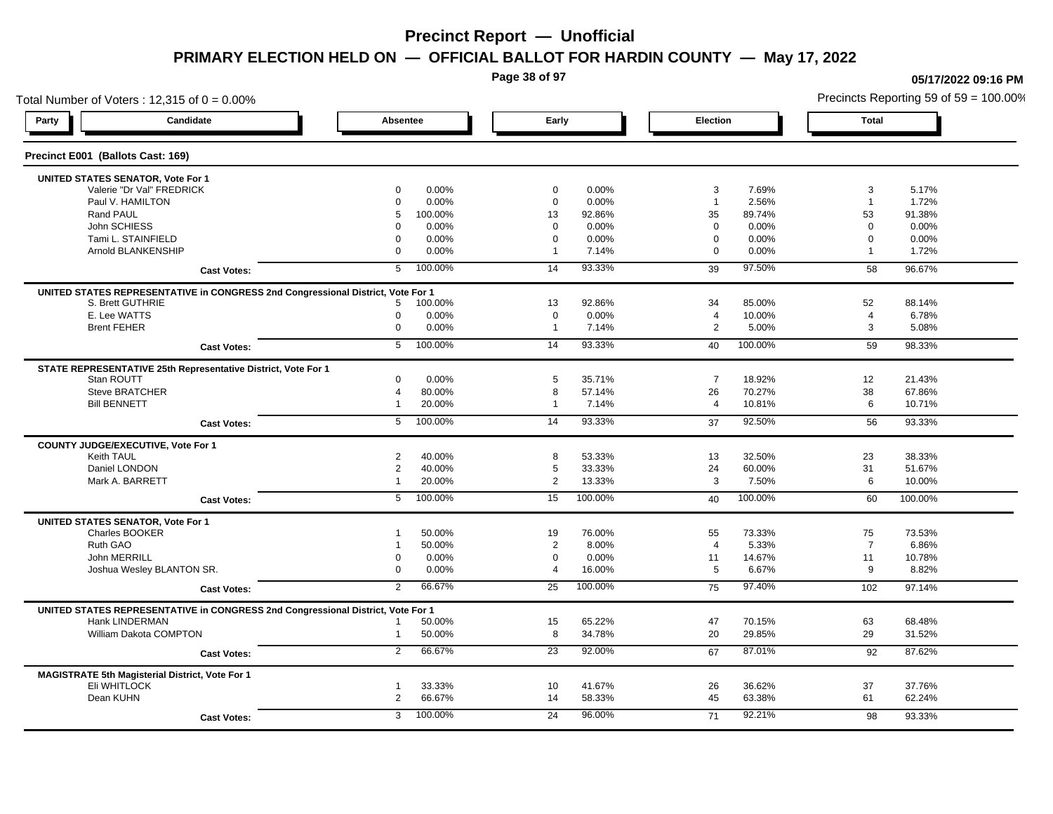**Page 38 of 97**

### Total Number of Voters : 12,315 of  $0 = 0.00\%$ **Party Candidate Absentee Early Election Total Precinct E001 (Ballots Cast: 169) UNITED STATES SENATOR, Vote For 1** Valerie "Dr Val" FREDRICK 0 0.00% 0 0.00% 3 7.69% 3 5.17% Paul V. HAMILTON 0 0.00% 0 0.00% 1 2.56% 1 1.72% Rand PAUL 5 100.00% 13 92.86% 35 89.74% 53 91.38% John SCHIESS 0 0.00% 0 0.00% 0 0.00% 0 0.00% Tami L. STAINFIELD 0 0.00% 0 0.00% 0 0.00% 0 0.00% Arnold BLANKENSHIP 0 0.00% 1 7.14% 0 0.00% 1 1.72% **Cast Votes:** 5 100.00% 14 93.33% 39 97.50% 58 96.67% **UNITED STATES REPRESENTATIVE in CONGRESS 2nd Congressional District, Vote For 1** S. Brett GUTHRIE 5 100.00% 13 92.86% 34 85.00% 52 88.14% E. Lee WATTS 0 0.00% 0 0.00% 4 10.00% 4 6.78% Brent FEHER 0 0.00% 1 7.14% 2 5.00% 3 5.08% **Cast Votes:** 5 100.00% 14 93.33% 40 100.00% 59 98.33% **STATE REPRESENTATIVE 25th Representative District, Vote For 1** Stan ROUTT 0 0.00% 5 35.71% 7 18.92% 12 21.43% Steve BRATCHER 4 80.00% 8 57.14% 26 70.27% 38 67.86% Bill BENNETT 1 20.00% 1 7.14% 4 10.81% 6 10.71% **Cast Votes:** 5 100.00% 14 93.33% 37 92.50% 56 93.33% **COUNTY JUDGE/EXECUTIVE, Vote For 1** Keith TAUL 2 40.00% 8 53.33% 13 32.50% 23 38.33% Daniel LONDON 2 40.00% 5 33.33% 24 60.00% 31 51.67% Mark A. BARRETT 1 20.00% 2 13.33% 3 7.50% 6 10.00% **Cast Votes:** 5 100.00% 15 100.00% 40 100.00% 60 100.00% **UNITED STATES SENATOR, Vote For 1** Charles BOOKER 1 50.00% 19 76.00% 55 73.33% 75 73.53% Ruth GAO 1 50.00% 2 8.00% 4 5.33% 7 6.86% John MERRILL 0 0.00% 0 0.00% 11 14.67% 11 10.78% Joshua Wesley BLANTON SR. 0 0.00% 4 16.00% 5 6.67% 9 8.82% **Cast Votes:** 2 66.67% 25 100.00% 75 97.40% 102 97.14% **UNITED STATES REPRESENTATIVE in CONGRESS 2nd Congressional District, Vote For 1** Hank LINDERMAN 1 50.00% 15 65.22% 47 70.15% 63 68.48% William Dakota COMPTON 1 50.00% 8 34.78% 20 29.85% 29 31.52% **Cast Votes:** 2 66.67% 23 92.00% 67 87.01% 92 87.62% **MAGISTRATE 5th Magisterial District, Vote For 1** Eli WHITLOCK 1 33.33% 10 41.67% 26 36.62% 37 37.76% Dean KUHN 2 66.67% 14 58.33% 45 63.38% 61 62.24% **Cast Votes:** 3 100.00% 24 96.00% 71 92.21% 98 93.33%

#### **05/17/2022 09:16 PM**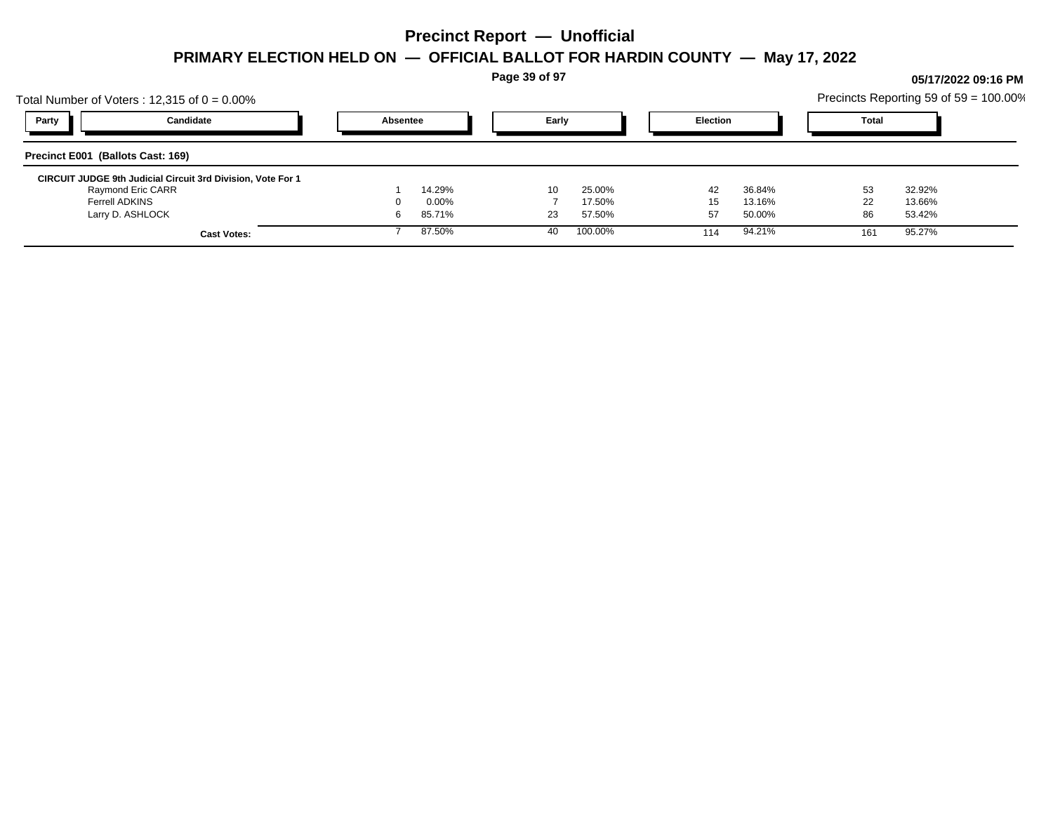**Page 39 of 97**

## Total Number of Voters : 12,315 of  $0 = 0.00\%$ Precincts Reporting 59 of 59 = 100.00% **Party Candidate Absentee Early Election Total Precinct E001 (Ballots Cast: 169) CIRCUIT JUDGE 9th Judicial Circuit 3rd Division, Vote For 1** Raymond Eric CARR 1 14.29% 10 25.00% 42 36.84% 53 32.92% Ferrell ADKINS 0 0.00% 7 17.50% 15 13.16% 22 13.66% Larry D. ASHLOCK 6 85.71% 23 57.50% 57 50.00% 86 53.42% **Cast Votes:** 7 87.50% 40 100.00% 114 94.21% 161 95.27%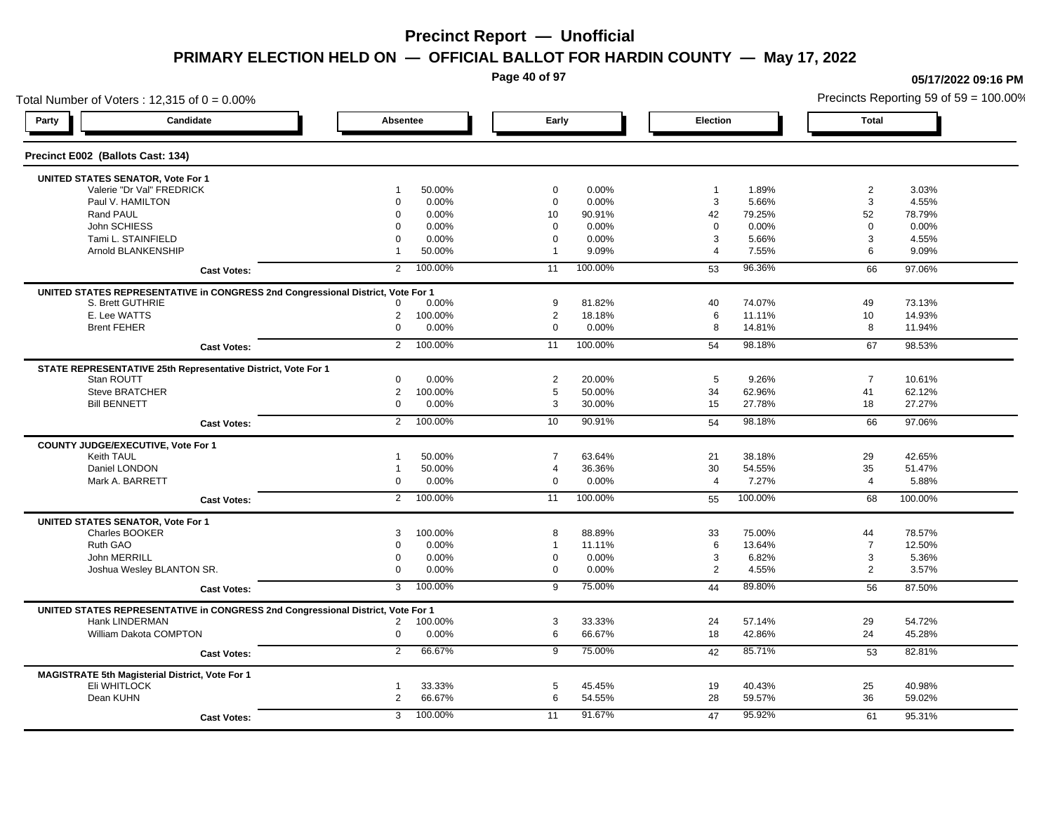**Page 40 of 97**

### Total Number of Voters : 12,315 of  $0 = 0.00\%$ **Party Candidate Absentee Early Election Total Precinct E002 (Ballots Cast: 134) UNITED STATES SENATOR, Vote For 1** Valerie "Dr Val" FREDRICK 1 50.00% 0 0.00% 1 1.89% 2 3.03% Paul V. HAMILTON 0 0.00% 0 0.00% 3 5.66% 3 4.55% Rand PAUL 0 0.00% 10 90.91% 42 79.25% 52 78.79% John SCHIESS 0 0.00% 0 0.00% 0 0.00% 0 0.00% Tami L. STAINFIELD 0 0.00% 0 0.00% 3 5.66% 3 4.55% Arnold BLANKENSHIP 1 50.00% 1 9.09% 4 7.55% 6 9.09% **Cast Votes:** 2 100.00% 11 100.00% 53 96.36% 66 97.06% **UNITED STATES REPRESENTATIVE in CONGRESS 2nd Congressional District, Vote For 1** S. Brett GUTHRIE 0 0.00% 9 81.82% 40 74.07% 49 73.13% E. Lee WATTS 2 100.00% 2 18.18% 6 11.11% 10 14.93% Brent FEHER 0 0.00% 0 0.00% 8 14.81% 8 11.94% **Cast Votes:** 2 100.00% 11 100.00% 54 98.18% 67 98.53% **STATE REPRESENTATIVE 25th Representative District, Vote For 1** Stan ROUTT 0 0.00% 2 20.00% 5 9.26% 7 10.61% Steve BRATCHER 2 100.00% 5 50.00% 34 62.96% 41 62.12% Bill BENNETT 0 0.00% 3 30.00% 15 27.78% 18 27.27% **Cast Votes:** 2 100.00% 10 90.91% 54 98.18% 66 97.06% **COUNTY JUDGE/EXECUTIVE, Vote For 1** Keith TAUL 1 50.00% 7 63.64% 21 38.18% 29 42.65% Daniel LONDON 1 50.00% 4 36.36% 30 54.55% 35 51.47% Mark A. BARRETT 0 0.00% 0 0.00% 4 7.27% 4 5.88% **Cast Votes:** 2 100.00% 11 100.00% 55 100.00% 68 100.00% **UNITED STATES SENATOR, Vote For 1** Charles BOOKER 3 100.00% 8 88.89% 33 75.00% 44 78.57% Ruth GAO 0 0.00% 1 11.11% 6 13.64% 7 12.50% John MERRILL 0 0.00% 0 0.00% 3 6.82% 3 5.36% Joshua Wesley BLANTON SR. 0 0.00% 0 0.00% 2 4.55% 2 3.57% **Cast Votes:** 3 100.00% 9 75.00% 44 89.80% 56 87.50% **UNITED STATES REPRESENTATIVE in CONGRESS 2nd Congressional District, Vote For 1** Hank LINDERMAN 2 100.00% 3 33.33% 24 57.14% 29 54.72% William Dakota COMPTON 0 0.00% 6 66.67% 18 42.86% 24 45.28% **Cast Votes:** 2 66.67% 9 75.00% 42 85.71% 53 82.81% **MAGISTRATE 5th Magisterial District, Vote For 1** Eli WHITLOCK 1 33.33% 5 45.45% 19 40.43% 25 40.98% Dean KUHN 2 66.67% 6 54.55% 28 59.57% 36 59.02% **Cast Votes:** 3 100.00% 11 91.67% 47 95.92% 61 95.31%

#### **05/17/2022 09:16 PM**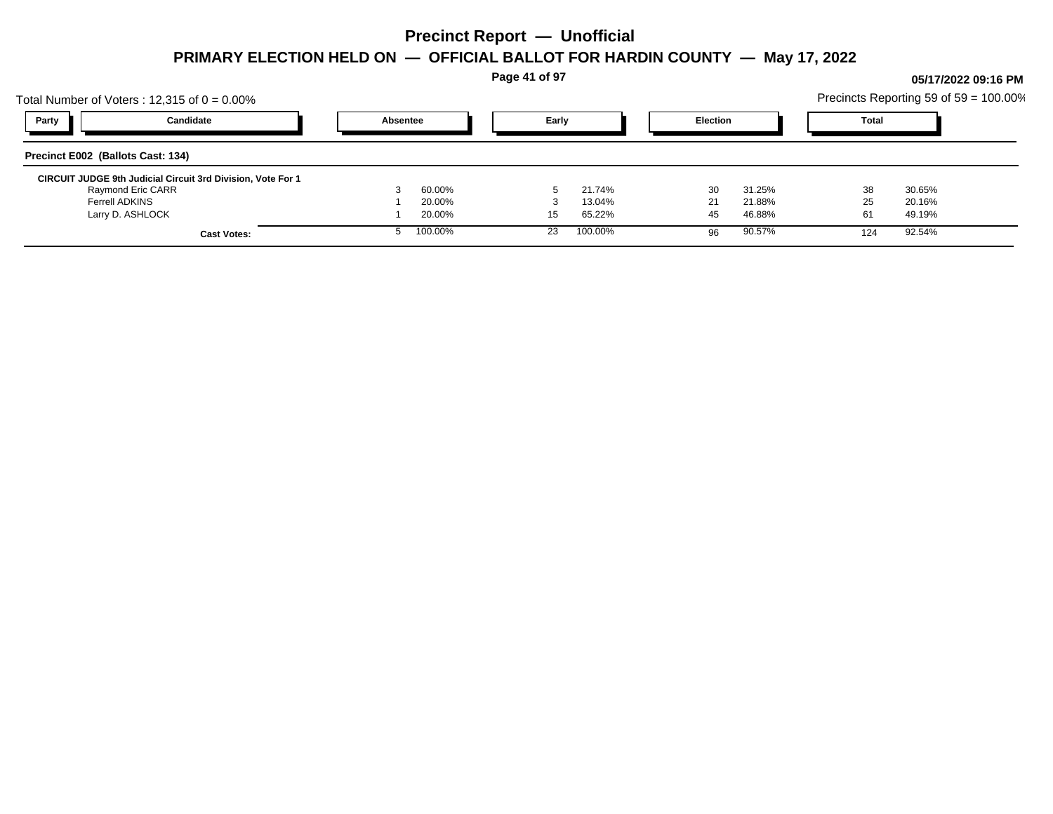**Page 41 of 97**

## Total Number of Voters : 12,315 of  $0 = 0.00\%$ Precincts Reporting 59 of 59 = 100.00% **Party Candidate Absentee Early Election Total Precinct E002 (Ballots Cast: 134) CIRCUIT JUDGE 9th Judicial Circuit 3rd Division, Vote For 1** Raymond Eric CARR 3 60.00% 5 21.74% 30 31.25% 38 30.65% Ferrell ADKINS 1 20.00% 3 13.04% 21 21.88% 25 20.16% Larry D. ASHLOCK 1 20.00% 15 65.22% 45 46.88% 61 49.19% **Cast Votes:** 5 100.00% 23 100.00% 96 90.57% 124 92.54%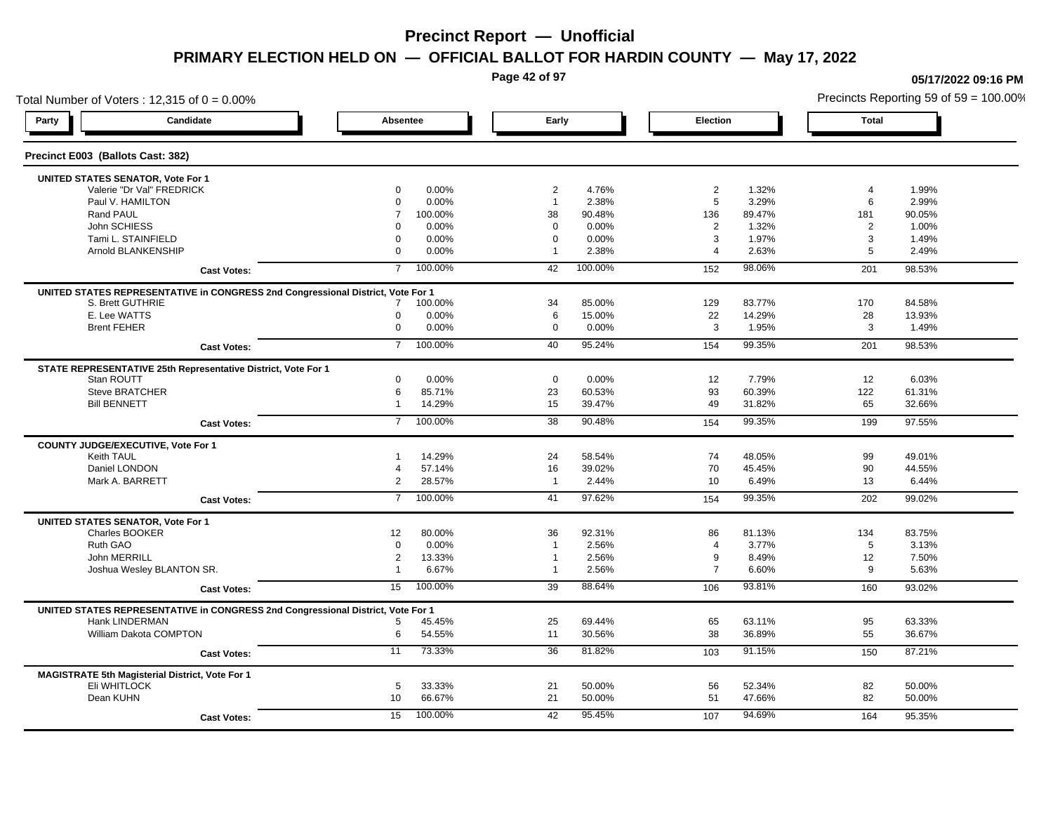**Page 42 of 97**

### Total Number of Voters : 12,315 of  $0 = 0.00\%$ **Party Candidate Absentee Early Election Total Precinct E003 (Ballots Cast: 382) UNITED STATES SENATOR, Vote For 1** Valerie "Dr Val" FREDRICK 0 0.00% 2 4.76% 2 1.32% 4 1.99% Paul V. HAMILTON 0 0.00% 1 2.38% 5 3.29% 6 2.99% Rand PAUL 7 100.00% 38 90.48% 136 89.47% 181 90.05% John SCHIESS 0 0.00% 0 0.00% 2 1.32% 2 1.00% Tami L. STAINFIELD 0 0.00% 0 0.00% 3 1.97% 3 1.49% Arnold BLANKENSHIP 0 0.00% 1 2.38% 4 2.63% 5 2.49% **Cast Votes:** 7 100.00% 42 100.00% 152 98.06% 201 98.53% **UNITED STATES REPRESENTATIVE in CONGRESS 2nd Congressional District, Vote For 1** S. Brett GUTHRIE 7 100.00% 34 85.00% 129 83.77% 170 84.58% E. Lee WATTS 0 0.00% 6 15.00% 22 14.29% 28 13.93% Brent FEHER 0 0.00% 0 0.00% 3 1.95% 3 1.49% **Cast Votes:** 7 100.00% 40 95.24% 154 99.35% 201 98.53% **STATE REPRESENTATIVE 25th Representative District, Vote For 1** Stan ROUTT 0 0.00% 0 0.00% 12 7.79% 12 6.03% Steve BRATCHER 6 85.71% 23 60.53% 93 60.39% 122 61.31% Bill BENNETT 1 14.29% 15 39.47% 49 31.82% 65 32.66% **Cast Votes:** 7 100.00% 38 90.48% 154 99.35% 199 97.55% **COUNTY JUDGE/EXECUTIVE, Vote For 1** Keith TAUL 1 14.29% 24 58.54% 74 48.05% 99 49.01% Daniel LONDON 4 57.14% 16 39.02% 70 45.45% 90 44.55% Mark A. BARRETT 2 28.57% 1 2.44% 10 6.49% 13 6.44% **Cast Votes:** 7 100.00% 41 97.62% 154 99.35% 202 99.02% **UNITED STATES SENATOR, Vote For 1** Charles BOOKER 12 80.00% 36 92.31% 86 81.13% 134 83.75% Ruth GAO 0 0.00% 1 2.56% 4 3.77% 5 3.13% John MERRILL 2 13.33% 1 2.56% 9 8.49% 12 7.50% Joshua Wesley BLANTON SR. 1 6.67% 1 2.56% 7 6.60% 9 5.63% **Cast Votes:** 15 100.00% 39 88.64% 106 93.81% 160 93.02% **UNITED STATES REPRESENTATIVE in CONGRESS 2nd Congressional District, Vote For 1** Hank LINDERMAN 5 45.45% 25 69.44% 65 63.11% 95 63.33% William Dakota COMPTON 6 54.55% 11 30.56% 38 36.89% 55 36.67% **Cast Votes:** 11 73.33% 36 81.82% 103 91.15% 150 87.21% **MAGISTRATE 5th Magisterial District, Vote For 1** Eli WHITLOCK 5 33.33% 21 50.00% 56 52.34% 82 50.00% Dean KUHN 10 66.67% 21 50.00% 51 47.66% 82 50.00% **Cast Votes:** 15 100.00% 42 95.45% 107 94.69% 164 95.35%

#### **05/17/2022 09:16 PM**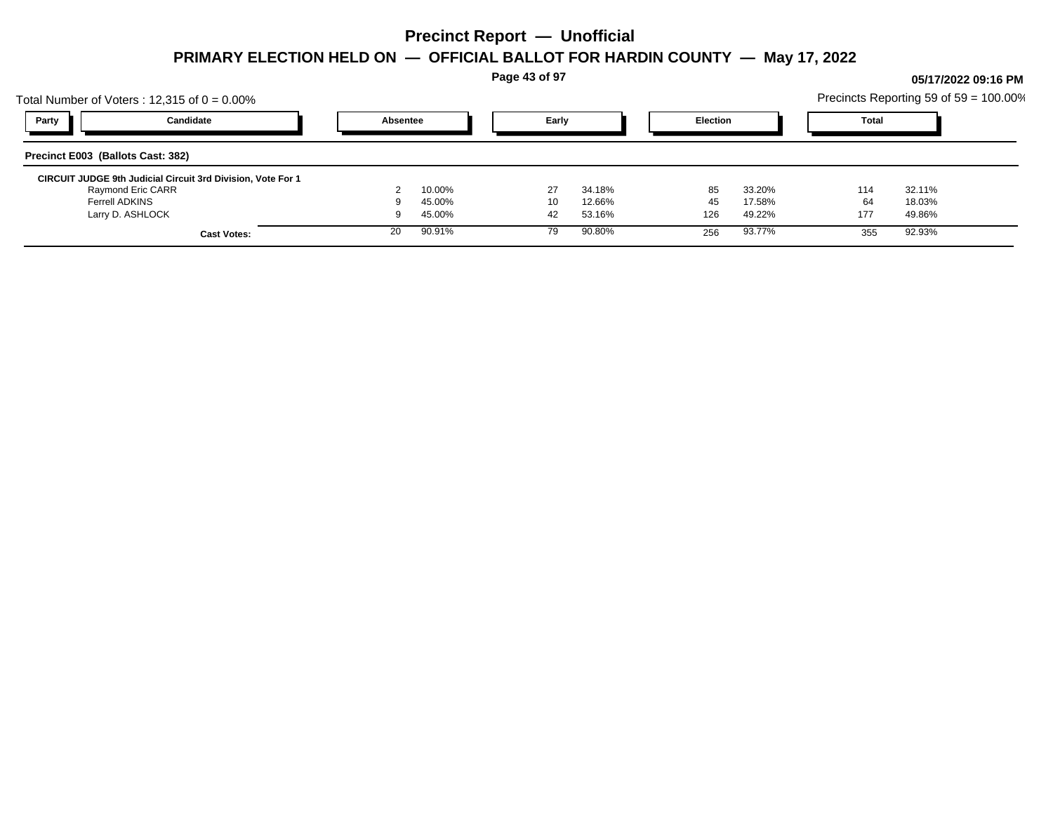**Page 43 of 97**

## Total Number of Voters : 12,315 of  $0 = 0.00\%$ Precincts Reporting 59 of 59 = 100.00% **Party Candidate Absentee Early Election Total Precinct E003 (Ballots Cast: 382) CIRCUIT JUDGE 9th Judicial Circuit 3rd Division, Vote For 1** Raymond Eric CARR 2 10.00% 27 34.18% 85 33.20% 114 32.11% Ferrell ADKINS 9 45.00% 10 12.66% 45 17.58% 64 18.03% Larry D. ASHLOCK 9 45.00% 42 53.16% 126 49.22% 177 49.86% **Cast Votes:** 20 90.91% 79 90.80% 256 93.77% 355 92.93%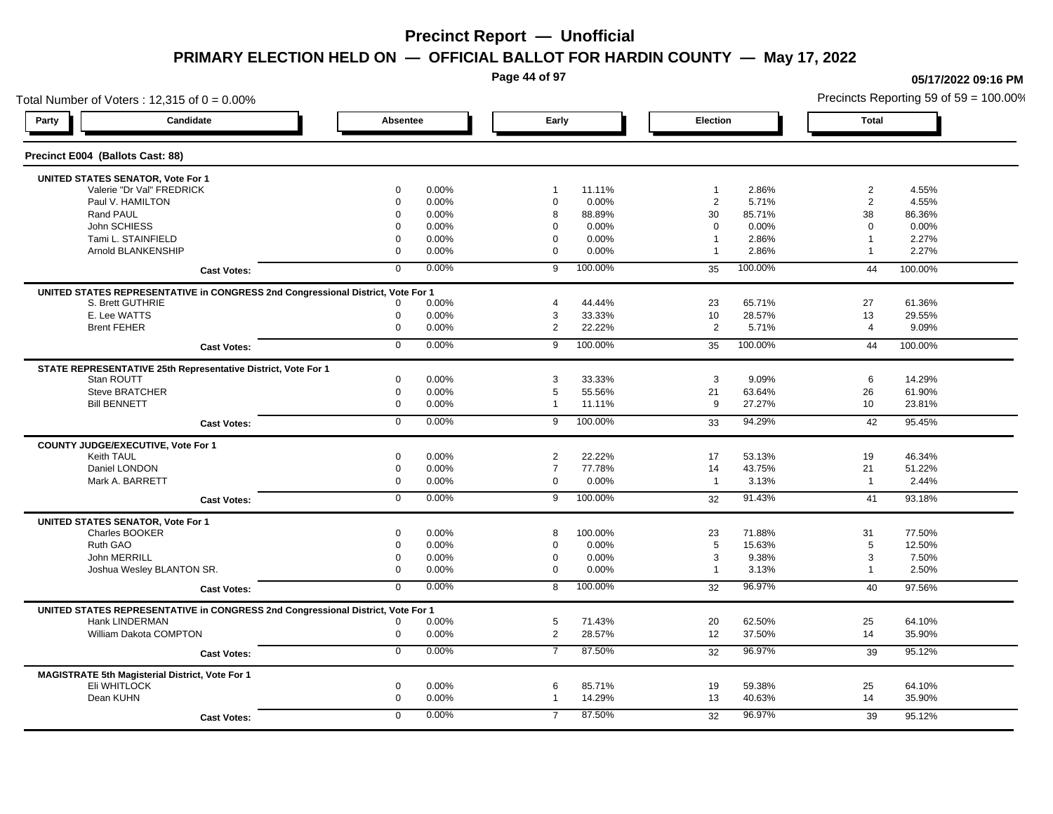**Page 44 of 97**

### Total Number of Voters : 12,315 of  $0 = 0.00\%$ **Party Candidate Absentee Early Election Total Precinct E004 (Ballots Cast: 88) UNITED STATES SENATOR, Vote For 1** Valerie "Dr Val" FREDRICK 0 0.00% 1 11.11% 1 2.86% 2 4.55% Paul V. HAMILTON 0 0.00% 0 0.00% 2 5.71% 2 4.55% Rand PAUL 0 0.00% 8 88.89% 30 85.71% 38 86.36% John SCHIESS 0 0.00% 0 0.00% 0 0.00% 0 0.00% Tami L. STAINFIELD 0 0.00% 0 0.00% 1 2.86% 1 2.27% Arnold BLANKENSHIP 0 0.00% 0 0.00% 1 2.86% 1 2.27% **Cast Votes:** 0 0.00% 9 100.00% 35 100.00% 44 100.00% **UNITED STATES REPRESENTATIVE in CONGRESS 2nd Congressional District, Vote For 1** S. Brett GUTHRIE 0 0.00% 4 44.44% 23 65.71% 27 61.36% E. Lee WATTS 0 0.00% 3 33.33% 10 28.57% 13 29.55% Brent FEHER 0 0.00% 2 22.22% 2 5.71% 4 9.09% **Cast Votes:** 0 0.00% 9 100.00% 35 100.00% 44 100.00% **STATE REPRESENTATIVE 25th Representative District, Vote For 1** Stan ROUTT 0 0.00% 3 33.33% 3 9.09% 6 14.29% Steve BRATCHER 0 0.00% 5 55.56% 21 63.64% 26 61.90% Bill BENNETT 0 0.00% 1 11.11% 9 27.27% 10 23.81% **Cast Votes:** 0 0.00% 9 100.00% 33 94.29% 42 95.45% **COUNTY JUDGE/EXECUTIVE, Vote For 1** Keith TAUL 0 0.00% 2 22.22% 17 53.13% 19 46.34% Daniel LONDON 0 0.00% 7 77.78% 14 43.75% 21 51.22% Mark A. BARRETT 0 0.00% 0 0.00% 1 3.13% 1 2.44% **Cast Votes:** 0 0.00% 9 100.00% 32 91.43% 41 93.18% **UNITED STATES SENATOR, Vote For 1** Charles BOOKER 0 0.00% 8 100.00% 23 71.88% 31 77.50% Ruth GAO 0 0.00% 0 0.00% 5 15.63% 5 12.50% John MERRILL 0 0.00% 0 0.00% 3 9.38% 3 7.50% Joshua Wesley BLANTON SR. 0 0.00% 0 0.00% 1 3.13% 1 2.50% **Cast Votes:** 0 0.00% 8 100.00% 32 96.97% 40 97.56% **UNITED STATES REPRESENTATIVE in CONGRESS 2nd Congressional District, Vote For 1** Hank LINDERMAN 0 0.00% 5 71.43% 20 62.50% 25 64.10% William Dakota COMPTON 0 0.00% 2 28.57% 12 37.50% 14 35.90% **Cast Votes:** 0 0.00% 7 87.50% 32 96.97% 39 95.12% **MAGISTRATE 5th Magisterial District, Vote For 1** Eli WHITLOCK 0 0.00% 6 85.71% 19 59.38% 25 64.10% Dean KUHN 0 0.00% 1 14.29% 13 40.63% 14 35.90% **Cast Votes:** 0 0.00% 7 87.50% 32 96.97% 39 95.12%

**05/17/2022 09:16 PM**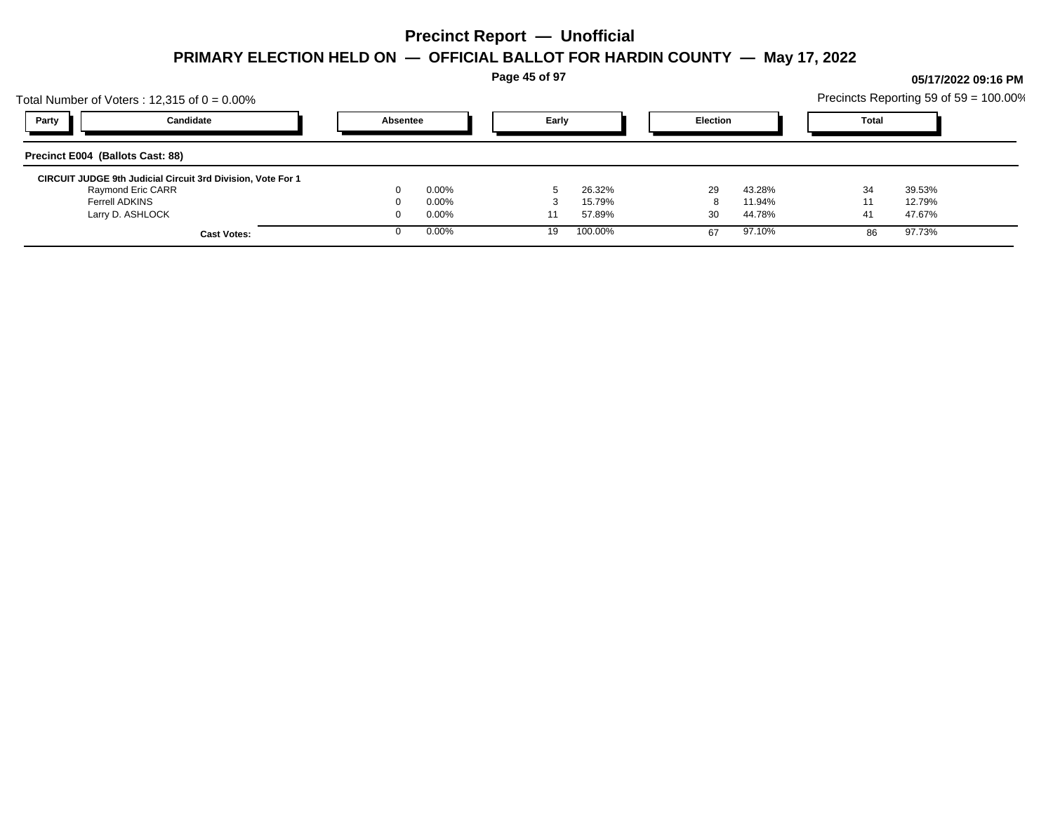**Page 45 of 97**

## Total Number of Voters : 12,315 of  $0 = 0.00\%$ Precincts Reporting 59 of 59 = 100.00% **Party Candidate Absentee Early Election Total Precinct E004 (Ballots Cast: 88) CIRCUIT JUDGE 9th Judicial Circuit 3rd Division, Vote For 1** Raymond Eric CARR 0 0.00% 5 26.32% 29 43.28% 34 39.53% Ferrell ADKINS 0 0.00% 3 15.79% 8 11.94% 11 12.79% Larry D. ASHLOCK 0 0.00% 11 57.89% 30 44.78% 41 47.67% **Cast Votes:** 0 0.00% 19 100.00% 67 97.10% 86 97.73%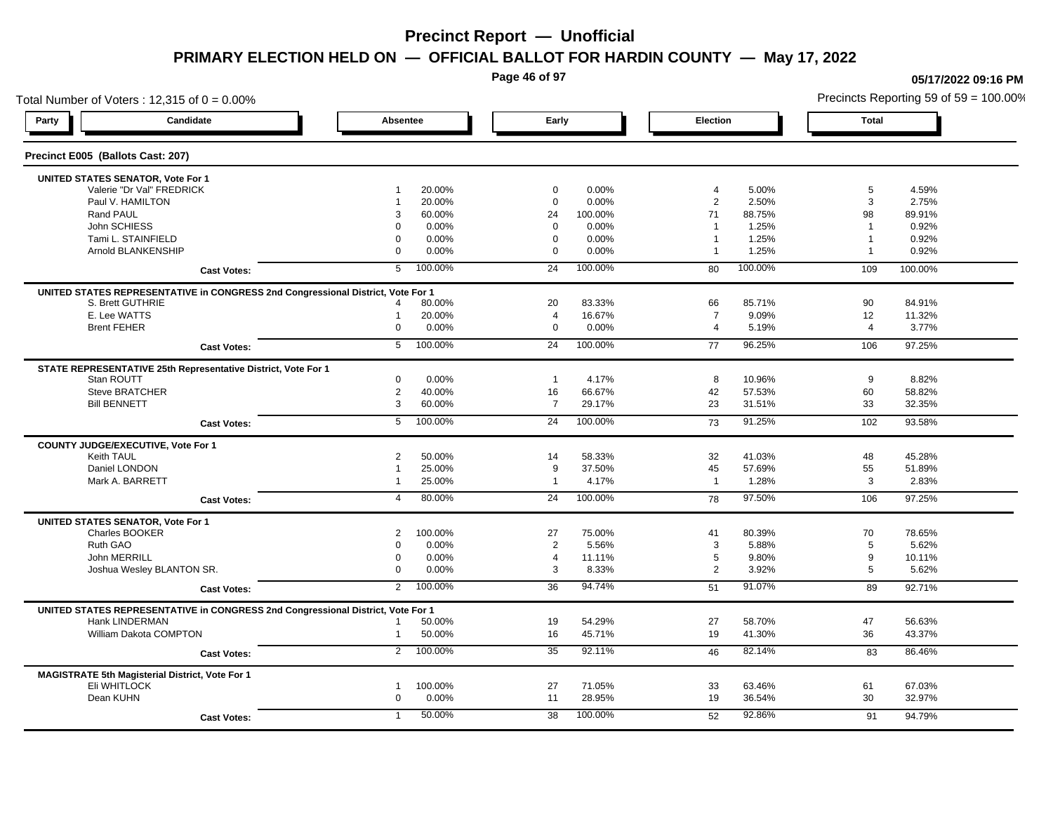**Page 46 of 97**

### Total Number of Voters : 12,315 of  $0 = 0.00\%$ **Party Candidate Absentee Early Election Total Precinct E005 (Ballots Cast: 207) UNITED STATES SENATOR, Vote For 1** Valerie "Dr Val" FREDRICK 1 20.00% 0 0.00% 4 5.00% 5 4.59% Paul V. HAMILTON 1 20.00% 0 0.00% 2 2.50% 3 2.75% Rand PAUL 3 60.00% 24 100.00% 71 88.75% 98 89.91% John SCHIESS 0 0.00% 0 0.00% 1 1.25% 1 0.92% Tami L. STAINFIELD 0 0.00% 0 0.00% 1 1.25% 1 0.92% 1 Arnold BLANKENSHIP 0 0.00% 0 0.00% 1 1.25% 1 0.92% **Cast Votes:** 5 100.00% 24 100.00% 80 100.00% 109 100.00% **UNITED STATES REPRESENTATIVE in CONGRESS 2nd Congressional District, Vote For 1** S. Brett GUTHRIE 4 80.00% 20 83.33% 66 85.71% 90 84.91% E. Lee WATTS 1 20.00% 4 16.67% 7 9.09% 12 11.32% Brent FEHER 0 0.00% 0 0.00% 4 5.19% 4 3.77% **Cast Votes:** 5 100.00% 24 100.00% 77 96.25% 106 97.25% **STATE REPRESENTATIVE 25th Representative District, Vote For 1** Stan ROUTT 0 0.00% 1 4.17% 8 10.96% 9 8.82% Steve BRATCHER 2 40.00% 16 66.67% 42 57.53% 60 58.82% Bill BENNETT 3 60.00% 7 29.17% 23 31.51% 33 32.35% **Cast Votes:** 5 100.00% 24 100.00% 73 91.25% 102 93.58% **COUNTY JUDGE/EXECUTIVE, Vote For 1** Keith TAUL 2 50.00% 14 58.33% 32 41.03% 48 45.28% Daniel LONDON 1 25.00% 9 37.50% 45 57.69% 55 51.89% Mark A. BARRETT 1 25.00% 1 4.17% 1 1.28% 3 2.83% **Cast Votes:** 4 80.00% 24 100.00% 78 97.50% 106 97.25% **UNITED STATES SENATOR, Vote For 1** Charles BOOKER 2 100.00% 27 75.00% 41 80.39% 70 78.65% Ruth GAO 0 0.00% 2 5.56% 3 5.88% 5 5.62% John MERRILL 0 0.00% 4 11.11% 5 9.80% 9 10.11% Joshua Wesley BLANTON SR. 0 0.00% 3 8.33% 2 3.92% 5 5.62% **Cast Votes:** 2 100.00% 36 94.74% 51 91.07% 89 92.71% **UNITED STATES REPRESENTATIVE in CONGRESS 2nd Congressional District, Vote For 1** Hank LINDERMAN 1 50.00% 19 54.29% 27 58.70% 47 56.63% William Dakota COMPTON 1 50.00% 16 45.71% 19 41.30% 36 43.37% **Cast Votes:** 2 100.00% 35 92.11% 46 82.14% 83 86.46% **MAGISTRATE 5th Magisterial District, Vote For 1** Eli WHITLOCK 1 100.00% 27 71.05% 33 63.46% 61 67.03% Dean KUHN 0 0.00% 11 28.95% 19 36.54% 30 32.97% **Cast Votes:** 1 50.00% 38 100.00% 52 92.86% 91 94.79%

#### **05/17/2022 09:16 PM**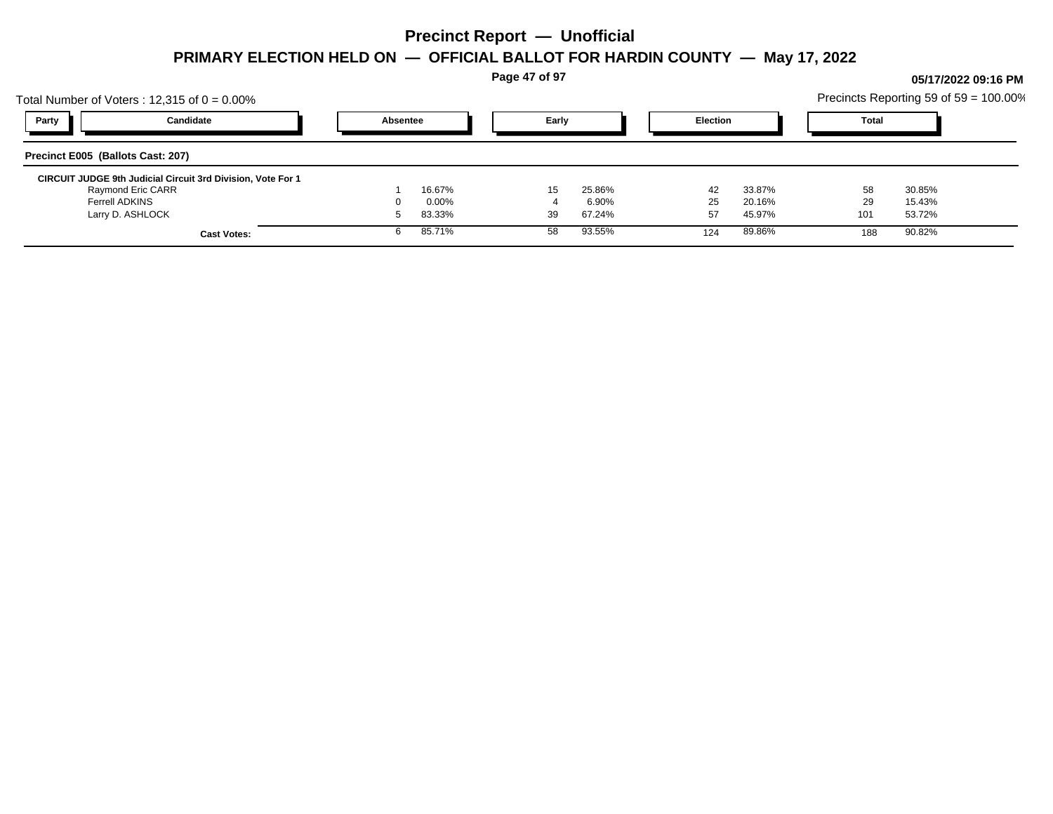**Page 47 of 97**

## Total Number of Voters : 12,315 of  $0 = 0.00\%$ Precincts Reporting 59 of 59 = 100.00% **Party Candidate Absentee Early Election Total Precinct E005 (Ballots Cast: 207) CIRCUIT JUDGE 9th Judicial Circuit 3rd Division, Vote For 1** Raymond Eric CARR 1 16.67% 15 25.86% 42 33.87% 58 30.85% Ferrell ADKINS 0 0.00% 4 6.90% 25 20.16% 29 15.43% Larry D. ASHLOCK 5 83.33% 39 67.24% 57 45.97% 101 53.72% **Cast Votes:** 6 85.71% 58 93.55% 124 89.86% 188 90.82%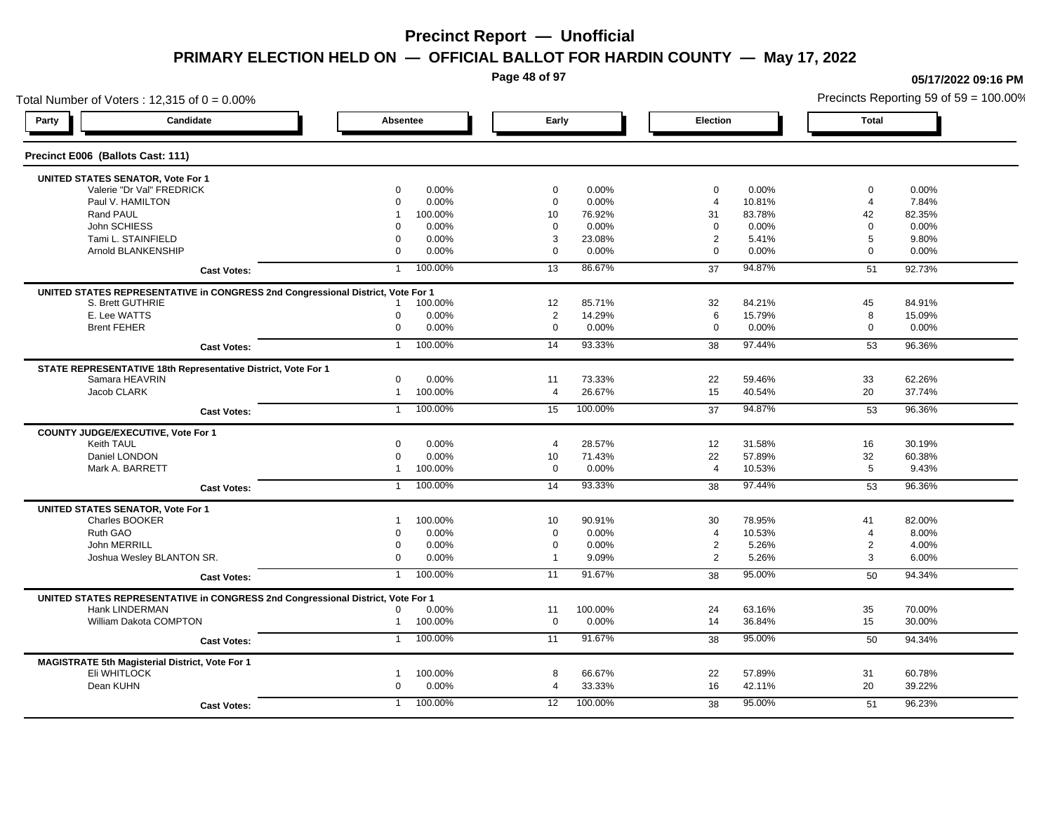**Page 48 of 97**

### Total Number of Voters : 12,315 of  $0 = 0.00\%$ **Party Candidate Absentee Early Election Total Precinct E006 (Ballots Cast: 111) UNITED STATES SENATOR, Vote For 1** Valerie "Dr Val" FREDRICK 0 0.00% 0 0.00% 0 0.00% 0 0.00% Paul V. HAMILTON 0 0.00% 0 0.00% 4 10.81% 4 7.84% Rand PAUL 1 100.00% 10 76.92% 31 83.78% 82.35% 1 John SCHIESS 0 0.00% 0 0.00% 0 0.00% 0 0.00% Tami L. STAINFIELD 0 0.00% 3 23.08% 2 5.41% 5 9.80% Arnold BLANKENSHIP 0 0.00% 0 0.00% 0 0.00% 0 0.00% **Cast Votes:** 1 100.00% 13 86.67% 37 94.87% 51 92.73% **UNITED STATES REPRESENTATIVE in CONGRESS 2nd Congressional District, Vote For 1** S. Brett GUTHRIE 1 100.00% 12 85.71% 32 84.21% 45 84.91% E. Lee WATTS 0 0.00% 2 14.29% 6 15.79% 8 15.09% Brent FEHER 0 0.00% 0 0.00% 0 0.00% 0 0.00% **Cast Votes:** 1 100.00% 14 93.33% 38 97.44% 53 96.36% **STATE REPRESENTATIVE 18th Representative District, Vote For 1** Samara HEAVRIN 0 0.00% 11 73.33% 22 59.46% 33 62.26% Jacob CLARK 1 100.00% 4 26.67% 15 40.54% 20 37.74% **Cast Votes:** 1 100.00% 15 100.00% 37 94.87% 53 96.36% **COUNTY JUDGE/EXECUTIVE, Vote For 1** Keith TAUL 0 0.00% 4 28.57% 12 31.58% 16 30.19% Daniel LONDON 0 0.00% 10 71.43% 22 57.89% 32 60.38% Mark A. BARRETT 1 100.00% 0 0.00% 4 10.53% 5 9.43% **Cast Votes:** 1 100.00% 14 93.33% 38 97.44% 53 96.36% **UNITED STATES SENATOR, Vote For 1** Charles BOOKER 1 100.00% 10 90.91% 30 78.95% 41 82.00% Ruth GAO 0 0.00% 0 0.00% 4 10.53% 4 8.00% John MERRILL 0 0.00% 0 0.00% 2 5.26% 2 4.00% Joshua Wesley BLANTON SR. 0 0.00% 1 9.09% 2 5.26% 3 6.00% **Cast Votes:** 1 100.00% 11 91.67% 38 95.00% 50 94.34% **UNITED STATES REPRESENTATIVE in CONGRESS 2nd Congressional District, Vote For 1** Hank LINDERMAN 0 0.00% 11 100.00% 24 63.16% 35 70.00% William Dakota COMPTON 1 100.00% 0 0.00% 14 36.84% 15 30.00% **Cast Votes:** 1 100.00% 11 91.67% 38 95.00% 50 94.34% **MAGISTRATE 5th Magisterial District, Vote For 1** Eli WHITLOCK 1 100.00% 8 66.67% 22 57.89% 31 60.78% Dean KUHN 0 0.00% 4 33.33% 16 42.11% 20 39.22% **Cast Votes:** 1 100.00% 12 100.00% 38 95.00% 51 96.23%

#### **05/17/2022 09:16 PM**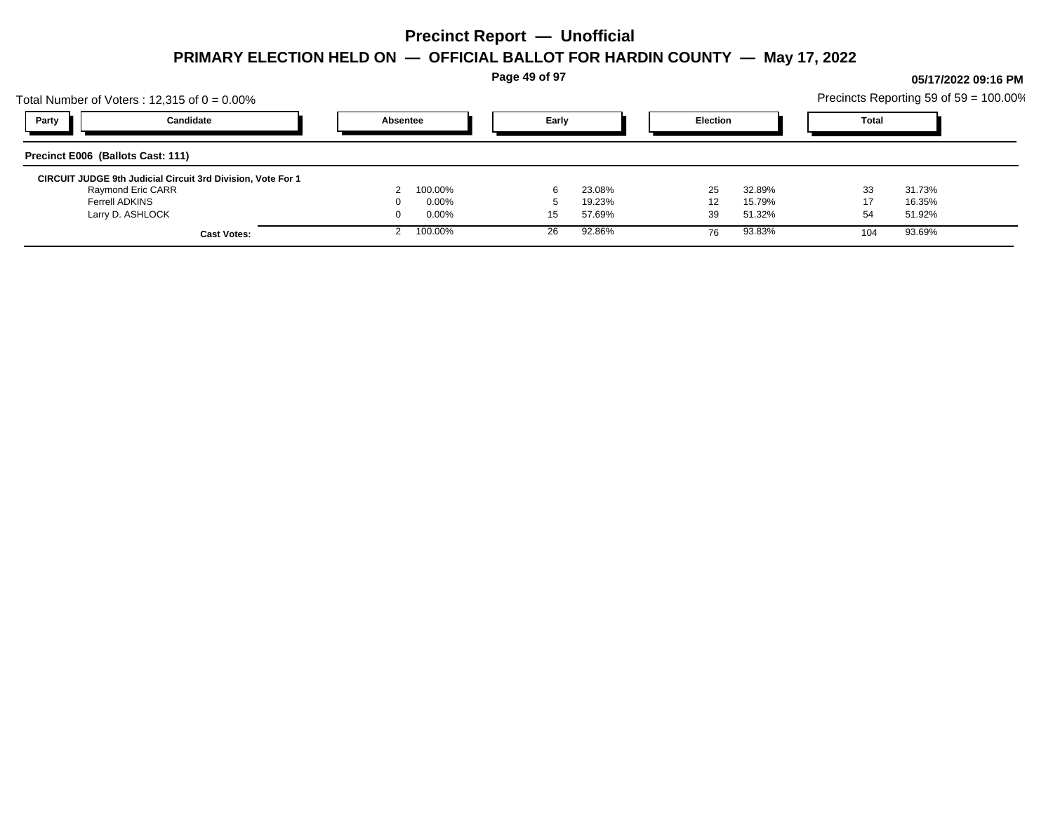**Page 49 of 97**

## Total Number of Voters : 12,315 of  $0 = 0.00\%$ Precincts Reporting 59 of 59 = 100.00% **Party Candidate Absentee Early Election Total Precinct E006 (Ballots Cast: 111) CIRCUIT JUDGE 9th Judicial Circuit 3rd Division, Vote For 1** Raymond Eric CARR 2 100.00% 6 23.08% 25 32.89% 33 31.73% Ferrell ADKINS 0 0.00% 5 19.23% 12 15.79% 17 16.35% Larry D. ASHLOCK 0 0.00% 15 57.69% 39 51.32% 54 51.92% **Cast Votes:** 2 100.00% 26 92.86% 76 93.83% 104 93.69%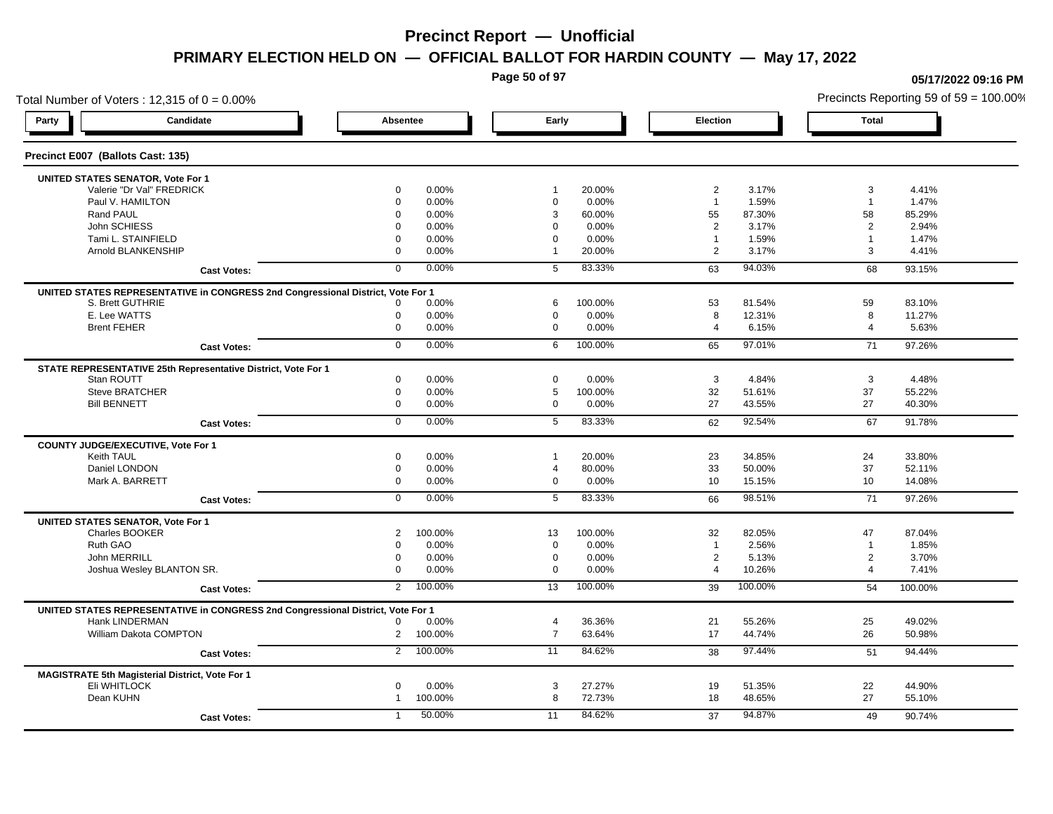**Page 50 of 97**

### Total Number of Voters : 12,315 of  $0 = 0.00\%$ **Party Candidate Absentee Early Election Total Precinct E007 (Ballots Cast: 135) UNITED STATES SENATOR, Vote For 1** Valerie "Dr Val" FREDRICK 0 0.00% 1 20.00% 2 3.17% 3 4.41% Paul V. HAMILTON 0 0.00% 0 0.00% 1 1.59% 1 1.47% Rand PAUL 0 0.00% 3 60.00% 55 87.30% 58 85.29% John SCHIESS 0 0.00% 0 0.00% 2 3.17% 2 2.94% Tami L. STAINFIELD 0 0.00% 0 0.00% 1 1.59% 1 1.47% 1 Arnold BLANKENSHIP 0 0.00% 1 20.00% 2 3.17% 3 4.41% **Cast Votes:** 0 0.00% 5 83.33% 63 94.03% 68 93.15% **UNITED STATES REPRESENTATIVE in CONGRESS 2nd Congressional District, Vote For 1** S. Brett GUTHRIE 0 0.00% 6 100.00% 53 81.54% 59 83.10% E. Lee WATTS 0 0.00% 0 0.00% 8 12.31% 8 11.27% Brent FEHER 0 0.00% 0 0.00% 4 6.15% 4 5.63% **Cast Votes:** 0 0.00% 6 100.00% 65 97.01% 71 97.26% **STATE REPRESENTATIVE 25th Representative District, Vote For 1** Stan ROUTT 0 0.00% 0 0.00% 3 4.84% 3 4.48% Steve BRATCHER 0 0.00% 5 100.00% 32 51.61% 37 55.22% Bill BENNETT 0 0.00% 0 0.00% 27 43.55% 27 40.30% **Cast Votes:** 0 0.00% 5 83.33% 62 92.54% 67 91.78% **COUNTY JUDGE/EXECUTIVE, Vote For 1** Keith TAUL 0 0.00% 1 20.00% 23 34.85% 24 33.80% Daniel LONDON 0 0.00% 4 80.00% 33 50.00% 37 52.11% Mark A. BARRETT 0 0.00% 0 0.00% 10 15.15% 10 14.08% **Cast Votes:** 0 0.00% 5 83.33% 66 98.51% 71 97.26% **UNITED STATES SENATOR, Vote For 1** Charles BOOKER 2 100.00% 13 100.00% 32 82.05% 47 87.04% Ruth GAO 0 0.00% 0 0.00% 1 2.56% 1 1.85% John MERRILL 0 0.00% 0 0.00% 2 5.13% 2 3.70% Joshua Wesley BLANTON SR. 0 0.00% 0 0.00% 4 10.26% 4 7.41% **Cast Votes:** 2 100.00% 13 100.00% 39 100.00% 54 100.00% **UNITED STATES REPRESENTATIVE in CONGRESS 2nd Congressional District, Vote For 1** Hank LINDERMAN 0 0.00% 4 36.36% 21 55.26% 25 49.02% William Dakota COMPTON 2 100.00% 7 63.64% 17 44.74% 26 50.98% **Cast Votes:** 2 100.00% 11 84.62% 38 97.44% 51 94.44% **MAGISTRATE 5th Magisterial District, Vote For 1** Eli WHITLOCK 0 0.00% 3 27.27% 19 51.35% 22 44.90% Dean KUHN 1 100.00% 8 72.73% 18 48.65% 27 55.10% **Cast Votes:** 1 50.00% 11 84.62% 37 94.87% 49 90.74%

**05/17/2022 09:16 PM**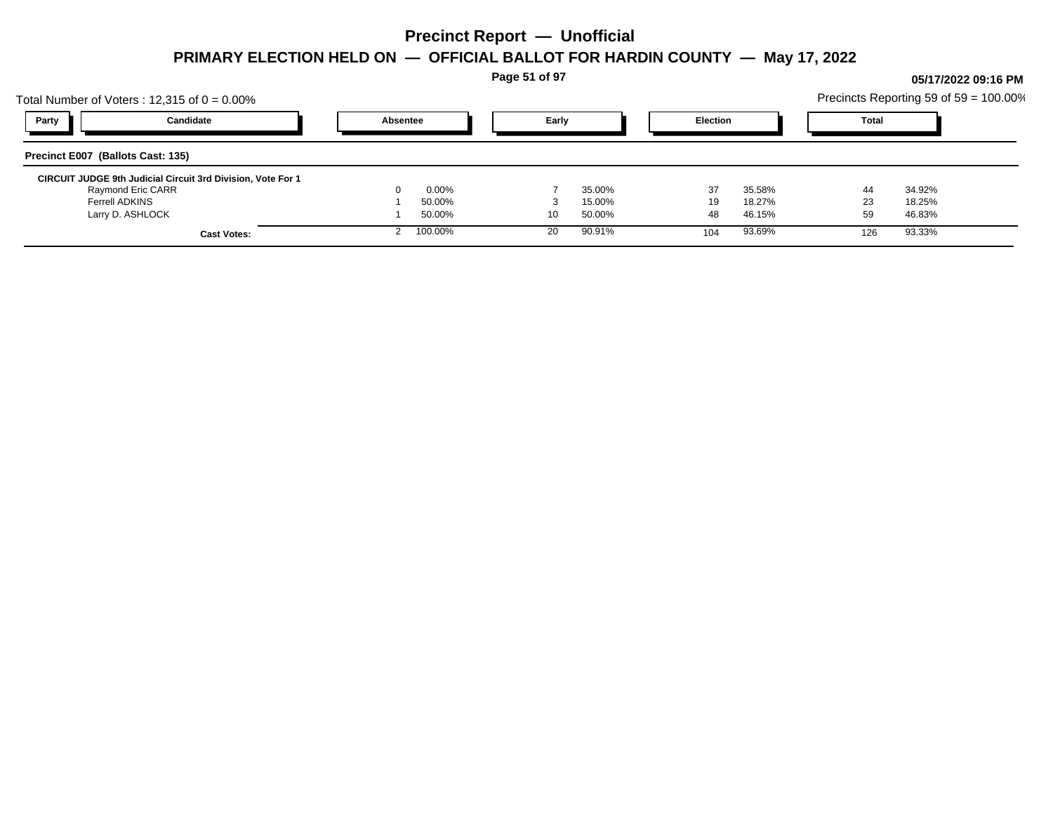**Page 51 of 97**

## Total Number of Voters : 12,315 of  $0 = 0.00\%$ Precincts Reporting 59 of 59 = 100.00% **Party Candidate Absentee Early Election Total Precinct E007 (Ballots Cast: 135) CIRCUIT JUDGE 9th Judicial Circuit 3rd Division, Vote For 1** Raymond Eric CARR 0 0.00% 7 35.00% 37 35.58% 44 34.92% Ferrell ADKINS 1 50.00% 3 15.00% 19 18.27% 23 18.25% Larry D. ASHLOCK 1 50.00% 10 50.00% 48 46.15% 59 46.83% **Cast Votes:** 2 100.00% 20 90.91% 104 93.69% 126 93.33%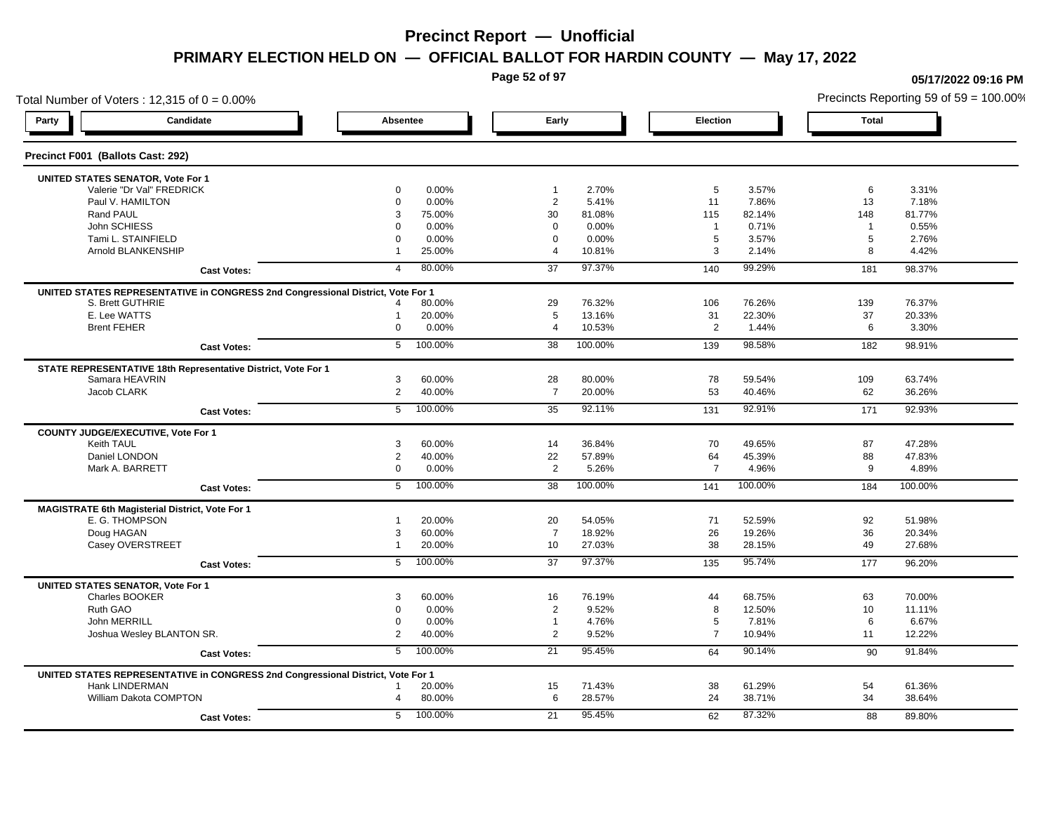**Page 52 of 97**

**05/17/2022 09:16 PM**

### Total Number of Voters : 12,315 of  $0 = 0.00\%$ Precincts Reporting 59 of 59 = 100.00% **Party Candidate Absentee Early Election Total Precinct F001 (Ballots Cast: 292) UNITED STATES SENATOR, Vote For 1** Valerie "Dr Val" FREDRICK 0 0.00% 1 2.70% 5 3.57% 6 3.31% Paul V. HAMILTON 0 0.00% 2 5.41% 11 7.86% 13 7.18% Rand PAUL 3 75.00% 30 81.08% 115 82.14% 148 81.77% John SCHIESS 0 0.00% 0 0.00% 1 0.71% 1 0.55% Tami L. STAINFIELD 0 0.00% 0 0.00% 5 3.57% 5 2.76% Arnold BLANKENSHIP 1 25.00% 4 10.81% 3 2.14% 8 4.42% **Cast Votes:** 4 80.00% 37 97.37% 140 99.29% 181 98.37% **UNITED STATES REPRESENTATIVE in CONGRESS 2nd Congressional District, Vote For 1** S. Brett GUTHRIE 4 80.00% 29 76.32% 106 76.26% 139 76.37% E. Lee WATTS 1 20.00% 5 13.16% 31 22.30% 37 20.33% Brent FEHER 0 0.00% 4 10.53% 2 1.44% 6 3.30% **Cast Votes:** 5 100.00% 38 100.00% 139 98.58% 182 98.91% **STATE REPRESENTATIVE 18th Representative District, Vote For 1** Samara HEAVRIN 3 60.00% 28 80.00% 78 59.54% 109 63.74% Jacob CLARK 2 40.00% 7 20.00% 53 40.46% 62 36.26% **Cast Votes:** 5 100.00% 35 92.11% 131 92.91% 171 92.93% **COUNTY JUDGE/EXECUTIVE, Vote For 1** Keith TAUL 3 60.00% 14 36.84% 70 49.65% 87 47.28% Daniel LONDON 2 40.00% 22 57.89% 64 45.39% 88 47.83% Mark A. BARRETT 0 0.00% 2 5.26% 7 4.96% 9 4.89% **Cast Votes:** 5 100.00% 38 100.00% 141 100.00% 184 100.00% **MAGISTRATE 6th Magisterial District, Vote For 1** E. G. THOMPSON 1 20.00% 20 54.05% 71 52.59% 92 51.98% Doug HAGAN 3 60.00% 7 18.92% 26 19.26% 36 20.34% Casey OVERSTREET 1 20.00% 10 27.03% 38 28.15% 49 27.68% **Cast Votes:** 5 100.00% 37 97.37% 135 95.74% 177 96.20% **UNITED STATES SENATOR, Vote For 1** Charles BOOKER 3 60.00% 16 76.19% 44 68.75% 63 70.00% Ruth GAO 0 0.00% 2 9.52% 8 12.50% 10 11.11% John MERRILL 0 0.00% 1 4.76% 5 7.81% 6 6.67% Joshua Wesley BLANTON SR. 2 40.00% 2 9.52% 7 10.94% 11 12.22% **Cast Votes:** 5 100.00% 21 95.45% 64 90.14% 90 91.84% **UNITED STATES REPRESENTATIVE in CONGRESS 2nd Congressional District, Vote For 1** Hank LINDERMAN 1 20.00% 15 71.43% 38 61.29% 54 61.36% William Dakota COMPTON 84 28.000 4 28.000 4 38.000 6 28.57% 38.54% 24 38.71% 34 38.64% **Cast Votes:** 5 100.00% 21 95.45% 62 87.32% 88 89.80%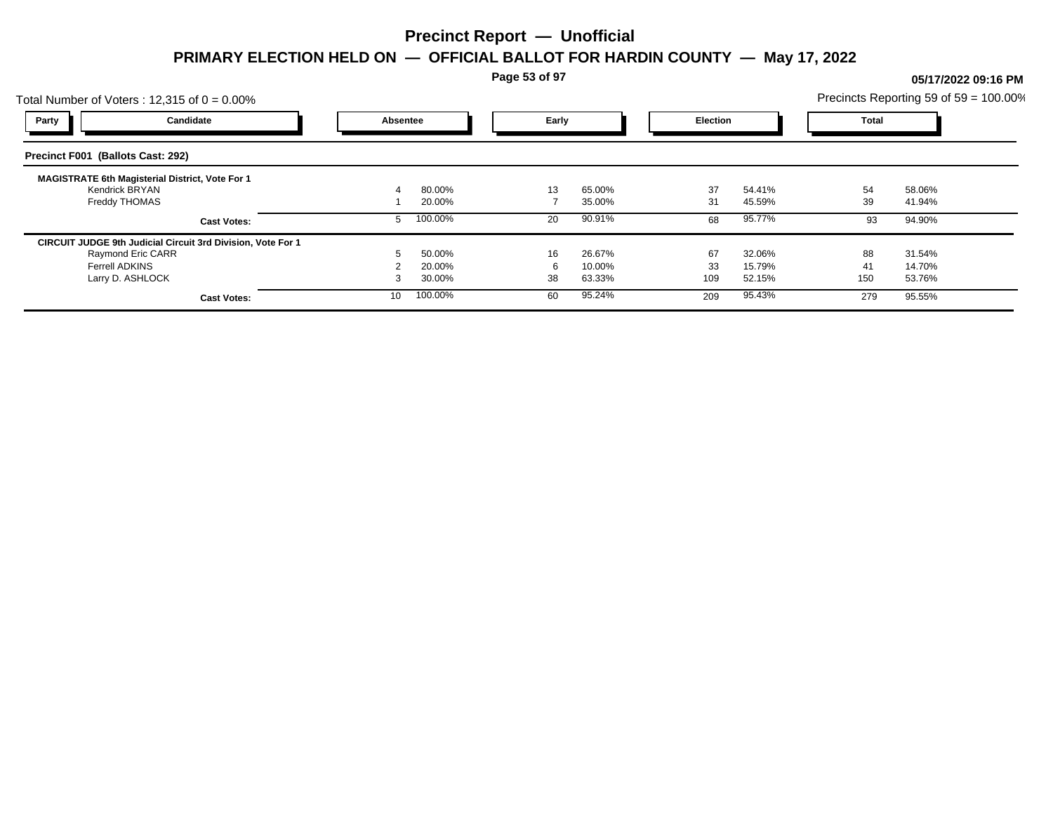**Page 53 of 97**

## Total Number of Voters : 12,315 of  $0 = 0.00\%$ Precincts Reporting 59 of 59 = 100.00% **Party Candidate Absentee Early Election Total Precinct F001 (Ballots Cast: 292) MAGISTRATE 6th Magisterial District, Vote For 1** Kendrick BRYAN 4 80.00% 13 65.00% 37 54.41% 54 58.06% Freddy THOMAS 1 20.00% 7 35.00% 31 45.59% 39 41.94% **Cast Votes:** 5 100.00% 20 90.91% 68 95.77% 93 94.90% **CIRCUIT JUDGE 9th Judicial Circuit 3rd Division, Vote For 1** Raymond Eric CARR 5 50.00% 16 26.67% 67 32.06% 88 31.54% Ferrell ADKINS 2 20.00% 6 10.00% 33 15.79% 41 14.70% Larry D. ASHLOCK 3 30.00% 38 63.33% 109 52.15% 150 53.76% **Cast Votes:** 10 100.00% 60 95.24% 209 95.43% 279 95.55%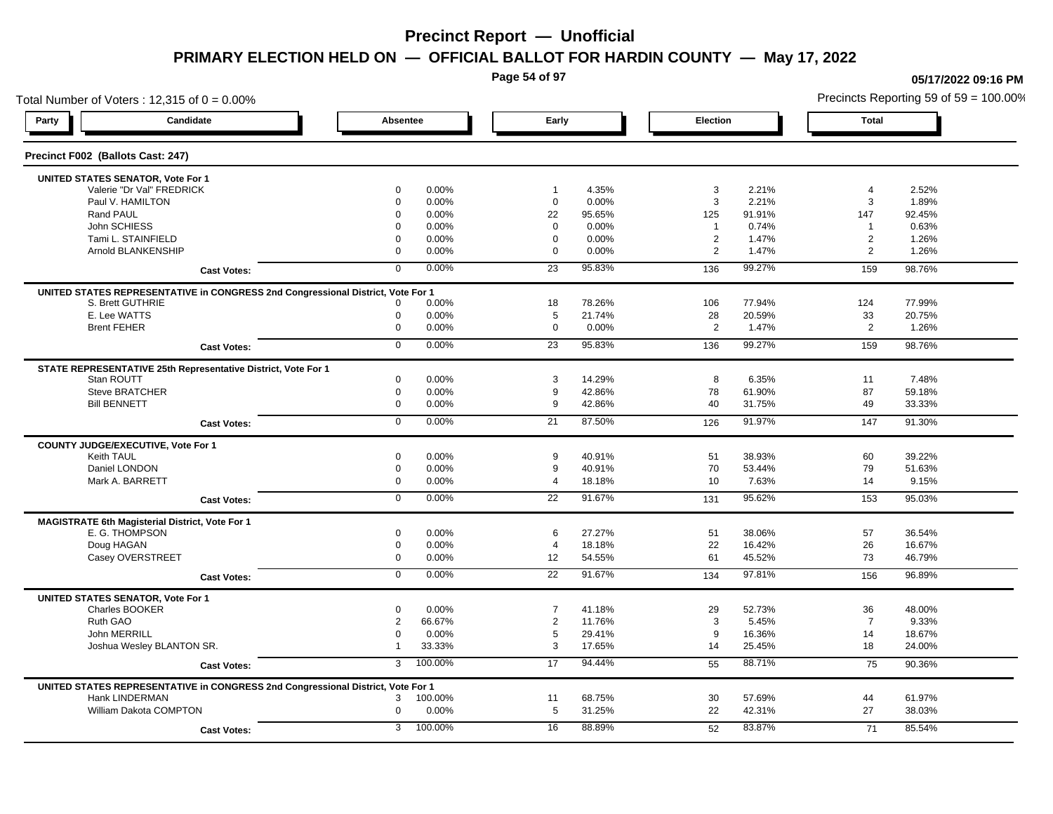**Page 54 of 97**

### Total Number of Voters : 12,315 of  $0 = 0.00\%$ **Party Candidate Absentee Early Election Total Precinct F002 (Ballots Cast: 247) UNITED STATES SENATOR, Vote For 1** Valerie "Dr Val" FREDRICK 0 0.00% 1 4.35% 3 2.21% 4 2.52% Paul V. HAMILTON 0 0.00% 0 0.00% 3 2.21% 3 1.89% Rand PAUL 0 0.00% 22 95.65% 125 91.91% 147 92.45% John SCHIESS 0 0.00% 0 0.00% 1 0.74% 1 0.63% Tami L. STAINFIELD 0 0.00% 0 0.00% 2 1.47% 2 1.26% Arnold BLANKENSHIP 0 0.00% 0 0.00% 2 1.47% 2 1.26% **Cast Votes:** 0 0.00% 23 95.83% 136 99.27% 159 98.76% **UNITED STATES REPRESENTATIVE in CONGRESS 2nd Congressional District, Vote For 1** S. Brett GUTHRIE 0 0.00% 18 78.26% 106 77.94% 124 77.99% E. Lee WATTS 0 0.00% 5 21.74% 28 20.59% 33 20.75% Brent FEHER 0 0.00% 0 0.00% 2 1.47% 2 1.26% **Cast Votes:** 0 0.00% 23 95.83% 136 99.27% 159 98.76% **STATE REPRESENTATIVE 25th Representative District, Vote For 1** Stan ROUTT 0 0.00% 3 14.29% 8 6.35% 11 7.48% Steve BRATCHER 0 0.00% 9 42.86% 78 61.90% 87 59.18% Bill BENNETT 0 0.00% 9 42.86% 40 31.75% 49 33.33% **Cast Votes:** 0 0.00% 21 87.50% 126 91.97% 147 91.30% **COUNTY JUDGE/EXECUTIVE, Vote For 1** Keith TAUL 0 0.00% 9 40.91% 51 38.93% 60 39.22% Daniel LONDON 0 0.00% 9 40.91% 70 53.44% 79 51.63% Mark A. BARRETT 0 0.00% 4 18.18% 10 7.63% 14 9.15% **Cast Votes:** 0 0.00% 22 91.67% 131 95.62% 153 95.03% **MAGISTRATE 6th Magisterial District, Vote For 1** E. G. THOMPSON 0 0.00% 6 27.27% 51 38.06% 57 36.54% Doug HAGAN 0 0.00% 4 18.18% 22 16.42% 26 16.67% Casey OVERSTREET 0 0.00% 12 54.55% 61 45.52% 73 46.79% **Cast Votes:** 0 0.00% 22 91.67% 134 97.81% 156 96.89% **UNITED STATES SENATOR, Vote For 1** Charles BOOKER 0 0.00% 7 41.18% 29 52.73% 36 48.00% Ruth GAO 2 66.67% 2 11.76% 3 5.45% 7 9.33% John MERRILL 0 0.00% 5 29.41% 9 16.36% 14 18.67% Joshua Wesley BLANTON SR. 24.00% 3 17.65% 16 14 25.45% 18 24.00% **Cast Votes:** 3 100.00% 17 94.44% 55 88.71% 75 90.36% **UNITED STATES REPRESENTATIVE in CONGRESS 2nd Congressional District, Vote For 1** Hank LINDERMAN 3 100.00% 11 68.75% 30 57.69% 44 61.97% William Dakota COMPTON 0 0.00% 5 31.25% 22 42.31% 27 38.03% **Cast Votes:** 3 100.00% 16 88.89% 52 83.87% 71 85.54%

#### **05/17/2022 09:16 PM**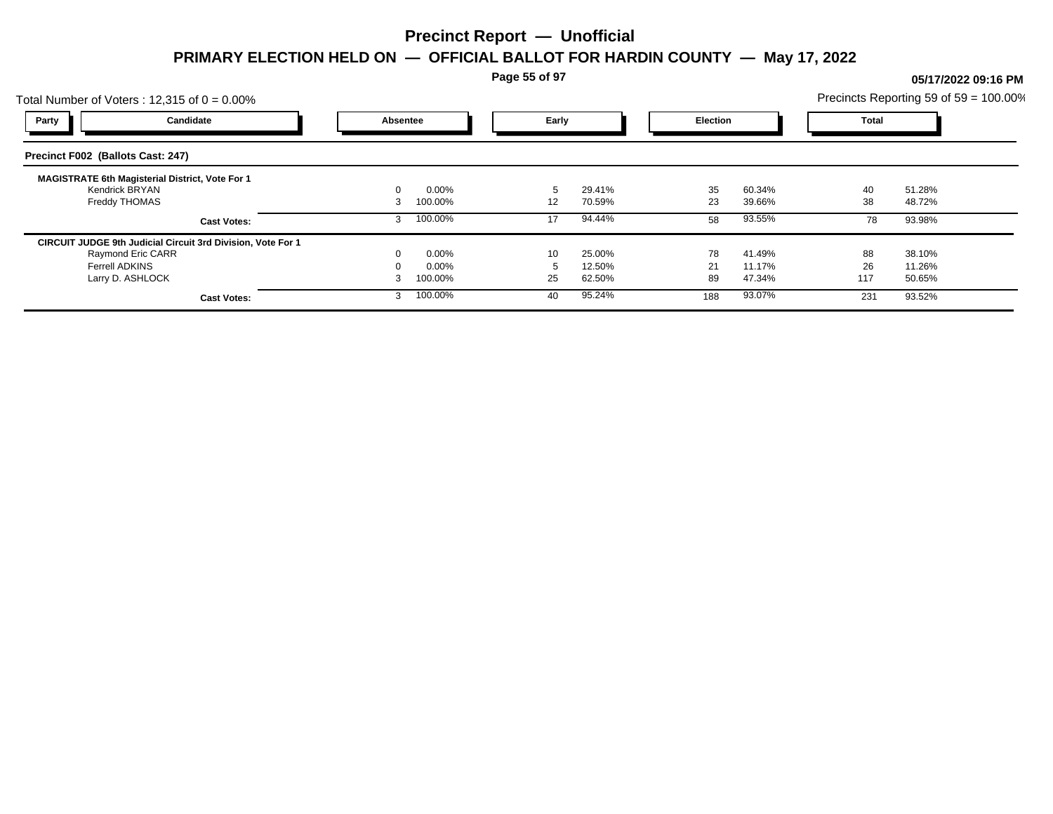**Page 55 of 97**

## Total Number of Voters : 12,315 of  $0 = 0.00\%$ Precincts Reporting 59 of 59 = 100.00% **Party Candidate Absentee Early Election Total Precinct F002 (Ballots Cast: 247) MAGISTRATE 6th Magisterial District, Vote For 1** Kendrick BRYAN 0 0.00% 5 29.41% 35 60.34% 40 51.28% Freddy THOMAS 3 100.00% 12 70.59% 23 39.66% 38 48.72% **Cast Votes:** 3 100.00% 17 94.44% 58 93.55% 78 93.98% **CIRCUIT JUDGE 9th Judicial Circuit 3rd Division, Vote For 1** Raymond Eric CARR 0 0.00% 10 25.00% 78 41.49% 88 38.10% Ferrell ADKINS 0 0.00% 5 12.50% 21 11.17% 26 11.26% Larry D. ASHLOCK 3 100.00% 25 62.50% 89 47.34% 117 50.65% **Cast Votes:** 3 100.00% 40 95.24% 188 93.07% 231 93.52%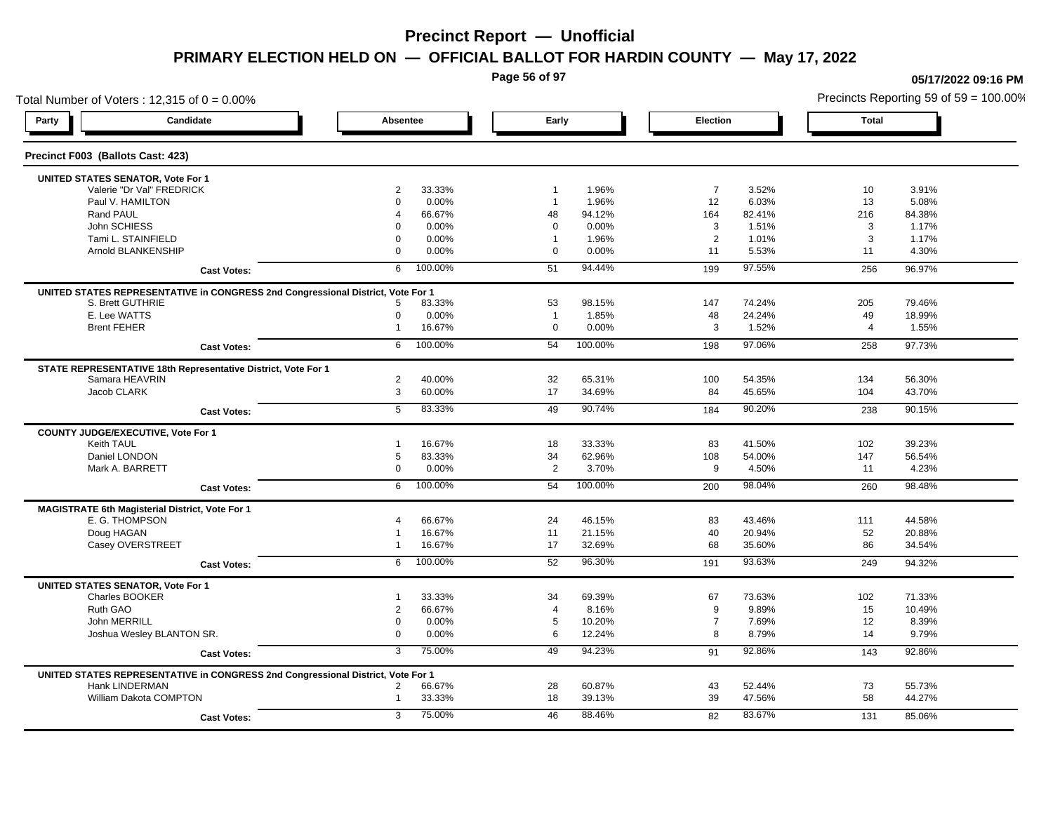**Page 56 of 97**

### Total Number of Voters : 12,315 of  $0 = 0.00\%$ **Party Candidate Absentee Early Election Total Precinct F003 (Ballots Cast: 423) UNITED STATES SENATOR, Vote For 1** Valerie "Dr Val" FREDRICK 2 33.33% 1 1.96% 7 3.52% 10 3.91% Paul V. HAMILTON 0 0.00% 1 1.96% 12 6.03% 13 5.08% Rand PAUL 4 66.67% 48 94.12% 164 82.41% 216 84.38% John SCHIESS 0 0.00% 0 0.00% 3 1.51% 3 1.17% Tami L. STAINFIELD 0 0.00% 1 1.96% 2 1.01% 3 1.17% Arnold BLANKENSHIP 0 0.00% 0 0.00% 11 5.53% 11 4.30% **Cast Votes:** 6 100.00% 51 94.44% 199 97.55% 256 96.97% **UNITED STATES REPRESENTATIVE in CONGRESS 2nd Congressional District, Vote For 1** S. Brett GUTHRIE 5 83.33% 53 98.15% 147 74.24% 205 79.46% E. Lee WATTS 0 0.00% 1 1.85% 48 24.24% 49 18.99% Brent FEHER 1 16.67% 0 0.00% 3 1.52% 4 1.55% **Cast Votes:** 6 100.00% 54 100.00% 198 97.06% 258 97.73% **STATE REPRESENTATIVE 18th Representative District, Vote For 1** Samara HEAVRIN 2 40.00% 32 65.31% 100 54.35% 134 56.30% Jacob CLARK 3 60.00% 17 34.69% 84 45.65% 104 43.70% **Cast Votes:** 5 83.33% 49 90.74% 184 90.20% 238 90.15% **COUNTY JUDGE/EXECUTIVE, Vote For 1** Keith TAUL 1 16.67% 18 33.33% 83 41.50% 102 39.23% Daniel LONDON 5 83.33% 34 62.96% 108 54.00% 147 56.54% Mark A. BARRETT 0 0.00% 2 3.70% 9 4.50% 11 4.23% **Cast Votes:** 6 100.00% 54 100.00% 200 98.04% 260 98.48% **MAGISTRATE 6th Magisterial District, Vote For 1** E. G. THOMPSON 4 66.67% 24 46.15% 83 43.46% 111 44.58% Doug HAGAN 1 16.67% 11 21.15% 40 20.94% 52 20.88% Casey OVERSTREET 1 16.67% 17 32.69% 68 35.60% 86 34.54% **Cast Votes:** 6 100.00% 52 96.30% 191 93.63% 249 94.32% **UNITED STATES SENATOR, Vote For 1** Charles BOOKER 1 33.33% 34 69.39% 67 73.63% 102 71.33% Ruth GAO 2 66.67% 4 8.16% 9 9.89% 15 10.49% John MERRILL 0 0.00% 5 10.20% 7 7.69% 12 8.39% Joshua Wesley BLANTON SR. 0 0.00% 6 12.24% 8 8.79% 14 9.79% **Cast Votes:** 3 75.00% 49 94.23% 91 92.86% 143 92.86% **UNITED STATES REPRESENTATIVE in CONGRESS 2nd Congressional District, Vote For 1** Hank LINDERMAN 2 66.67% 28 60.87% 43 52.44% 73 55.73% William Dakota COMPTON **1 33.33%** 18 39.13% 39 47.56% 58 44.27% 39 47.56% 58 44.27% **Cast Votes:** 3 75.00% 46 88.46% 82 83.67% 131 85.06%

#### **05/17/2022 09:16 PM**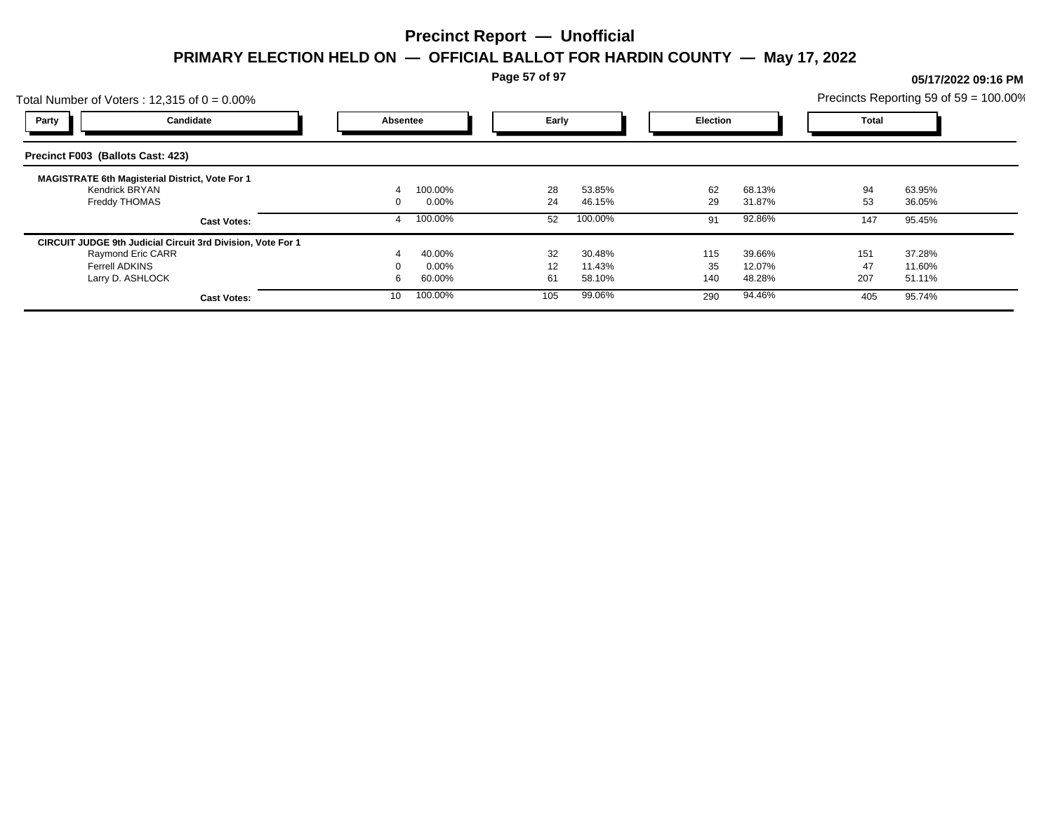**Page 57 of 97**

## Total Number of Voters : 12,315 of  $0 = 0.00\%$ Precincts Reporting 59 of 59 = 100.00% **Party Candidate Absentee Early Election Total Precinct F003 (Ballots Cast: 423) MAGISTRATE 6th Magisterial District, Vote For 1** Kendrick BRYAN 4 100.00% 28 53.85% 62 68.13% 94 63.95% Freddy THOMAS 0 0.00% 24 46.15% 29 31.87% 53 36.05% **Cast Votes:** 4 100.00% 52 100.00% 91 92.86% 147 95.45% **CIRCUIT JUDGE 9th Judicial Circuit 3rd Division, Vote For 1** Raymond Eric CARR 4 40.00% 32 30.48% 115 39.66% 151 37.28% Ferrell ADKINS 0 0.00% 12 11.43% 35 12.07% 47 11.60% Larry D. ASHLOCK 6 60.00% 61 58.10% 140 48.28% 207 51.11% **Cast Votes:** 10 100.00% 105 99.06% 290 94.46% 405 95.74%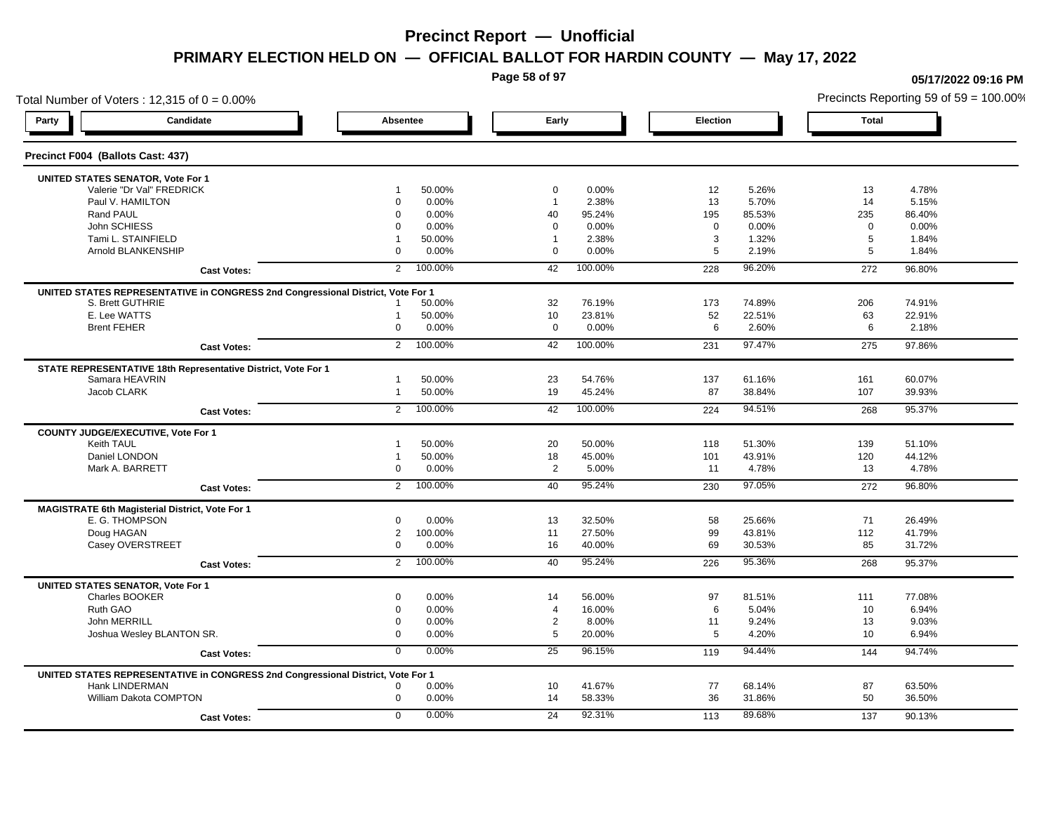**Page 58 of 97**

**05/17/2022 09:16 PM**

### Total Number of Voters : 12,315 of  $0 = 0.00\%$ Precincts Reporting 59 of 59 = 100.00% **Party Candidate Absentee Early Election Total Precinct F004 (Ballots Cast: 437) UNITED STATES SENATOR, Vote For 1** Valerie "Dr Val" FREDRICK 1 50.00% 0 0.00% 12 5.26% 13 4.78% Paul V. HAMILTON 0 0.00% 1 2.38% 13 5.70% 14 5.15% Rand PAUL 0 0.00% 40 95.24% 195 85.53% 235 86.40% John SCHIESS 0 0.00% 0 0.00% 0 0.00% 0 0.00% Tami L. STAINFIELD 1 50.00% 1 2.38% 3 1.32% 5 1.84% Arnold BLANKENSHIP 0 0.00% 0 0.00% 5 2.19% 5 1.84% **Cast Votes:** 2 100.00% 42 100.00% 228 96.20% 272 96.80% **UNITED STATES REPRESENTATIVE in CONGRESS 2nd Congressional District, Vote For 1** S. Brett GUTHRIE 1 50.00% 32 76.19% 173 74.89% 206 74.91% E. Lee WATTS 1 50.00% 10 23.81% 52 22.51% 63 22.91% Brent FEHER 0 0.00% 0 0.00% 6 2.60% 6 2.18% **Cast Votes:** 2 100.00% 42 100.00% 231 97.47% 275 97.86% **STATE REPRESENTATIVE 18th Representative District, Vote For 1** Samara HEAVRIN 1 50.00% 23 54.76% 137 61.16% 161 60.07% Jacob CLARK 1 50.00% 19 45.24% 87 38.84% 107 39.93% **Cast Votes:** 2 100.00% 42 100.00% 224 94.51% 268 95.37% **COUNTY JUDGE/EXECUTIVE, Vote For 1** Keith TAUL 1 50.00% 20 50.00% 118 51.30% 139 51.10% Daniel LONDON 1 50.00% 18 45.00% 101 43.91% 120 44.12% Mark A. BARRETT 0 0.00% 2 5.00% 11 4.78% 13 4.78% **Cast Votes:** 2 100.00% 40 95.24% 230 97.05% 272 96.80% **MAGISTRATE 6th Magisterial District, Vote For 1** E. G. THOMPSON 0 0.00% 13 32.50% 58 25.66% 71 26.49% Doug HAGAN 2 100.00% 11 27.50% 99 43.81% 112 41.79% Casey OVERSTREET 0 0.00% 16 40.00% 69 30.53% 85 31.72% **Cast Votes:** 2 100.00% 40 95.24% 226 95.36% 268 95.37% **UNITED STATES SENATOR, Vote For 1** Charles BOOKER 0 0.00% 14 56.00% 97 81.51% 111 77.08% Ruth GAO 0 0.00% 4 16.00% 6 5.04% 10 6.94% John MERRILL 0 0.00% 2 8.00% 11 9.24% 13 9.03% Joshua Wesley BLANTON SR. 0 0.00% 5 20.00% 5 4.20% 10 6.94% **Cast Votes:** 0 0.00% 25 96.15% 119 94.44% 144 94.74% **UNITED STATES REPRESENTATIVE in CONGRESS 2nd Congressional District, Vote For 1** Hank LINDERMAN 0 0.00% 10 41.67% 77 68.14% 87 63.50% William Dakota COMPTON **12.000 12.000 12.000 12.000 14 58.33%** 36 31.86% 50 36.50% 36.50% **Cast Votes:** 0 0.00% 24 92.31% 113 89.68% 137 90.13%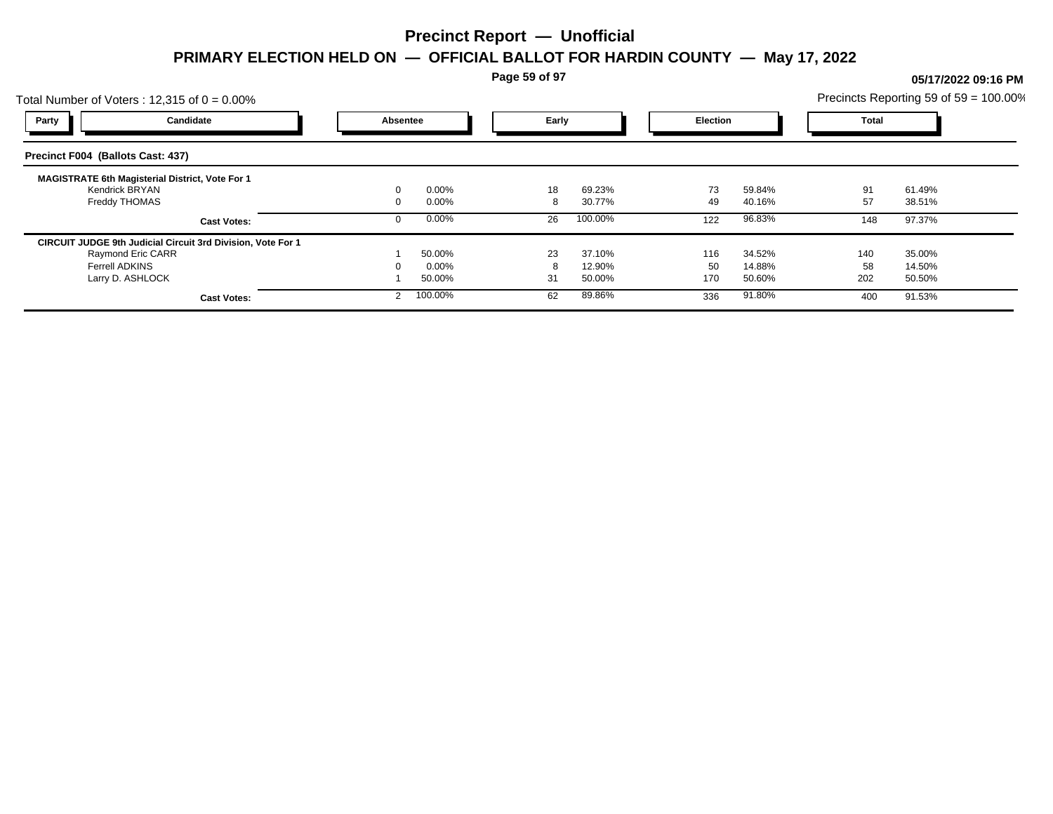**Page 59 of 97**

## Total Number of Voters : 12,315 of  $0 = 0.00\%$ Precincts Reporting 59 of 59 = 100.00% **Party Candidate Absentee Early Election Total Precinct F004 (Ballots Cast: 437) MAGISTRATE 6th Magisterial District, Vote For 1** Kendrick BRYAN 0 0.00% 18 69.23% 73 59.84% 91 61.49% Freddy THOMAS 0 0.00% 8 30.77% 49 40.16% 57 38.51% **Cast Votes:** 0 0.00% 26 100.00% 122 96.83% 148 97.37% **CIRCUIT JUDGE 9th Judicial Circuit 3rd Division, Vote For 1** Raymond Eric CARR 1 50.00% 23 37.10% 116 34.52% 140 35.00% Ferrell ADKINS 0 0.00% 8 12.90% 50 14.88% 58 14.50% Larry D. ASHLOCK 1 50.00% 31 50.00% 170 50.60% 202 50.50% **Cast Votes:** 2 100.00% 62 89.86% 336 91.80% 400 91.53%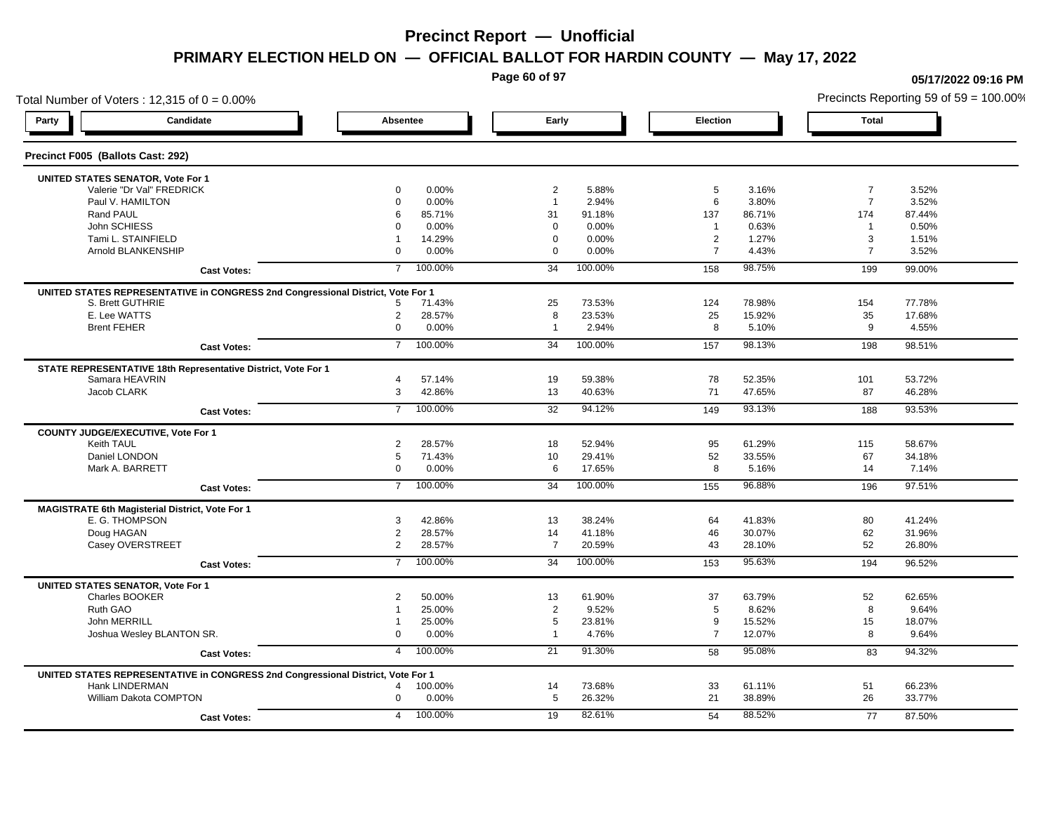**Page 60 of 97**

### Total Number of Voters : 12,315 of  $0 = 0.00\%$ **Party Candidate Absentee Early Election Total Precinct F005 (Ballots Cast: 292) UNITED STATES SENATOR, Vote For 1** Valerie "Dr Val" FREDRICK 0 0.00% 2 5.88% 5 3.16% 7 3.52% Paul V. HAMILTON 0 0.00% 1 2.94% 6 3.80% 7 3.52% Rand PAUL 6 85.71% 31 91.18% 137 86.71% 174 87.44% John SCHIESS 0 0.00% 0 0.00% 1 0.63% 1 0.50% Tami L. STAINFIELD 1 14.29% 0 0.00% 2 1.27% 3 1.51% Arnold BLANKENSHIP 0 0.00% 0 0.00% 7 4.43% 7 3.52% **Cast Votes:** 7 100.00% 34 100.00% 158 98.75% 199 99.00% **UNITED STATES REPRESENTATIVE in CONGRESS 2nd Congressional District, Vote For 1** S. Brett GUTHRIE 5 71.43% 25 73.53% 124 78.98% 154 77.78% E. Lee WATTS 2 28.57% 8 23.53% 25 15.92% 35 17.68% Brent FEHER 0 0.00% 1 2.94% 8 5.10% 9 4.55% **Cast Votes:** 7 100.00% 34 100.00% 157 98.13% 198 98.51% **STATE REPRESENTATIVE 18th Representative District, Vote For 1** Samara HEAVRIN 4 57.14% 19 59.38% 78 52.35% 101 53.72% Jacob CLARK 3 42.86% 13 40.63% 71 47.65% 87 46.28% **Cast Votes:** 7 100.00% 32 94.12% 149 93.13% 188 93.53% **COUNTY JUDGE/EXECUTIVE, Vote For 1** Keith TAUL 2 28.57% 18 52.94% 95 61.29% 115 58.67% Daniel LONDON 5 71.43% 10 29.41% 52 33.55% 67 34.18% Mark A. BARRETT 0 0.00% 6 17.65% 8 5.16% 14 7.14% **Cast Votes:** 7 100.00% 34 100.00% 155 96.88% 196 97.51% **MAGISTRATE 6th Magisterial District, Vote For 1** E. G. THOMPSON 3 42.86% 13 38.24% 64 41.83% 80 41.24% Doug HAGAN 2 28.57% 14 41.18% 46 30.07% 62 31.96% Casey OVERSTREET 2 28.57% 7 20.59% 43 28.10% 52 26.80% **Cast Votes:** 7 100.00% 34 100.00% 153 95.63% 194 96.52% **UNITED STATES SENATOR, Vote For 1** Charles BOOKER 2 50.00% 13 61.90% 37 63.79% 52 62.65% Ruth GAO 1 25.00% 2 9.52% 5 8.62% 8 9.64% John MERRILL 1 25.00% 5 23.81% 9 15.52% 15 18.07% Joshua Wesley BLANTON SR. 0 0.00% 1 4.76% 7 12.07% 8 9.64% **Cast Votes:** 4 100.00% 21 91.30% 58 95.08% 83 94.32% **UNITED STATES REPRESENTATIVE in CONGRESS 2nd Congressional District, Vote For 1** Hank LINDERMAN 4 100.00% 14 73.68% 33 61.11% 51 66.23% William Dakota COMPTON 0 0.00% 5 26.32% 21 38.89% 26 33.77% **Cast Votes:** 4 100.00% 19 82.61% 54 88.52% 77 87.50%

#### **05/17/2022 09:16 PM**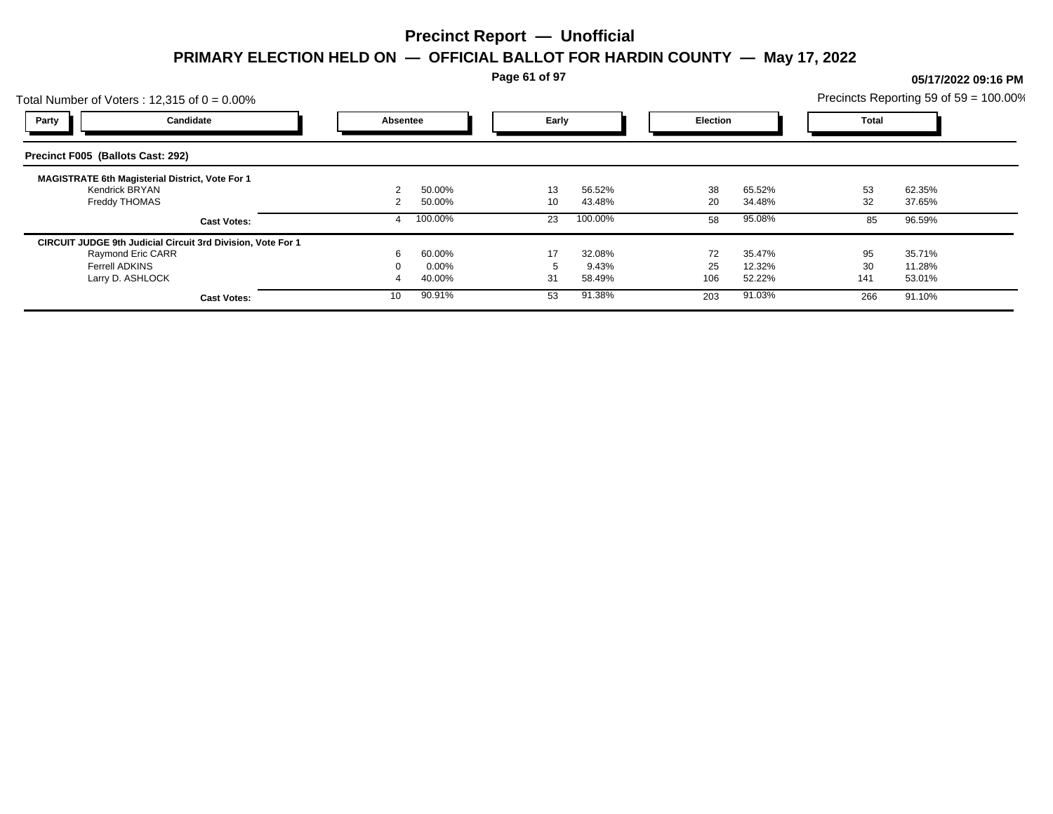**Page 61 of 97**

Total Number of Voters : 12,315 of  $0 = 0.00\%$ Precincts Reporting 59 of 59 = 100.00% **Party Candidate Absentee Early Election Total Precinct F005 (Ballots Cast: 292) MAGISTRATE 6th Magisterial District, Vote For 1** Kendrick BRYAN 2 50.00% 13 56.52% 38 65.52% 53 62.35% Freddy THOMAS 2 50.00% 10 43.48% 20 34.48% 32 37.65% **Cast Votes:** 4 100.00% 23 100.00% 58 95.08% 85 96.59% **CIRCUIT JUDGE 9th Judicial Circuit 3rd Division, Vote For 1** Raymond Eric CARR 6 60.00% 17 32.08% 72 35.47% 95 35.71% Ferrell ADKINS 0 0.00% 5 9.43% 25 12.32% 30 11.28% Larry D. ASHLOCK 4 40.00% 31 58.49% 106 52.22% 141 53.01% **Cast Votes:** 10 90.91% 53 91.38% 203 91.03% 266 91.10%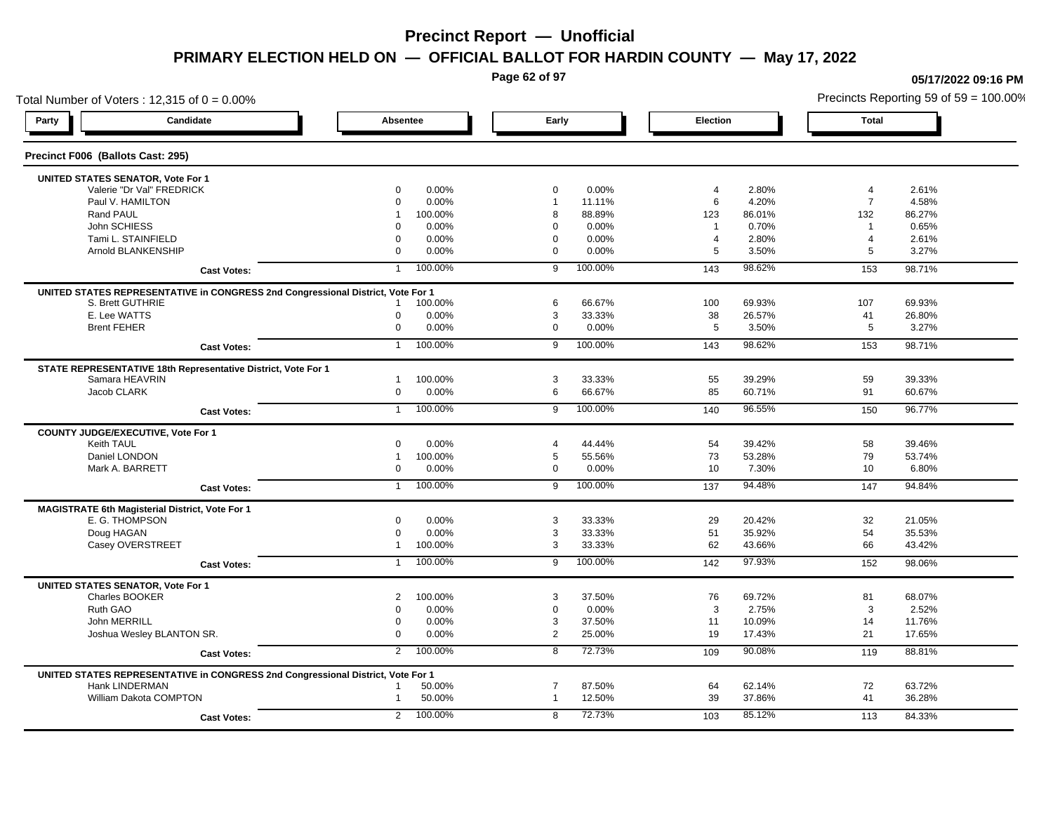**Page 62 of 97**

### Total Number of Voters : 12,315 of  $0 = 0.00\%$ **Party Candidate Absentee Early Election Total Precinct F006 (Ballots Cast: 295) UNITED STATES SENATOR, Vote For 1** Valerie "Dr Val" FREDRICK 0 0.00% 0 0.00% 4 2.80% 4 2.61% Paul V. HAMILTON 0 0.00% 1 11.11% 6 4.20% 7 4.58% Rand PAUL 1 100.00% 8 88.89% 123 86.01% 132 86.27% John SCHIESS 0 0.00% 0 0.00% 1 0.70% 1 0.65% Tami L. STAINFIELD 0 0.00% 0 0.00% 4 2.80% 4 2.61% Arnold BLANKENSHIP 0 0.00% 0 0.00% 5 3.50% 5 3.27% **Cast Votes:** 1 100.00% 9 100.00% 143 98.62% 153 98.71% **UNITED STATES REPRESENTATIVE in CONGRESS 2nd Congressional District, Vote For 1** S. Brett GUTHRIE 1 100.00% 6 66.67% 100 69.93% 107 69.93% E. Lee WATTS 0 0.00% 3 33.33% 38 26.57% 41 26.80% Brent FEHER 0 0.00% 0 0.00% 5 3.50% 5 3.27% **Cast Votes:** 1 100.00% 9 100.00% 143 98.62% 153 98.71% **STATE REPRESENTATIVE 18th Representative District, Vote For 1** Samara HEAVRIN 1 100.00% 3 33.33% 55 39.29% 59 39.33% Jacob CLARK 0 0.00% 6 66.67% 85 60.71% 91 60.67% **Cast Votes:** 1 100.00% 9 100.00% 140 96.55% 150 96.77% **COUNTY JUDGE/EXECUTIVE, Vote For 1** Keith TAUL 0 0.00% 4 44.44% 54 39.42% 58 39.46% Daniel LONDON 1 100.00% 5 55.56% 73 53.28% 79 53.74% Mark A. BARRETT 0 0.00% 0 0.00% 10 7.30% 10 6.80% **Cast Votes:** 1 100.00% 9 100.00% 137 94.48% 147 94.84% **MAGISTRATE 6th Magisterial District, Vote For 1** E. G. THOMPSON 0 0.00% 3 33.33% 29 20.42% 32 21.05% Doug HAGAN 0 0.00% 3 33.33% 51 35.92% 54 35.53% Casey OVERSTREET 1 100.00% 3 33.33% 62 43.66% 66 43.42% **Cast Votes:** 1 100.00% 9 100.00% 142 97.93% 152 98.06% **UNITED STATES SENATOR, Vote For 1** Charles BOOKER 2 100.00% 3 37.50% 76 69.72% 81 68.07% Ruth GAO 0 0.00% 0 0.00% 3 2.75% 3 2.52% John MERRILL 0 0.00% 3 37.50% 11 10.09% 14 11.76% Joshua Wesley BLANTON SR. 0 0.00% 2 25.00% 19 17.43% 21 17.65% **Cast Votes:** 2 100.00% 8 72.73% 109 90.08% 119 88.81% **UNITED STATES REPRESENTATIVE in CONGRESS 2nd Congressional District, Vote For 1** Hank LINDERMAN 1 50.00% 7 87.50% 64 62.14% 72 63.72% William Dakota COMPTON **1 50.00%** 1 50.00% 1 12.50% 39 37.86% 41 36.28% **Cast Votes:** 2 100.00% 8 72.73% 103 85.12% 113 84.33%

#### **05/17/2022 09:16 PM**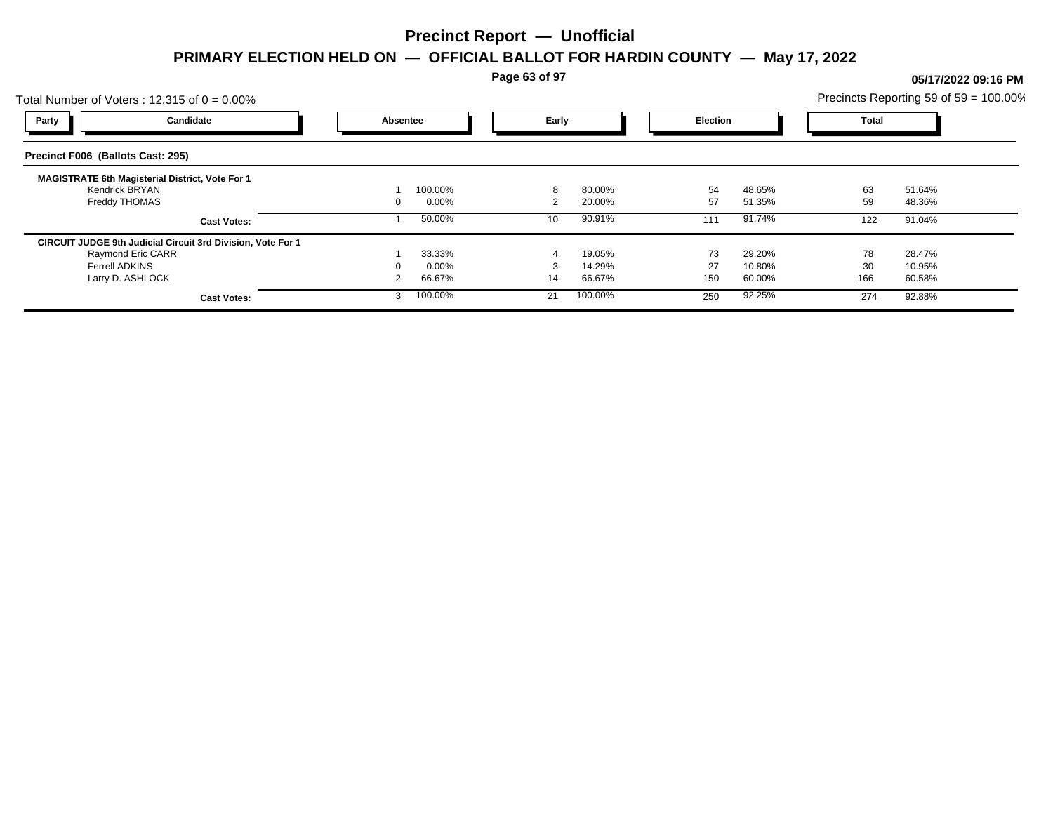**Page 63 of 97**

## Total Number of Voters : 12,315 of  $0 = 0.00\%$ Precincts Reporting 59 of 59 = 100.00% **Party Candidate Absentee Early Election Total Precinct F006 (Ballots Cast: 295) MAGISTRATE 6th Magisterial District, Vote For 1** Kendrick BRYAN 1 100.00% 8 80.00% 54 48.65% 63 51.64% Freddy THOMAS 0 0.00% 2 20.00% 57 51.35% 59 48.36% **Cast Votes:** 1 50.00% 1 50.00% 10 90.91% 111 91.74% 122 91.04% **CIRCUIT JUDGE 9th Judicial Circuit 3rd Division, Vote For 1** Raymond Eric CARR 1 33.33% 4 19.05% 73 29.20% 78 28.47% Ferrell ADKINS 0 0.00% 3 14.29% 27 10.80% 30 10.95% Larry D. ASHLOCK 2 66.67% 14 66.67% 150 60.00% 166 60.58% **Cast Votes:** 3 100.00% 21 100.00% 250 92.25% 274 92.88%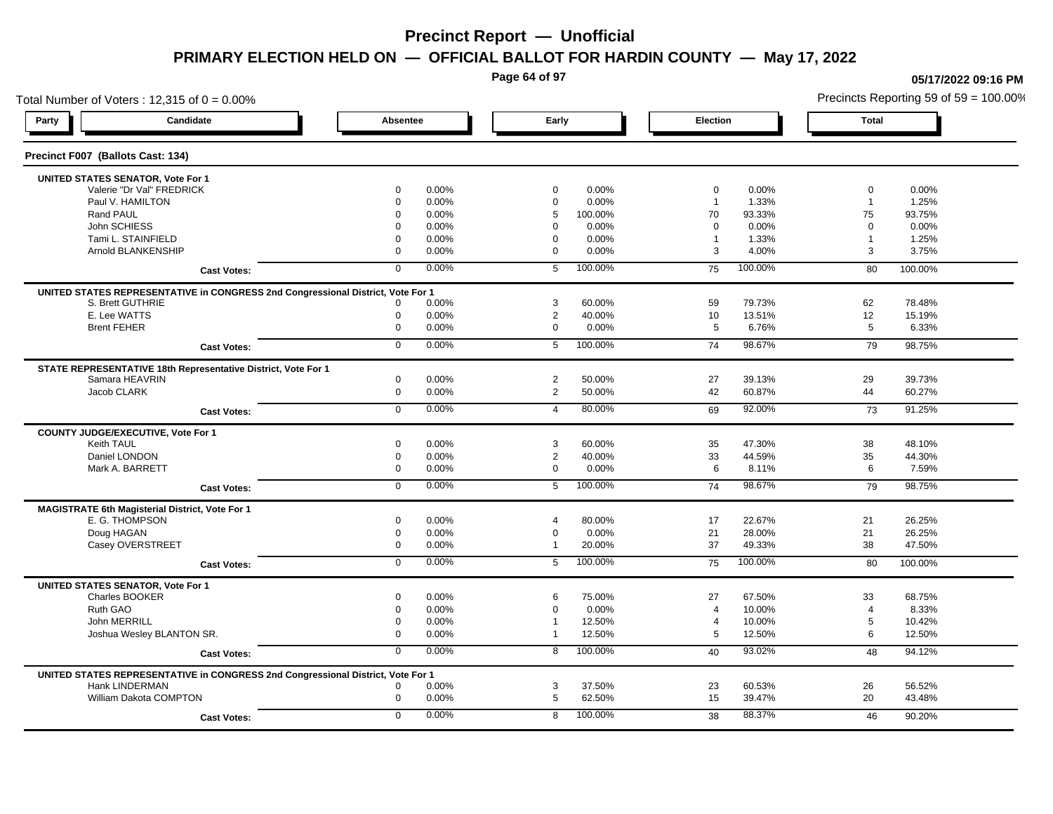**Page 64 of 97**

### Total Number of Voters : 12,315 of  $0 = 0.00\%$ **Party Candidate Absentee Early Election Total Precinct F007 (Ballots Cast: 134) UNITED STATES SENATOR, Vote For 1** Valerie "Dr Val" FREDRICK 0 0.00% 0 0.00% 0 0.00% 0 0.00% Paul V. HAMILTON 0 0.00% 0 0.00% 1 1.33% 1 1.25% Rand PAUL 0 0.00% 5 100.00% 70 93.33% 75 93.75% John SCHIESS 0 0.00% 0 0.00% 0 0.00% 0 0.00% Tami L. STAINFIELD 0 0.00% 0 0.00% 1 1.33% 1 1.25% 1 Arnold BLANKENSHIP 0 0.00% 0 0.00% 3 4.00% 3 3.75% **Cast Votes:** 0 0.00% 5 100.00% 75 100.00% 80 100.00% **UNITED STATES REPRESENTATIVE in CONGRESS 2nd Congressional District, Vote For 1** S. Brett GUTHRIE 0 0.00% 3 60.00% 59 79.73% 62 78.48% E. Lee WATTS 0 0.00% 2 40.00% 10 13.51% 12 15.19% Brent FEHER 0 0.00% 0 0.00% 5 6.76% 5 6.33% **Cast Votes:** 0 0.00% 5 100.00% 74 98.67% 79 98.75% **STATE REPRESENTATIVE 18th Representative District, Vote For 1** Samara HEAVRIN 0 0.00% 2 50.00% 27 39.13% 29 39.73% Jacob CLARK 0 0.00% 2 50.00% 42 60.87% 44 60.27% **Cast Votes:** 0 0.00% 4 80.00% 69 92.00% 73 91.25% **COUNTY JUDGE/EXECUTIVE, Vote For 1** Keith TAUL 0 0.00% 3 60.00% 35 47.30% 38 48.10% Daniel LONDON 0 0.00% 2 40.00% 33 44.59% 35 44.30% Mark A. BARRETT 0 0.00% 0 0.00% 6 8.11% 6 7.59% **Cast Votes:** 0 0.00% 5 100.00% 74 98.67% 79 98.75% **MAGISTRATE 6th Magisterial District, Vote For 1** E. G. THOMPSON 0 0.00% 4 80.00% 17 22.67% 21 26.25% Doug HAGAN 0 0.00% 0 0.00% 21 28.00% 21 26.25% Casey OVERSTREET 0 0.00% 1 20.00% 37 49.33% 38 47.50% **Cast Votes:** 0 0.00% 5 100.00% 75 100.00% 80 100.00% **UNITED STATES SENATOR, Vote For 1** Charles BOOKER 0 0.00% 6 75.00% 27 67.50% 33 68.75% Ruth GAO 0 0.00% 0 0.00% 4 10.00% 4 8.33% John MERRILL 0 0.00% 1 12.50% 4 10.00% 5 10.42% Joshua Wesley BLANTON SR. 0 0.00% 1 12.50% 5 12.50% 6 12.50% **Cast Votes:** 0 0.00% 8 100.00% 40 93.02% 48 94.12% **UNITED STATES REPRESENTATIVE in CONGRESS 2nd Congressional District, Vote For 1** Hank LINDERMAN 0 0.00% 3 37.50% 23 60.53% 26 56.52% William Dakota COMPTON **12000** 13.48% **0 1.000 1.000 1.000 1.000 1.000 1.000 1.000 1.000 1.000 1.000 1.000 1.000 1.000 1.000 1.000 1.000 1.000 1.000 1.000 1.000 1.000 1.000 1.000 1.000 1.000 1.000 1.000 1.000 1.000 1.000 1 Cast Votes:** 0 0.00% 8 100.00% 38 88.37% 46 90.20%

#### **05/17/2022 09:16 PM**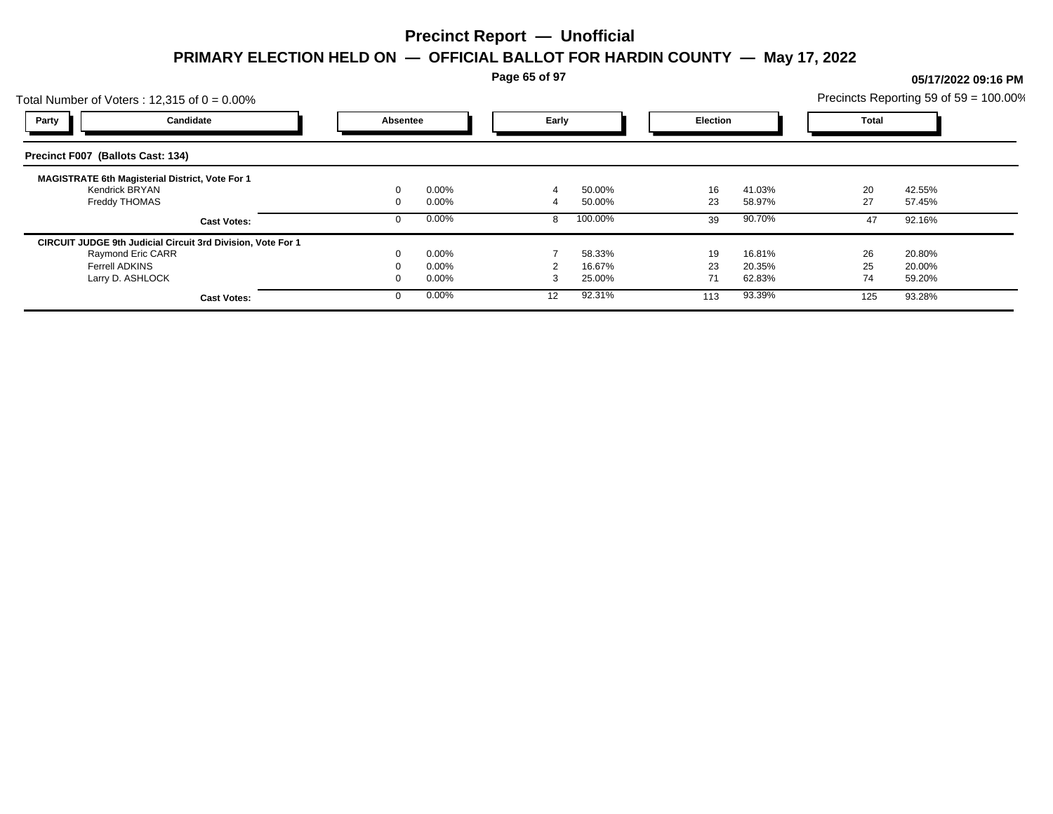**Page 65 of 97**

## Total Number of Voters : 12,315 of  $0 = 0.00\%$ Precincts Reporting 59 of 59 = 100.00% **Party Candidate Absentee Early Election Total Precinct F007 (Ballots Cast: 134) MAGISTRATE 6th Magisterial District, Vote For 1** Kendrick BRYAN 0 0.00% 4 50.00% 16 41.03% 20 42.55% Freddy THOMAS 0 0.00% 4 50.00% 23 58.97% 27 57.45% **Cast Votes:** 0 0.00% 8 100.00% 39 90.70% 47 92.16% **CIRCUIT JUDGE 9th Judicial Circuit 3rd Division, Vote For 1** Raymond Eric CARR 0 0.00% 7 58.33% 19 16.81% 26 20.80% Ferrell ADKINS 0 0.00% 2 16.67% 23 20.35% 25 20.00% Larry D. ASHLOCK 0 0.00% 3 25.00% 71 62.83% 74 59.20% **Cast Votes:** 0 0.00% 12 92.31% 113 93.39% 125 93.28%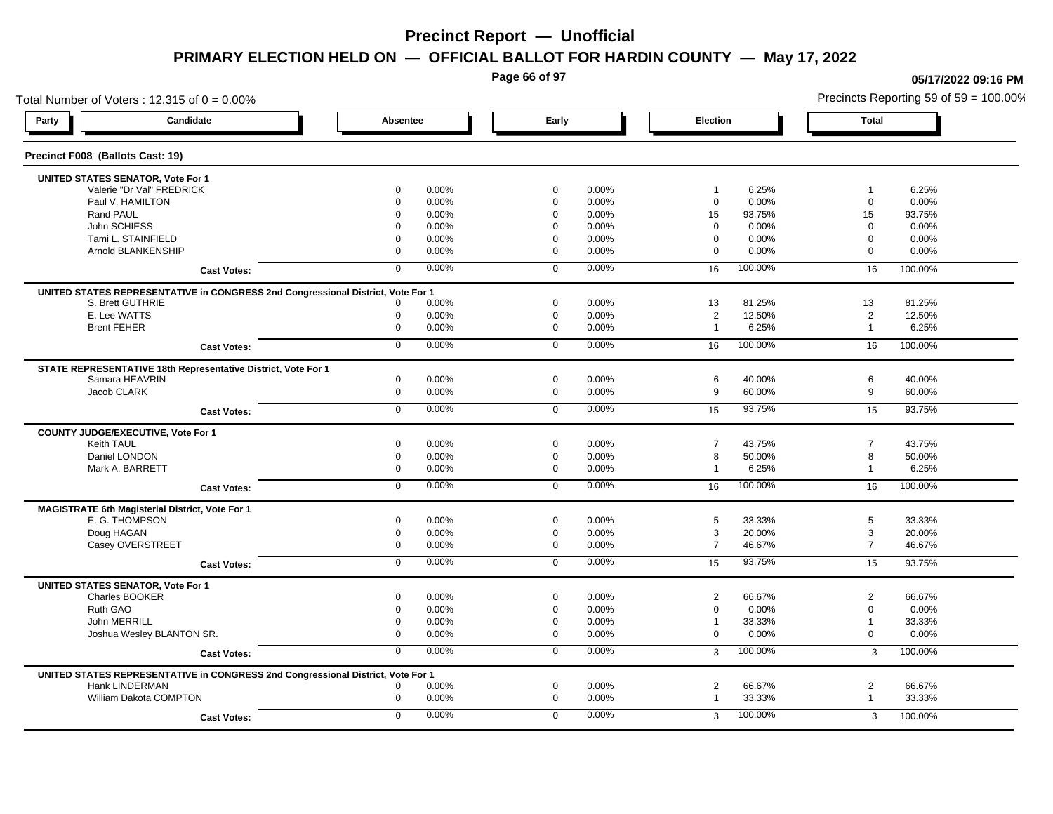**Page 66 of 97**

### Total Number of Voters : 12,315 of  $0 = 0.00\%$ **Party Candidate Absentee Early Election Total Precinct F008 (Ballots Cast: 19) UNITED STATES SENATOR, Vote For 1** Valerie "Dr Val" FREDRICK 0 0.00% 0 0.00% 1 6.25% 1 6.25% Paul V. HAMILTON 0 0.00% 0 0.00% 0 0.00% 0 0.00% Rand PAUL 0 0.00% 0 0.00% 15 93.75% 15 93.75% John SCHIESS 0 0.00% 0 0.00% 0 0.00% 0 0.00% Tami L. STAINFIELD 0 0.00% 0 0.00% 0 0.00% 0 0.00% Arnold BLANKENSHIP 0 0.00% 0 0.00% 0 0.00% 0 0.00% **Cast Votes:** 0 0.00% 0 0.00% 16 100.00% 16 100.00% **UNITED STATES REPRESENTATIVE in CONGRESS 2nd Congressional District, Vote For 1** S. Brett GUTHRIE 0 0.00% 0 0.00% 13 81.25% 13 81.25% E. Lee WATTS 0 0.00% 0 0.00% 2 12.50% 2 12.50% Brent FEHER 0 0.00% 0 0.00% 1 6.25% 1 6.25% **Cast Votes:** 0 0.00% 0 0.00% 16 100.00% 16 100.00% **STATE REPRESENTATIVE 18th Representative District, Vote For 1** Samara HEAVRIN 0 0.00% 0 0.00% 6 40.00% 6 40.00% Jacob CLARK 0 0.00% 0 0.00% 9 60.00% 9 60.00% **Cast Votes:** 0 0.00% 0 0.00% 15 93.75% 15 93.75% **COUNTY JUDGE/EXECUTIVE, Vote For 1** Keith TAUL 0 0.00% 0 0.00% 7 43.75% 7 43.75% Daniel LONDON 0 0.00% 0 0.00% 8 50.00% 8 50.00% Mark A. BARRETT 0 0.00% 0 0.00% 1 6.25% 1 6.25% **Cast Votes:** 0 0.00% 0 0.00% 16 100.00% 16 100.00% **MAGISTRATE 6th Magisterial District, Vote For 1** E. G. THOMPSON 0 0.00% 0 0.00% 5 33.33% 5 33.33% Doug HAGAN 0 0.00% 0 0.00% 3 20.00% 3 20.00% Casey OVERSTREET 0 0.00% 0 0.00% 7 46.67% 7 46.67% **Cast Votes:** 0 0.00% 0 0.00% 15 93.75% 15 93.75% **UNITED STATES SENATOR, Vote For 1** Charles BOOKER 0 0.00% 0 0.00% 2 66.67% 2 66.67% Ruth GAO 0 0.00% 0 0.00% 0 0.00% 0 0.00% John MERRILL 0 0.00% 0 0.00% 1 33.33% 1 33.33% Joshua Wesley BLANTON SR. 0 0.00% 0 0.00% 0 0.00% 0 0.00% **Cast Votes:** 0 0.00% 0 0.00% 3 100.00% 3 100.00% **UNITED STATES REPRESENTATIVE in CONGRESS 2nd Congressional District, Vote For 1** Hank LINDERMAN 0 0.00% 0 0.00% 2 66.67% 2 66.67% William Dakota COMPTON **1.2.33.33%** 1.33.33% 1.33.33% 1.33.33% 1.33.33% 1.33.33% 1.33.33% 1.33.33% 1.33.33% 1.33.33% **Cast Votes:** 0 0.00% 0 0.00% 3 100.00% 3 100.00%

#### **05/17/2022 09:16 PM**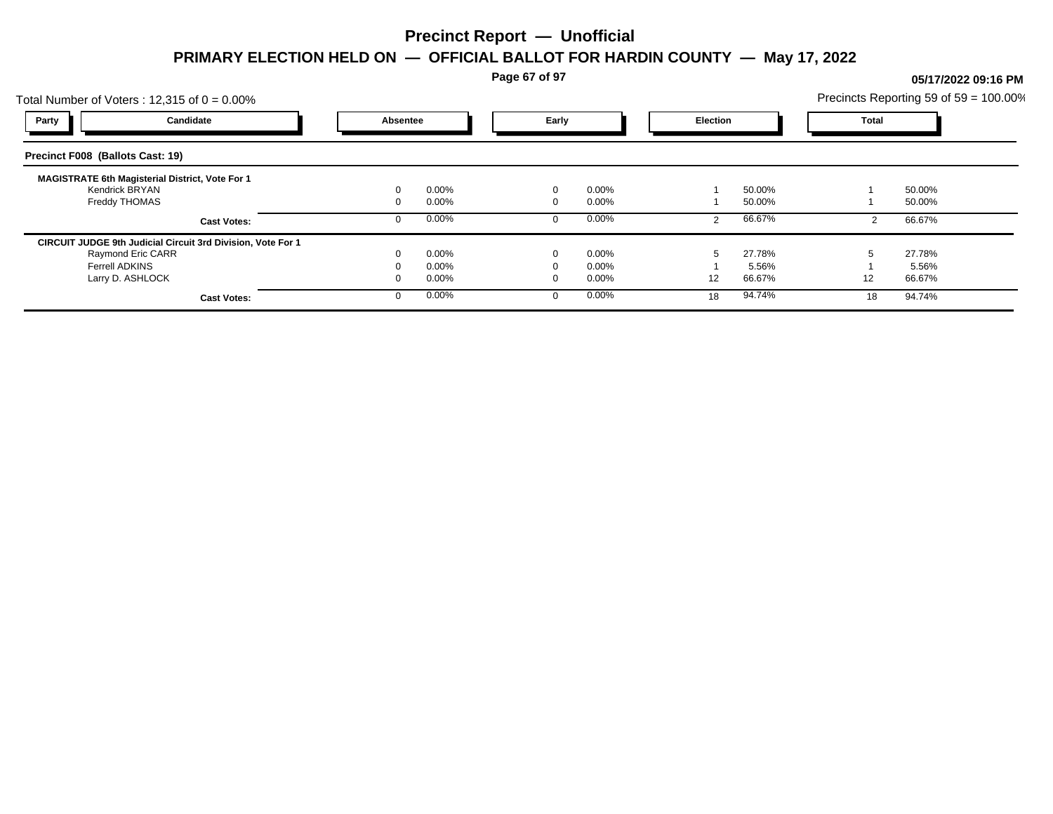**Page 67 of 97**

## Total Number of Voters : 12,315 of  $0 = 0.00\%$ Precincts Reporting 59 of 59 = 100.00% **Party Candidate Absentee Early Election Total Precinct F008 (Ballots Cast: 19) MAGISTRATE 6th Magisterial District, Vote For 1** Kendrick BRYAN 0 0.00% 0 0.00% 1 50.00% 1 50.00% Freddy THOMAS 0 0.00% 0 0.00% 1 50.00% 1 50.00% **Cast Votes:** 0 0.00% 0 0.00% 2 66.67% 2 66.67% **CIRCUIT JUDGE 9th Judicial Circuit 3rd Division, Vote For 1** Raymond Eric CARR 0 0.00% 0 0.00% 5 27.78% 5 27.78% Ferrell ADKINS 0 0.00% 0 0.00% 1 5.56% 1 5.56% Larry D. ASHLOCK 0 0.00% 0 0.00% 12 66.67% 12 66.67% **Cast Votes:** 0 0.00% 0 0.00% 18 94.74% 18 94.74%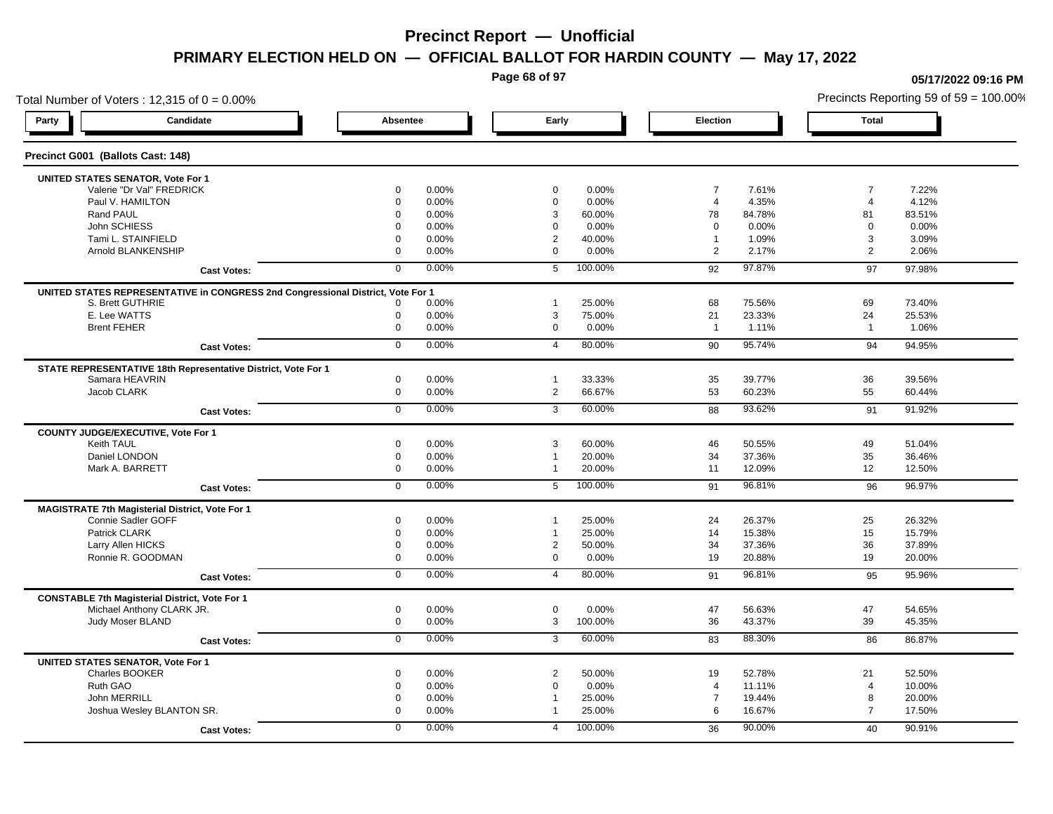**Page 68 of 97**

**05/17/2022 09:16 PM**

### Total Number of Voters : 12,315 of  $0 = 0.00\%$ Precincts Reporting 59 of 59 = 100.00% **Party Candidate Absentee Early Election Total Precinct G001 (Ballots Cast: 148) UNITED STATES SENATOR, Vote For 1** Valerie "Dr Val" FREDRICK 0 0.00% 0 0.00% 7 7.61% 7 7.22% Paul V. HAMILTON 0 0.00% 0 0.00% 4 4.35% 4 4.12% Rand PAUL 0 0.00% 3 60.00% 78 84.78% 81 83.51% John SCHIESS 0 0.00% 0 0.00% 0 0.00% 0 0.00% Tami L. STAINFIELD 0 0.00% 2 40.00% 1 1.09% 3 3.09% Arnold BLANKENSHIP 0 0.00% 0 0.00% 2 2.17% 2 2.06% **Cast Votes:** 0 0.00% 5 100.00% 92 97.87% 97 97.98% **UNITED STATES REPRESENTATIVE in CONGRESS 2nd Congressional District, Vote For 1** S. Brett GUTHRIE 0 0.00% 1 25.00% 68 75.56% 69 73.40% E. Lee WATTS 0 0.00% 3 75.00% 21 23.33% 24 25.53% Brent FEHER 0 0.00% 0 0.00% 1 1.11% 1 1.06% 1 **Cast Votes:** 0 0.00% 4 80.00% 90 95.74% 94 94.95% **STATE REPRESENTATIVE 18th Representative District, Vote For 1** Samara HEAVRIN 0 0.00% 1 33.33% 35 39.77% 36 39.56% Jacob CLARK 0 0.00% 2 66.67% 53 60.23% 55 60.44% **Cast Votes:** 0 0.00% 3 60.00% 88 93.62% 91 91.92% **COUNTY JUDGE/EXECUTIVE, Vote For 1** Keith TAUL 0 0.00% 3 60.00% 46 50.55% 49 51.04% Daniel LONDON 0 0.00% 1 20.00% 34 37.36% 35 36.46% Mark A. BARRETT 0 0.00% 1 20.00% 11 12.09% 12 12.50% **Cast Votes:** 0 0.00% 5 100.00% 91 96.81% 96 96.97% **MAGISTRATE 7th Magisterial District, Vote For 1** Connie Sadler GOFF 0 0.00% 1 25.00% 24 26.37% 25 26.32% Patrick CLARK 0 0.00% 1 25.00% 14 15.38% 15 15.79% Larry Allen HICKS 0 0.00% 2 50.00% 34 37.36% 36 37.89% Ronnie R. GOODMAN 0 0.00% 0 0.00% 19 20.88% 19 20.00% **Cast Votes:** 0 0.00% 4 80.00% 91 96.81% 95 95.96% **CONSTABLE 7th Magisterial District, Vote For 1** Michael Anthony CLARK JR. 0 0.00% 0 0.00% 47 56.63% 47 54.65% Judy Moser BLAND 0 0.00% 3 100.00% 36 43.37% 39 45.35% **Cast Votes:** 0 0.00% 3 60.00% 83 88.30% 86 86.87% **UNITED STATES SENATOR, Vote For 1** Charles BOOKER 0 0.00% 2 50.00% 19 52.78% 21 52.50% Ruth GAO 0 0.00% 0 0.00% 4 11.11% 4 10.00% John MERRILL 0 0.00% 1 25.00% 7 19.44% 8 20.00% Joshua Wesley BLANTON SR. 0 0.00% 1 25.00% 6 16.67% 7 17.50% **Cast Votes:** 0 0.00% 4 100.00% 36 90.00% 40 90.91%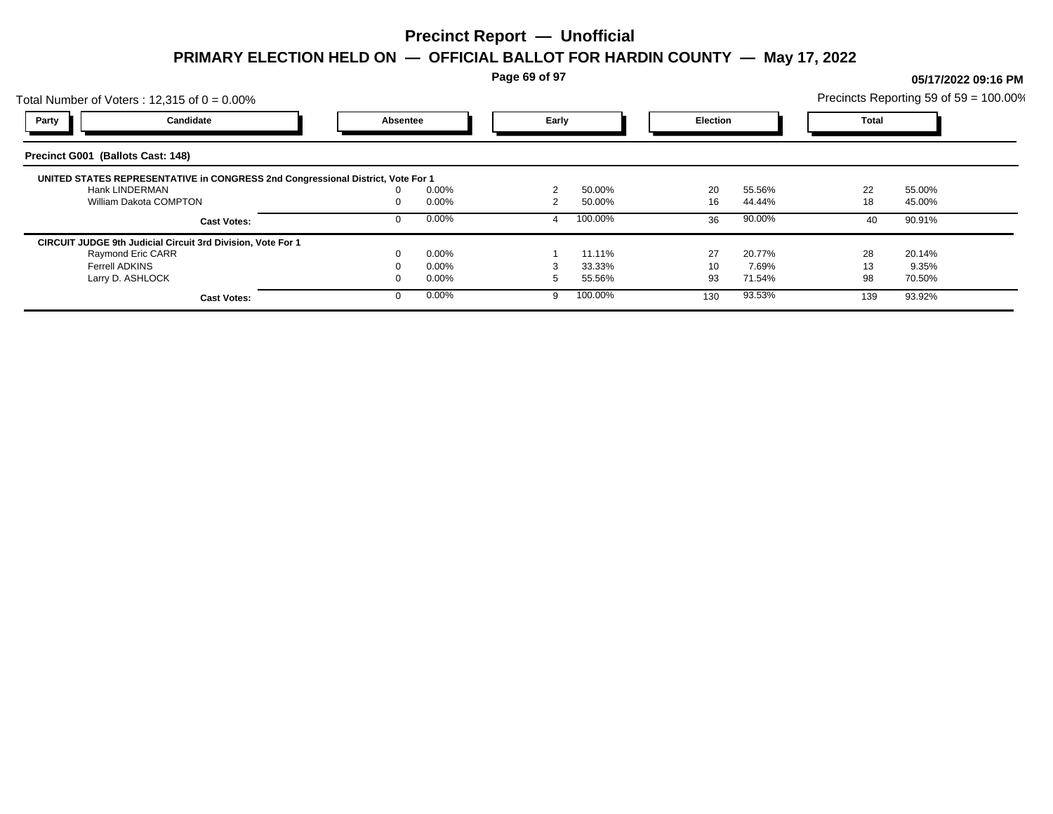**Page 69 of 97**

## Total Number of Voters : 12,315 of  $0 = 0.00\%$ Precincts Reporting 59 of 59 = 100.00% **Party Candidate Absentee Early Election Total Precinct G001 (Ballots Cast: 148) UNITED STATES REPRESENTATIVE in CONGRESS 2nd Congressional District, Vote For 1** Hank LINDERMAN 0 0.00% 2 50.00% 20 55.56% 22 55.00% William Dakota COMPTON 0 0.00% 2 50.00% 16 44.44% 18 45.00% **Cast Votes:** 0 0.00% 4 100.00% 36 90.00% 40 90.91% **CIRCUIT JUDGE 9th Judicial Circuit 3rd Division, Vote For 1** Raymond Eric CARR 0 0.00% 1 11.11% 27 20.77% 28 20.14% Ferrell ADKINS 0 0.00% 3 33.33% 10 7.69% 13 9.35% Larry D. ASHLOCK 0 0.00% 5 55.56% 93 71.54% 98 70.50% **Cast Votes:** 0 0.00% 9 100.00% 130 93.53% 139 93.92%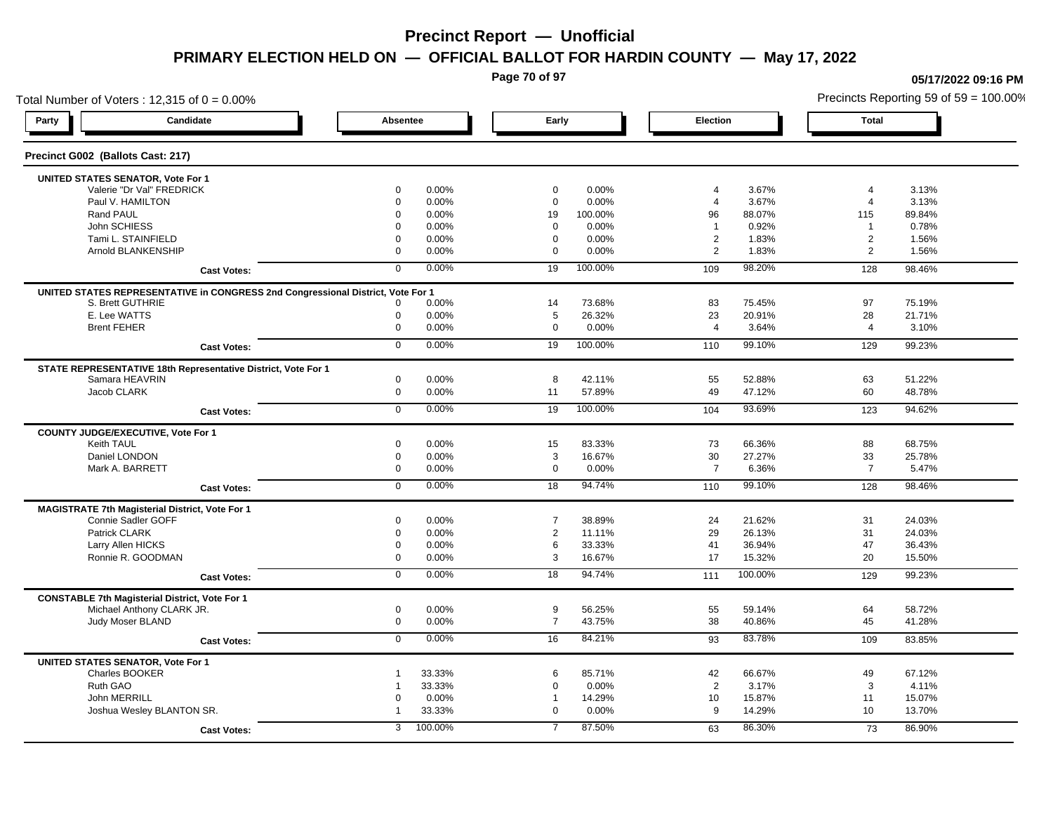**Page 70 of 97**

### Total Number of Voters : 12,315 of  $0 = 0.00\%$ **Party Candidate Absentee Early Election Total Precinct G002 (Ballots Cast: 217) UNITED STATES SENATOR, Vote For 1** Valerie "Dr Val" FREDRICK 0 0.00% 0 0.00% 4 3.67% 4 3.13% Paul V. HAMILTON 0 0.00% 0 0.00% 4 3.67% 4 3.13% Rand PAUL 0 0.00% 19 100.00% 96 88.07% 115 89.84% John SCHIESS 0 0.00% 0 0.00% 1 0.92% 1 0.78% Tami L. STAINFIELD 0 0.00% 0 0.00% 2 1.83% 2 1.56% Arnold BLANKENSHIP 0 0.00% 0 0.00% 2 1.83% 2 1.56% **Cast Votes:** 0 0.00% 19 100.00% 109 98.20% 128 98.46% **UNITED STATES REPRESENTATIVE in CONGRESS 2nd Congressional District, Vote For 1** S. Brett GUTHRIE 0 0.00% 14 73.68% 83 75.45% 97 75.19% E. Lee WATTS 0 0.00% 5 26.32% 23 20.91% 28 21.71% Brent FEHER 0 0.00% 0 0.00% 4 3.64% 4 3.10% **Cast Votes:** 0 0.00% 19 100.00% 110 99.10% 129 99.23% **STATE REPRESENTATIVE 18th Representative District, Vote For 1** Samara HEAVRIN 0 0.00% 8 42.11% 55 52.88% 63 51.22% Jacob CLARK 0 0.00% 11 57.89% 49 47.12% 60 48.78% **Cast Votes:** 0 0.00% 19 100.00% 104 93.69% 123 94.62% **COUNTY JUDGE/EXECUTIVE, Vote For 1** Keith TAUL 0 0.00% 15 83.33% 73 66.36% 88 68.75% Daniel LONDON 0 0.00% 3 16.67% 30 27.27% 33 25.78% Mark A. BARRETT 0 0.00% 0 0.00% 7 6.36% 7 5.47% **Cast Votes:** 0 0.00% 18 94.74% 110 99.10% 128 98.46% **MAGISTRATE 7th Magisterial District, Vote For 1** Connie Sadler GOFF 0 0.00% 7 38.89% 24 21.62% 31 24.03% Patrick CLARK 0 0.00% 2 11.11% 29 26.13% 31 24.03% Larry Allen HICKS 0 0.00% 6 33.33% 41 36.94% 47 36.43% Ronnie R. GOODMAN 0 0.00% 3 16.67% 17 15.32% 20 15.50% **Cast Votes:** 0 0.00% 18 94.74% 111 100.00% 129 99.23% **CONSTABLE 7th Magisterial District, Vote For 1** Michael Anthony CLARK JR. 0 0.00% 9 56.25% 55 59.14% 64 58.72% Judy Moser BLAND 0 0.00% 7 43.75% 38 40.86% 45 41.28% **Cast Votes:** 0 0.00% 16 84.21% 93 83.78% 109 83.85% **UNITED STATES SENATOR, Vote For 1** Charles BOOKER 1 33.33% 6 85.71% 42 66.67% 67.12% Ruth GAO 1 33.33% 0 0.00% 2 3.17% 3 4.11% John MERRILL 0 0.00% 1 14.29% 10 15.87% 11 15.07% Joshua Wesley BLANTON SR. 1 33.33% 0 0.00% 9 14.29% 10 13.70% **Cast Votes:** 3 100.00% 7 87.50% 63 86.30% 73 86.90%

#### **05/17/2022 09:16 PM**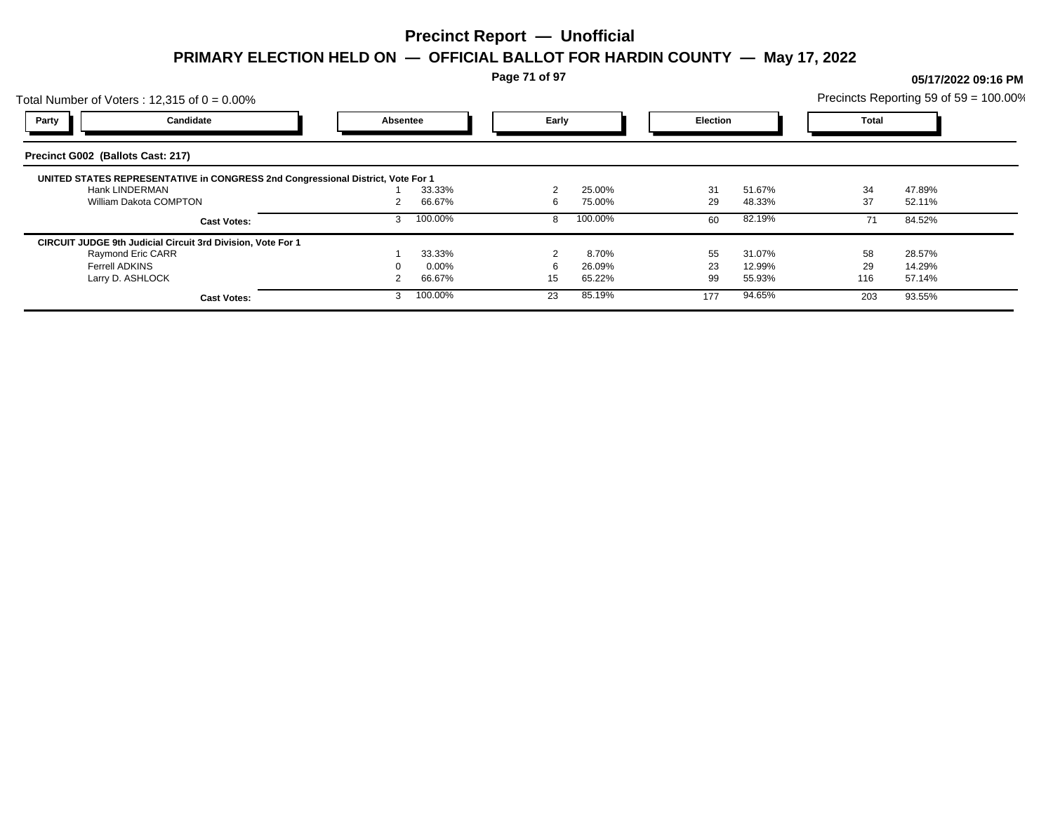**Page 71 of 97**

## Total Number of Voters : 12,315 of  $0 = 0.00\%$ Precincts Reporting 59 of 59 = 100.00% **Party Candidate Absentee Early Election Total Precinct G002 (Ballots Cast: 217) UNITED STATES REPRESENTATIVE in CONGRESS 2nd Congressional District, Vote For 1** Hank LINDERMAN 1 33.33% 2 25.00% 31 51.67% 34 47.89% William Dakota COMPTON **2 66.67%** 6 75.00% 29 48.33% 37 52.11% **Cast Votes:** 3 100.00% 8 100.00% 60 82.19% 71 84.52% **CIRCUIT JUDGE 9th Judicial Circuit 3rd Division, Vote For 1** Raymond Eric CARR 1 33.33% 2 8.70% 55 31.07% 58 28.57% Ferrell ADKINS 0 0.00% 6 26.09% 23 12.99% 29 14.29% Larry D. ASHLOCK 2 66.67% 15 65.22% 99 55.93% 116 57.14% **Cast Votes:** 3 100.00% 23 85.19% 177 94.65% 203 93.55%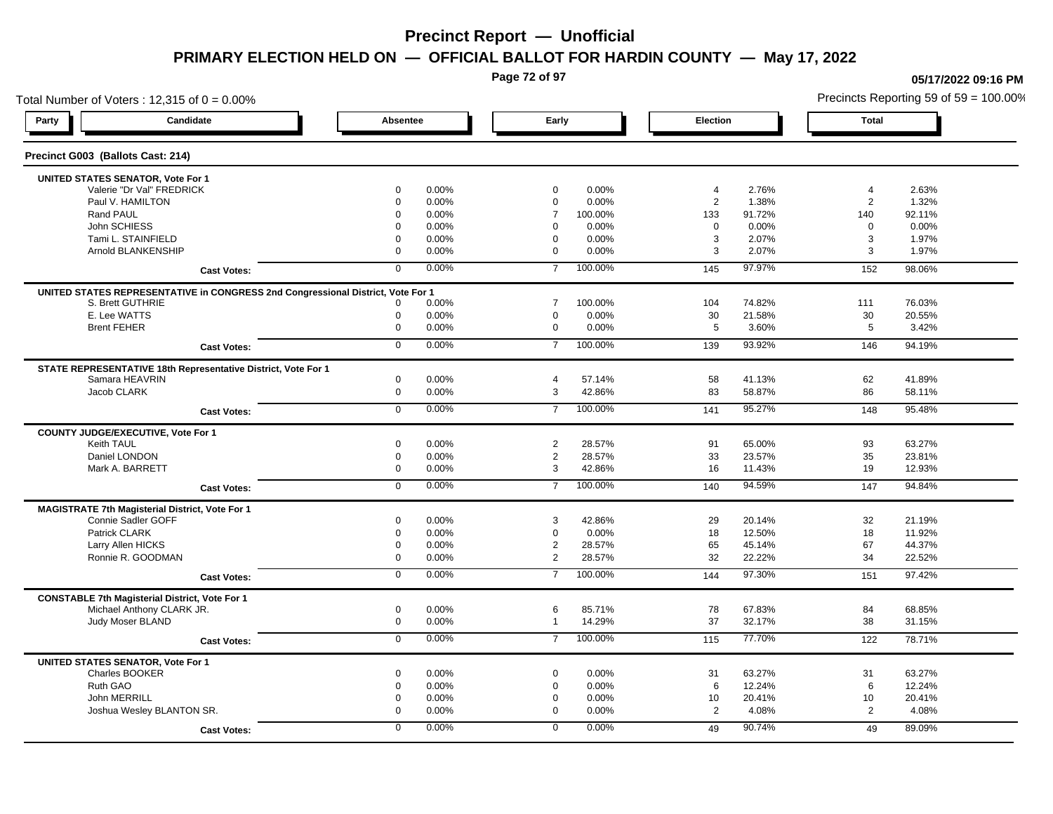**Page 72 of 97**

### Total Number of Voters : 12,315 of  $0 = 0.00\%$ **Party Candidate Absentee Early Election Total Precinct G003 (Ballots Cast: 214) UNITED STATES SENATOR, Vote For 1** Valerie "Dr Val" FREDRICK 0 0.00% 0 0.00% 4 2.76% 4 2.63% Paul V. HAMILTON 0 0.00% 0 0.00% 2 1.38% 2 1.32% Rand PAUL 0 0.00% 7 100.00% 133 91.72% 140 92.11% John SCHIESS 0 0.00% 0 0.00% 0 0.00% 0 0.00% Tami L. STAINFIELD 0 0.00% 0 0.00% 3 2.07% 3 1.97% Arnold BLANKENSHIP 0 0.00% 0 0.00% 3 2.07% 3 1.97% **Cast Votes:** 0 0.00% 7 100.00% 145 97.97% 152 98.06% **UNITED STATES REPRESENTATIVE in CONGRESS 2nd Congressional District, Vote For 1** S. Brett GUTHRIE 0 0.00% 7 100.00% 104 74.82% 111 76.03% E. Lee WATTS 0 0.00% 0 0.00% 30 21.58% 30 20.55% Brent FEHER 0 0.00% 0 0.00% 5 3.60% 5 3.42% **Cast Votes:** 0 0.00% 7 100.00% 139 93.92% 146 94.19% **STATE REPRESENTATIVE 18th Representative District, Vote For 1** Samara HEAVRIN 0 0.00% 4 57.14% 58 41.13% 62 41.89% Jacob CLARK 0 0.00% 3 42.86% 83 58.87% 86 58.11% **Cast Votes:** 0 0.00% 7 100.00% 141 95.27% 148 95.48% **COUNTY JUDGE/EXECUTIVE, Vote For 1** Keith TAUL 0 0.00% 2 28.57% 91 65.00% 93 63.27% Daniel LONDON 0 0.00% 2 28.57% 33 23.57% 35 23.81% Mark A. BARRETT 0 0.00% 3 42.86% 16 11.43% 19 12.93% **Cast Votes:** 0 0.00% 7 100.00% 140 94.59% 147 94.84% **MAGISTRATE 7th Magisterial District, Vote For 1** Connie Sadler GOFF 2000 2011 1996 0 0.00% 3 42.86% 29 20.14% 32 21.19% 29 20.14% 32 21.19% Patrick CLARK 0 0.00% 0 0.00% 18 12.50% 18 11.92% Larry Allen HICKS 0 0.00% 2 28.57% 65 45.14% 67 44.37% Ronnie R. GOODMAN 0 0.00% 2 28.57% 32 22.22% 34 22.52% **Cast Votes:** 0 0.00% 7 100.00% 144 97.30% 151 97.42% **CONSTABLE 7th Magisterial District, Vote For 1** Michael Anthony CLARK JR. 0 0.00% 6 85.71% 78 67.83% 84 68.85% Judy Moser BLAND 0 0.00% 1 14.29% 37 32.17% 38 31.15% **Cast Votes:** 0 0.00% 7 100.00% 115 77.70% 122 78.71% **UNITED STATES SENATOR, Vote For 1** Charles BOOKER 0 0.00% 0 0.00% 31 63.27% 31 63.27% Ruth GAO 0 0.00% 0 0.00% 6 12.24% 6 12.24% John MERRILL 0 0.00% 0 0.00% 10 20.41% 10 20.41% Joshua Wesley BLANTON SR. 0 0.00% 0 0.00% 2 4.08% 2 4.08% **Cast Votes:** 0 0.00% 0 0.00% 49 90.74% 49 89.09%

#### **05/17/2022 09:16 PM**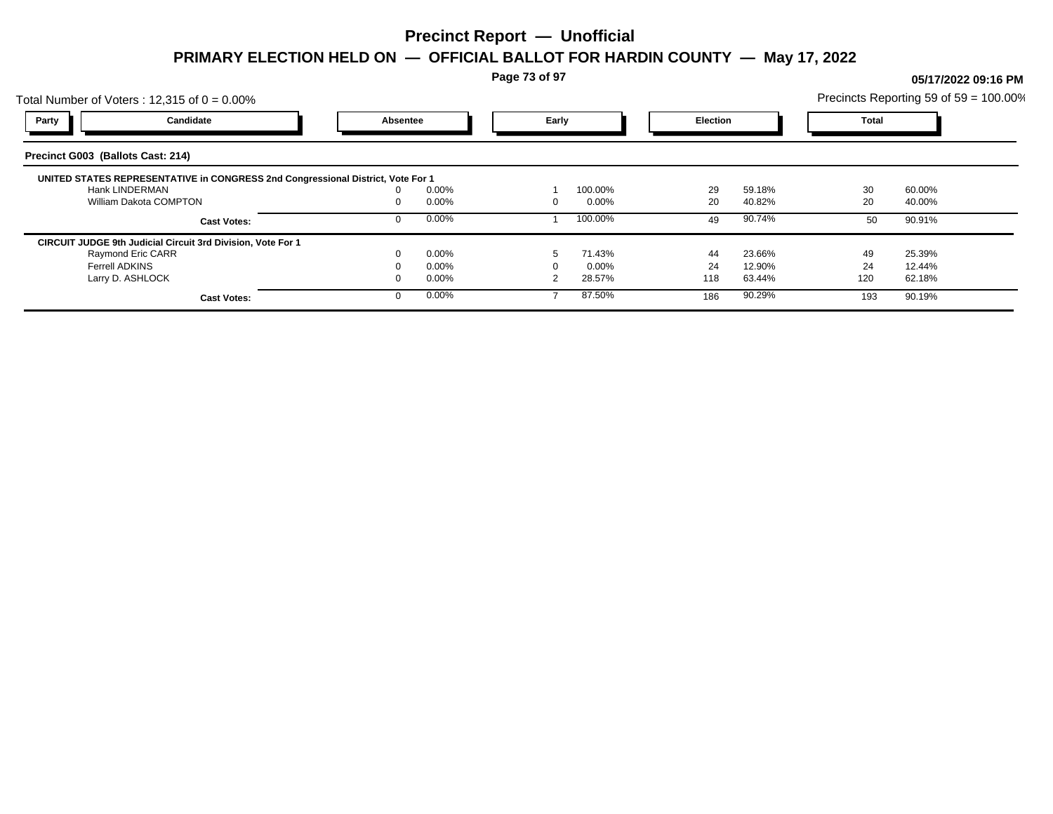**Page 73 of 97**

### Total Number of Voters : 12,315 of  $0 = 0.00\%$ Precincts Reporting 59 of 59 = 100.00% **Party Candidate Absentee Early Election Total Precinct G003 (Ballots Cast: 214) UNITED STATES REPRESENTATIVE in CONGRESS 2nd Congressional District, Vote For 1** Hank LINDERMAN 0 0.00% 1 100.00% 29 59.18% 30 60.00% William Dakota COMPTON 0 0.00% 0 0.00% 20 40.82% 20 40.00% **Cast Votes:** 0 0.00% 1 100.00% 49 90.74% 50 90.91% **CIRCUIT JUDGE 9th Judicial Circuit 3rd Division, Vote For 1** Raymond Eric CARR 0 0.00% 5 71.43% 44 23.66% 49 25.39% Ferrell ADKINS 0 0.00% 0 0.00% 24 12.90% 24 12.44% Larry D. ASHLOCK 0 0.00% 2 28.57% 118 63.44% 120 62.18% **Cast Votes:** 0 0.00% 7 87.50% 186 90.29% 193 90.19%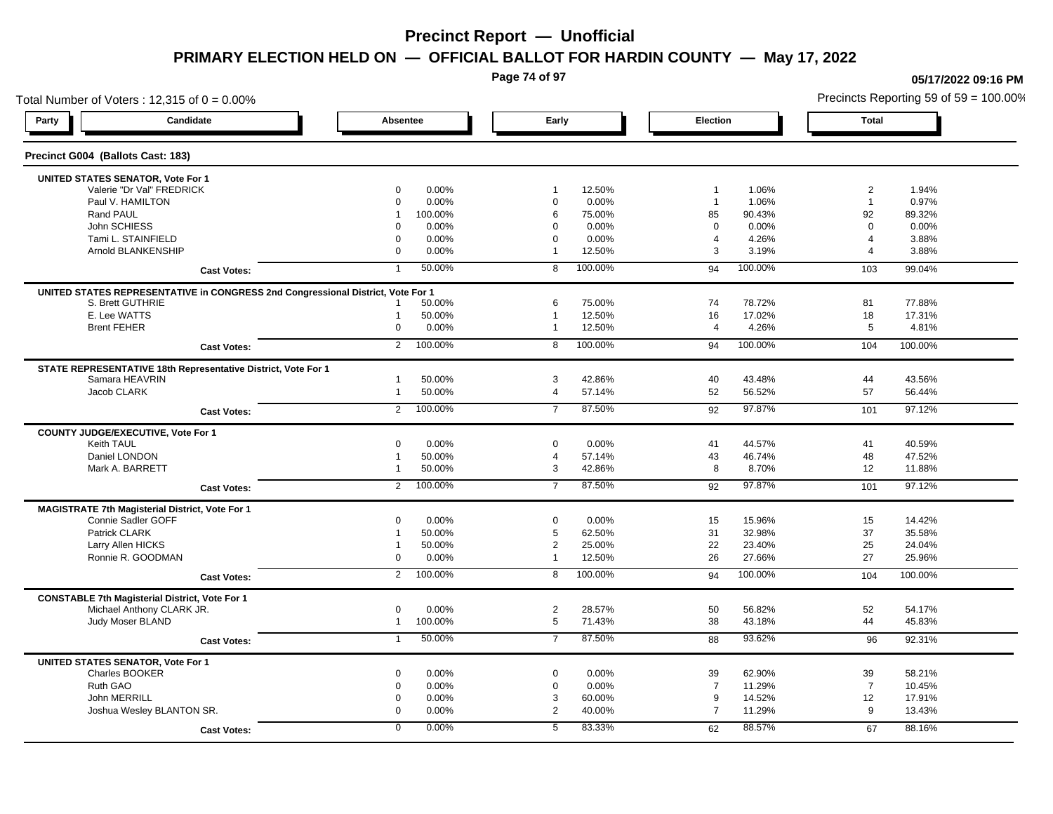**Page 74 of 97**

**05/17/2022 09:16 PM**

### Total Number of Voters : 12,315 of  $0 = 0.00\%$ Precincts Reporting 59 of 59 = 100.00% **Party Candidate Absentee Early Election Total Precinct G004 (Ballots Cast: 183) UNITED STATES SENATOR, Vote For 1** Valerie "Dr Val" FREDRICK 0 0.00% 1 12.50% 1 1.06% 2 1.94% Paul V. HAMILTON 0 0.00% 0 0.00% 1 1.06% 1 0.97% Rand PAUL 1 100.00% 6 75.00% 85 90.43% 92 89.32% John SCHIESS 0 0.00% 0 0.00% 0 0.00% 0 0.00% Tami L. STAINFIELD 0 0.00% 0 0.00% 4 4.26% 4 3.88% Arnold BLANKENSHIP 0 0.00% 1 12.50% 3 3.19% 4 3.88% **Cast Votes:** 1 50.00% 8 100.00% 94 100.00% 103 99.04% **UNITED STATES REPRESENTATIVE in CONGRESS 2nd Congressional District, Vote For 1** S. Brett GUTHRIE 1 50.00% 6 75.00% 74 78.72% 81 77.88% E. Lee WATTS 1 50.00% 1 12.50% 16 17.02% 18 17.31% Brent FEHER 0 0.00% 1 12.50% 4 4.26% 5 4.81% **Cast Votes:** 2 100.00% 8 100.00% 94 100.00% 104 100.00% **STATE REPRESENTATIVE 18th Representative District, Vote For 1** Samara HEAVRIN 1 50.00% 3 42.86% 40 43.48% 44 43.56% Jacob CLARK 1 50.00% 4 57.14% 52 56.52% 57 56.44% **Cast Votes:** 2 100.00% 7 87.50% 92 97.87% 101 97.12% **COUNTY JUDGE/EXECUTIVE, Vote For 1** Keith TAUL 0 0.00% 0 0.00% 41 44.57% 41 40.59% Daniel LONDON 1 50.00% 4 57.14% 43 46.74% 48 47.52% Mark A. BARRETT 1 50.00% 3 42.86% 8 8.70% 12 11.88% **Cast Votes:** 2 100.00% 7 87.50% 92 97.87% 101 97.12% **MAGISTRATE 7th Magisterial District, Vote For 1** Connie Sadler GOFF 0 0.00% 0 0.00% 15 15.96% 15 14.42% Patrick CLARK 1 50.00% 5 62.50% 31 32.98% 37 35.58% Larry Allen HICKS 1 50.00% 2 25.00% 22 23.40% 25 24.04% Ronnie R. GOODMAN 0 0.00% 1 12.50% 26 27.66% 27 25.96% **Cast Votes:** 2 100.00% 8 100.00% 94 100.00% 104 100.00% **CONSTABLE 7th Magisterial District, Vote For 1** Michael Anthony CLARK JR. 0 0.00% 2 28.57% 50 56.82% 52 54.17% Judy Moser BLAND 1 100.00% 5 71.43% 38 43.18% 44 45.83% **Cast Votes:** 1 50.00% 7 87.50% 88 93.62% 96 92.31% **UNITED STATES SENATOR, Vote For 1** Charles BOOKER 0 0.00% 0 0.00% 39 62.90% 39 58.21% Ruth GAO 0 0.00% 0 0.00% 7 11.29% 7 10.45% John MERRILL 0 0.00% 3 60.00% 9 14.52% 12 17.91% Joshua Wesley BLANTON SR. 0 0.00% 2 40.00% 7 11.29% 9 13.43% **Cast Votes:** 0 0.00% 5 83.33% 62 88.57% 67 88.16%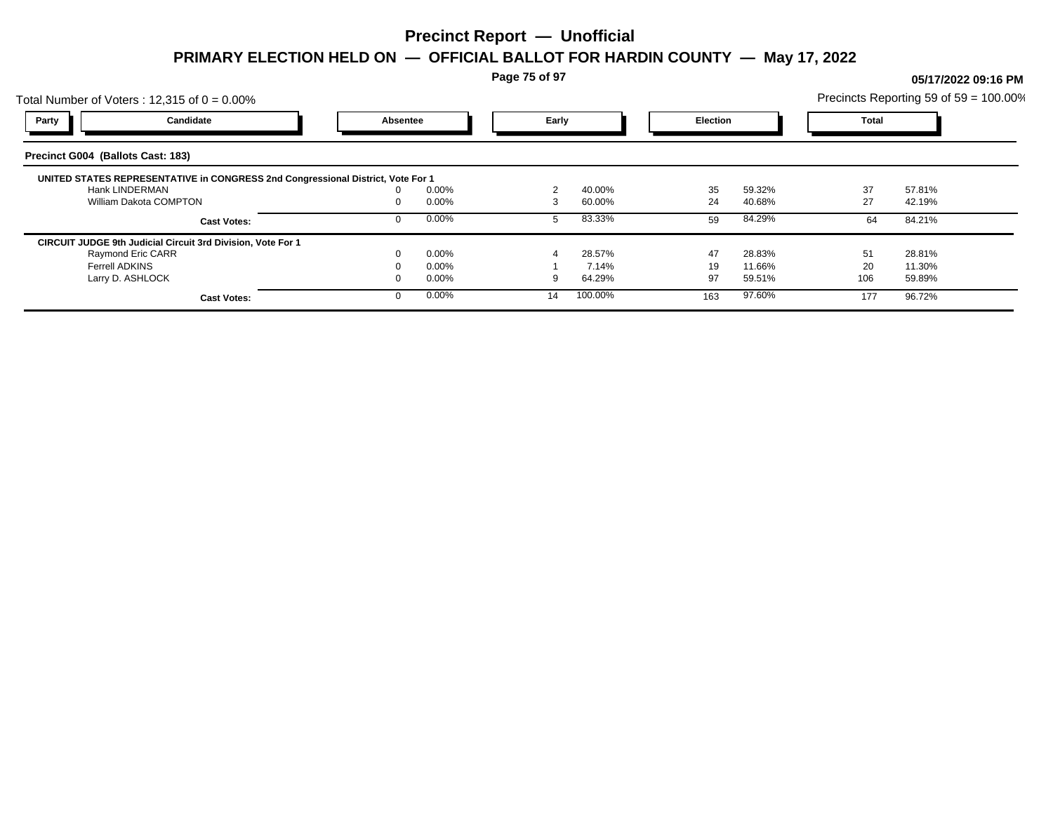**Page 75 of 97**

### Total Number of Voters : 12,315 of  $0 = 0.00\%$ Precincts Reporting 59 of 59 = 100.00% **Party Candidate Absentee Early Election Total Precinct G004 (Ballots Cast: 183) UNITED STATES REPRESENTATIVE in CONGRESS 2nd Congressional District, Vote For 1** Hank LINDERMAN 0 0.00% 2 40.00% 35 59.32% 37 57.81% William Dakota COMPTON **27** 22.19% 0 0.00% 3 60.00% 24 40.68% 27 42.19% **Cast Votes:** 0 0.00% 5 83.33% 59 84.29% 64 84.21% **CIRCUIT JUDGE 9th Judicial Circuit 3rd Division, Vote For 1** Raymond Eric CARR 0 0.00% 4 28.57% 47 28.83% 51 28.81% Ferrell ADKINS 0 0.00% 1 7.14% 19 11.66% 20 11.30% Larry D. ASHLOCK 0 0.00% 9 64.29% 97 59.51% 106 59.89% **Cast Votes:** 0 0.00% 14 100.00% 163 97.60% 177 96.72%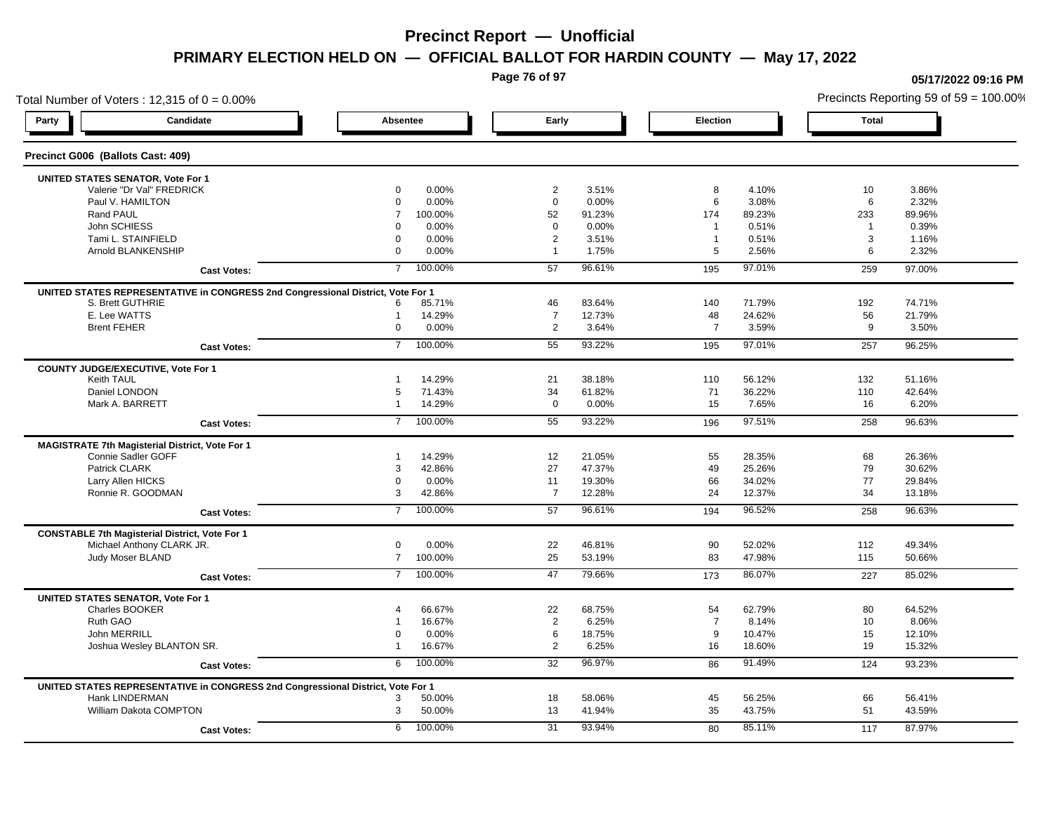**Page 76 of 97**

### Total Number of Voters : 12,315 of  $0 = 0.00\%$ **Party Candidate Absentee Early Election Total Precinct G006 (Ballots Cast: 409) UNITED STATES SENATOR, Vote For 1** Valerie "Dr Val" FREDRICK 0 0.00% 2 3.51% 8 4.10% 10 3.86% Paul V. HAMILTON 0 0.00% 0 0.00% 6 3.08% 6 2.32% Rand PAUL 7 100.00% 52 91.23% 174 89.23% 233 89.96% John SCHIESS 0 0.00% 0 0.00% 1 0.51% 1 0.39% Tami L. STAINFIELD 0 0.00% 2 3.51% 1 0.51% 3 1.16% Arnold BLANKENSHIP 0 0.00% 1 1.75% 5 2.56% 6 2.32% **Cast Votes:** 7 100.00% 57 96.61% 195 97.01% 259 97.00% **UNITED STATES REPRESENTATIVE in CONGRESS 2nd Congressional District, Vote For 1** S. Brett GUTHRIE 6 85.71% 46 83.64% 140 71.79% 192 74.71% E. Lee WATTS 1 14.29% 7 12.73% 48 24.62% 56 21.79% Brent FEHER 0 0.00% 2 3.64% 7 3.59% 9 3.50% **Cast Votes:** 7 100.00% 55 93.22% 195 97.01% 257 96.25% **COUNTY JUDGE/EXECUTIVE, Vote For 1** Keith TAUL 1 14.29% 21 38.18% 110 56.12% 132 51.16% Daniel LONDON 5 71.43% 34 61.82% 71 36.22% 110 42.64% Mark A. BARRETT 1 14.29% 0 0.00% 15 7.65% 16 6.20% **Cast Votes:** 7 100.00% 55 93.22% 196 97.51% 258 96.63% **MAGISTRATE 7th Magisterial District, Vote For 1** Connie Sadler GOFF 1 15 1 14.29% 1 14.29% 12 21.05% 55 28.35% 55 28.35% 68 26.36% Patrick CLARK 3 42.86% 27 47.37% 49 25.26% 79 30.62% Larry Allen HICKS 0 0.00% 11 19.30% 66 34.02% 77 29.84% Ronnie R. GOODMAN 3 42.86% 7 12.28% 24 12.37% 34 13.18% **Cast Votes:** 7 100.00% 57 96.61% 194 96.52% 258 96.63% **CONSTABLE 7th Magisterial District, Vote For 1** Michael Anthony CLARK JR. 0 0.00% 22 46.81% 90 52.02% 112 49.34% Judy Moser BLAND 7 100.00% 25 53.19% 83 47.98% 115 50.66% **Cast Votes:** 7 100.00% 47 79.66% 173 86.07% 227 85.02% **UNITED STATES SENATOR, Vote For 1** Charles BOOKER 4 66.67% 22 68.75% 54 62.79% 80 64.52% Ruth GAO 1 16.67% 2 6.25% 7 8.14% 10 8.06% 1 John MERRILL 0 0.00% 6 18.75% 9 10.47% 15 12.10% Joshua Wesley BLANTON SR. 1 16.67% 2 6.25% 16 18.60% 19 15.32% **Cast Votes:** 6 100.00% 32 96.97% 86 91.49% 124 93.23% **UNITED STATES REPRESENTATIVE in CONGRESS 2nd Congressional District, Vote For 1** Hank LINDERMAN 3 50.00% 18 58.06% 45 56.25% 66 56.41% William Dakota COMPTON 3 50.00% 13 41.94% 35 43.75% 51 43.59% **Cast Votes:** 6 100.00% 31 93.94% 80 85.11% 117 87.97%

**05/17/2022 09:16 PM**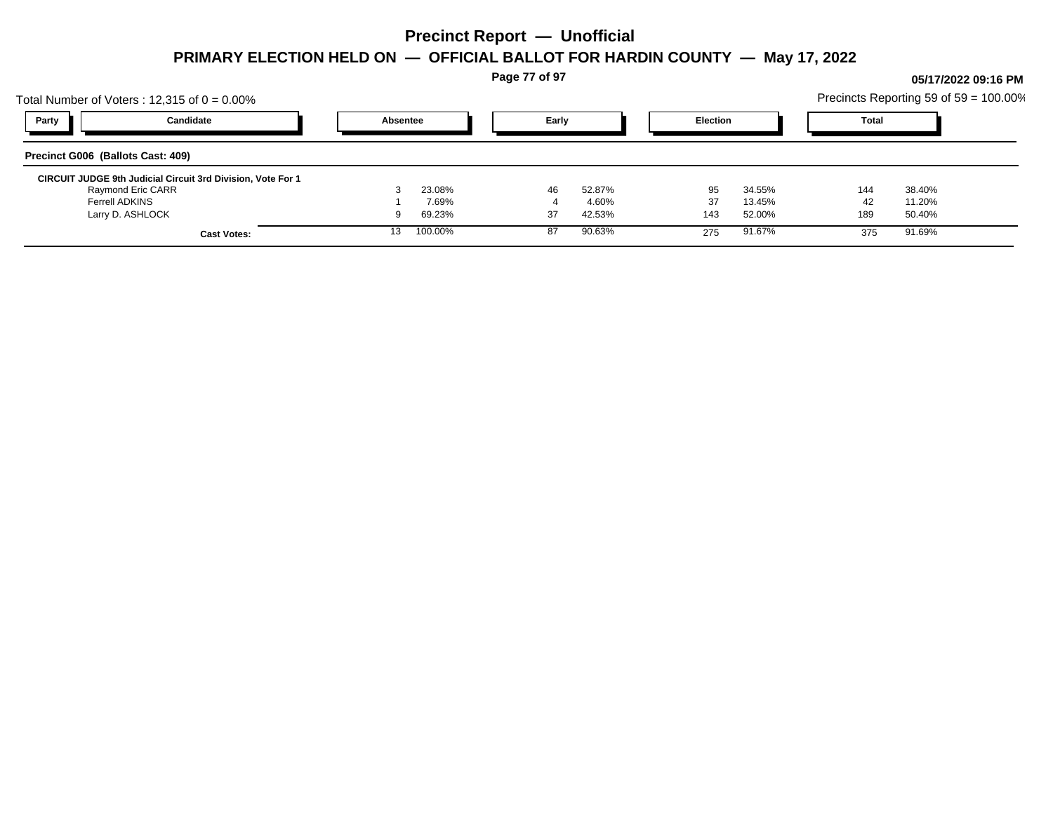**Page 77 of 97**

## Total Number of Voters : 12,315 of  $0 = 0.00\%$ Precincts Reporting 59 of 59 = 100.00% **Party Candidate Absentee Early Election Total Precinct G006 (Ballots Cast: 409) CIRCUIT JUDGE 9th Judicial Circuit 3rd Division, Vote For 1** Raymond Eric CARR 3 23.08% 46 52.87% 95 34.55% 144 38.40% Ferrell ADKINS 1 7.69% 4 4.60% 37 13.45% 42 11.20% Larry D. ASHLOCK 9 69.23% 37 42.53% 143 52.00% 189 50.40% **Cast Votes:** 13 100.00% 87 90.63% 275 91.67% 375 91.69%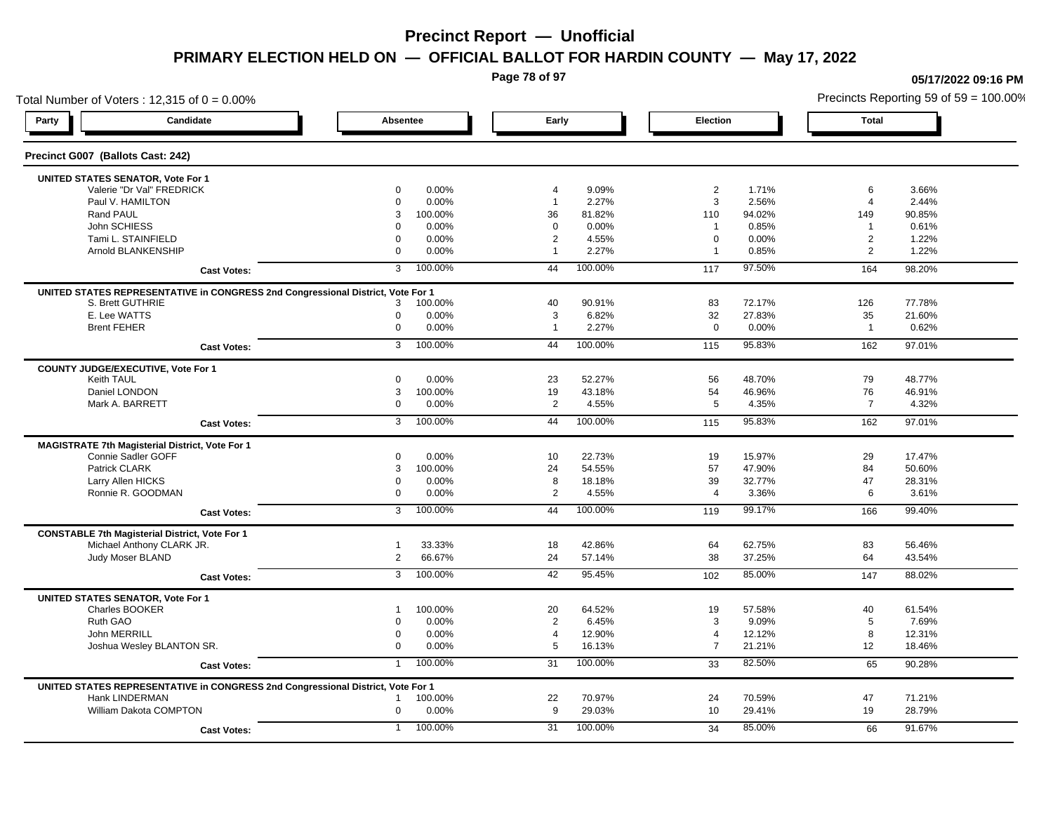**Page 78 of 97**

### Total Number of Voters : 12,315 of  $0 = 0.00\%$ **Party Candidate Absentee Early Election Total Precinct G007 (Ballots Cast: 242) UNITED STATES SENATOR, Vote For 1** Valerie "Dr Val" FREDRICK 0 0.00% 4 9.09% 2 1.71% 6 3.66% Paul V. HAMILTON 0 0.00% 1 2.27% 3 2.56% 4 2.44% Rand PAUL 3 100.00% 36 81.82% 110 94.02% 149 90.85% John SCHIESS 0 0.00% 0 0.00% 1 0.85% 1 0.61% Tami L. STAINFIELD 0 0.00% 2 4.55% 0 0.00% 2 1.22% Arnold BLANKENSHIP 0 0.00% 1 2.27% 1 0.85% 2 1.22% **Cast Votes:** 3 100.00% 44 100.00% 117 97.50% 164 98.20% **UNITED STATES REPRESENTATIVE in CONGRESS 2nd Congressional District, Vote For 1** S. Brett GUTHRIE 3 100.00% 40 90.91% 83 72.17% 126 77.78% E. Lee WATTS 0 0.00% 3 6.82% 32 27.83% 35 21.60% Brent FEHER 0 0.00% 1 2.27% 0 0.00% 1 0.62% **Cast Votes:** 3 100.00% 44 100.00% 115 95.83% 162 97.01% **COUNTY JUDGE/EXECUTIVE, Vote For 1** Keith TAUL 0 0.00% 23 52.27% 56 48.70% 79 48.77% Daniel LONDON 3 100.00% 19 43.18% 54 46.96% 76 46.91% Mark A. BARRETT 0 0.00% 2 4.55% 5 4.35% 7 4.32% **Cast Votes:** 3 100.00% 44 100.00% 115 95.83% 162 97.01% **MAGISTRATE 7th Magisterial District, Vote For 1** Connie Sadler GOFF 0 0.00% 10 22.73% 19 15.97% 29 17.47% Patrick CLARK 3 100.00% 24 54.55% 57 47.90% 84 50.60% Larry Allen HICKS 0 0.00% 8 18.18% 39 32.77% 47 28.31% Ronnie R. GOODMAN 0 0.00% 2 4.55% 4 3.36% 6 3.61% **Cast Votes:** 3 100.00% 44 100.00% 119 99.17% 166 99.40% **CONSTABLE 7th Magisterial District, Vote For 1** Michael Anthony CLARK JR. 1 33.33% 18 42.86% 64 62.75% 83 56.46% Judy Moser BLAND 2 66.67% 24 57.14% 38 37.25% 64 43.54% **Cast Votes:** 3 100.00% 42 95.45% 102 85.00% 147 88.02% **UNITED STATES SENATOR, Vote For 1** Charles BOOKER 1 100.00% 20 64.52% 19 57.58% 40 61.54% Ruth GAO 0 0.00% 2 6.45% 3 9.09% 5 7.69% John MERRILL 0 0.00% 4 12.90% 4 12.12% 8 12.31% Joshua Wesley BLANTON SR. 0 0.00% 5 16.13% 7 21.21% 12 18.46% **Cast Votes:** 1 100.00% 31 100.00% 33 82.50% 65 90.28% **UNITED STATES REPRESENTATIVE in CONGRESS 2nd Congressional District, Vote For 1** Hank LINDERMAN 1 100.00% 22 70.97% 24 70.59% 47 71.21% William Dakota COMPTON 0 0.00% 9 29.03% 10 29.41% 19 28.79% **Cast Votes:** 1 100.00% 31 100.00% 34 85.00% 66 91.67%

**05/17/2022 09:16 PM**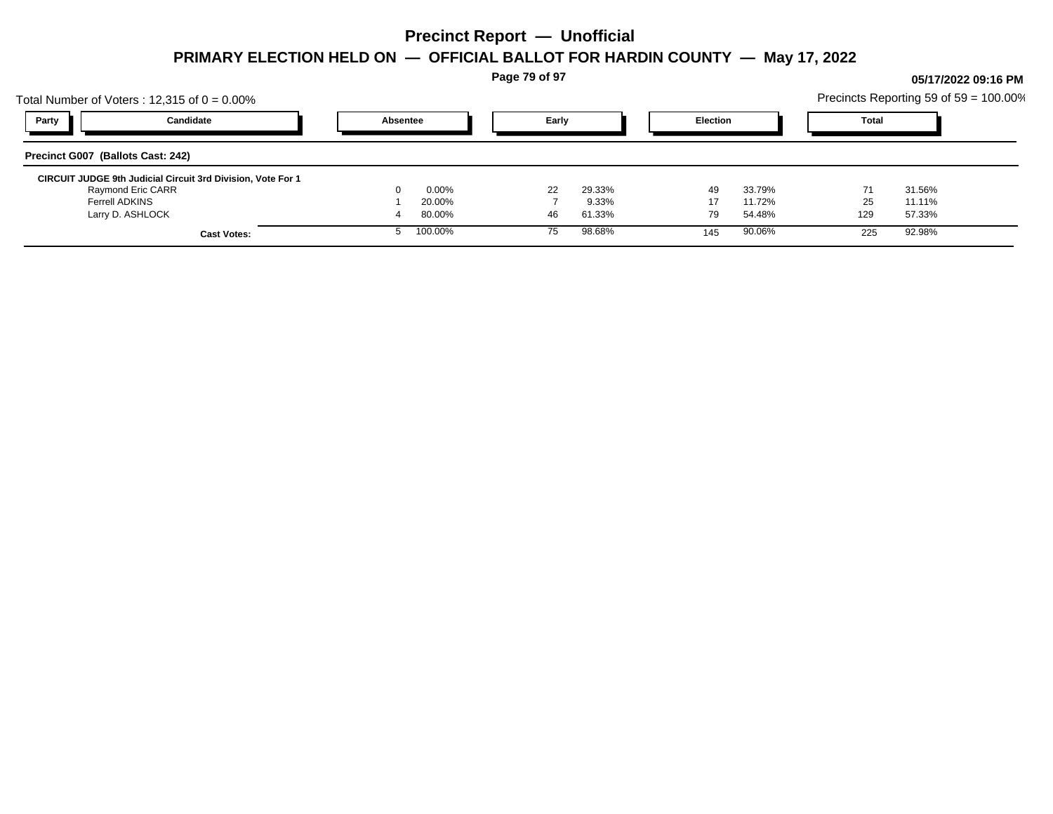**Page 79 of 97**

## Total Number of Voters : 12,315 of  $0 = 0.00\%$ Precincts Reporting 59 of 59 = 100.00% **Party Candidate Absentee Early Election Total Precinct G007 (Ballots Cast: 242) CIRCUIT JUDGE 9th Judicial Circuit 3rd Division, Vote For 1** Raymond Eric CARR 0 0.00% 22 29.33% 49 33.79% 71 31.56% Ferrell ADKINS 1 20.00% 7 9.33% 17 11.72% 25 11.11% Larry D. ASHLOCK 4 80.00% 46 61.33% 79 54.48% 129 57.33% **Cast Votes:** 5 100.00% 75 98.68% 145 90.06% 225 92.98%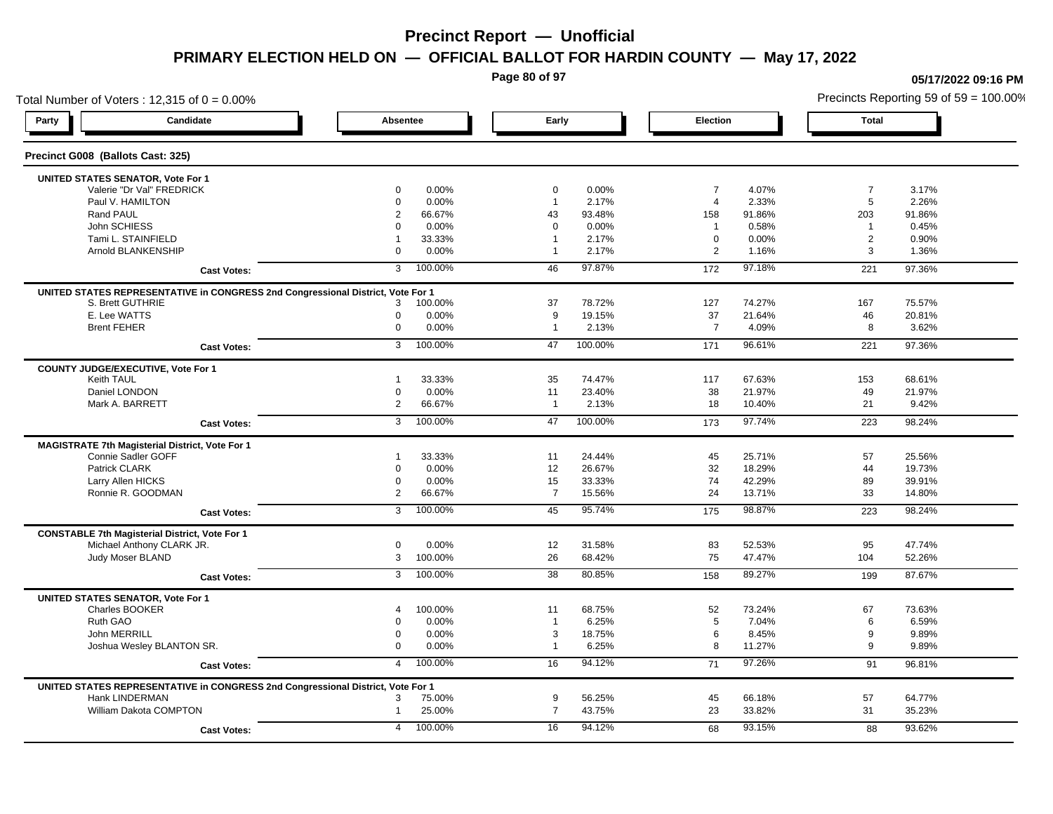**Page 80 of 97**

### Total Number of Voters : 12,315 of  $0 = 0.00\%$ Precincts Reporting 59 of 59 = 100.00% **Party Candidate Absentee Early Election Total Precinct G008 (Ballots Cast: 325) UNITED STATES SENATOR, Vote For 1** Valerie "Dr Val" FREDRICK 0 0.00% 0 0.00% 7 4.07% 7 3.17% Paul V. HAMILTON 0 0.00% 1 2.17% 4 2.33% 5 2.26% Rand PAUL 2 66.67% 43 93.48% 158 91.86% 203 91.86% John SCHIESS 0 0.00% 0 0.00% 1 0.58% 1 0.45% Tami L. STAINFIELD 1 33.33% 1 2.17% 0 0.00% 2 0.90% Arnold BLANKENSHIP 0 0.00% 1 2.17% 2 1.16% 3 1.36% **Cast Votes:** 3 100.00% 46 97.87% 172 97.18% 221 97.36% **UNITED STATES REPRESENTATIVE in CONGRESS 2nd Congressional District, Vote For 1** S. Brett GUTHRIE 3 100.00% 37 78.72% 127 74.27% 167 75.57% E. Lee WATTS 0 0.00% 9 19.15% 37 21.64% 46 20.81% Brent FEHER 0 0.00% 1 2.13% 7 4.09% 8 3.62% **Cast Votes:** 3 100.00% 47 100.00% 171 96.61% 221 97.36% **COUNTY JUDGE/EXECUTIVE, Vote For 1** Keith TAUL 1 33.33% 35 74.47% 117 67.63% 153 68.61% Daniel LONDON 0 0.00% 11 23.40% 38 21.97% 49 21.97% Mark A. BARRETT 2 66.67% 1 2.13% 18 10.40% 21 9.42% **Cast Votes:** 3 100.00% 47 100.00% 173 97.74% 223 98.24% **MAGISTRATE 7th Magisterial District, Vote For 1** Connie Sadler GOFF 1 25.56% 1 33.33% 11 24.44% 45 25.71% 57 25.56% 25.56% Patrick CLARK 0 0.00% 12 26.67% 32 18.29% 44 19.73% Larry Allen HICKS 0 0.00% 15 33.33% 74 42.29% 89 39.91% Ronnie R. GOODMAN 2 66.67% 7 15.56% 24 13.71% 33 14.80% **Cast Votes:** 3 100.00% 45 95.74% 175 98.87% 223 98.24% **CONSTABLE 7th Magisterial District, Vote For 1** Michael Anthony CLARK JR. 0 0.00% 12 31.58% 83 52.53% 95 47.74% Judy Moser BLAND 3 100.00% 26 68.42% 75 47.47% 104 52.26% **Cast Votes:** 3 100.00% 38 80.85% 158 89.27% 199 87.67% **UNITED STATES SENATOR, Vote For 1** Charles BOOKER 4 100.00% 11 68.75% 52 73.24% 67 73.63% Ruth GAO 0 0.00% 1 6.25% 5 7.04% 6 6.59% John MERRILL 0 0.00% 3 18.75% 6 8.45% 9 9.89% Joshua Wesley BLANTON SR. 0 0.00% 1 6.25% 8 11.27% 9 9.89% **Cast Votes:** 4 100.00% 16 94.12% 71 97.26% 91 96.81% **UNITED STATES REPRESENTATIVE in CONGRESS 2nd Congressional District, Vote For 1** Hank LINDERMAN 3 75.00% 9 56.25% 45 66.18% 57 64.77% William Dakota COMPTON 1 25.00% 7 43.75% 23 33.82% 31 35.23% **Cast Votes:** 4 100.00% 16 94.12% 68 93.15% 88 93.62%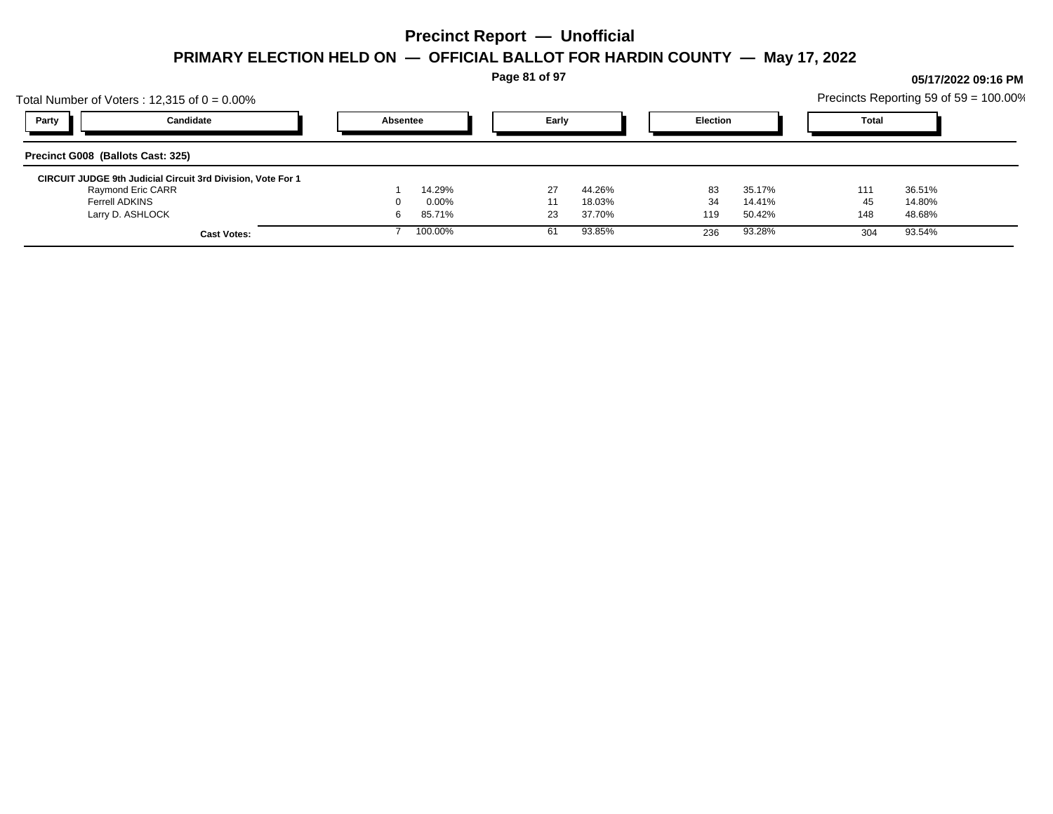**Page 81 of 97**

## Total Number of Voters : 12,315 of  $0 = 0.00\%$ Precincts Reporting 59 of 59 = 100.00% **Party Candidate Absentee Early Election Total Precinct G008 (Ballots Cast: 325) CIRCUIT JUDGE 9th Judicial Circuit 3rd Division, Vote For 1** Raymond Eric CARR 1 14.29% 27 44.26% 83 35.17% 111 36.51% Ferrell ADKINS 0 0.00% 11 18.03% 34 14.41% 45 14.80% Larry D. ASHLOCK 6 85.71% 23 37.70% 119 50.42% 148 48.68% **Cast Votes:** 7 100.00% 61 93.85% 236 93.28% 304 93.54%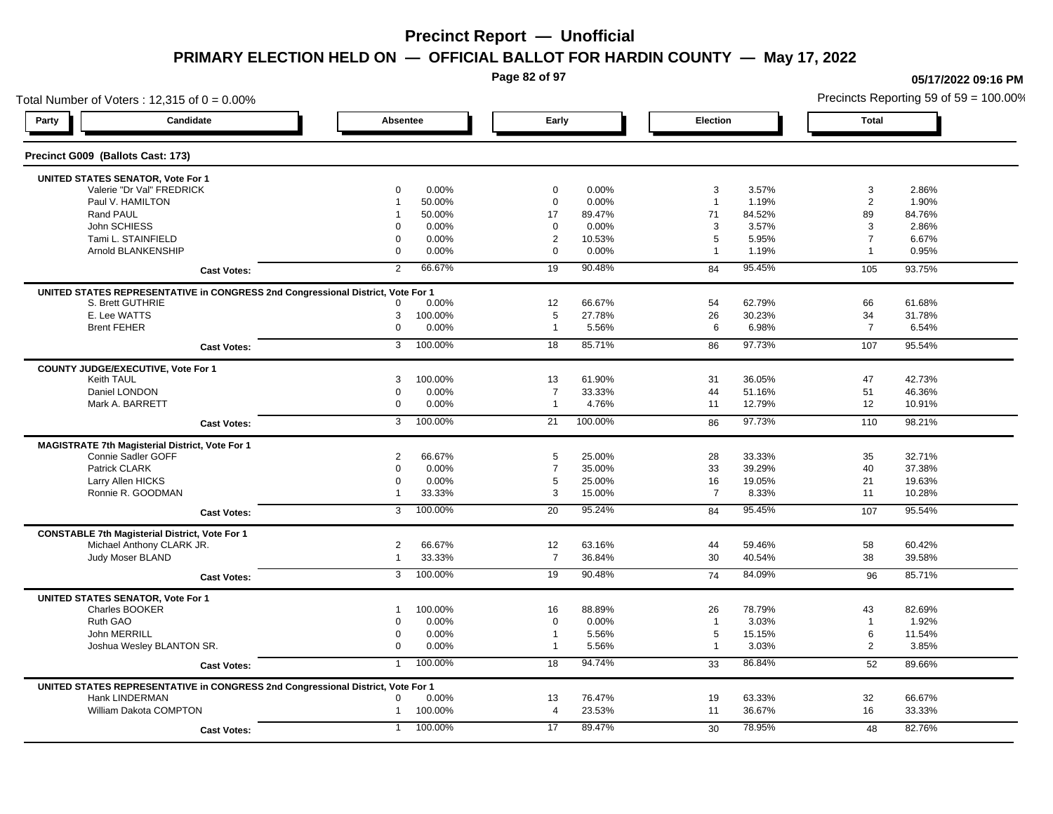**Page 82 of 97**

### Total Number of Voters : 12,315 of  $0 = 0.00\%$ **Party Candidate Absentee Early Election Total Precinct G009 (Ballots Cast: 173) UNITED STATES SENATOR, Vote For 1** Valerie "Dr Val" FREDRICK 0 0.00% 0 0.00% 3 3.57% 3 2.86% Paul V. HAMILTON 1 50.00% 0 0.00% 1 1.19% 2 1.90% Rand PAUL 1 50.00% 17 89.47% 71 84.52% 89 84.76% John SCHIESS 0 0.00% 0 0.00% 3 3.57% 3 2.86% Tami L. STAINFIELD 0 0.00% 2 10.53% 5 5.95% 7 6.67% Arnold BLANKENSHIP 0 0.00% 0 0.00% 1 1.19% 1 0.95% **Cast Votes:** 2 66.67% 19 90.48% 84 95.45% 105 93.75% **UNITED STATES REPRESENTATIVE in CONGRESS 2nd Congressional District, Vote For 1** S. Brett GUTHRIE 0 0.00% 12 66.67% 54 62.79% 66 61.68% E. Lee WATTS 3 100.00% 5 27.78% 26 30.23% 34 31.78% Brent FEHER 0 0.00% 1 5.56% 6 6.98% 7 6.54% **Cast Votes:** 3 100.00% 18 85.71% 86 97.73% 107 95.54% **COUNTY JUDGE/EXECUTIVE, Vote For 1** Keith TAUL 3 100.00% 13 61.90% 31 36.05% 42.73% 31 Daniel LONDON 0 0.00% 7 33.33% 44 51.16% 51 46.36% Mark A. BARRETT 0 0.00% 1 4.76% 11 12.79% 12 10.91% **Cast Votes:** 3 100.00% 21 100.00% 86 97.73% 110 98.21% **MAGISTRATE 7th Magisterial District, Vote For 1** Connie Sadler GOFF 2 2 266.67% 2 66.67% 5 25.00% 28 33.33% 35 32.71% 35 32.71% Patrick CLARK 0 0.00% 7 35.00% 33 39.29% 40 37.38% Larry Allen HICKS 0 0.00% 5 25.00% 16 19.05% 21 19.63% Ronnie R. GOODMAN 1 33.33% 1 33.33% 3 15.00% 7 8.33% 11 10.28% 2 11 10.28% 2 11 10.28% 2 11 10.28% 1 **Cast Votes:** 3 100.00% 20 95.24% 84 95.45% 107 95.54% **CONSTABLE 7th Magisterial District, Vote For 1** Michael Anthony CLARK JR. 2 66.67% 12 63.16% 44 59.46% 58 60.42% Judy Moser BLAND 1 33.33% 7 36.84% 30 40.54% 38 39.58% **Cast Votes:** 3 100.00% 19 90.48% 74 84.09% 96 85.71% **UNITED STATES SENATOR, Vote For 1** Charles BOOKER 1 100.00% 16 88.89% 26 78.79% 43 82.69% Ruth GAO 0 0.00% 0 0.00% 1 3.03% 1 1.92% John MERRILL 0 0.00% 1 5.56% 5 15.15% 6 11.54% Joshua Wesley BLANTON SR. 0 0.00% 1 5.56% 1 3.03% 2 3.85% **Cast Votes:** 1 100.00% 18 94.74% 33 86.84% 52 89.66% 1 **UNITED STATES REPRESENTATIVE in CONGRESS 2nd Congressional District, Vote For 1** Hank LINDERMAN 0 0.00% 13 76.47% 19 63.33% 32 66.67% William Dakota COMPTON 1 100.00% 4 23.53% 11 36.67% 16 33.33% **Cast Votes:** 1 100.00% 17 89.47% 30 78.95% 48 82.76%

#### **05/17/2022 09:16 PM**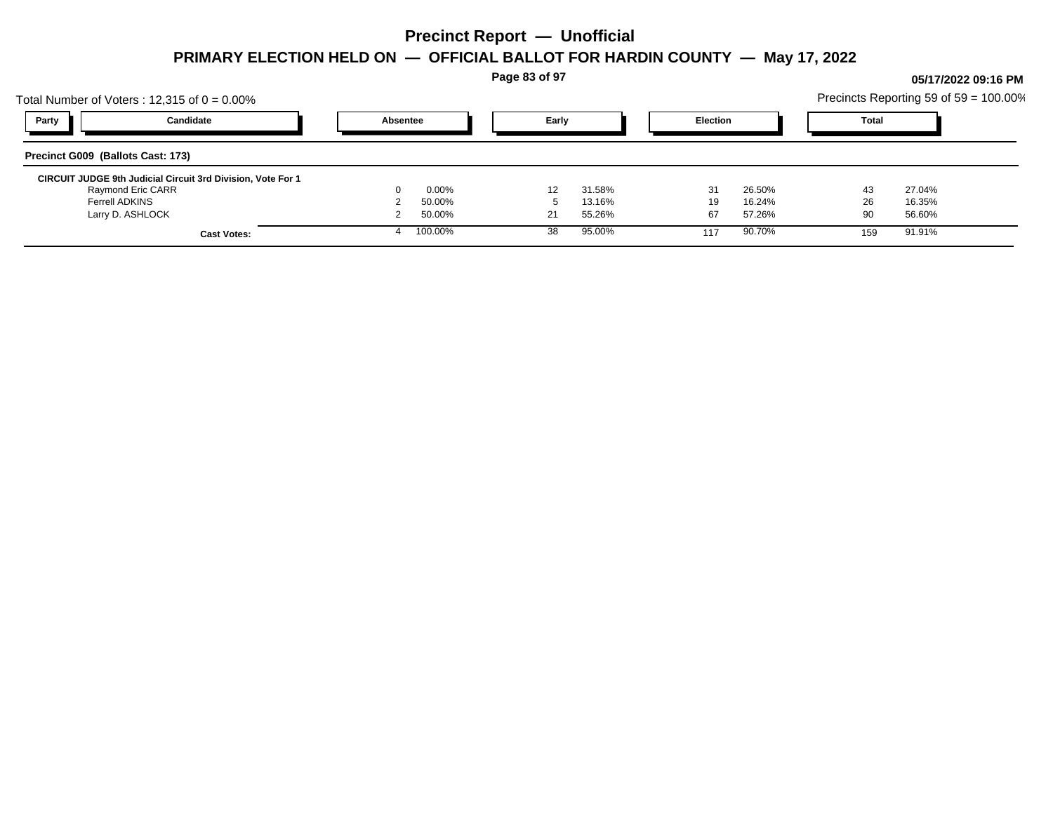**Page 83 of 97**

## Total Number of Voters : 12,315 of  $0 = 0.00\%$ Precincts Reporting 59 of 59 = 100.00% **Party Candidate Absentee Early Election Total Precinct G009 (Ballots Cast: 173) CIRCUIT JUDGE 9th Judicial Circuit 3rd Division, Vote For 1** Raymond Eric CARR 0 0.00% 12 31.58% 31 26.50% 43 27.04% Ferrell ADKINS 2 50.00% 5 13.16% 19 16.24% 26 16.35% Larry D. ASHLOCK 2 50.00% 21 55.26% 67 57.26% 90 56.60% **Cast Votes:** 4 100.00% 38 95.00% 117 90.70% 159 91.91%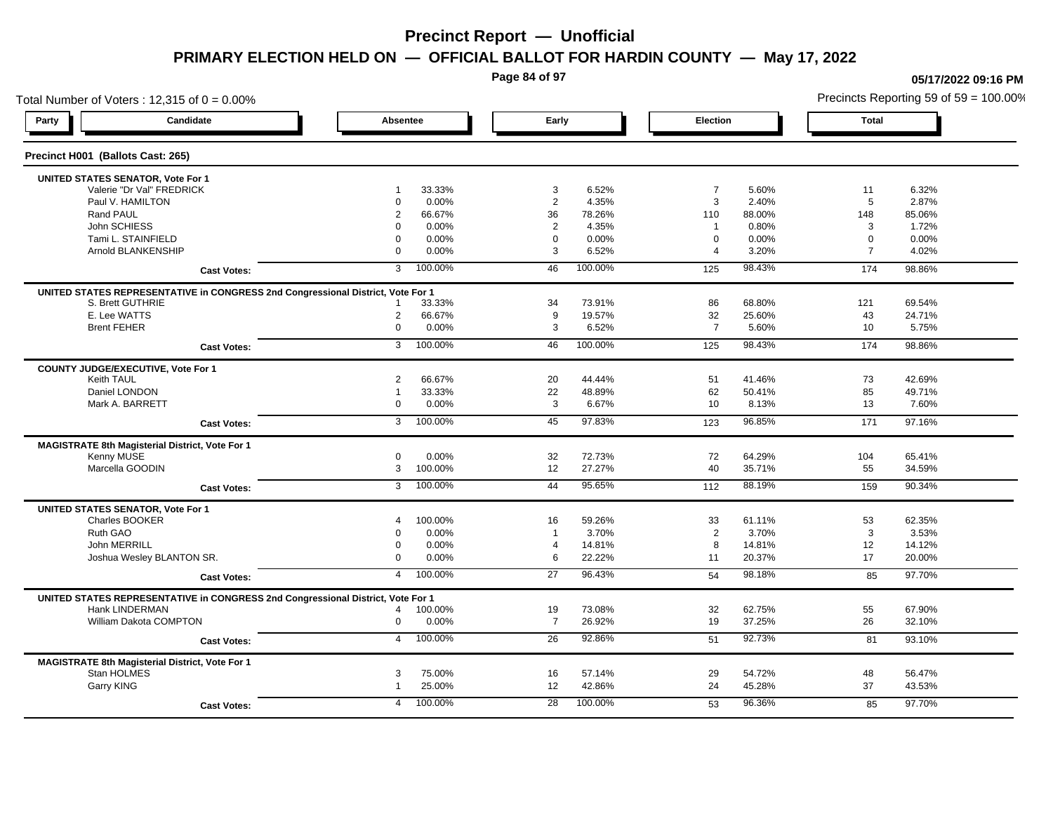**Page 84 of 97**

**05/17/2022 09:16 PM**

### Total Number of Voters : 12,315 of  $0 = 0.00\%$ Precincts Reporting 59 of 59 = 100.00% **Party Candidate Absentee Early Election Total Precinct H001 (Ballots Cast: 265) UNITED STATES SENATOR, Vote For 1** Valerie "Dr Val" FREDRICK 1 33.33% 3 6.52% 7 5.60% 11 6.32% Paul V. HAMILTON 0 0.00% 2 4.35% 3 2.40% 5 2.87% Rand PAUL 2 66.67% 36 78.26% 110 88.00% 148 85.06% John SCHIESS 0 0.00% 2 4.35% 1 0.80% 3 1.72% Tami L. STAINFIELD 0 0.00% 0 0.00% 0 0.00% 0 0.00% Arnold BLANKENSHIP 0 0.00% 3 6.52% 4 3.20% 7 4.02% **Cast Votes:** 3 100.00% 46 100.00% 125 98.43% 174 98.86% **UNITED STATES REPRESENTATIVE in CONGRESS 2nd Congressional District, Vote For 1** S. Brett GUTHRIE 1 33.33% 34 73.91% 86 68.80% 121 69.54% E. Lee WATTS 2 66.67% 9 19.57% 32 25.60% 43 24.71% Brent FEHER 0 0.00% 3 6.52% 7 5.60% 10 5.75% **Cast Votes:** 3 100.00% 46 100.00% 125 98.43% 174 98.86% **COUNTY JUDGE/EXECUTIVE, Vote For 1** Keith TAUL 2 66.67% 20 44.44% 51 41.46% 73 42.69% Daniel LONDON 1 33.33% 22 48.89% 62 50.41% 85 49.71% Mark A. BARRETT 0 0.00% 3 6.67% 10 8.13% 13 7.60% **Cast Votes:** 3 100.00% 45 97.83% 123 96.85% 171 97.16% **MAGISTRATE 8th Magisterial District, Vote For 1** Kenny MUSE 0 0.00% 32 72.73% 72 64.29% 104 65.41% Marcella GOODIN 3 100.00% 12 27.27% 40 35.71% 55 34.59% **Cast Votes:** 3 100.00% 44 95.65% 112 88.19% 159 90.34% **UNITED STATES SENATOR, Vote For 1** Charles BOOKER 4 100.00% 16 59.26% 33 61.11% 53 62.35% Ruth GAO 0 0.00% 1 3.70% 2 3.70% 3 3.53% John MERRILL 0 0.00% 4 14.81% 8 14.81% 12 14.12% Joshua Wesley BLANTON SR. 0 0.00% 6 22.22% 11 20.37% 17 20.00% **Cast Votes:** 4 100.00% 27 96.43% 54 98.18% 85 97.70% **UNITED STATES REPRESENTATIVE in CONGRESS 2nd Congressional District, Vote For 1** Hank LINDERMAN 4 100.00% 19 73.08% 32 62.75% 55 67.90% William Dakota COMPTON 0 0.00% 7 26.92% 19 37.25% 26 32.10% **Cast Votes:** 4 100.00% 26 92.86% 51 92.73% 81 93.10% **MAGISTRATE 8th Magisterial District, Vote For 1** Stan HOLMES 3 75.00% 16 57.14% 29 54.72% 48 56.47% Garry KING 1 25.00% 12 42.86% 24 45.28% 37 43.53% **Cast Votes:** 4 100.00% 28 100.00% 53 96.36% 85 97.70%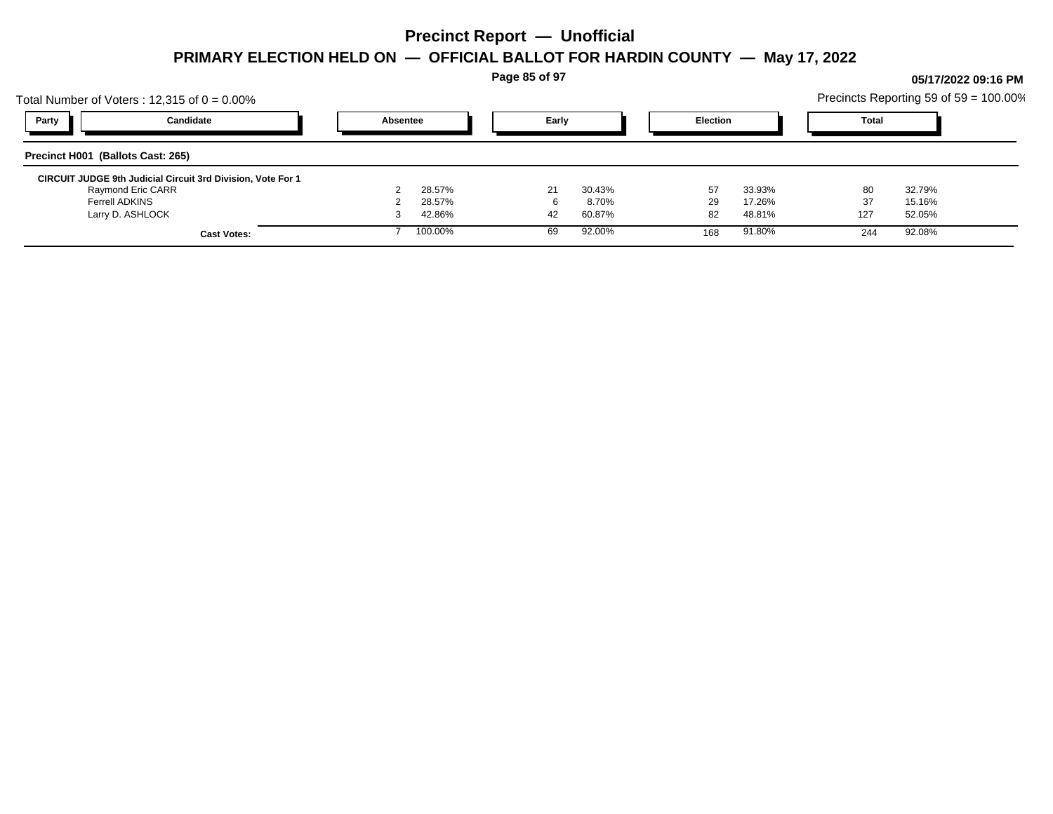**Page 85 of 97**

## Total Number of Voters : 12,315 of  $0 = 0.00\%$ Precincts Reporting 59 of 59 = 100.00% **Party Candidate Absentee Early Election Total Precinct H001 (Ballots Cast: 265) CIRCUIT JUDGE 9th Judicial Circuit 3rd Division, Vote For 1** Raymond Eric CARR 2 28.57% 21 30.43% 57 33.93% 80 32.79% Ferrell ADKINS 2 28.57% 6 8.70% 29 17.26% 37 15.16% Larry D. ASHLOCK 3 42.86% 42 60.87% 82 48.81% 127 52.05% **Cast Votes:** 7 100.00% 69 92.00% 168 91.80% 244 92.08%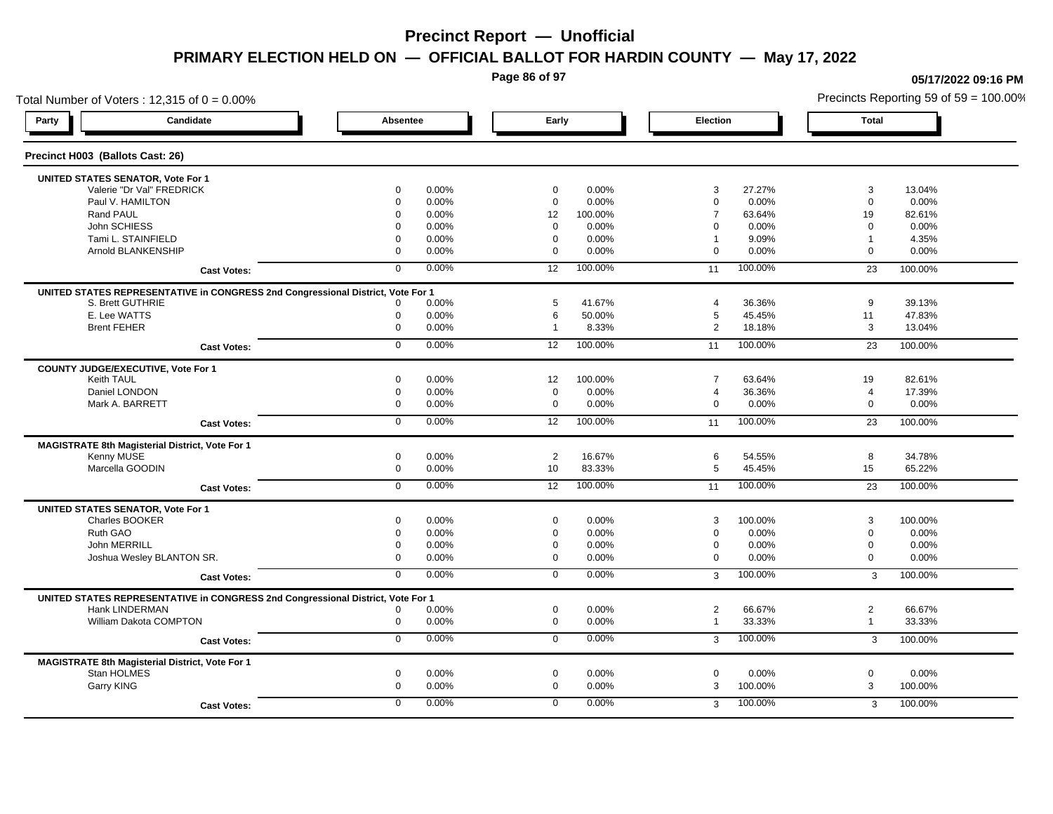**Page 86 of 97**

**05/17/2022 09:16 PM**

### Total Number of Voters : 12,315 of  $0 = 0.00\%$ Precincts Reporting 59 of 59 = 100.00% **Party Candidate Absentee Early Election Total Precinct H003 (Ballots Cast: 26) UNITED STATES SENATOR, Vote For 1** Valerie "Dr Val" FREDRICK 0 0.00% 0 0.00% 3 27.27% 3 13.04% Paul V. HAMILTON 0 0.00% 0 0.00% 0 0.00% 0 0.00% Rand PAUL 0 0.00% 12 100.00% 7 63.64% 19 82.61% John SCHIESS 0 0.00% 0 0.00% 0 0.00% 0 0.00% Tami L. STAINFIELD 0 0.00% 0 0.00% 1 9.09% 1 4.35% Arnold BLANKENSHIP 0 0.00% 0 0.00% 0 0.00% 0 0.00% **Cast Votes:** 0 0.00% 12 100.00% 11 100.00% 23 100.00% **UNITED STATES REPRESENTATIVE in CONGRESS 2nd Congressional District, Vote For 1** S. Brett GUTHRIE 0 0.00% 5 41.67% 4 36.36% 9 39.13% E. Lee WATTS 0 0.00% 6 50.00% 5 45.45% 11 47.83% Brent FEHER 0 0.00% 1 8.33% 2 18.18% 3 13.04% **Cast Votes:** 0 0.00% 12 100.00% 11 100.00% 23 100.00% **COUNTY JUDGE/EXECUTIVE, Vote For 1** Keith TAUL 0 0.00% 12 100.00% 7 63.64% 19 82.61% Daniel LONDON 0 0.00% 0 0.00% 4 36.36% 4 17.39% Mark A. BARRETT 0 0.00% 0 0.00% 0 0.00% 0 0.00% **Cast Votes:** 0 0.00% 12 100.00% 11 100.00% 23 100.00% **MAGISTRATE 8th Magisterial District, Vote For 1** Kenny MUSE 0 0.00% 2 16.67% 6 54.55% 8 34.78% Marcella GOODIN 0 0.00% 10 83.33% 5 45.45% 15 65.22% **Cast Votes:** 0 0.00% 12 100.00% 11 100.00% 23 100.00% **UNITED STATES SENATOR, Vote For 1** Charles BOOKER 0 0.00% 0 0.00% 3 100.00% 3 100.00% Ruth GAO 0 0.00% 0 0.00% 0 0.00% 0 0.00% John MERRILL 0 0.00% 0 0.00% 0 0.00% 0 0.00% Joshua Wesley BLANTON SR. 0 0.00% 0 0.00% 0 0.00% 0 0.00% **Cast Votes:** 0 0.00% 0 0.00% 3 100.00% 3 100.00% **UNITED STATES REPRESENTATIVE in CONGRESS 2nd Congressional District, Vote For 1** Hank LINDERMAN 0 0.00% 0 0.00% 2 66.67% 2 66.67% William Dakota COMPTON 0 0.00% 0 0.00% 1 33.33% 1 33.33% **Cast Votes:** 0 0.00% 0 0.00% 3 100.00% 3 100.00% **MAGISTRATE 8th Magisterial District, Vote For 1** Stan HOLMES 0 0.00% 0 0.00% 0 0.00% 0 0.00% Garry KING 0 0.00% 0 0.00% 3 100.00% 3 100.00% **Cast Votes:** 0 0.00% 0 0.00% 3 100.00% 3 100.00%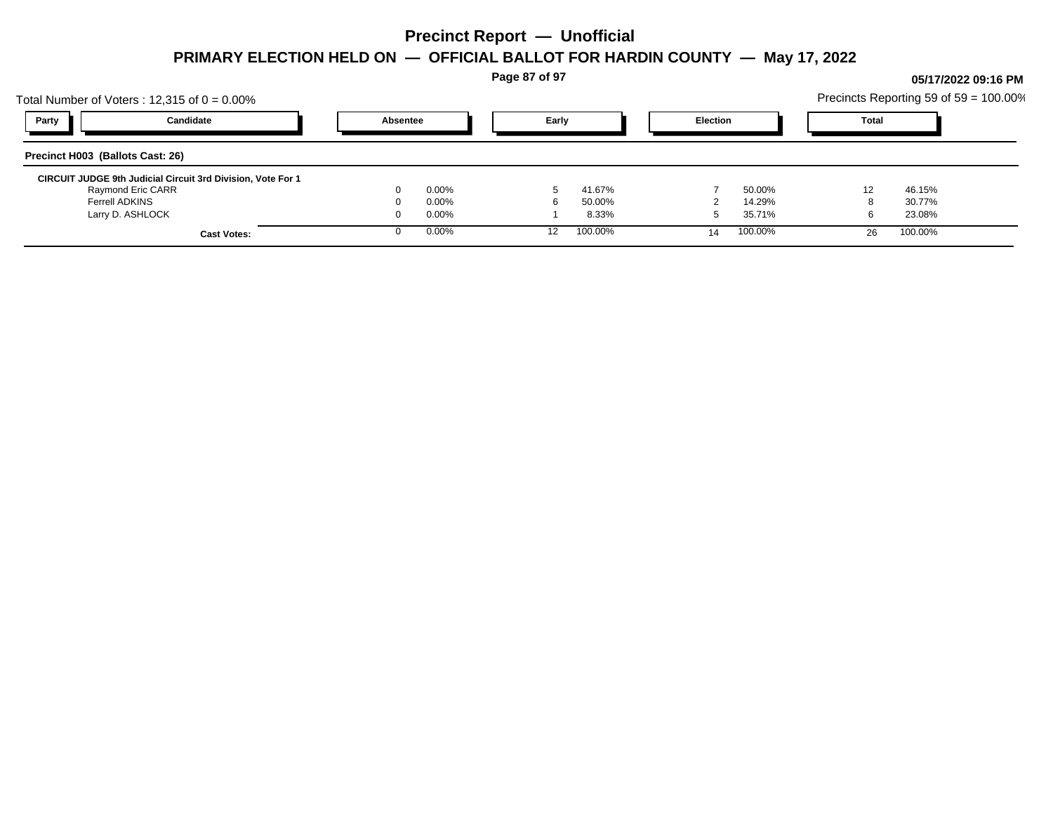**Page 87 of 97**

## Total Number of Voters : 12,315 of  $0 = 0.00\%$ Precincts Reporting 59 of 59 = 100.00% **Party Candidate Absentee Early Election Total Precinct H003 (Ballots Cast: 26) CIRCUIT JUDGE 9th Judicial Circuit 3rd Division, Vote For 1** Raymond Eric CARR 0 0.00% 5 41.67% 7 50.00% 12 46.15% Ferrell ADKINS 0 0.00% 6 50.00% 2 14.29% 8 30.77% Larry D. ASHLOCK 0 0.00% 1 8.33% 5 35.71% 6 23.08% **Cast Votes:** 0 0.00% 12 100.00% 14 100.00% 26 100.00%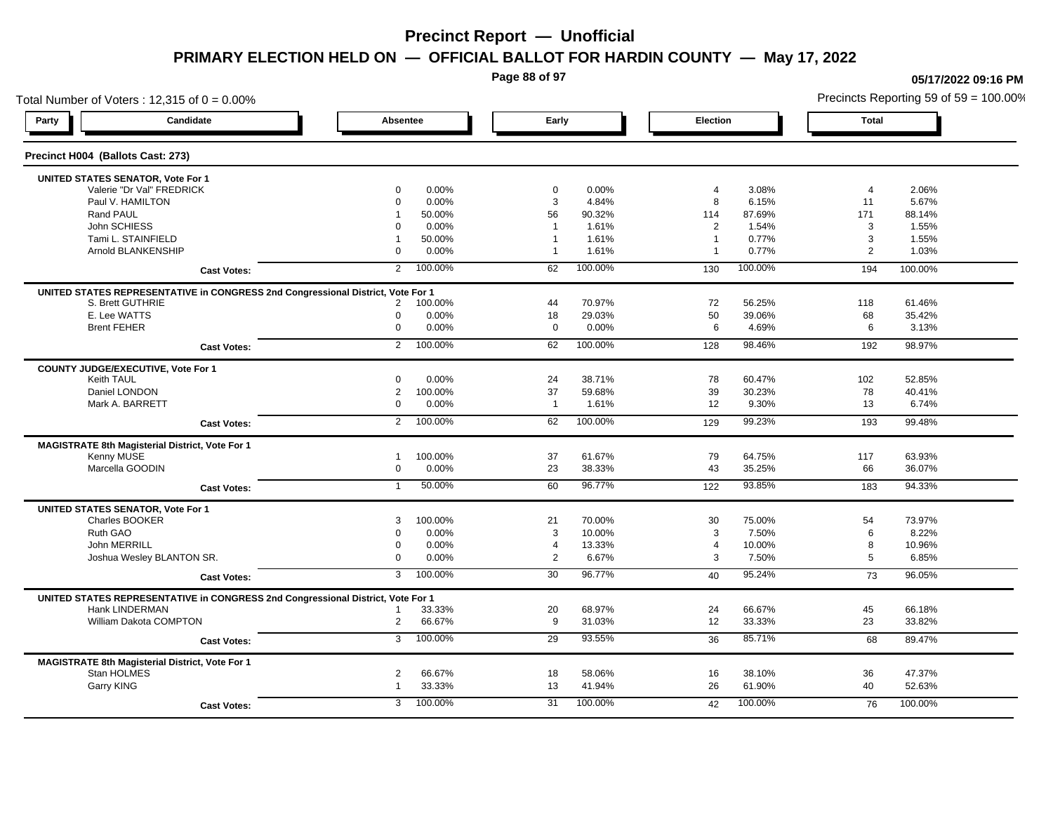**Page 88 of 97**

### Total Number of Voters : 12,315 of  $0 = 0.00\%$ **Party Candidate Absentee Early Election Total Precinct H004 (Ballots Cast: 273) UNITED STATES SENATOR, Vote For 1** Valerie "Dr Val" FREDRICK 0 0.00% 0 0.00% 4 3.08% 4 2.06% Paul V. HAMILTON 0 0.00% 3 4.84% 8 6.15% 11 5.67% Rand PAUL 1 50.00% 56 90.32% 114 87.69% 171 88.14% John SCHIESS 0 0.00% 1 1.61% 2 1.54% 3 1.55% Tami L. STAINFIELD 1 50.00% 1 1.61% 1 0.77% 3 1.55% Arnold BLANKENSHIP 0 0.00% 1 1.61% 1 0.77% 2 1.03% **Cast Votes:** 2 100.00% 62 100.00% 130 100.00% 194 100.00% **UNITED STATES REPRESENTATIVE in CONGRESS 2nd Congressional District, Vote For 1** S. Brett GUTHRIE 2 100.00% 44 70.97% 72 56.25% 118 61.46% E. Lee WATTS 0 0.00% 18 29.03% 50 39.06% 68 35.42% Brent FEHER 0 0.00% 0 0.00% 6 4.69% 6 3.13% **Cast Votes:** 2 100.00% 62 100.00% 128 98.46% 192 98.97% **COUNTY JUDGE/EXECUTIVE, Vote For 1** Keith TAUL 0 0.00% 24 38.71% 78 60.47% 102 52.85% Daniel LONDON 2 100.00% 37 59.68% 39 30.23% 78 40.41% Mark A. BARRETT 0 0.00% 1 1.61% 12 9.30% 13 6.74% **Cast Votes:** 2 100.00% 62 100.00% 129 99.23% 193 99.48% **MAGISTRATE 8th Magisterial District, Vote For 1** Kenny MUSE 1 100.00% 37 61.67% 79 64.75% 117 63.93% Marcella GOODIN 0 0.00% 23 38.33% 43 35.25% 66 36.07% **Cast Votes:** 1 50.00% 60 96.77% 122 93.85% 183 94.33% **UNITED STATES SENATOR, Vote For 1** Charles BOOKER 3 100.00% 21 70.00% 30 75.00% 54 73.97% Ruth GAO 0 0.00% 3 10.00% 3 7.50% 6 8.22% John MERRILL 0 0.00% 4 13.33% 4 10.00% 8 10.96% Joshua Wesley BLANTON SR. 0 0.00% 2 6.67% 3 7.50% 5 6.85% **Cast Votes:** 3 100.00% 30 96.77% 40 95.24% 73 96.05% **UNITED STATES REPRESENTATIVE in CONGRESS 2nd Congressional District, Vote For 1** Hank LINDERMAN 1 33.33% 20 68.97% 24 66.67% 45 66.18% William Dakota COMPTON 2 66.67% 9 31.03% 12 33.33% 23 33.82% **Cast Votes:** 3 100.00% 29 93.55% 36 85.71% 68 89.47% **MAGISTRATE 8th Magisterial District, Vote For 1** Stan HOLMES 2 66.67% 18 58.06% 16 38.10% 36 47.37% Garry KING 1 33.33% 13 41.94% 26 61.90% 40 52.63% **Cast Votes:** 3 100.00% 31 100.00% 42 100.00% 76 100.00%

**05/17/2022 09:16 PM**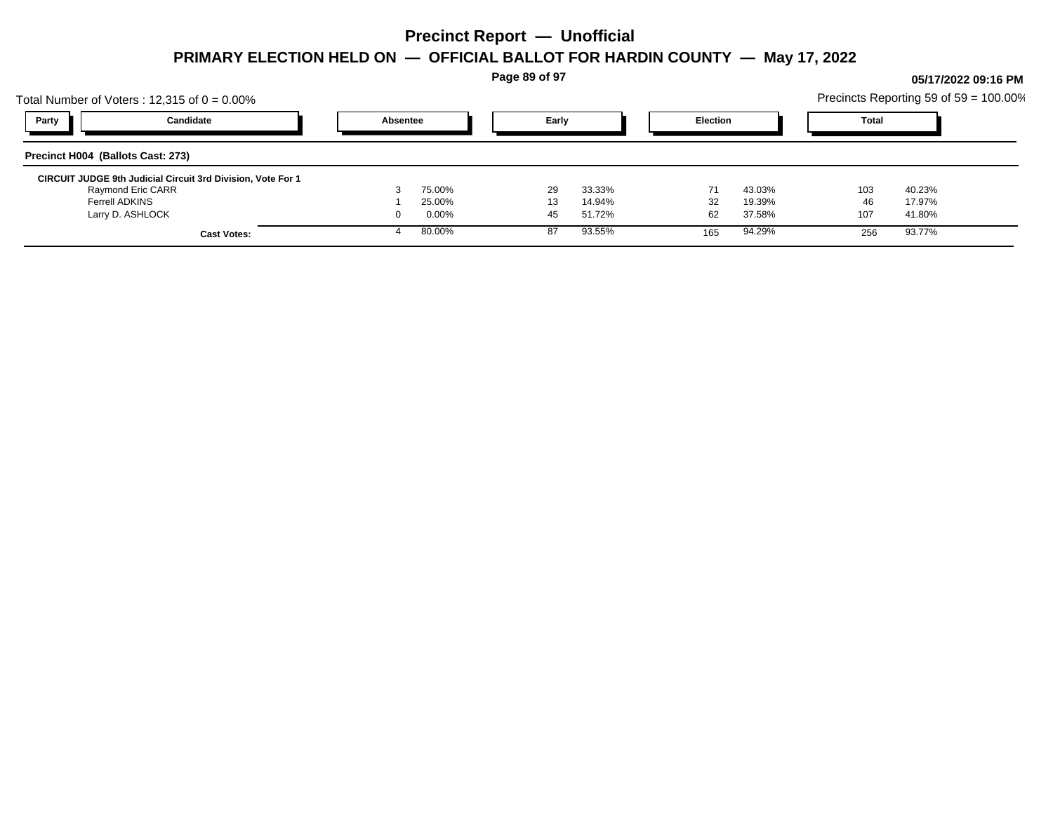**Page 89 of 97**

## Total Number of Voters : 12,315 of  $0 = 0.00\%$ Precincts Reporting 59 of 59 = 100.00% **Party Candidate Absentee Early Election Total Precinct H004 (Ballots Cast: 273) CIRCUIT JUDGE 9th Judicial Circuit 3rd Division, Vote For 1** Raymond Eric CARR 3 75.00% 29 33.33% 71 43.03% 103 40.23% Ferrell ADKINS 1 25.00% 13 14.94% 32 19.39% 46 17.97% Larry D. ASHLOCK 0 0.00% 45 51.72% 62 37.58% 107 41.80% **Cast Votes:** 4 80.00% 87 93.55% 165 94.29% 256 93.77%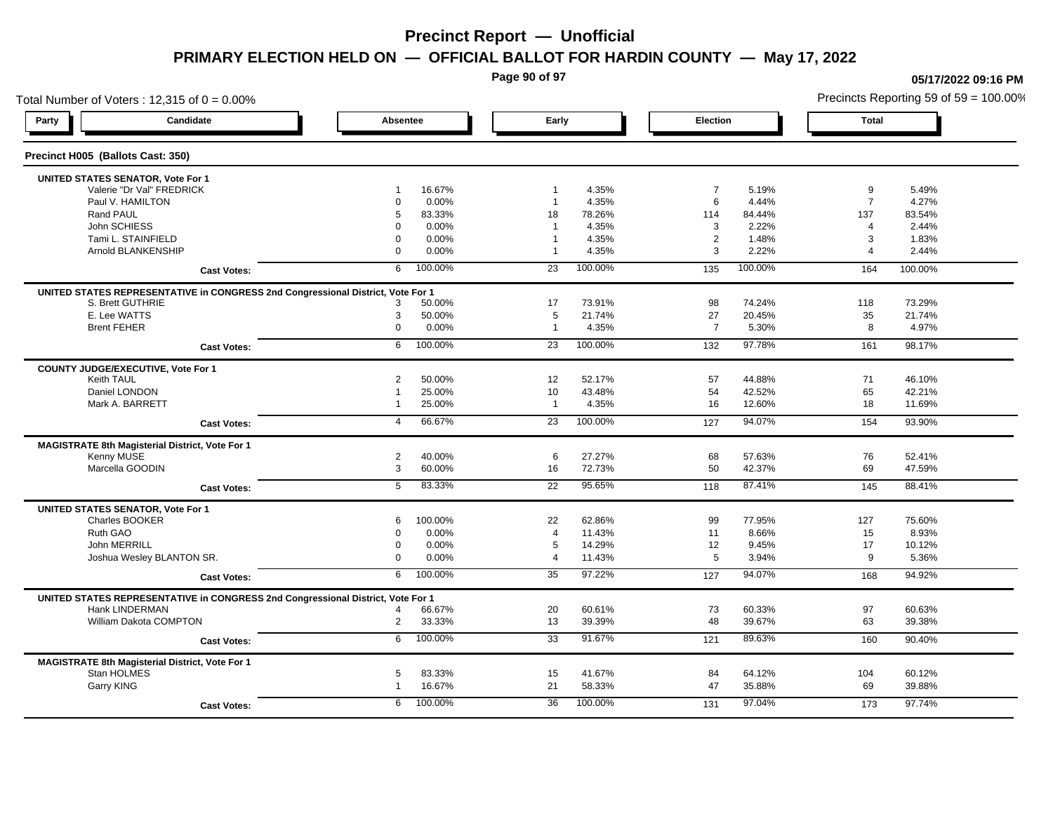**Page 90 of 97**

**05/17/2022 09:16 PM**

### Total Number of Voters : 12,315 of  $0 = 0.00\%$ Precincts Reporting 59 of 59 = 100.00% **Party Candidate Absentee Early Election Total Precinct H005 (Ballots Cast: 350) UNITED STATES SENATOR, Vote For 1** Valerie "Dr Val" FREDRICK 1 16.67% 1 4.35% 7 5.19% 9 5.49% Paul V. HAMILTON 0 0.00% 1 4.35% 6 4.44% 7 4.27% Rand PAUL 5 83.33% 18 78.26% 114 84.44% 137 83.54% John SCHIESS 0 0.00% 1 4.35% 3 2.22% 4 2.44% Tami L. STAINFIELD 0 0.00% 1 4.35% 2 1.48% 3 1.83% Arnold BLANKENSHIP 0 0.00% 1 4.35% 3 2.22% 4 2.44% **Cast Votes:** 6 100.00% 23 100.00% 135 100.00% 164 100.00% **UNITED STATES REPRESENTATIVE in CONGRESS 2nd Congressional District, Vote For 1** S. Brett GUTHRIE 3 50.00% 17 73.91% 98 74.24% 118 73.29% E. Lee WATTS 3 50.00% 5 21.74% 27 20.45% 35 21.74% Brent FEHER 0 0.00% 1 4.35% 7 5.30% 8 4.97% **Cast Votes:** 6 100.00% 23 100.00% 132 97.78% 161 98.17% **COUNTY JUDGE/EXECUTIVE, Vote For 1** Keith TAUL 2 50.00% 12 52.17% 57 44.88% 71 46.10% Daniel LONDON 1 25.00% 10 43.48% 54 42.52% 65 42.21% Mark A. BARRETT 1 25.00% 1 4.35% 16 12.60% 18 11.69% **Cast Votes:** 4 66.67% 23 100.00% 127 94.07% 154 93.90% **MAGISTRATE 8th Magisterial District, Vote For 1** Kenny MUSE 2 40.00% 6 27.27% 68 57.63% 76 52.41% Marcella GOODIN 3 60.00% 16 72.73% 50 42.37% 69 47.59% **Cast Votes:** 5 83.33% 22 95.65% 118 87.41% 145 88.41% **UNITED STATES SENATOR, Vote For 1** Charles BOOKER 6 100.00% 22 62.86% 99 77.95% 127 75.60% Ruth GAO 0 0.00% 4 11.43% 11 8.66% 15 8.93% John MERRILL 0 0.00% 5 14.29% 12 9.45% 17 10.12% Joshua Wesley BLANTON SR. 0 0.00% 4 11.43% 5 3.94% 9 5.36% **Cast Votes:** 6 100.00% 35 97.22% 127 94.07% 168 94.92% **UNITED STATES REPRESENTATIVE in CONGRESS 2nd Congressional District, Vote For 1** Hank LINDERMAN 4 66.67% 20 60.61% 73 60.33% 97 60.63% William Dakota COMPTON 2 33.33% 13 39.39% 48 39.67% 63 39.38% **Cast Votes:** 6 100.00% 33 91.67% 121 89.63% 160 90.40% **MAGISTRATE 8th Magisterial District, Vote For 1** Stan HOLMES 5 83.33% 15 41.67% 84 64.12% 104 60.12% Garry KING 1 16.67% 21 58.33% 47 35.88% 69 39.88% **Cast Votes:** 6 100.00% 36 100.00% 131 97.04% 173 97.74%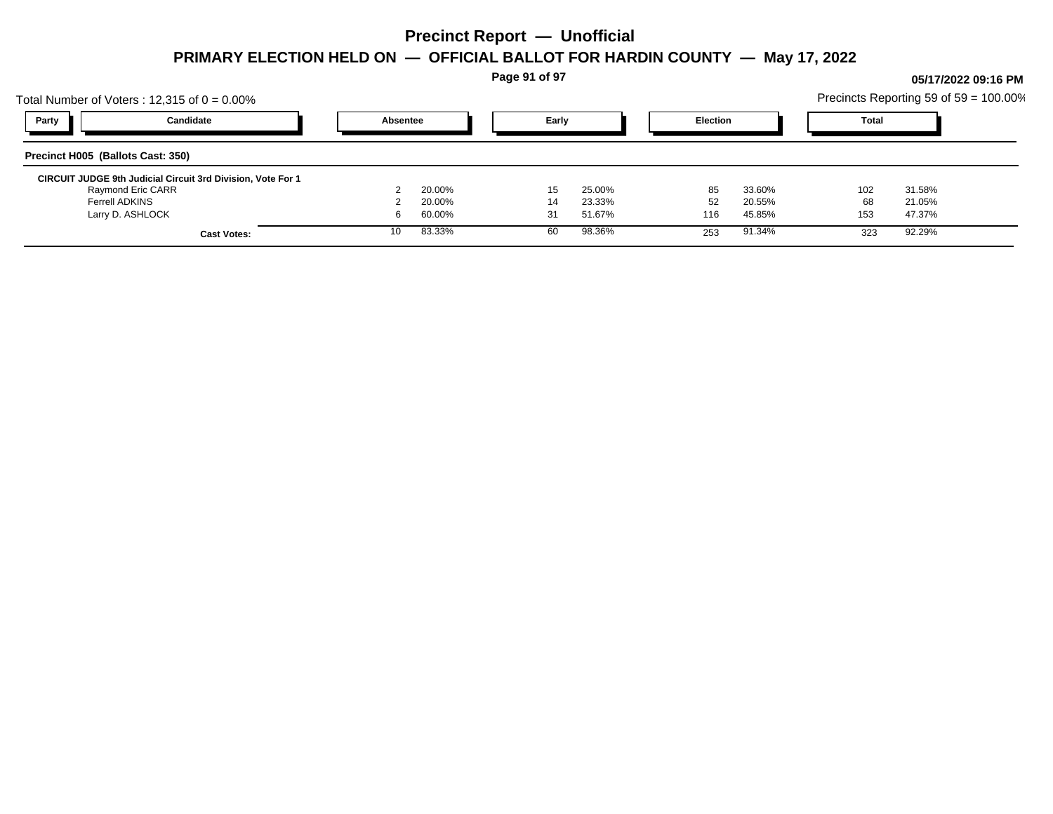**Page 91 of 97**

## Total Number of Voters : 12,315 of  $0 = 0.00\%$ Precincts Reporting 59 of 59 = 100.00% **Party Candidate Absentee Early Election Total Precinct H005 (Ballots Cast: 350) CIRCUIT JUDGE 9th Judicial Circuit 3rd Division, Vote For 1** Raymond Eric CARR 2 20.00% 15 25.00% 85 33.60% 102 31.58% Ferrell ADKINS 2 20.00% 14 23.33% 52 20.55% 68 21.05% Larry D. ASHLOCK 6 60.00% 31 51.67% 116 45.85% 153 47.37% **Cast Votes:** 10 83.33% 60 98.36% 253 91.34% 323 92.29%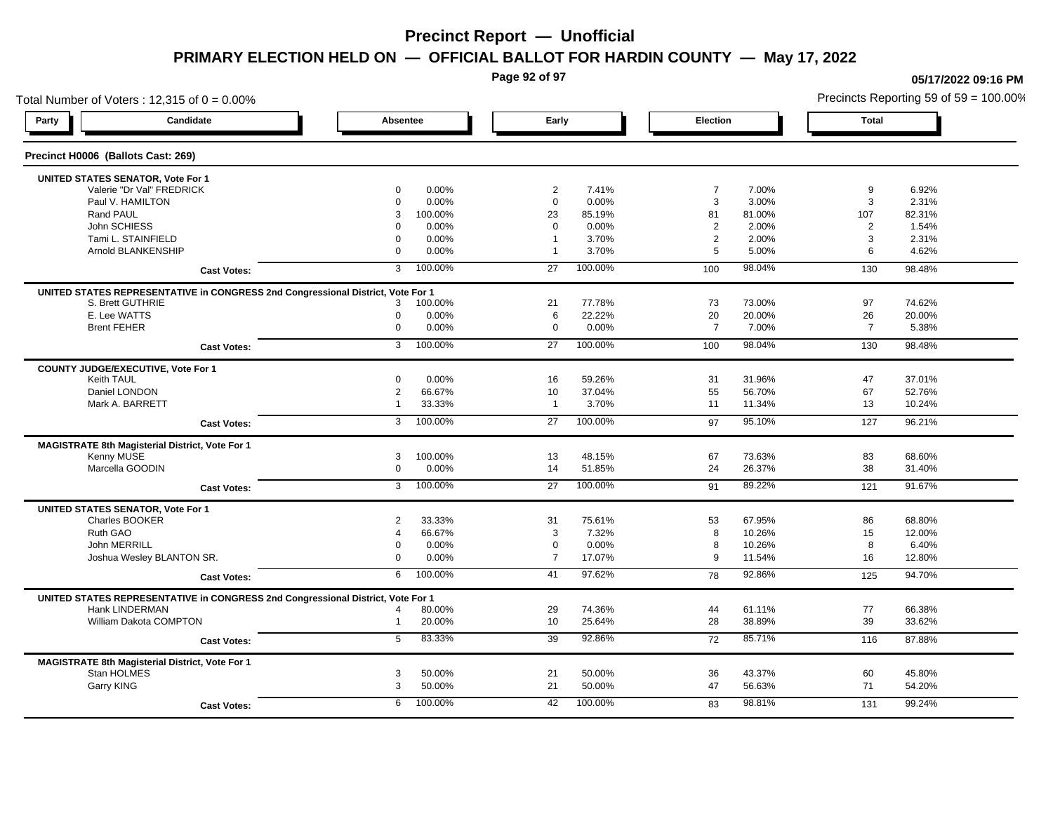**Page 92 of 97**

### Total Number of Voters : 12,315 of  $0 = 0.00\%$ **Party Candidate Absentee Early Election Total Precinct H0006 (Ballots Cast: 269) UNITED STATES SENATOR, Vote For 1** Valerie "Dr Val" FREDRICK 0 0.00% 2 7.41% 7 7.00% 9 6.92% Paul V. HAMILTON 0 0.00% 0 0.00% 3 3.00% 3 2.31% Rand PAUL 3 100.00% 23 85.19% 81 81.00% 107 82.31% John SCHIESS 0 0.00% 0 0.00% 2 2.00% 2 1.54% Tami L. STAINFIELD 0 0.00% 1 3.70% 2 2.00% 3 2.31% Arnold BLANKENSHIP 0 0.00% 1 3.70% 5 5.00% 6 4.62% **Cast Votes:** 3 100.00% 27 100.00% 100 98.04% 130 98.48% **UNITED STATES REPRESENTATIVE in CONGRESS 2nd Congressional District, Vote For 1** S. Brett GUTHRIE 3 100.00% 21 77.78% 73 73.00% 97 74.62% E. Lee WATTS 0 0.00% 6 22.22% 20 20.00% 26 20.00% Brent FEHER 0 0.00% 0 0.00% 7 7.00% 7 5.38% **Cast Votes:** 3 100.00% 27 100.00% 100 98.04% 130 98.48% **COUNTY JUDGE/EXECUTIVE, Vote For 1** Keith TAUL 0 0.00% 16 59.26% 31 31.96% 47 37.01% Daniel LONDON 2 66.67% 10 37.04% 55 56.70% 67 52.76% Mark A. BARRETT 1 33.33% 1 3.70% 11 11.34% 13 10.24% **Cast Votes:** 3 100.00% 27 100.00% 97 95.10% 127 96.21% **MAGISTRATE 8th Magisterial District, Vote For 1** Kenny MUSE 3 100.00% 13 48.15% 67 73.63% 83 68.60% Marcella GOODIN 0 0.00% 14 51.85% 24 26.37% 38 31.40% **Cast Votes:** 3 100.00% 27 100.00% 91 89.22% 121 91.67% **UNITED STATES SENATOR, Vote For 1** Charles BOOKER 2 33.33% 31 75.61% 53 67.95% 86 68.80% Ruth GAO 4 66.67% 3 7.32% 8 10.26% 15 12.00% John MERRILL 0 0.00% 0 0.00% 8 10.26% 8 6.40% Joshua Wesley BLANTON SR. 0 0.00% 7 17.07% 9 11.54% 16 12.80% **Cast Votes:** 6 100.00% 41 97.62% 78 92.86% 125 94.70% **UNITED STATES REPRESENTATIVE in CONGRESS 2nd Congressional District, Vote For 1** Hank LINDERMAN 4 80.00% 29 74.36% 44 61.11% 77 66.38% William Dakota COMPTON 1 20.00% 10 25.64% 28 38.89% 39 33.62% **Cast Votes:** 5 83.33% 39 92.86% 72 85.71% 116 87.88% **MAGISTRATE 8th Magisterial District, Vote For 1** Stan HOLMES 3 50.00% 21 50.00% 36 43.37% 60 45.80% Garry KING 3 50.00% 21 50.00% 47 56.63% 71 54.20% **Cast Votes:** 6 100.00% 42 100.00% 83 98.81% 131 99.24%

#### **05/17/2022 09:16 PM**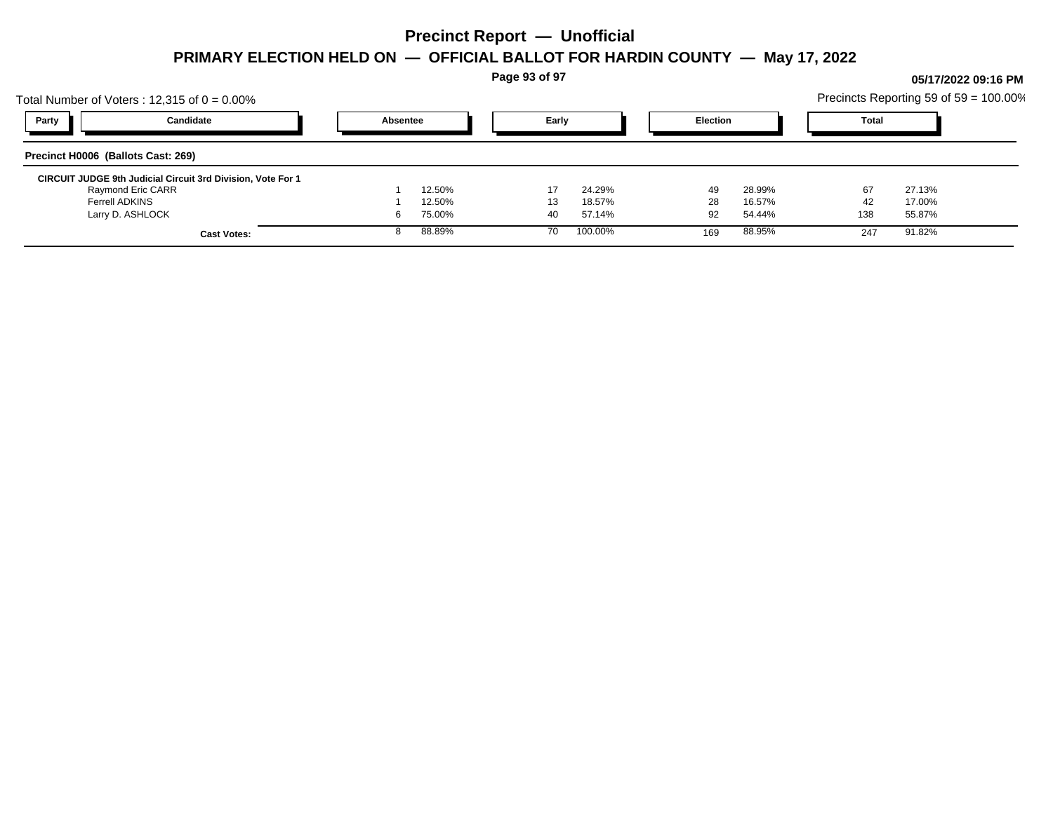**Page 93 of 97**

## Total Number of Voters : 12,315 of  $0 = 0.00\%$ Precincts Reporting 59 of 59 = 100.00% **Party Candidate Absentee Early Election Total Precinct H0006 (Ballots Cast: 269) CIRCUIT JUDGE 9th Judicial Circuit 3rd Division, Vote For 1** Raymond Eric CARR 1 12.50% 17 24.29% 49 28.99% 67 27.13% Ferrell ADKINS 1 12.50% 13 18.57% 28 16.57% 42 17.00% Larry D. ASHLOCK 6 75.00% 40 57.14% 92 54.44% 138 55.87% **Cast Votes:** 8 88.89% 70 100.00% 169 88.95% 247 91.82%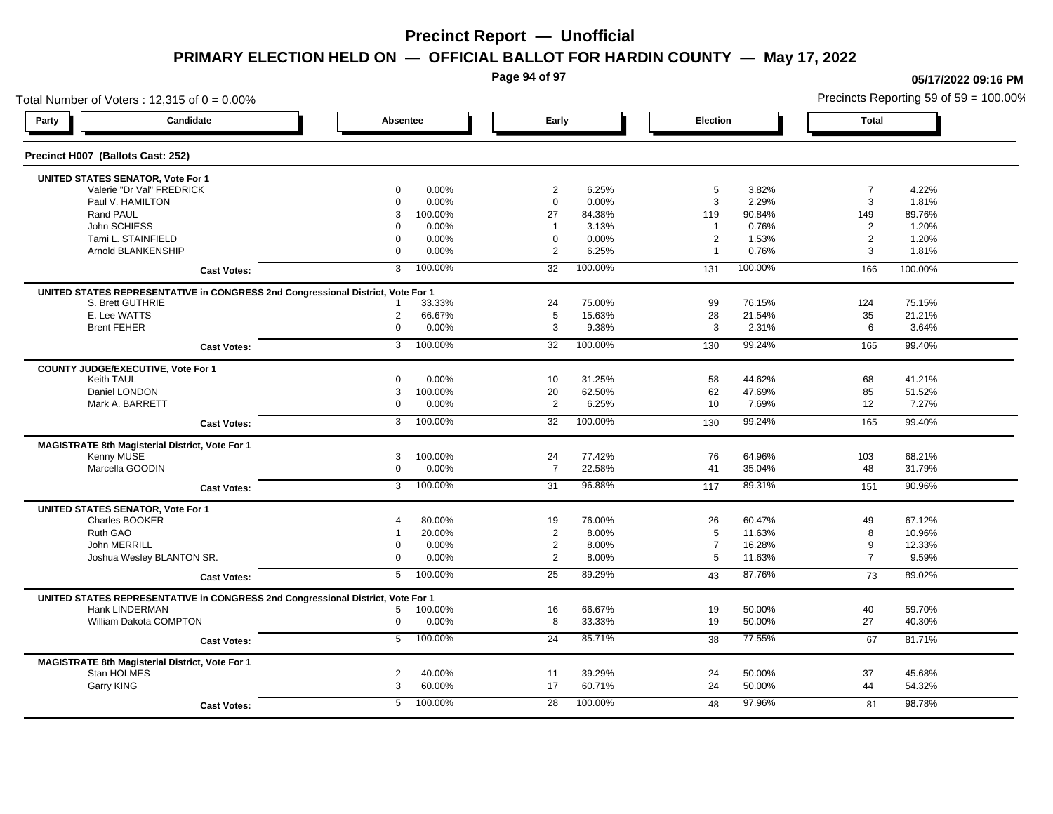**Page 94 of 97**

### Total Number of Voters : 12,315 of  $0 = 0.00\%$ **Party Candidate Absentee Early Election Total Precinct H007 (Ballots Cast: 252) UNITED STATES SENATOR, Vote For 1** Valerie "Dr Val" FREDRICK 0 0.00% 2 6.25% 5 3.82% 7 4.22% Paul V. HAMILTON 0 0.00% 0 0.00% 3 2.29% 3 1.81% Rand PAUL 3 100.00% 27 84.38% 119 90.84% 149 89.76% John SCHIESS 0 0.00% 1 3.13% 1 0.76% 2 1.20% Tami L. STAINFIELD 0 0.00% 0 0.00% 2 1.53% 2 1.20% Arnold BLANKENSHIP 0 0.00% 2 6.25% 1 0.76% 3 1.81% **Cast Votes:** 3 100.00% 32 100.00% 131 100.00% 166 100.00% **UNITED STATES REPRESENTATIVE in CONGRESS 2nd Congressional District, Vote For 1** S. Brett GUTHRIE 1 33.33% 24 75.00% 99 76.15% 124 75.15% E. Lee WATTS 2 66.67% 5 15.63% 28 21.54% 35 21.21% Brent FEHER 0 0.00% 3 9.38% 3 2.31% 6 3.64% **Cast Votes:** 3 100.00% 32 100.00% 130 99.24% 165 99.40% **COUNTY JUDGE/EXECUTIVE, Vote For 1** Keith TAUL 0 0.00% 10 31.25% 58 44.62% 68 41.21% Daniel LONDON 3 100.00% 20 62.50% 62 47.69% 85 51.52% Mark A. BARRETT 0 0.00% 2 6.25% 10 7.69% 12 7.27% **Cast Votes:** 3 100.00% 32 100.00% 130 99.24% 165 99.40% **MAGISTRATE 8th Magisterial District, Vote For 1** Kenny MUSE 3 100.00% 24 77.42% 76 64.96% 103 68.21% Marcella GOODIN 0 0.00% 7 22.58% 41 35.04% 48 31.79% **Cast Votes:** 3 100.00% 31 96.88% 117 89.31% 151 90.96% **UNITED STATES SENATOR, Vote For 1** Charles BOOKER 4 80.00% 19 76.00% 26 60.47% 49 67.12% Ruth GAO 1 20.00% 2 8.00% 5 11.63% 8 10.96% John MERRILL 0 0.00% 2 8.00% 7 16.28% 9 12.33% Joshua Wesley BLANTON SR. 0 0.00% 2 8.00% 5 11.63% 7 9.59% **Cast Votes:** 5 100.00% 25 89.29% 43 87.76% 73 89.02% **UNITED STATES REPRESENTATIVE in CONGRESS 2nd Congressional District, Vote For 1** Hank LINDERMAN 5 100.00% 16 66.67% 19 50.00% 40 59.70% William Dakota COMPTON 0 0.00% 8 33.33% 19 50.00% 27 40.30% **Cast Votes:** 5 100.00% 24 85.71% 38 77.55% 67 81.71% **MAGISTRATE 8th Magisterial District, Vote For 1** Stan HOLMES 2 40.00% 11 39.29% 24 50.00% 37 45.68% Garry KING 3 60.00% 17 60.71% 24 50.00% 44 54.32% **Cast Votes:** 5 100.00% 28 100.00% 48 97.96% 81 98.78%

#### **05/17/2022 09:16 PM**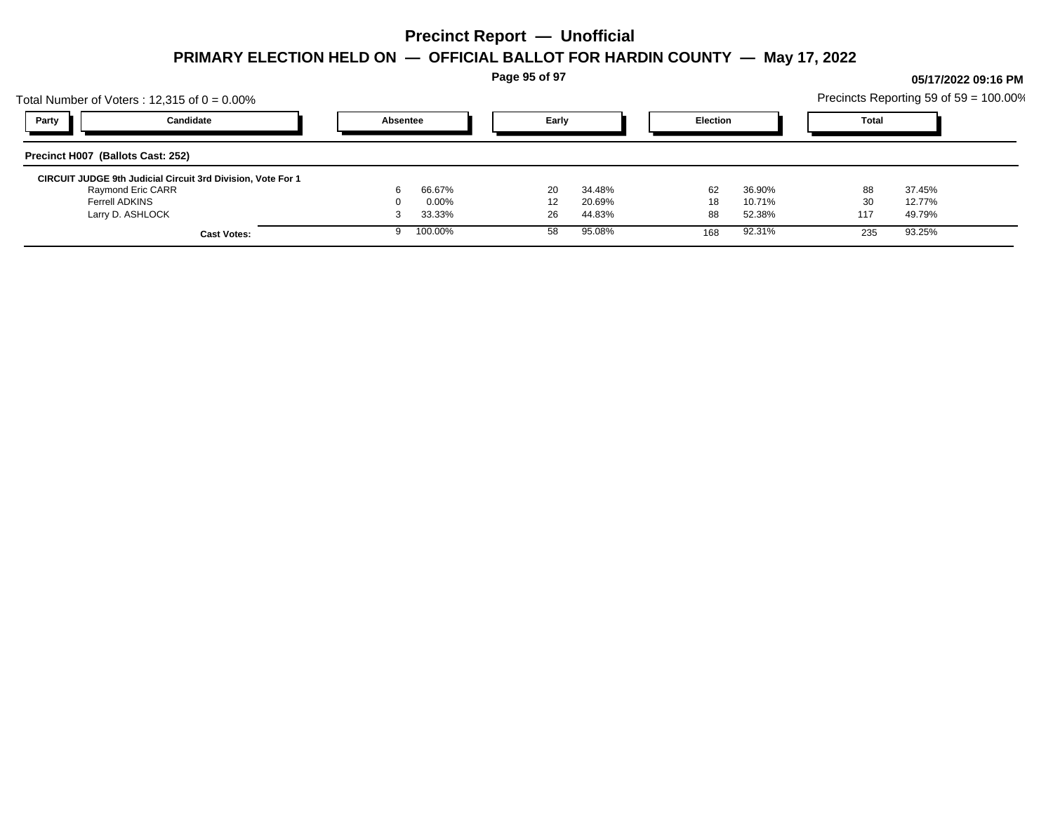**Page 95 of 97**

## Total Number of Voters : 12,315 of  $0 = 0.00\%$ Precincts Reporting 59 of 59 = 100.00% **Party Candidate Absentee Early Election Total Precinct H007 (Ballots Cast: 252) CIRCUIT JUDGE 9th Judicial Circuit 3rd Division, Vote For 1** Raymond Eric CARR 6 66.67% 20 34.48% 62 36.90% 88 37.45% Ferrell ADKINS 0 0.00% 12 20.69% 18 10.71% 30 12.77% Larry D. ASHLOCK 3 33.33% 26 44.83% 88 52.38% 117 49.79% **Cast Votes:** 9 100.00% 58 95.08% 168 92.31% 235 93.25%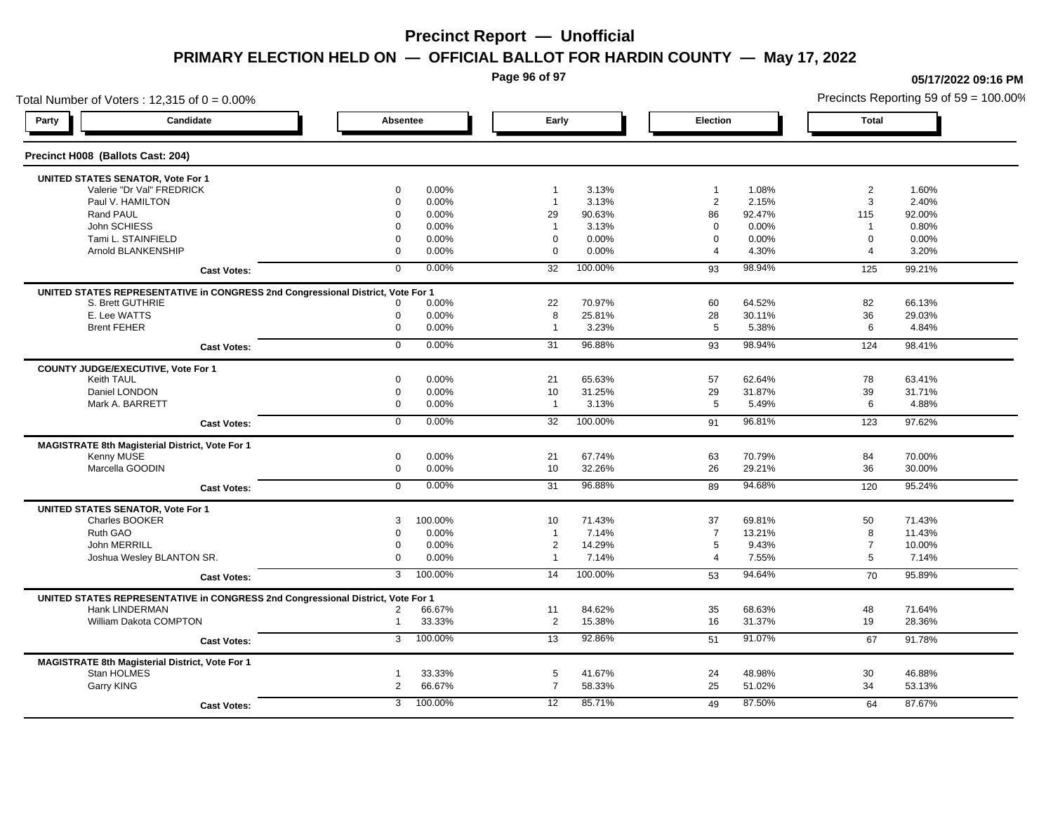**Page 96 of 97**

**05/17/2022 09:16 PM**

### Total Number of Voters : 12,315 of  $0 = 0.00\%$ Precincts Reporting 59 of 59 = 100.00% **Party Candidate Absentee Early Election Total Precinct H008 (Ballots Cast: 204) UNITED STATES SENATOR, Vote For 1** Valerie "Dr Val" FREDRICK 0 0.00% 1 3.13% 1 1.08% 2 1.60% Paul V. HAMILTON 0 0.00% 1 3.13% 2 2.15% 3 2.40% Rand PAUL 0 0.00% 29 90.63% 86 92.47% 115 92.00% John SCHIESS 0 0.00% 1 3.13% 0 0.00% 1 0.80% Tami L. STAINFIELD 0 0.00% 0 0.00% 0 0.00% 0 0.00% Arnold BLANKENSHIP 0 0.00% 0 0.00% 4 4.30% 4 3.20% **Cast Votes:** 0 0.00% 32 100.00% 93 98.94% 125 99.21% **UNITED STATES REPRESENTATIVE in CONGRESS 2nd Congressional District, Vote For 1** S. Brett GUTHRIE 0 0.00% 22 70.97% 60 64.52% 82 66.13% E. Lee WATTS 0 0.00% 8 25.81% 28 30.11% 36 29.03% Brent FEHER 0 0.00% 1 3.23% 5 5.38% 6 4.84% **Cast Votes:** 0 0.00% 31 96.88% 93 98.94% 124 98.41% **COUNTY JUDGE/EXECUTIVE, Vote For 1** Keith TAUL 0 0.00% 21 65.63% 57 62.64% 78 63.41% Daniel LONDON 0 0.00% 10 31.25% 29 31.87% 39 31.71% Mark A. BARRETT 0 0.00% 1 3.13% 5 5.49% 6 4.88% **Cast Votes:** 0 0.00% 32 100.00% 91 96.81% 123 97.62% **MAGISTRATE 8th Magisterial District, Vote For 1** Kenny MUSE 0 0.00% 21 67.74% 63 70.79% 84 70.00% Marcella GOODIN 0 0.00% 10 32.26% 26 29.21% 36 30.00% **Cast Votes:** 0 0.00% 31 96.88% 89 94.68% 120 95.24% **UNITED STATES SENATOR, Vote For 1** Charles BOOKER 3 100.00% 10 71.43% 37 69.81% 50 71.43% Ruth GAO 0 0.00% 1 7.14% 7 13.21% 8 11.43% John MERRILL 0 0.00% 2 14.29% 5 9.43% 7 10.00% Joshua Wesley BLANTON SR. 0 0.00% 1 7.14% 4 7.55% 5 7.14% **Cast Votes:** 3 100.00% 14 100.00% 53 94.64% 70 95.89% **UNITED STATES REPRESENTATIVE in CONGRESS 2nd Congressional District, Vote For 1** Hank LINDERMAN 2 66.67% 11 84.62% 35 68.63% 48 71.64% William Dakota COMPTON 1 33.33% 2 15.38% 16 31.37% 19 28.36% **Cast Votes:** 3 100.00% 13 92.86% 51 91.07% 67 91.78% **MAGISTRATE 8th Magisterial District, Vote For 1** Stan HOLMES 1 33.33% 5 41.67% 24 48.98% 30 46.88% Garry KING 2 66.67% 7 58.33% 25 51.02% 34 53.13% **Cast Votes:** 3 100.00% 12 85.71% 49 87.50% 64 87.67%